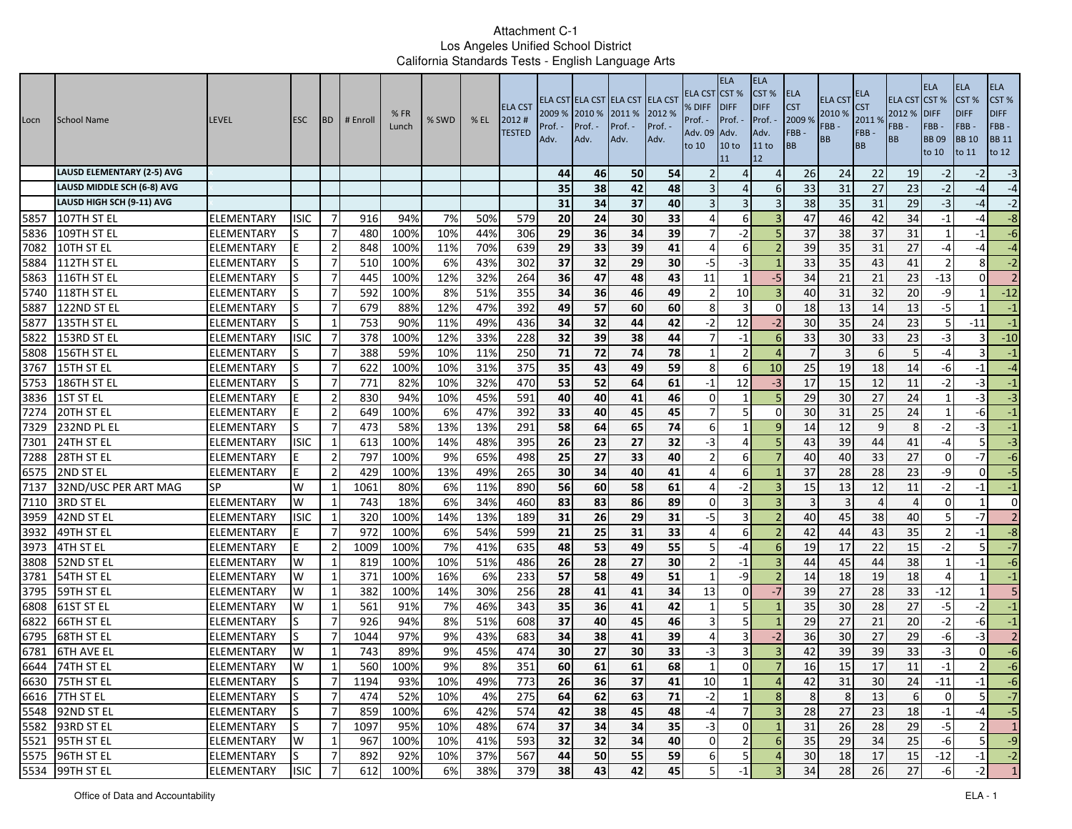| Locn         | <b>School Name</b>                 | <b>LEVEL</b>                    | <b>ESC</b>       | <b>BD</b>            | # Enroll   | %FR<br>Lunch | % SWD      | $%$ EL     | <b>ELA CST</b><br>2012#<br><b>TESTED</b> | Prof. -<br>Adv. | 2009 % 2010 % 2011 %<br>Prof. -<br>Adv. | ELA CST ELA CST ELA CST ELA CST<br>Prof. -<br>Adv. | 2012 %<br>Prof. -<br>Adv. | ELA CST<br>% DIFF<br>Prof. -<br>Adv. 09<br>to 10 | <b>ELA</b><br>CST <sub>%</sub><br><b>DIFF</b><br>Prof. -<br>Adv.<br>10 to<br>11 | <b>ELA</b><br>CST %<br><b>DIFF</b><br>Prof. -<br>Adv.<br>11 to<br>12 | ELA<br><b>CST</b><br>2009 %<br>FBB-<br><b>BB</b> | <b>ELA CST</b><br>2010 %<br>FBB-<br><b>BB</b> | ELA<br>S <sub>T</sub><br>2011 %<br>FBB-<br><b>BB</b> | <b>ELA CST CST %</b><br>2012 %<br>FBB-<br><b>BB</b> | <b>ELA</b><br><b>DIFF</b><br>FBB-<br><b>BB09</b><br>to 10 | <b>ELA</b><br>CST %<br><b>DIFF</b><br>FBB-<br><b>BB</b> 10<br>to 11 | ELA<br>CST%<br><b>DIFF</b><br>FBB-<br><b>BB</b> 11<br>to 12 |
|--------------|------------------------------------|---------------------------------|------------------|----------------------|------------|--------------|------------|------------|------------------------------------------|-----------------|-----------------------------------------|----------------------------------------------------|---------------------------|--------------------------------------------------|---------------------------------------------------------------------------------|----------------------------------------------------------------------|--------------------------------------------------|-----------------------------------------------|------------------------------------------------------|-----------------------------------------------------|-----------------------------------------------------------|---------------------------------------------------------------------|-------------------------------------------------------------|
|              | <b>LAUSD ELEMENTARY (2-5) AVG</b>  |                                 |                  |                      |            |              |            |            |                                          | 44              | 46                                      | 50                                                 | 54                        |                                                  | 4                                                                               | $\Delta$                                                             | 26                                               | 24                                            | 22                                                   | 19                                                  | $-2$                                                      | $-2$                                                                | $-3$                                                        |
|              | LAUSD MIDDLE SCH (6-8) AVG         |                                 |                  |                      |            |              |            |            |                                          | 35 <sub>1</sub> | 38                                      | 42                                                 | 48                        |                                                  | 4                                                                               | 6                                                                    | 33                                               | 31                                            | 27                                                   | 23                                                  | $-2$                                                      | $-4$                                                                | $-4$                                                        |
|              | LAUSD HIGH SCH (9-11) AVG          |                                 |                  |                      |            |              |            |            |                                          | 31              | 34                                      | 37                                                 | 40                        |                                                  | 3                                                                               | 3                                                                    | 38                                               | 35                                            | 31                                                   | 29                                                  | $-3$                                                      | -4                                                                  | $-2$                                                        |
| 5857         | 107TH ST EL                        | ELEMENTARY                      | <b>ISIC</b>      | -7                   | 916        | 94%          | 7%         | 50%        | 579                                      | 20              | 24                                      | 30                                                 | 33                        |                                                  | 6                                                                               |                                                                      | 47                                               | 46                                            | 42                                                   | 34                                                  | $-1$                                                      | -4                                                                  | $-8$                                                        |
| 5836         | 109TH ST EL                        | <b>ELEMENTARY</b>               |                  | $\overline{7}$       | 480        | 100%         | 10%        | 44%        | 306                                      | 29              | 36                                      | 34                                                 | 39                        |                                                  | $-2$                                                                            |                                                                      | 37                                               | 38                                            | 37                                                   | 31                                                  | $\mathbf 1$                                               | -1                                                                  | $-6$                                                        |
| 7082         | 10TH ST EL                         | <b>ELEMENTARY</b>               |                  | $\overline{2}$       | 848        | 100%         | 11%        | 70%        | 639                                      | 29              | 33                                      | 39                                                 | 41                        |                                                  | 6                                                                               |                                                                      | 39                                               | 35                                            | $\overline{31}$                                      | 27                                                  | $-4$                                                      | -4                                                                  | $-4$                                                        |
| 5884         | 112TH ST EL                        | ELEMENTARY                      |                  | $\overline{7}$       | 510        | 100%         | 6%         | 43%        | 302                                      | 37              | 32                                      | 29                                                 | 30                        | -5                                               | $-3$                                                                            |                                                                      | 33                                               | 35                                            | 43                                                   | 41                                                  | $\overline{2}$                                            | 8                                                                   | $-2$                                                        |
| 5863         | 116TH ST EL                        | ELEMENTARY                      |                  | -7<br>$\overline{7}$ | 445<br>592 | 100%<br>100% | 12%<br>8%  | 32%<br>51% | 264<br>355                               | 36<br>34        | 47<br>36                                | 48<br>46                                           | 43<br>49                  | 11<br>$\overline{2}$                             | $\mathbf{1}$<br>10                                                              | $-5$                                                                 | 34<br>40                                         | 21<br>31                                      | 21<br>$\overline{32}$                                | 23<br>20                                            | $-13$<br>$-9$                                             | $\Omega$                                                            | $\overline{2}$<br>$-12$                                     |
| 5740<br>5887 | 118TH ST EL<br>122ND ST EL         | ELEMENTARY<br>ELEMENTARY        |                  | -7                   | 679        | 88%          | 12%        | 47%        | 392                                      | 49              | 57                                      | 60                                                 | 60                        | 8                                                | 3                                                                               | 0                                                                    | 18                                               | 13                                            | 14                                                   | 13                                                  | $-5$                                                      |                                                                     | $-1$                                                        |
| 5877         | 135TH ST EL                        | ELEMENTARY                      | lS               | 1                    | 753        | 90%          | 11%        | 49%        | 436                                      | 34              | 32                                      | 44                                                 | 42                        | $-2$                                             | 12                                                                              | $-2$                                                                 | 30                                               | 35                                            | $\overline{24}$                                      | 23                                                  | 5                                                         | $-11$                                                               | $-1$                                                        |
| 5822         | 153RD ST EL                        | ELEMENTARY                      | <b>ISIC</b>      | $\overline{7}$       | 378        | 100%         | 12%        | 33%        | 228                                      | 32              | 39                                      | 38                                                 | 44                        | 7                                                | $-1$                                                                            | 6                                                                    | 33                                               | 30                                            | 33                                                   | 23                                                  | $-3$                                                      |                                                                     | $-10$                                                       |
| 5808         | 156TH ST EL                        | <b>ELEMENTARY</b>               |                  | $\overline{7}$       | 388        | 59%          | 10%        | 11%        | 250                                      | 71              | 72                                      | 74                                                 | 78                        | 1                                                |                                                                                 | $\Delta$                                                             |                                                  | 3                                             | 6                                                    | 5                                                   | $-4$                                                      |                                                                     | $-1$                                                        |
| 3767         | 15TH ST EL                         | <b>ELEMENTARY</b>               |                  | -7                   | 622        | 100%         | 10%        | 31%        | 375                                      | 35              | 43                                      | 49                                                 | 59                        | 8                                                | 6                                                                               | 10                                                                   | 25                                               | 19                                            | 18                                                   | 14                                                  | $-6$                                                      | $-1$                                                                | $-4$                                                        |
| 5753         | 186TH ST EL                        | ELEMENTARY                      |                  | 7                    | 771        | 82%          | 10%        | 32%        | 470                                      | 53              | 52                                      | 64                                                 | 61                        | $-1$                                             | 12                                                                              | $-3$                                                                 | 17                                               | 15                                            | 12                                                   | 11                                                  | $-2$                                                      | -3                                                                  | $-1$                                                        |
| 3836         | 1ST ST EL                          | ELEMENTARY                      |                  | $\overline{2}$       | 830        | 94%          | 10%        | 45%        | 591                                      | 40              | 40                                      | 41                                                 | 46                        | $\Omega$                                         | $\mathbf{1}$                                                                    |                                                                      | 29                                               | 30                                            | 27                                                   | 24                                                  |                                                           | -3                                                                  | $-3$                                                        |
| 7274         | 20TH ST EL                         | <b>ELEMENTARY</b>               | E                | $\overline{2}$       | 649        | 100%         | 6%         | 47%        | 392                                      | 33              | 40                                      | 45                                                 | 45                        |                                                  | 5                                                                               | $\Omega$                                                             | 30                                               | 31                                            | $\overline{25}$                                      | 24                                                  | $\mathbf{1}$                                              | -6                                                                  | $-1$                                                        |
| 7329         | 232ND PL EL                        | ELEMENTARY                      | lS               | $\overline{7}$       | 473        | 58%          | 13%        | 13%        | 291                                      | 58              | 64                                      | 65                                                 | $\overline{74}$           | 6                                                | $\mathbf{1}$                                                                    | q                                                                    | 14                                               | 12                                            | 9                                                    | 8                                                   | $-2$                                                      | $-3$                                                                | $^{\rm -1}$                                                 |
| 7301         | 24TH ST EL                         | ELEMENTARY                      | <b>ISIC</b>      | 1                    | 613        | 100%         | 14%        | 48%        | 395                                      | 26              | 23                                      | 27                                                 | 32                        | -3                                               | $\Delta$                                                                        | 5                                                                    | 43                                               | 39                                            | 44                                                   | 41                                                  | $-4$                                                      | 5                                                                   | $-3$                                                        |
| 7288         | 28TH ST EL                         | <b>ELEMENTARY</b>               |                  | $\overline{2}$       | 797        | 100%         | 9%         | 65%        | 498                                      | 25              | 27                                      | 33                                                 | 40                        | $\overline{2}$                                   | 6                                                                               |                                                                      | 40                                               | 40                                            | 33                                                   | 27                                                  | $\overline{0}$                                            | $-7$                                                                | $-6$                                                        |
| 6575         | 2ND ST EL                          | ELEMENTARY                      |                  | $\overline{2}$       | 429        | 100%         | 13%        | 49%        | 265                                      | 30 <sup>1</sup> | 34                                      | 40                                                 | 41                        | Δ                                                | 6                                                                               |                                                                      | 37                                               | 28                                            | 28                                                   | 23                                                  | $-9$                                                      | $\Omega$                                                            | $-5$                                                        |
| 7137         | 32ND/USC PER ART MAG               | SP                              | W                | 1                    | 1061       | 80%          | 6%         | 11%        | 890                                      | 56              | 60                                      | 58                                                 | 61                        | Д                                                | -2                                                                              |                                                                      | 15                                               | 13                                            | 12                                                   | 11                                                  | $-2$                                                      | -1                                                                  | $-1$                                                        |
| 7110         | 3RD ST EL                          | <b>ELEMENTARY</b>               | W                | $\mathbf{1}$         | 743        | 18%          | 6%         | 34%        | 460                                      | $\overline{83}$ | 83                                      | 86                                                 | 89                        | $\Omega$                                         | 3                                                                               |                                                                      | $\overline{3}$                                   |                                               | $\overline{a}$                                       |                                                     | $\Omega$                                                  |                                                                     | $\mathbf{0}$                                                |
| 3959         | 42ND ST EL                         | ELEMENTARY                      | <b>ISIC</b>      | 1                    | 320        | 100%         | 14%        | 13%        | 189                                      | 31              | 26                                      | 29                                                 | 31                        | -5                                               | 3                                                                               |                                                                      | 40                                               | 45                                            | 38                                                   | 40                                                  | $\overline{5}$                                            | $-7$                                                                | $\overline{2}$                                              |
| 3932         | 49TH ST EL                         | ELEMENTARY                      |                  | $\overline{7}$       | 972        | 100%         | 6%         | 54%        | 599                                      | 21              | 25                                      | 31                                                 | 33                        | 4                                                | 6                                                                               |                                                                      | 42                                               | 44                                            | 43                                                   | 35                                                  | $\overline{2}$                                            | $-1$                                                                | $-8$                                                        |
| 3973         | 4TH ST EL                          | ELEMENTARY                      |                  | $\overline{2}$       | 1009       | 100%         | 7%         | 41%        | 635                                      | 48              | 53                                      | 49                                                 | 55                        | 5.                                               | -4                                                                              | -6                                                                   | 19                                               | 17                                            | 22                                                   | 15                                                  | $-2$                                                      | 5                                                                   | $-7$                                                        |
| 3808         | 52ND ST EL                         | ELEMENTARY                      | W                | -1                   | 819        | 100%         | 10%        | 51%        | 486                                      | 26              | 28                                      | 27                                                 | 30                        |                                                  | $-1$                                                                            |                                                                      | 44                                               | 45                                            | 44                                                   | 38                                                  | $\mathbf{1}$                                              | -1                                                                  | $-6$                                                        |
| 3781         | 54TH ST EL                         | ELEMENTARY                      | W                | 1                    | 371        | 100%         | 16%        | 6%         | 233                                      | 57              | 58                                      | 49                                                 | 51                        | -1                                               | -9                                                                              |                                                                      | 14                                               | 18                                            | 19                                                   | 18                                                  | 4                                                         |                                                                     | $-1$                                                        |
| 3795         | 59TH ST EL                         | ELEMENTARY                      | W                | 1                    | 382        | 100%         | 14%        | 30%        | 256                                      | 28              | 41                                      | 41                                                 | 34                        | 13                                               | $\overline{0}$                                                                  | $-7$                                                                 | 39                                               | 27                                            | $\overline{28}$                                      | 33                                                  | $-12$                                                     |                                                                     | 5                                                           |
| 6808         | 61ST ST EL                         | <b>ELEMENTARY</b>               | W                | $\mathbf{1}$         | 561        | 91%          | 7%         | 46%        | 343                                      | 35              | 36                                      | 41                                                 | 42                        | $\mathbf{1}$                                     | 5                                                                               |                                                                      | 35                                               | 30                                            | 28                                                   | 27                                                  | $-5$                                                      | $-2$                                                                | $-1$                                                        |
| 6822         | 66TH ST EL                         | ELEMENTARY                      | lS               | $\overline{7}$       | 926        | 94%          | 8%         | 51%        | 608                                      | 37              | 40                                      | 45                                                 | 46                        | 3                                                | $\overline{5}$                                                                  |                                                                      | 29                                               | 27                                            | $\overline{21}$                                      | 20                                                  | $-2$                                                      | -6                                                                  | $^{\rm -1}$                                                 |
| 6795         | 68TH ST EL                         | ELEMENTARY                      | lS               | $\overline{7}$       | 1044       | 97%          | 9%         | 43%        | 683                                      | 34              | 38                                      | 41                                                 | 39                        | 4                                                | 3                                                                               | $-2$                                                                 | 36                                               | 30                                            | 27                                                   | 29                                                  | $-6$                                                      | $-3$                                                                | $\overline{2}$                                              |
| 6781         | <b>6TH AVE EL</b>                  | ELEMENTARY                      | W                | 1                    | 743        | 89%          | 9%         | 45%        | 474                                      | 30              | 27                                      | 30                                                 | 33                        | -3                                               | 3                                                                               |                                                                      | 42                                               | 39                                            | 39                                                   | 33                                                  | $-3$                                                      | $\Omega$                                                            | $-6$                                                        |
| 6644         | 74TH ST EL                         | ELEMENTARY                      | W                | 1                    | 560        | 100%         | 9%         | 8%         | 351                                      | 60              | 61                                      | 61                                                 | 68                        | 1                                                | $\overline{0}$                                                                  |                                                                      | 16                                               | 15                                            | $\overline{17}$                                      | 11                                                  | $-1$                                                      | $\overline{2}$                                                      | $-6$                                                        |
|              | 6630 75TH ST EL                    | ELEMENTARY                      | ls.              | $\prime$             | 1194       | 93%          | 10%        | 49%        | 773                                      | 26              | 36                                      | $37$                                               | 41                        | $10\,$                                           |                                                                                 |                                                                      | 42                                               | $31\,$                                        | 30                                                   | $24\,$                                              | $-11$                                                     | $-1$                                                                | $-6$                                                        |
|              | 6616 7TH ST EL                     | <b>ELEMENTARY</b>               | S                | $\overline{7}$       | 474        | 52%          | 10%        | 4%         | 275                                      | 64              | 62                                      | 63                                                 | 71                        | $-2$                                             | $\vert$ 1                                                                       | 8                                                                    | 8                                                | 8 <sup>1</sup>                                | 13                                                   | 6                                                   | $\Omega$                                                  | 5 <sup>1</sup>                                                      | $-7$                                                        |
|              | 5548 92ND ST EL                    | <b>ELEMENTARY</b>               | ls               | $\overline{7}$       | 859        | 100%         | 6%         | 42%        | 574                                      | 42              | 38                                      | 45                                                 | 48                        | $-4$                                             | 7                                                                               | $\overline{3}$                                                       | 28                                               | 27                                            | 23                                                   | 18                                                  | $-1$                                                      | -4                                                                  | $-5$                                                        |
|              | 5582 93RD ST EL                    | <b>ELEMENTARY</b>               | S                | $\overline{7}$       | 1097       | 95%          | 10%<br>10% | 48%<br>41% | 674                                      | 37              | 34                                      | 34                                                 | 35                        | $-3$                                             | 0                                                                               | $\mathbf{1}$                                                         | 31                                               | 26                                            | 28                                                   | 29                                                  | $-5$<br>$-6$                                              |                                                                     | $\vert$ 1                                                   |
|              | 5521 95TH ST EL                    | ELEMENTARY<br><b>ELEMENTARY</b> | W                | 1<br>7               | 967<br>892 | 100%         | 10%        | 37%        | 593<br>567                               | 32              | 32<br>50                                | 34<br>55                                           | 40<br>59                  | $\overline{0}$                                   | $\overline{2}$<br>5                                                             | 6<br>$\overline{4}$                                                  | 35<br>30                                         | 29                                            | 34                                                   | 25                                                  | $-12$                                                     | 5 <sub>l</sub>                                                      | $-9$<br>$-2$                                                |
|              | 5575 96TH ST EL<br>5534 99TH ST EL | <b>ELEMENTARY</b>               | S<br><b>ISIC</b> | 7                    | 612        | 92%<br>100%  | 6%         | 38%        | 379                                      | 44<br>38        | 43                                      | 42                                                 | 45                        | 6I<br>5 <sup>1</sup>                             | $-1$                                                                            |                                                                      | 34                                               | 18<br>28                                      | 17<br>26                                             | 15<br>27                                            | $-6$                                                      | $-1$<br>$-2$                                                        | $\overline{1}$                                              |
|              |                                    |                                 |                  |                      |            |              |            |            |                                          |                 |                                         |                                                    |                           |                                                  |                                                                                 |                                                                      |                                                  |                                               |                                                      |                                                     |                                                           |                                                                     |                                                             |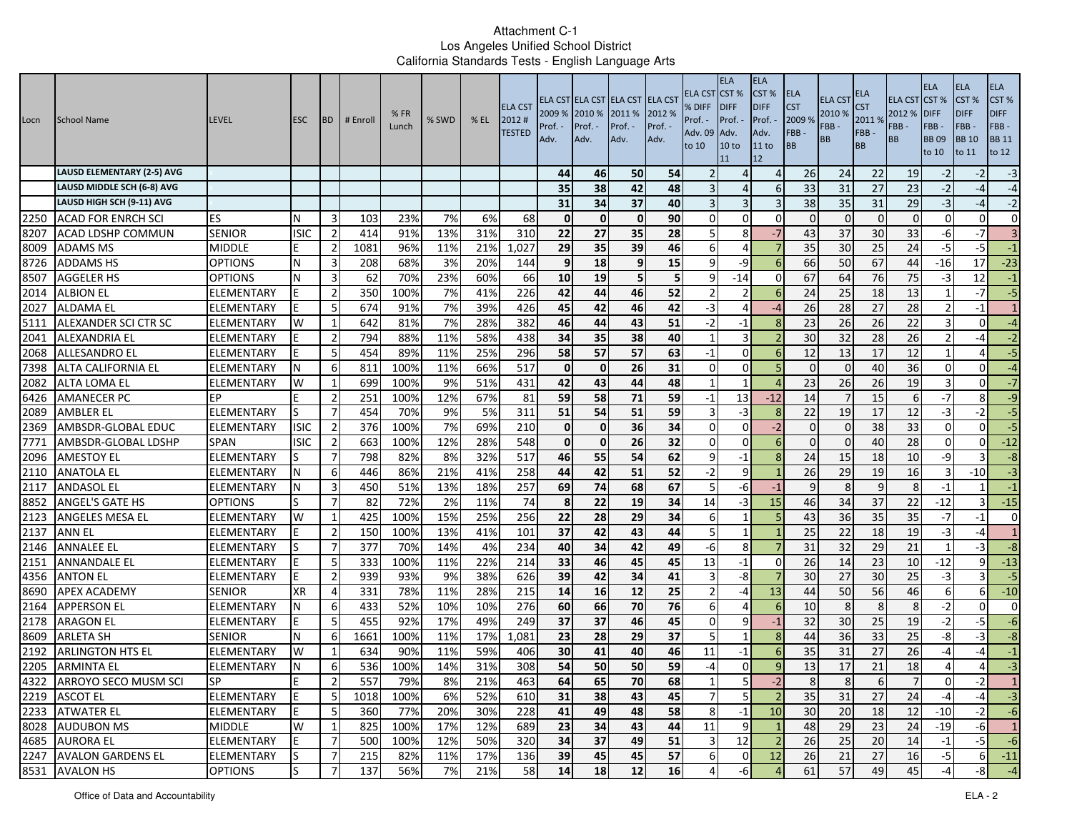| <b>LAUSD ELEMENTARY (2-5) AVG</b><br>46<br>50<br>54<br>26<br>22<br>19<br>44<br>24<br>Δ<br>$\Delta$<br>42<br>38<br>48<br>33<br>31<br>27<br>23<br>LAUSD MIDDLE SCH (6-8) AVG<br>35<br>Δ<br>-6<br>LAUSD HIGH SCH (9-11) AVG<br>34<br>38<br>31<br>31<br>37<br>40<br>35<br>29<br>3<br>90<br>2250<br>$\mathbf{0}$<br>$\mathbf 0$<br>$\mathbf 0$<br>$\Omega$<br>$\overline{0}$<br><b>ACAD FOR ENRCH SCI</b><br>ES<br>23%<br>7%<br>6%<br>68<br>$\Omega$<br>$\Omega$<br>$\Omega$<br>$\Omega$<br>N<br>-3<br>103<br>$\Omega$<br>8207<br><b>ISIC</b><br>35<br>28<br>$-7$<br>37<br>30<br>33<br><b>SENIOR</b><br>$\overline{2}$<br>91%<br>13%<br>31%<br>310<br>22<br>27<br>8<br>43<br>ACAD LDSHP COMMUN<br>414<br>8009<br>35<br>$\overline{25}$<br>96%<br>1,027<br>29<br>35<br>39<br>46<br>$\overline{7}$<br>30<br>24<br><b>MIDDLE</b><br>$\overline{2}$<br>1081<br>11%<br>21%<br><b>ADAMS MS</b><br>6<br>4<br>8726<br>67<br>68%<br>20%<br>9<br>18<br>15<br>66<br>50<br><b>ADDAMS HS</b><br><b>OPTIONS</b><br>N<br>3<br>208<br>3%<br>144<br>9<br>9<br>-9<br>44<br>-6<br>5<br>5<br>67<br>8507<br>62<br>70%<br>23%<br>60%<br>10<br>19<br>$-14$<br>64<br>76<br><b>AGGELER HS</b><br><b>OPTIONS</b><br>N<br>3<br>66<br>75<br>q<br>$\Omega$ | <b>ELA</b><br>ELA<br><b>ELA</b><br>CST %<br>CST%<br><b>ELA CST CST %</b><br><b>DIFF</b><br><b>DIFF</b><br><b>DIFF</b><br>FBB-<br>FBB-<br>FBB-<br><b>BB</b> 10<br><b>BB</b> 11<br><b>BB09</b><br>to 12<br>to 11<br>to 10 |
|--------------------------------------------------------------------------------------------------------------------------------------------------------------------------------------------------------------------------------------------------------------------------------------------------------------------------------------------------------------------------------------------------------------------------------------------------------------------------------------------------------------------------------------------------------------------------------------------------------------------------------------------------------------------------------------------------------------------------------------------------------------------------------------------------------------------------------------------------------------------------------------------------------------------------------------------------------------------------------------------------------------------------------------------------------------------------------------------------------------------------------------------------------------------------------------------------------------------------|-------------------------------------------------------------------------------------------------------------------------------------------------------------------------------------------------------------------------|
|                                                                                                                                                                                                                                                                                                                                                                                                                                                                                                                                                                                                                                                                                                                                                                                                                                                                                                                                                                                                                                                                                                                                                                                                                          | $-3$<br>$-2$<br>-2                                                                                                                                                                                                      |
|                                                                                                                                                                                                                                                                                                                                                                                                                                                                                                                                                                                                                                                                                                                                                                                                                                                                                                                                                                                                                                                                                                                                                                                                                          | $-2$<br>$-4$<br>-4                                                                                                                                                                                                      |
|                                                                                                                                                                                                                                                                                                                                                                                                                                                                                                                                                                                                                                                                                                                                                                                                                                                                                                                                                                                                                                                                                                                                                                                                                          | $-3$<br>$-2$<br>-4                                                                                                                                                                                                      |
|                                                                                                                                                                                                                                                                                                                                                                                                                                                                                                                                                                                                                                                                                                                                                                                                                                                                                                                                                                                                                                                                                                                                                                                                                          | $\mathbf{0}$<br>$\Omega$<br>$\overline{0}$                                                                                                                                                                              |
|                                                                                                                                                                                                                                                                                                                                                                                                                                                                                                                                                                                                                                                                                                                                                                                                                                                                                                                                                                                                                                                                                                                                                                                                                          | $\overline{3}$<br>-6<br>$-7$                                                                                                                                                                                            |
|                                                                                                                                                                                                                                                                                                                                                                                                                                                                                                                                                                                                                                                                                                                                                                                                                                                                                                                                                                                                                                                                                                                                                                                                                          | $-5$<br>$-5$<br>$^{\rm -1}$                                                                                                                                                                                             |
|                                                                                                                                                                                                                                                                                                                                                                                                                                                                                                                                                                                                                                                                                                                                                                                                                                                                                                                                                                                                                                                                                                                                                                                                                          | $-23$<br>$-16$<br>17                                                                                                                                                                                                    |
|                                                                                                                                                                                                                                                                                                                                                                                                                                                                                                                                                                                                                                                                                                                                                                                                                                                                                                                                                                                                                                                                                                                                                                                                                          | $-3$<br>12<br>$-1$                                                                                                                                                                                                      |
| 44<br>52<br>7%<br>226<br>42<br>46<br>24<br>25<br>18<br>2014<br>$\overline{2}$<br>350<br>100%<br>41%<br>13<br><b>ELEMENTARY</b><br>2<br>6<br><b>ALBION EL</b>                                                                                                                                                                                                                                                                                                                                                                                                                                                                                                                                                                                                                                                                                                                                                                                                                                                                                                                                                                                                                                                             | 5<br>$-7$<br>-1                                                                                                                                                                                                         |
| 426<br>42<br>46<br>42<br>28<br>27<br>7%<br>39%<br>45<br>26<br>28<br>2027<br><b>ALDAMA EL</b><br>-5<br>674<br>91%<br>-3<br>ELEMENTARY<br>Δ<br>-4                                                                                                                                                                                                                                                                                                                                                                                                                                                                                                                                                                                                                                                                                                                                                                                                                                                                                                                                                                                                                                                                          | 1<br>$\overline{2}$<br>$-1$                                                                                                                                                                                             |
| $\overline{26}$<br>5111<br>382<br>43<br>51<br>23<br>22<br>642<br>81%<br>7%<br>28%<br>46<br>44<br>$-2$<br>26<br>ALEXANDER SCI CTR SC<br>ELEMENTARY<br>W<br>$-1$<br>1                                                                                                                                                                                                                                                                                                                                                                                                                                                                                                                                                                                                                                                                                                                                                                                                                                                                                                                                                                                                                                                      | 3<br>$-4$<br>$\Omega$                                                                                                                                                                                                   |
| 2041<br>794<br>58%<br>438<br>38<br>40<br>3<br>30<br>32<br>28<br>26<br>$\overline{2}$<br>88%<br>11%<br>34<br>35<br><b>ALEXANDRIA EL</b><br>ELEMENTARY<br>-1                                                                                                                                                                                                                                                                                                                                                                                                                                                                                                                                                                                                                                                                                                                                                                                                                                                                                                                                                                                                                                                               | $-2$<br>$\overline{\phantom{a}}$<br>-4                                                                                                                                                                                  |
| 2068<br>296<br>58<br>57<br>57<br>63<br>12<br>17<br>12<br>454<br>89%<br>11%<br>25%<br>13<br><b>ALLESANDRO EL</b><br>ELEMENTARY<br>-5<br>$-1$<br>$\Omega$<br>-6                                                                                                                                                                                                                                                                                                                                                                                                                                                                                                                                                                                                                                                                                                                                                                                                                                                                                                                                                                                                                                                            | $-5$<br>4                                                                                                                                                                                                               |
| 7398<br>100%<br>11%<br>66%<br>517<br>$\mathbf{0}$<br>$\mathbf{0}$<br>26<br>31<br>$\Omega$<br>40<br>36<br>ALTA CALIFORNIA EL<br>ELEMENTARY<br>6<br>811<br>$\Omega$<br>$\Omega$<br>$\Omega$                                                                                                                                                                                                                                                                                                                                                                                                                                                                                                                                                                                                                                                                                                                                                                                                                                                                                                                                                                                                                                | $\Omega$<br>$-4$<br>$\Omega$                                                                                                                                                                                            |
| 44<br>48<br>699<br>9%<br>51%<br>431<br>43<br>23<br>26<br>26<br>19<br>2082<br>W<br>1<br>100%<br>42<br>ALTA LOMA EL<br>ELEMENTARY<br>-1<br>-1                                                                                                                                                                                                                                                                                                                                                                                                                                                                                                                                                                                                                                                                                                                                                                                                                                                                                                                                                                                                                                                                              | $-7$<br>3<br>$\Omega$                                                                                                                                                                                                   |
| 59<br>15<br>6426<br>67%<br>81<br>59<br>58<br>71<br>EP<br>$\overline{2}$<br>251<br>100%<br>12%<br>13<br>$-12$<br>14<br><b>AMANECER PC</b><br>$-1$<br>6                                                                                                                                                                                                                                                                                                                                                                                                                                                                                                                                                                                                                                                                                                                                                                                                                                                                                                                                                                                                                                                                    | $-9$<br>$-7$<br>8                                                                                                                                                                                                       |
| 51<br>59<br>17<br>S<br>311<br>51<br>54<br>$-3$<br>22<br>19<br>12<br>2089<br>ELEMENTARY<br>7<br>454<br>70%<br>9%<br>5%<br><b>AMBLER EL</b><br>8                                                                                                                                                                                                                                                                                                                                                                                                                                                                                                                                                                                                                                                                                                                                                                                                                                                                                                                                                                                                                                                                           | $-5$<br>$-3$<br>$-2$                                                                                                                                                                                                    |
| 2369<br>$\overline{38}$<br>376<br>7%<br>69%<br>210<br>36<br>34<br>$-2$<br>33<br><b>ISIC</b><br>$\overline{2}$<br>100%<br>$\mathbf{0}$<br>$\mathbf 0$<br>$\Omega$<br>$\Omega$<br>$\Omega$<br>AMBSDR-GLOBAL EDUC<br>ELEMENTARY<br>$\Omega$                                                                                                                                                                                                                                                                                                                                                                                                                                                                                                                                                                                                                                                                                                                                                                                                                                                                                                                                                                                 | 5<br>$\Omega$<br>$\Omega$                                                                                                                                                                                               |
| $\mathbf{0}$<br>32<br>7771<br><b>SPAN</b><br><b>ISIC</b><br>$\overline{2}$<br>663<br>100%<br>12%<br>28%<br>548<br>$\mathbf 0$<br>26<br>$\Omega$<br>$\Omega$<br>40<br>28<br>AMBSDR-GLOBAL LDSHP<br>$\Omega$<br>$\Omega$<br>6                                                                                                                                                                                                                                                                                                                                                                                                                                                                                                                                                                                                                                                                                                                                                                                                                                                                                                                                                                                              | $\Omega$<br>$-12$<br>$\Omega$                                                                                                                                                                                           |
| 2096<br>54<br>8%<br>32%<br>517<br>46<br>55<br>62<br>24<br>18<br><b>AMESTOY EL</b><br><b>ELEMENTARY</b><br>7<br>798<br>82%<br>$-1$<br>8<br>15<br>10<br>9                                                                                                                                                                                                                                                                                                                                                                                                                                                                                                                                                                                                                                                                                                                                                                                                                                                                                                                                                                                                                                                                  | -9<br>$-8$                                                                                                                                                                                                              |
| 51<br>52<br>2110<br>86%<br>21%<br>41%<br>258<br>42<br>9<br>26<br>29<br>19<br><b>ANATOLA EL</b><br>ELEMENTARY<br>6<br>446<br>44<br>-2<br>16                                                                                                                                                                                                                                                                                                                                                                                                                                                                                                                                                                                                                                                                                                                                                                                                                                                                                                                                                                                                                                                                               | $-3$<br>3<br>$-10$                                                                                                                                                                                                      |
| 67<br>257<br>68<br>2117<br>51%<br>13%<br>18%<br>69<br>74<br>9<br><b>ANDASOL EL</b><br>N<br>3<br>450<br>-6<br>9<br>8<br>8<br>ELEMENTARY<br>$-1$                                                                                                                                                                                                                                                                                                                                                                                                                                                                                                                                                                                                                                                                                                                                                                                                                                                                                                                                                                                                                                                                           | $-1$<br>$-1$                                                                                                                                                                                                            |
| 8852<br>$\overline{74}$<br>$\overline{22}$<br>19<br>$\overline{34}$<br>$\overline{37}$<br>82<br>72%<br>2%<br>11%<br>8<br>14<br>15<br>46<br>34<br>22<br><b>ANGEL'S GATE HS</b><br>7<br>-3<br><b>OPTIONS</b>                                                                                                                                                                                                                                                                                                                                                                                                                                                                                                                                                                                                                                                                                                                                                                                                                                                                                                                                                                                                               | $-12$<br>$-15$                                                                                                                                                                                                          |
| 35<br>29<br>34<br>43<br>2123<br>425<br>100%<br>15%<br>25%<br>256<br>22<br>28<br>36<br>35<br><b>ANGELES MESA EL</b><br>ELEMENTARY<br>W<br>1<br>6                                                                                                                                                                                                                                                                                                                                                                                                                                                                                                                                                                                                                                                                                                                                                                                                                                                                                                                                                                                                                                                                          | $-7$<br>$\mathbf{0}$<br>$-1$                                                                                                                                                                                            |
| 2137<br>$\overline{2}$<br>100%<br>13%<br>41%<br>101<br>37<br>42<br>43<br>44<br>25<br>22<br>18<br>19<br><b>ANN EL</b><br><b>ELEMENTARY</b><br>150<br>-5<br>$\mathbf{1}$                                                                                                                                                                                                                                                                                                                                                                                                                                                                                                                                                                                                                                                                                                                                                                                                                                                                                                                                                                                                                                                   | $-3$<br>$\mathbf{1}$<br>$-4$                                                                                                                                                                                            |
| 2146<br>42<br>29<br>377<br>234<br>40<br>34<br>49<br>31<br>32<br>21<br>7<br>70%<br>14%<br>4%<br>8<br><b>ANNALEE EL</b><br>ELEMENTARY<br>-6                                                                                                                                                                                                                                                                                                                                                                                                                                                                                                                                                                                                                                                                                                                                                                                                                                                                                                                                                                                                                                                                                | $-8$<br>$\mathbf{1}$<br>$-3$                                                                                                                                                                                            |
| 2151<br>22%<br>214<br>33<br>46<br>45<br>45<br>26<br>23<br><b>ANNANDALE EL</b><br>ELEMENTARY<br>-5<br>333<br>100%<br>11%<br>13<br>$-1$<br>14<br>10<br>$\Omega$                                                                                                                                                                                                                                                                                                                                                                                                                                                                                                                                                                                                                                                                                                                                                                                                                                                                                                                                                                                                                                                            | $-12$<br>$-13$<br>q                                                                                                                                                                                                     |
| 626<br>39<br>42<br>30<br>4356<br>$\overline{2}$<br>939<br>9%<br>38%<br>34<br>41<br>-8<br>30<br>27<br>25<br>F<br>93%<br>3<br><b>ANTON EL</b><br>ELEMENTARY                                                                                                                                                                                                                                                                                                                                                                                                                                                                                                                                                                                                                                                                                                                                                                                                                                                                                                                                                                                                                                                                | $-3$<br>$-5$                                                                                                                                                                                                            |
| 8690<br>215<br>14<br>16<br>25<br>50<br>56<br><b>XR</b><br>331<br>78%<br>11%<br>28%<br>12<br>13<br>44<br>46<br><b>APEX ACADEMY</b><br><b>SENIOR</b><br>$\overline{4}$<br>-4                                                                                                                                                                                                                                                                                                                                                                                                                                                                                                                                                                                                                                                                                                                                                                                                                                                                                                                                                                                                                                               | $-10$<br>6<br>6                                                                                                                                                                                                         |
| 70<br>76<br>10<br>8<br>2164<br>433<br>52%<br>10%<br>10%<br>276<br>60<br>66<br>8<br>8<br><b>APPERSON EL</b><br>ELEMENTARY<br>N<br>6<br>6<br>6                                                                                                                                                                                                                                                                                                                                                                                                                                                                                                                                                                                                                                                                                                                                                                                                                                                                                                                                                                                                                                                                             | $-2$<br>$\mathbf{0}$<br>$\Omega$                                                                                                                                                                                        |
| 2178<br>32<br>$5\overline{5}$<br>455<br>92%<br>17%<br>49%<br>249<br>37<br>37<br>46<br>45<br>25<br>19<br>9<br>$-1$<br>30<br><b>ARAGON EL</b><br><b>ELEMENTARY</b><br>$\Omega$<br>F                                                                                                                                                                                                                                                                                                                                                                                                                                                                                                                                                                                                                                                                                                                                                                                                                                                                                                                                                                                                                                        | $-2$<br>$-5$<br>$-6$                                                                                                                                                                                                    |
| 8609<br>37<br>6<br>100%<br>1,081<br>23<br>29<br>44<br>36<br>33<br>ARLETA SH<br><b>SENIOR</b><br>N<br>1661<br>11%<br>17%<br>28<br>-5<br>25<br>-8                                                                                                                                                                                                                                                                                                                                                                                                                                                                                                                                                                                                                                                                                                                                                                                                                                                                                                                                                                                                                                                                          | -8<br>$-3$<br>$-8$                                                                                                                                                                                                      |
| 2192<br>59%<br>30<br>40<br>35<br>27<br><b>ARLINGTON HTS EL</b><br>ELEMENTARY<br>W<br>634<br>90%<br>11%<br>406<br>41<br>46<br>11<br>-1<br>31<br>26<br>6                                                                                                                                                                                                                                                                                                                                                                                                                                                                                                                                                                                                                                                                                                                                                                                                                                                                                                                                                                                                                                                                   | $^{\circ}1$<br>-4<br>-4                                                                                                                                                                                                 |
| 308<br>54<br>50<br>59<br>$\overline{21}$<br>2205<br>31%<br>50<br>13<br>17<br>6<br>536<br>100%<br>14%<br>$\mathbf 0$<br>9<br>18<br><b>ARMINTA EL</b><br>ELEMENTARY<br>-4                                                                                                                                                                                                                                                                                                                                                                                                                                                                                                                                                                                                                                                                                                                                                                                                                                                                                                                                                                                                                                                  | $-3$<br>4<br>4                                                                                                                                                                                                          |
| 4322 ARROYO SECO MUSM SCI<br>557<br>79%<br>21%<br>463<br>64<br>68<br>8%<br>65<br>70<br>8 <sup>1</sup><br><b>SP</b><br>$\mathbf{z}$<br>-2<br>$\sigma$<br>ŏI                                                                                                                                                                                                                                                                                                                                                                                                                                                                                                                                                                                                                                                                                                                                                                                                                                                                                                                                                                                                                                                               | -4                                                                                                                                                                                                                      |
| 2219 ASCOT EL<br>5 <sub>l</sub><br>$\overline{2}$<br>35<br>27<br>IE.<br>-5<br>43<br>45<br>$\overline{7}$<br>31<br>24<br>ELEMENTARY<br>1018<br>6%<br>52%<br>610<br>31<br>38<br>100%                                                                                                                                                                                                                                                                                                                                                                                                                                                                                                                                                                                                                                                                                                                                                                                                                                                                                                                                                                                                                                       | نى<br>$-4$<br>$-4$                                                                                                                                                                                                      |
| 2233 ATWATER EL<br>30<br>5<br>48<br>58<br>$-1$<br>10<br>20<br>18<br>ELEMENTARY<br>E<br>360<br>77%<br>20%<br>30%<br>228<br>41<br>49<br>8<br>12                                                                                                                                                                                                                                                                                                                                                                                                                                                                                                                                                                                                                                                                                                                                                                                                                                                                                                                                                                                                                                                                            | $-10$<br>$-6$<br>$-2$                                                                                                                                                                                                   |
| 8028 AUDUBON MS<br>W<br>1<br><b>MIDDLE</b><br>100%<br>17%<br>12%<br>689<br>23<br>34<br>43<br>11<br>9<br>$\mathbf{1}$<br>48<br>29<br>23<br>24<br>825<br>44                                                                                                                                                                                                                                                                                                                                                                                                                                                                                                                                                                                                                                                                                                                                                                                                                                                                                                                                                                                                                                                                | $-19$<br>$\mathbf{1}$<br>$-6$                                                                                                                                                                                           |
| 4685 AURORA EL<br>E<br>26<br><b>ELEMENTARY</b><br>12%<br>50%<br>320<br>37<br>51<br>12<br>$\overline{2}$<br>25<br>20<br>7<br>500<br>100%<br>34<br>49<br>$\overline{3}$<br>14                                                                                                                                                                                                                                                                                                                                                                                                                                                                                                                                                                                                                                                                                                                                                                                                                                                                                                                                                                                                                                              | $-1$<br>$-5$<br>$-6$                                                                                                                                                                                                    |
| 2247 AVALON GARDENS EL<br>57<br>ELEMENTARY<br>S<br>17%<br>136<br>45<br>12<br>26<br>27<br>7<br>215<br>82%<br>11%<br>39<br>45<br>6<br> 0 <br>21<br>16                                                                                                                                                                                                                                                                                                                                                                                                                                                                                                                                                                                                                                                                                                                                                                                                                                                                                                                                                                                                                                                                      |                                                                                                                                                                                                                         |
| 8531 AVALON HS<br>lS<br>56%<br>7%<br>14<br>18<br>12<br>16<br>61<br>57<br>49<br><b>OPTIONS</b><br>7<br>137<br>21%<br>58<br>-6<br>45<br>$\overline{a}$                                                                                                                                                                                                                                                                                                                                                                                                                                                                                                                                                                                                                                                                                                                                                                                                                                                                                                                                                                                                                                                                     | $-5$<br>$-11$<br>61                                                                                                                                                                                                     |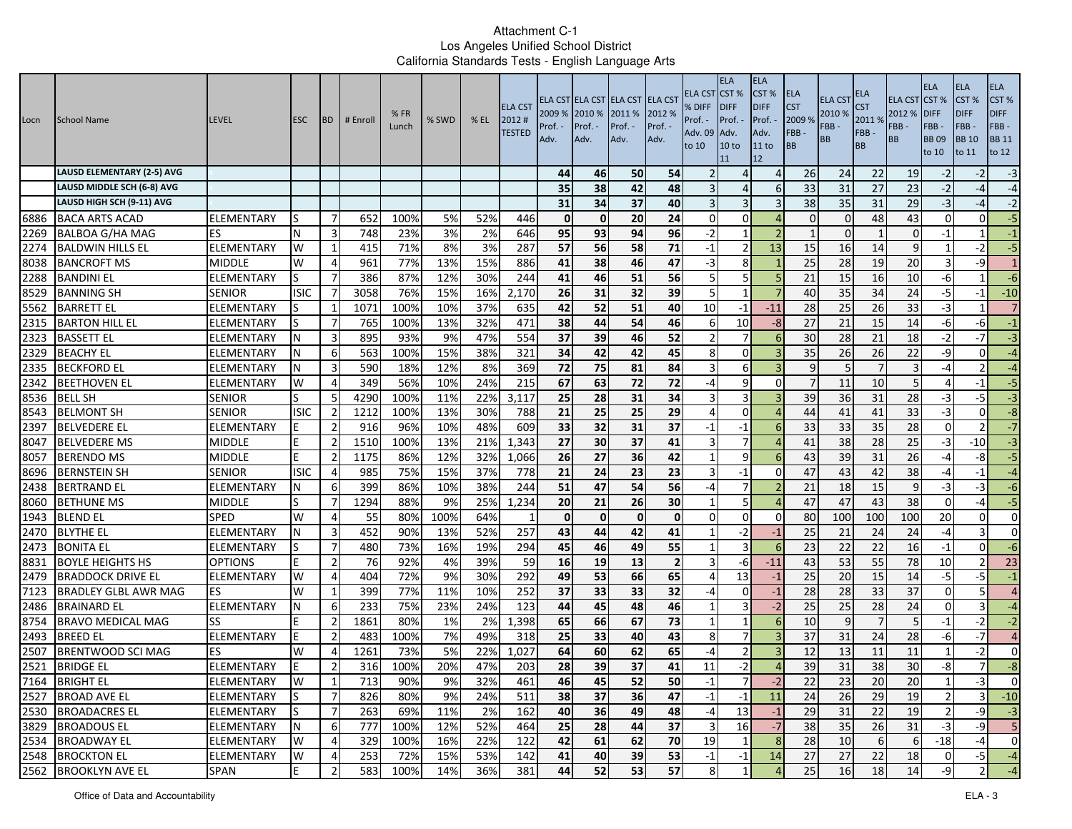| Locn | <b>School Name</b>               | <b>LEVEL</b>      | <b>ESC</b>  | <b>BD</b>      | # Enroll | %FR<br>Lunch | % SWD | $%$ EL | <b>ELA CST</b><br>2012#<br><b>TESTED</b> | 2009 %<br>Prof. ·<br>Adv. | 2010 %<br>Prof. -<br>Adv. | ELA CST ELA CST ELA CST ELA CST<br>2011 %<br>Prof. -<br>Adv. | 2012 %<br>Prof. -<br>Adv. | ELA CST<br>% DIFF<br>Prof. -<br>Adv. 09<br>to 10 | <b>ELA</b><br>CST <sup>%</sup><br><b>IDIFF</b><br>Prof. -<br>Adv.<br>10 <sub>to</sub><br>11 | <b>ELA</b><br>CST %<br><b>DIFF</b><br>Prof.<br>Adv.<br>11 to<br>12 | <b>ELA</b><br><b>CST</b><br>2009 %<br>FBB-<br>BB | <b>ELA CST</b><br>2010 %<br>FBB-<br>BB | ELA<br><b>CST</b><br>2011 %<br>FBB-<br><b>BB</b> | <b>ELA CST</b><br>2012 %<br>FBB -<br><b>BB</b> | <b>ELA</b><br>CST%<br><b>DIFF</b><br>FBB-<br><b>BB09</b><br>to 10 | <b>ELA</b><br>CST <sub>%</sub><br><b>DIFF</b><br>FBB-<br><b>BB</b> 10<br>to 11 | <b>ELA</b><br>CST%<br><b>DIFF</b><br>FBB-<br><b>BB 11</b><br>to 12 |
|------|----------------------------------|-------------------|-------------|----------------|----------|--------------|-------|--------|------------------------------------------|---------------------------|---------------------------|--------------------------------------------------------------|---------------------------|--------------------------------------------------|---------------------------------------------------------------------------------------------|--------------------------------------------------------------------|--------------------------------------------------|----------------------------------------|--------------------------------------------------|------------------------------------------------|-------------------------------------------------------------------|--------------------------------------------------------------------------------|--------------------------------------------------------------------|
|      | LAUSD ELEMENTARY (2-5) AVG       |                   |             |                |          |              |       |        |                                          | 44                        | 46                        | 50                                                           | 54                        |                                                  |                                                                                             | $\Delta$                                                           | 26                                               | 24                                     | 22                                               | 19                                             | $-2$                                                              | $-2$                                                                           | $-3$                                                               |
|      | LAUSD MIDDLE SCH (6-8) AVG       |                   |             |                |          |              |       |        |                                          | 35                        | 38                        | 42                                                           | 48                        |                                                  | $\Delta$                                                                                    | 6                                                                  | 33                                               | 31                                     | 27                                               | 23                                             | $-2$                                                              | $-4$                                                                           | $-4$                                                               |
|      | LAUSD HIGH SCH (9-11) AVG        |                   |             |                |          |              |       |        |                                          | 31                        | 34                        | 37                                                           | 40                        |                                                  | 3                                                                                           |                                                                    | 38                                               | 35                                     | 31                                               | 29                                             | $-3$                                                              | $-4$                                                                           | $-2$                                                               |
| 6886 | <b>BACA ARTS ACAD</b>            | ELEMENTARY        | S           | -7             | 652      | 100%         | 5%    | 52%    | 446                                      | $\mathbf{0}$              | $\mathbf 0$               | 20                                                           | 24                        | $\Omega$                                         | $\Omega$                                                                                    | $\Delta$                                                           | $\mathbf{0}$                                     |                                        | 48                                               | 43                                             | $\Omega$                                                          | $\overline{0}$                                                                 | $-5$                                                               |
| 2269 | <b>BALBOA G/HA MAG</b>           | ES                | N           | 3              | 748      | 23%          | 3%    | 2%     | 646                                      | 95                        | 93                        | 94                                                           | 96                        | $-2$                                             |                                                                                             |                                                                    |                                                  |                                        |                                                  | O                                              | -1                                                                |                                                                                | $-1$                                                               |
| 2274 | <b>BALDWIN HILLS EL</b>          | ELEMENTARY        | W           | 1              | 415      | 71%          | 8%    | 3%     | 287                                      | 57                        | 56                        | 58                                                           | 71                        | $-1$                                             | $\overline{2}$                                                                              | 13                                                                 | 15                                               | 16                                     | 14                                               | 9                                              |                                                                   | $-2$                                                                           | $-5$                                                               |
| 8038 | <b>BANCROFT MS</b>               | <b>MIDDLE</b>     | W           | $\overline{4}$ | 961      | 77%          | 13%   | 15%    | 886                                      | 41                        | 38                        | 46                                                           | 47                        | $-3$                                             | 8                                                                                           |                                                                    | 25                                               | 28                                     | 19                                               | 20                                             |                                                                   | $-9$                                                                           | $\mathbf{1}$                                                       |
| 2288 | <b>BANDINI EL</b>                | ELEMENTARY        | S           | -7             | 386      | 87%          | 12%   | 30%    | 244                                      | 41                        | 46                        | 51                                                           | 56                        | 5                                                | 5                                                                                           |                                                                    | 21                                               | 15                                     | 16                                               | 10                                             | -6                                                                |                                                                                | $-6$                                                               |
| 8529 | <b>BANNING SH</b>                | SENIOR            | <b>ISIC</b> | 7              | 3058     | 76%          | 15%   | 16%    | 2,170                                    | 26                        | 31                        | $\overline{32}$                                              | 39                        | 5                                                |                                                                                             | -7                                                                 | 40                                               | 35                                     | 34                                               | 24                                             | $-5$                                                              | $-1$                                                                           | $-10$                                                              |
| 5562 | <b>BARRETT EL</b>                | ELEMENTARY        | S           |                | 1071     | 100%         | 10%   | 37%    | 635                                      | 42                        | 52                        | 51                                                           | 40                        | 10                                               | -1                                                                                          | $-11$                                                              | 28                                               | 25                                     | 26                                               | 33                                             | $-3$                                                              |                                                                                | $\overline{7}$                                                     |
| 2315 | <b>BARTON HILL EL</b>            | ELEMENTARY        |             | -7             | 765      | 100%         | 13%   | 32%    | 471                                      | 38                        | 44                        | 54                                                           | 46                        | -6                                               | 10                                                                                          | $-8$                                                               | 27                                               | 21                                     | 15                                               | 14                                             | -6                                                                | -61                                                                            | $-1$                                                               |
| 2323 | <b>BASSETT EL</b>                | ELEMENTARY        |             | 3              | 895      | 93%          | 9%    | 47%    | 554                                      | 37                        | 39                        | 46                                                           | 52                        | -2                                               | $\overline{7}$                                                                              |                                                                    | 30                                               | 28                                     | 21                                               | 18                                             | $-2$                                                              | $-7$                                                                           | $-3$                                                               |
| 2329 | <b>BEACHY EL</b>                 | ELEMENTARY        |             | -6             | 563      | 100%         | 15%   | 38%    | 321                                      | 34                        | 42                        | 42                                                           | 45                        | 8                                                | 0                                                                                           |                                                                    | 35                                               | 26                                     | 26                                               | 22                                             | -9                                                                | $\Omega$                                                                       | $-4$                                                               |
| 2335 | <b>BECKFORD EL</b>               | ELEMENTARY        |             | 3              | 590      | 18%          | 12%   | 8%     | 369                                      | 72                        | 75                        | 81                                                           | 84                        | 3                                                | 6                                                                                           |                                                                    | 9                                                |                                        | $\overline{7}$                                   | 3                                              | $-4$                                                              | $\overline{2}$                                                                 | $-4$                                                               |
| 2342 | <b>BEETHOVEN EL</b>              | ELEMENTARY        | W           | $\overline{4}$ | 349      | 56%          | 10%   | 24%    | 215                                      | 67                        | 63                        | 72                                                           | 72                        | -4                                               | 9                                                                                           | $\Omega$                                                           | $\overline{7}$                                   | 11                                     | 10                                               | 5 <sup>1</sup>                                 |                                                                   | -1                                                                             | $-5$                                                               |
| 8536 | <b>BELL SH</b>                   | <b>SENIOR</b>     |             | -5             | 4290     | 100%         | 11%   | 22%    | 3,117                                    | 25                        | 28                        | 31                                                           | 34                        |                                                  | 3                                                                                           |                                                                    | 39                                               | 36                                     | 31                                               | 28                                             | -3                                                                | $-5$                                                                           | $\overline{a}$                                                     |
| 8543 | <b>BELMONT SH</b>                | <b>SENIOR</b>     | <b>ISIC</b> | $\overline{2}$ | 1212     | 100%         | 13%   | 30%    | 788                                      | 21                        | 25                        | 25                                                           | 29                        |                                                  | $\Omega$                                                                                    |                                                                    | 44                                               | 41                                     | 41                                               | 33                                             | $-3$                                                              | $\Omega$                                                                       | $-8$                                                               |
| 2397 | <b>BELVEDERE EL</b>              | ELEMENTARY        |             | $\overline{2}$ | 916      | 96%          | 10%   | 48%    | 609                                      | 33                        | 32                        | 31                                                           | 37                        | $-1$                                             | $-1$                                                                                        | 6                                                                  | 33                                               | 33                                     | 35                                               | 28                                             | $\Omega$                                                          | $\overline{2}$                                                                 | $-7$                                                               |
| 8047 | <b>BELVEDERE MS</b>              | <b>MIDDLE</b>     |             | $\overline{2}$ | 1510     | 100%         | 13%   | 21%    | 1,343                                    | 27                        | 30                        | 37                                                           | 41                        |                                                  | 7                                                                                           |                                                                    | 41                                               | 38                                     | 28                                               | 25                                             | -3                                                                | $-10$                                                                          | $-3$                                                               |
| 8057 | <b>BERENDO MS</b>                | <b>MIDDLE</b>     | E           | $\overline{2}$ | 1175     | 86%          | 12%   | 32%    | 1,066                                    | 26                        | 27                        | 36                                                           | 42                        | $\overline{1}$                                   | 9                                                                                           | 6                                                                  | 43                                               | 39                                     | 31                                               | 26                                             | -4                                                                | $-8$                                                                           | $-5$                                                               |
| 8696 | <b>BERNSTEIN SH</b>              | SENIOR            | isic        | 4              | 985      | 75%          | 15%   | 37%    | 778                                      | 21                        | 24                        | 23                                                           | 23                        |                                                  | $-1$                                                                                        | $\Omega$                                                           | 47                                               | 43                                     | 42                                               | 38                                             | $-4$                                                              | $-1$                                                                           | $-4$                                                               |
| 2438 | BERTRAND EL                      | ELEMENTARY        | N           | 6              | 399      | 86%          | 10%   | 38%    | 244                                      | 51                        | 47                        | 54                                                           | 56                        | -4                                               | 7                                                                                           |                                                                    | 21                                               | 18                                     | 15                                               | 9                                              | -3                                                                | $-3$                                                                           | $-6$                                                               |
| 8060 | <b>BETHUNE MS</b>                | MIDDLE            | S           | 7              | 1294     | 88%          | 9%    | 25%    | 1,234                                    | 20                        | 21                        | 26                                                           | 30                        |                                                  | 5                                                                                           |                                                                    | 47                                               | 47                                     | 43                                               | 38                                             | $\Omega$                                                          | $-4$                                                                           | $-5$                                                               |
| 1943 | <b>BLEND EL</b>                  | <b>SPED</b>       | W           | $\Delta$       | 55       | 80%          | 100%  | 64%    | -1                                       | $\mathbf{0}$              | $\mathbf 0$               | $\Omega$                                                     | $\mathbf{0}$              | $\Omega$                                         | $\Omega$                                                                                    | $\Omega$                                                           | 80                                               | 100                                    | 100                                              | 100                                            | 20                                                                | $\Omega$                                                                       | $\overline{0}$                                                     |
| 2470 | <b>BLYTHE EL</b>                 | <b>ELEMENTARY</b> |             | 3              | 452      | 90%          | 13%   | 52%    | 257                                      | 43                        | 44                        | 42                                                           | 41                        | -1                                               | $-2$                                                                                        | $-1$                                                               | 25                                               | 21                                     | 24                                               | 24                                             | $-4$                                                              | $\overline{3}$                                                                 | $\overline{0}$                                                     |
| 2473 | <b>BONITA EL</b>                 | ELEMENTARY        |             | 7              | 480      | 73%          | 16%   | 19%    | 294                                      | 45                        | 46                        | 49                                                           | 55                        |                                                  | 3                                                                                           | -6                                                                 | 23                                               | 22                                     | 22                                               | 16                                             | $-1$                                                              | $\Omega$                                                                       | $-6$                                                               |
| 8831 | <b>BOYLE HEIGHTS HS</b>          | OPTIONS           |             | $\overline{2}$ | 76       | 92%          | 4%    | 39%    | 59                                       | 16                        | 19                        | 13                                                           | $\overline{2}$            |                                                  | -6                                                                                          | $-11$                                                              | 43                                               | 53                                     | 55                                               | 78                                             | 10                                                                | $\overline{2}$                                                                 | 23                                                                 |
| 2479 | <b>BRADDOCK DRIVE EL</b>         | ELEMENTARY        | W           | 4              | 404      | 72%          | 9%    | 30%    | 292                                      | 49                        | 53                        | 66                                                           | 65                        |                                                  | 13                                                                                          | $-1$                                                               | 25                                               | 20                                     | 15                                               | 14                                             | $-5$                                                              | -51                                                                            | $-1$                                                               |
| 7123 | BRADLEY GLBL AWR MAG             | <b>ES</b>         | W           | -1             | 399      | 77%          | 11%   | 10%    | 252                                      | 37                        | 33                        | 33                                                           | 32                        | -4                                               | 0                                                                                           | $-1$                                                               | 28                                               | 28                                     | 33                                               | 37                                             | $\mathbf 0$                                                       | 5 <sup>1</sup>                                                                 | $\overline{4}$                                                     |
| 2486 | <b>BRAINARD EL</b>               | <b>ELEMENTARY</b> | N           | 6              | 233      | 75%          | 23%   | 24%    | 123                                      | 44                        | 45                        | 48                                                           | 46                        |                                                  | 3                                                                                           | $-2$                                                               | 25                                               | 25                                     | 28                                               | 24                                             | $\Omega$                                                          | $\overline{3}$                                                                 | $-4$                                                               |
| 8754 | <b>BRAVO MEDICAL MAG</b>         | SS                |             | $\overline{2}$ | 1861     | 80%          | 1%    | 2%     | 1,398                                    | 65                        | 66                        | 67                                                           | 73                        | $\overline{1}$                                   |                                                                                             | $\epsilon$                                                         | 10                                               | q                                      | $\overline{7}$                                   | 5 <sub>l</sub>                                 | $-1$                                                              | $-2$                                                                           | $-2$                                                               |
| 2493 | <b>BREED EL</b>                  | ELEMENTARY        | F           | $\overline{2}$ | 483      | 100%         | 7%    | 49%    | 318                                      | 25                        | 33                        | 40                                                           | 43                        | 8                                                | 7                                                                                           |                                                                    | 37                                               | 31                                     | 24                                               | 28                                             | -6                                                                | $-7$                                                                           | $\overline{a}$                                                     |
| 2507 | BRENTWOOD SCI MAG                | ES                | W           | $\Delta$       | 1261     | 73%          | 5%    | 22%    | 1,027                                    | 64                        | 60                        | 62                                                           | 65                        | -4                                               | $\overline{2}$                                                                              |                                                                    | 12                                               | 13                                     | 11                                               | 11                                             |                                                                   | $-2$                                                                           | $\overline{0}$                                                     |
|      |                                  | ELEMENTARY        |             | $\overline{2}$ | 316      | 100%         | 20%   | 47%    | 203                                      | 28                        | 39                        | 37                                                           | 41                        | 11                                               | $-2$                                                                                        |                                                                    | 39                                               | 31                                     | 38                                               | 30                                             | -8                                                                | $\overline{7}$                                                                 | $-\infty$                                                          |
|      | 2521 BRIDGE EL<br>7164 BRIGHT EL | ELEMENTARY        | W           |                | 713      | 90%          | 9%    | 32%    | 461                                      | 46                        | 45                        | 52                                                           | 50                        |                                                  |                                                                                             | -2                                                                 | 22                                               | 23                                     | 20                                               | $20\,$                                         |                                                                   | -31                                                                            |                                                                    |
|      | 2527 BROAD AVE EL                | <b>ELEMENTARY</b> | S           | $\overline{7}$ | 826      | 80%          | 9%    | 24%    | 511                                      | 38                        | 37                        | 36                                                           | 47                        | $-1$                                             | $^{\mbox{-}}1$                                                                              | 11                                                                 | $\overline{24}$                                  | 26                                     | 29                                               | 19                                             |                                                                   | $\overline{3}$                                                                 | $-10$                                                              |
|      | 2530 BROADACRES EL               | <b>ELEMENTARY</b> | IS          | $\overline{7}$ | 263      | 69%          | 11%   | 2%     | 162                                      | 40                        | 36                        | 49                                                           | 48                        | $-4$                                             | 13                                                                                          | $-1$                                                               | 29                                               | 31                                     | 22                                               | 19                                             |                                                                   | $-9$                                                                           | $-3$                                                               |
|      | 3829 BROADOUS EL                 | <b>ELEMENTARY</b> | N           | 6              | 777      | 100%         | 12%   | 52%    | 464                                      | 25                        | 28                        | 44                                                           | 37                        | 3                                                | 16                                                                                          | $-7$                                                               | 38                                               | 35                                     | 26                                               | 31                                             | -3                                                                | $-9$                                                                           | $5\phantom{.}$                                                     |
|      | 2534 BROADWAY EL                 | <b>ELEMENTARY</b> | W           | 4              | 329      | 100%         | 16%   | 22%    | 122                                      | 42                        | 61                        | 62                                                           | 70                        | 19                                               | $\mathbf{1}$                                                                                | 8                                                                  | 28                                               | 10                                     | 6                                                | 6                                              | $-18$                                                             | -4                                                                             | $\overline{0}$                                                     |
|      | 2548 BROCKTON EL                 | ELEMENTARY        | W           | 4              | 253      | 72%          | 15%   | 53%    | 142                                      | 41                        | 40                        | 39                                                           | 53                        | $-1$                                             | $-1$                                                                                        | 14                                                                 | 27                                               | 27                                     | 22                                               | 18                                             | $\overline{0}$                                                    | -51                                                                            | $-4$                                                               |
|      | 2562 BROOKLYN AVE EL             | SPAN              | E           | $\overline{2}$ | 583      | 100%         | 14%   | 36%    | 381                                      | 44                        | 52                        | 53                                                           | 57                        | 8                                                |                                                                                             |                                                                    | 25                                               | 16                                     | 18                                               | 14                                             | -9                                                                |                                                                                | $-4$                                                               |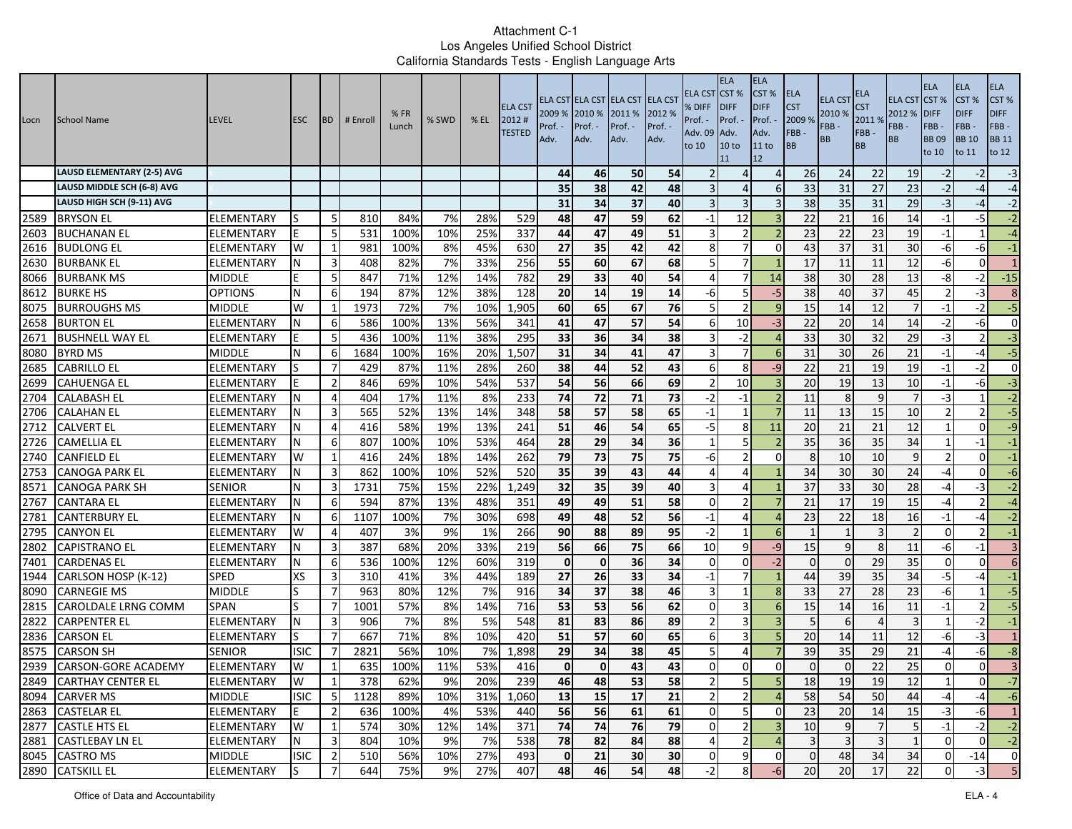| Locn | School Name                            | <b>LEVEL</b>         | <b>ESC</b>       | <b>BD</b>                        | # Enroll | %FR<br>Lunch | % SWD     | $%$ EL | <b>ELA CST</b><br>2012#<br><b>TESTED</b> | 2009 %<br>Prof.<br>Adv. | 2010 %<br>Prof. -<br>Adv. | ELA CST ELA CST ELA CST ELA CST<br>2011 %<br>Prof. -<br>Adv. | 2012 %<br>Prof. -<br>Adv. | ELA CST<br>% DIFF<br>Prof. -<br>Adv. 09<br>to 10 | <b>ELA</b><br>CST <sub>%</sub><br><b>IDIFF</b><br>Prof. -<br>Adv.<br>10 <sub>to</sub><br>11 | <b>ELA</b><br>CST%<br><b>DIFF</b><br>Prof.<br>Adv.<br>11 to<br>12 | ELA<br><b>CST</b><br>2009 %<br>FBB-<br>ВB | <b>ELA CST</b><br>2010 %<br>FBB-<br>BB | ELA<br>S <sub>T</sub><br>2011 %<br>FBB-<br><b>BB</b> | <b>ELA CST CST %</b><br>2012 %<br>FBB-<br><b>BB</b> | <b>ELA</b><br><b>DIFF</b><br>FBB-<br><b>BB09</b><br>to 10 | <b>ELA</b><br>CST <sub>%</sub><br><b>DIFF</b><br>FBB-<br><b>BB</b> 10<br>to 11 | ELA<br>CST%<br><b>DIFF</b><br>FBB-<br><b>BB</b> 11<br>to 12 |
|------|----------------------------------------|----------------------|------------------|----------------------------------|----------|--------------|-----------|--------|------------------------------------------|-------------------------|---------------------------|--------------------------------------------------------------|---------------------------|--------------------------------------------------|---------------------------------------------------------------------------------------------|-------------------------------------------------------------------|-------------------------------------------|----------------------------------------|------------------------------------------------------|-----------------------------------------------------|-----------------------------------------------------------|--------------------------------------------------------------------------------|-------------------------------------------------------------|
|      | <b>LAUSD ELEMENTARY (2-5) AVG</b>      |                      |                  |                                  |          |              |           |        |                                          | 44                      | 46                        | 50                                                           | 54                        |                                                  | Δ                                                                                           | $\overline{4}$                                                    | 26                                        | 24                                     | 22                                                   | 19                                                  | $-2$                                                      | $-2$                                                                           | $-3$                                                        |
|      | LAUSD MIDDLE SCH (6-8) AVG             |                      |                  |                                  |          |              |           |        |                                          | 35                      | 38                        | 42                                                           | 48                        |                                                  | $\Delta$                                                                                    | 6                                                                 | 33                                        | 31                                     | 27                                                   | 23                                                  | $-2$                                                      | $-4$                                                                           | $-4$                                                        |
|      | LAUSD HIGH SCH (9-11) AVG              |                      |                  |                                  |          |              |           |        |                                          | 31                      | 34                        | 37                                                           | 40                        | 3                                                | 3                                                                                           |                                                                   | 38                                        | 35                                     | 31                                                   | 29                                                  | $-3$                                                      | -4                                                                             | $-2$                                                        |
| 2589 | <b>BRYSON EL</b>                       | ELEMENTARY           | ıs               | -5                               | 810      | 84%          | 7%        | 28%    | 529                                      | 48                      | 47                        | 59                                                           | 62                        | $-1$                                             | 12                                                                                          |                                                                   | 22                                        | 21                                     | 16                                                   | 14                                                  | $-1$                                                      | -5                                                                             | $-2$                                                        |
| 2603 | <b>BUCHANAN EL</b>                     | ELEMENTARY           |                  | 5                                | 531      | 100%         | 10%       | 25%    | 337                                      | 44                      | 47                        | 49                                                           | 51                        | 3                                                | $\mathcal{P}$                                                                               |                                                                   | 23                                        | 22                                     | 23                                                   | 19                                                  | $-1$                                                      |                                                                                | $-4$                                                        |
| 2616 | <b>BUDLONG EL</b>                      | ELEMENTARY           | W                | 1                                | 981      | 100%         | 8%        | 45%    | 630                                      | 27                      | 35                        | 42                                                           | 42                        | 8                                                | $\overline{7}$                                                                              | $\Omega$                                                          | 43                                        | $\overline{37}$                        | $\overline{31}$                                      | 30                                                  | $-6$                                                      | -6                                                                             | $-1$                                                        |
| 2630 | <b>BURBANK EL</b>                      | ELEMENTARY           | N                | 3                                | 408      | 82%          | 7%        | 33%    | 256                                      | 55                      | 60                        | 67                                                           | 68                        | -5                                               | 7                                                                                           |                                                                   | 17                                        | 11                                     | 11                                                   | 12                                                  | -6                                                        | $\Omega$                                                                       | 1                                                           |
| 8066 | <b>BURBANK MS</b>                      | MIDDLE               |                  | 5                                | 847      | 71%          | 12%       | 14%    | 782                                      | 29                      | 33                        | 40                                                           | 54                        | Д                                                | 7                                                                                           | 14                                                                | 38                                        | 30                                     | 28                                                   | 13                                                  | -8                                                        | $-2$                                                                           | $-15$                                                       |
| 8612 | <b>BURKE HS</b>                        | OPTIONS              | N                | 6                                | 194      | 87%          | 12%       | 38%    | 128                                      | 20                      | 14                        | 19                                                           | 14                        | -6                                               | 5                                                                                           | $-5$                                                              | 38                                        | 40                                     | $\overline{37}$                                      | 45                                                  | 2                                                         | $-3$                                                                           | 8                                                           |
| 8075 | <b>BURROUGHS MS</b>                    | MIDDLE               | W                | 1                                | 1973     | 72%          | 7%        | 10%    | 1,905                                    | 60                      | 65                        | 67                                                           | 76                        |                                                  | $\overline{2}$                                                                              |                                                                   | 15                                        | 14                                     | 12                                                   |                                                     | $-1$                                                      | $-2$                                                                           | $-5$                                                        |
| 2658 | <b>BURTON EL</b>                       | ELEMENTARY           | N                | 6                                | 586      | 100%         | 13%       | 56%    | 341                                      | 41                      | 47                        | $\overline{57}$                                              | 54                        | 6                                                | 10                                                                                          | $-3$                                                              | 22                                        | 20                                     | $\overline{14}$                                      | 14                                                  | $-2$                                                      | $-6$                                                                           | $\mathbf{0}$                                                |
| 2671 | <b>BUSHNELL WAY EL</b>                 | ELEMENTARY           |                  | 5                                | 436      | 100%         | 11%       | 38%    | 295                                      | 33                      | 36                        | 34                                                           | 38                        | 3                                                | $-2$                                                                                        | $\sqrt{2}$                                                        | 33                                        | 30                                     | 32                                                   | 29                                                  | $-3$                                                      | $\overline{2}$                                                                 | $-3$                                                        |
| 8080 | <b>BYRD MS</b>                         | <b>MIDDLE</b>        | N                | 6                                | 1684     | 100%         | 16%       | 20%    | 1,507                                    | 31                      | 34                        | 41                                                           | 47                        | 3                                                |                                                                                             | 6                                                                 | 31                                        | 30                                     | 26                                                   | 21                                                  | $-1$                                                      | $-4$                                                                           | $-5$                                                        |
| 2685 | <b>CABRILLO EL</b>                     | ELEMENTARY           |                  | 7                                | 429      | 87%          | 11%       | 28%    | 260                                      | 38                      | 44                        | 52                                                           | 43                        | 6                                                | 8                                                                                           | $-9$                                                              | 22                                        | 21                                     | 19                                                   | 19                                                  | $-1$                                                      | $-2$                                                                           | $\mathbf{0}$                                                |
| 2699 | <b>CAHUENGA EL</b>                     | ELEMENTARY           |                  | $\overline{2}$                   | 846      | 69%          | 10%       | 54%    | 537                                      | 54                      | 56                        | 66                                                           | 69                        | -2                                               | 10                                                                                          |                                                                   | 20                                        | 19                                     | 13                                                   | 10                                                  | $-1$                                                      | -6                                                                             | $-3$                                                        |
| 2704 | <b>CALABASH EL</b>                     | ELEMENTARY           | N                | $\overline{4}$                   | 404      | 17%          | 11%       | 8%     | 233                                      | 74                      | 72                        | 71                                                           | 73                        | $-2$                                             | $-1$                                                                                        |                                                                   | 11                                        | 8                                      | 9                                                    |                                                     | $-3$                                                      |                                                                                | $-2$                                                        |
| 2706 | <b>CALAHAN EL</b>                      | ELEMENTARY           | N                | 3                                | 565      | 52%          | 13%       | 14%    | 348                                      | 58                      | 57                        | 58                                                           | 65                        | $-1$                                             |                                                                                             |                                                                   | 11                                        | 13                                     | 15                                                   | 10                                                  | $\overline{\phantom{a}}$                                  | $\overline{2}$                                                                 | $-5$                                                        |
| 2712 | <b>CALVERT EL</b>                      | ELEMENTARY           | N                | $\overline{4}$                   | 416      | 58%          | 19%       | 13%    | 241                                      | 51                      | 46                        | 54                                                           | 65                        | $-5$                                             | 8                                                                                           | 11                                                                | 20                                        | 21                                     | $\overline{21}$                                      | 12                                                  | $\mathbf{1}$                                              | $\Omega$                                                                       | $-9$                                                        |
| 2726 | <b>CAMELLIA EL</b>                     | ELEMENTARY           | N                | 6                                | 807      | 100%         | 10%       | 53%    | 464                                      | 28                      | 29                        | 34                                                           | 36                        | -1                                               | 5                                                                                           |                                                                   | 35                                        | 36                                     | 35                                                   | 34                                                  | $\mathbf{1}$                                              | $-1$                                                                           | $-1$                                                        |
| 2740 | <b>CANFIELD EL</b>                     | ELEMENTARY           | W                | 1                                | 416      | 24%          | 18%       | 14%    | 262                                      | 79                      | 73                        | 75                                                           | 75                        | -6                                               | $\overline{2}$                                                                              | $\Omega$                                                          | 8                                         | 10                                     | 10                                                   | 9                                                   | $\overline{2}$                                            | $\Omega$                                                                       | $-1$                                                        |
| 2753 | <b>CANOGA PARK EL</b>                  | ELEMENTARY           | N                | 3                                | 862      | 100%         | 10%       | 52%    | 520                                      | 35                      | 39                        | 43                                                           | 44                        | Δ                                                | 4                                                                                           |                                                                   | 34                                        | 30                                     | 30                                                   | 24                                                  | $-4$                                                      | $\Omega$                                                                       | $-6$                                                        |
| 8571 | <b>CANOGA PARK SH</b>                  | SENIOR               | N                | 3                                | 1731     | 75%          | 15%       | 22%    | 1,249                                    | 32                      | 35                        | 39                                                           | 40                        | 3                                                | 4                                                                                           |                                                                   | 37                                        | 33                                     | 30                                                   | 28                                                  | $-4$                                                      | -3                                                                             | $-2$                                                        |
| 2767 | <b>CANTARA EL</b>                      | ELEMENTARY           | N                | 6                                | 594      | 87%          | 13%       | 48%    | 351                                      | 49                      | 49                        | 51                                                           | 58                        | $\Omega$                                         |                                                                                             |                                                                   | 21                                        | 17                                     | 19                                                   | 15                                                  | $-4$                                                      |                                                                                | $-4$                                                        |
| 2781 | <b>CANTERBURY EL</b>                   | ELEMENTARY           | N                | 6                                | 1107     | 100%         | 7%        | 30%    | 698                                      | 49                      | 48                        | 52                                                           | 56                        | $-1$                                             | 4                                                                                           |                                                                   | 23                                        | 22                                     | 18                                                   | 16                                                  | $-1$                                                      | -4                                                                             | $-2$                                                        |
| 2795 | <b>CANYON EL</b>                       | ELEMENTARY           | W                | $\overline{4}$                   | 407      | 3%           | 9%        | 1%     | 266                                      | 90                      | 88                        | 89                                                           | 95                        | $-2$                                             | $\mathbf{1}$                                                                                | $\sqrt{6}$                                                        | $\mathbf{1}$                              | $\mathbf 1$                            |                                                      | 2                                                   | $\Omega$                                                  |                                                                                | $-1$                                                        |
| 2802 | <b>CAPISTRANO EL</b>                   | ELEMENTARY           | N                | 3                                | 387      | 68%          | 20%       | 33%    | 219                                      | 56                      | 66                        | 75                                                           | 66                        | 10                                               | 9                                                                                           | $-9$                                                              | 15                                        | 9                                      | 8                                                    | 11                                                  | -6                                                        | $-1$                                                                           | $\overline{3}$                                              |
| 7401 | <b>CARDENAS EL</b>                     | ELEMENTARY           | N                | 6                                | 536      | 100%         | 12%       | 60%    | 319                                      | $\mathbf{0}$            | $\mathbf 0$               | 36                                                           | 34                        | $\Omega$                                         | $\mathbf 0$                                                                                 | $-2$                                                              | $\Omega$                                  | $\Omega$                               | 29                                                   | 35                                                  | $\Omega$                                                  | $\Omega$                                                                       | $6 \overline{6}$                                            |
| 1944 | CARLSON HOSP (K-12)                    | SPED                 | <b>XS</b>        | 3                                | 310      | 41%          | 3%        | 44%    | 189                                      | 27                      | 26                        | 33                                                           | 34                        | $-1$                                             | $\overline{7}$                                                                              |                                                                   | 44                                        | 39                                     | 35                                                   | 34                                                  | $-5$                                                      | -4                                                                             | $-1$                                                        |
| 8090 | <b>CARNEGIE MS</b>                     | <b>MIDDLE</b>        | S                | $\overline{7}$                   | 963      | 80%          | 12%       | 7%     | 916                                      | 34                      | 37                        | 38                                                           | 46                        | 3                                                |                                                                                             | 8                                                                 | 33                                        | 27                                     | 28                                                   | 23                                                  | $-6$                                                      |                                                                                | $-5$                                                        |
| 2815 | <b>CAROLDALE LRNG COMM</b>             | <b>SPAN</b>          |                  | $\overline{7}$                   | 1001     | 57%          | 8%        | 14%    | 716                                      | 53                      | 53                        | 56                                                           | 62                        | $\Omega$                                         | 3                                                                                           | $\sqrt{6}$                                                        | 15                                        | 14                                     | 16                                                   | 11                                                  | $-1$                                                      |                                                                                | $-5$                                                        |
| 2822 | <b>CARPENTER EL</b>                    | ELEMENTARY           | N                | $\overline{3}$                   | 906      | 7%           | 8%        | 5%     | 548                                      | 81                      | 83                        | 86                                                           | 89                        | $\overline{2}$                                   | 3                                                                                           | $\overline{3}$                                                    | 5                                         | 6                                      | $\Delta$                                             | $\overline{3}$                                      | $\mathbf{1}$                                              | $-2$                                                                           | $^{\rm -1}$                                                 |
| 2836 | <b>CARSON EL</b>                       | ELEMENTARY           |                  | $\overline{7}$<br>$\overline{7}$ | 667      | 71%          | 8%        | 10%    | 420                                      | 51                      | 57                        | 60                                                           | 65                        | 6                                                | 3                                                                                           | 5                                                                 | 20                                        | 14                                     | 11                                                   | 12                                                  | -6                                                        | $-3$                                                                           | $\mathbf{1}$                                                |
| 8575 | <b>CARSON SH</b>                       | SENIOR               | <b>ISIC</b>      |                                  | 2821     | 56%          | 10%       | 7%     | 1,898                                    | 29<br>$\mathbf{0}$      | 34<br>$\mathbf 0$         | 38<br>43                                                     | 45<br>43                  |                                                  | 4                                                                                           |                                                                   | 39<br>$\Omega$                            | 35<br>$\Omega$                         | 29                                                   | 21                                                  | -4<br>$\overline{0}$                                      | -6                                                                             | $-8$                                                        |
| 2939 | <b>CARSON-GORE ACADEMY</b>             | ELEMENTARY           | W                | 1                                | 635      | 100%         | 11%       | 53%    | 416                                      |                         |                           |                                                              |                           | 0                                                | $\mathbf 0$                                                                                 | $\Omega$                                                          |                                           |                                        | 22                                                   | 25                                                  |                                                           | $\overline{0}$                                                                 | $\overline{3}$                                              |
|      | 2849 CARTHAY CENTER EL                 | ELEMENTARY           | W<br><b>ISIC</b> | 5                                | 378      | 62%<br>89%   | 9%        | 20%    | 239                                      | 46                      | 48                        | 53<br>17                                                     | 58<br>21                  | $\overline{2}$                                   | $\overline{z}$<br>$\overline{2}$                                                            | $\mathcal{D}$<br>$\overline{4}$                                   | 18<br>58                                  | 19<br>54                               | 19<br>50                                             | $12\,$<br>44                                        | $-4$                                                      | $\overline{0}$<br>$-4$                                                         | $-7$<br>$-6$                                                |
|      | 8094 CARVER MS                         | <b>MIDDLE</b>        |                  |                                  | 1128     |              | 10%       | 31%    | 1,060                                    | 13                      | 15                        |                                                              |                           |                                                  |                                                                                             |                                                                   |                                           |                                        |                                                      |                                                     |                                                           |                                                                                |                                                             |
|      | 2863 CASTELAR EL                       | <b>ELEMENTARY</b>    | E<br>W           | $\overline{2}$                   | 636      | 100%         | 4%        | 53%    | 440                                      | 56                      | 56                        | 61                                                           | 61                        | $\overline{0}$                                   | 5 <sub>l</sub>                                                                              | $\overline{0}$                                                    | 23                                        | 20                                     | 14                                                   | 15                                                  | $-3$                                                      | -6                                                                             | $\mathbf{1}$<br>$-2$                                        |
|      | 2877 CASTLE HTS EL                     | ELEMENTARY           |                  | 1<br>3                           | 574      | 30%<br>10%   | 12%<br>9% | 14%    | 371                                      | 74                      | 74                        | 76<br>84                                                     | 79                        | $\overline{0}$                                   | $\overline{2}$<br>$\overline{2}$                                                            | 3                                                                 | 10<br>$\overline{3}$                      | 9<br>3 <sup>l</sup>                    | $\overline{7}$<br>$\overline{3}$                     | 5 <sub>l</sub><br>$\mathbf{1}$                      | $-1$<br>$\overline{0}$                                    | $-2$<br>$\overline{0}$                                                         | $-2$                                                        |
|      | 2881 CASTLEBAY LN EL<br>8045 CASTRO MS | ELEMENTARY           | N.               |                                  | 804      |              |           | 7%     | 538                                      | 78                      | 82                        |                                                              | 88                        | 4<br>$\overline{0}$                              |                                                                                             | $\overline{4}$                                                    | $\overline{0}$                            |                                        | 34                                                   |                                                     |                                                           |                                                                                | $\overline{\mathbf{0}}$                                     |
|      |                                        | MIDDLE<br>ELEMENTARY | <b>ISIC</b>      | $\overline{2}$                   | 510      | 56%          | 10%       | 27%    | 493                                      | $\mathbf{0}$            | 21<br>46                  | 30<br>54                                                     | 30<br>48                  |                                                  | 9<br>8                                                                                      | $\overline{0}$                                                    |                                           | 48<br>20                               | 17                                                   | 34<br>22                                            | $\overline{0}$<br>$\Omega$                                | $-14$                                                                          | 5                                                           |
|      | 2890 CATSKILL EL                       |                      | IS               |                                  | 644      | 75%          | 9%        | 27%    | 407                                      | 48                      |                           |                                                              |                           | $-2$                                             |                                                                                             | -6                                                                | 20                                        |                                        |                                                      |                                                     |                                                           | $-3$                                                                           |                                                             |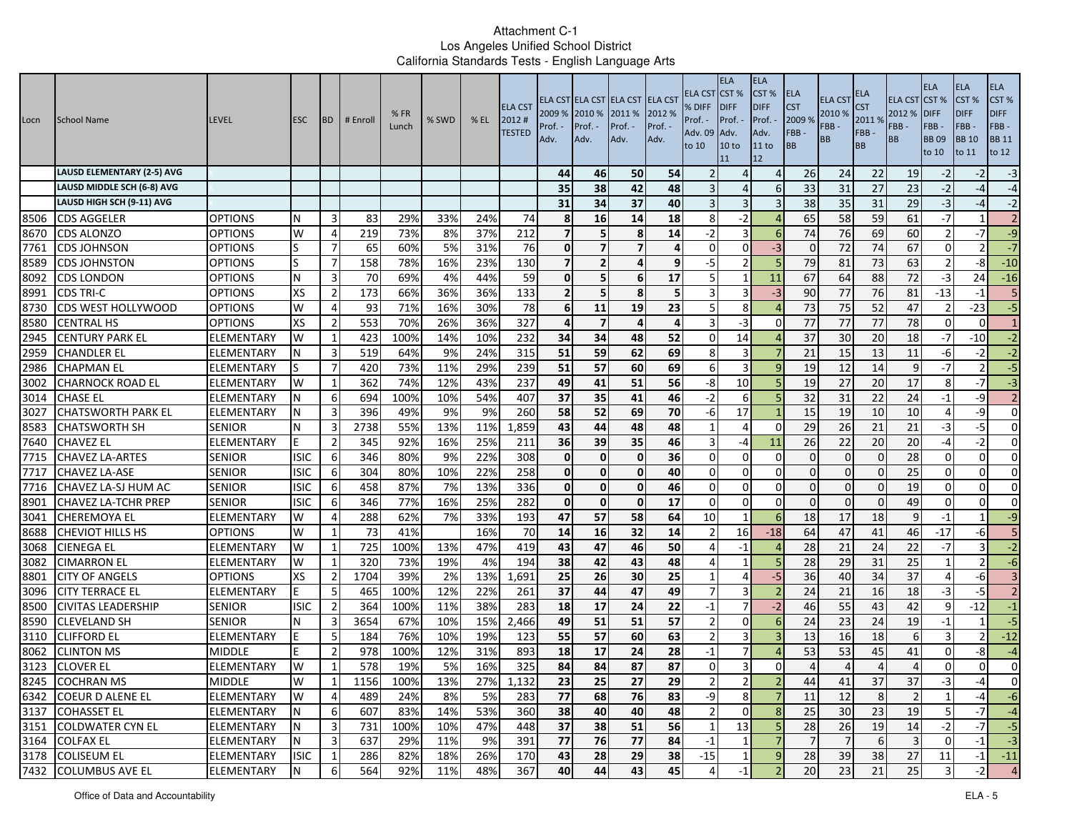| <b>LAUSD ELEMENTARY (2-5) AVG</b><br>50<br>54<br>44<br>46<br>26<br>$\overline{4}$<br>$\Delta$                                                                                                                                                              | 24<br>22<br>27<br>31<br>35<br>31 | 19<br>23                 | $-2$                |                |                        |
|------------------------------------------------------------------------------------------------------------------------------------------------------------------------------------------------------------------------------------------------------------|----------------------------------|--------------------------|---------------------|----------------|------------------------|
|                                                                                                                                                                                                                                                            |                                  |                          |                     | $-2$           | $-3$                   |
| 38<br>42<br>48<br>33<br>LAUSD MIDDLE SCH (6-8) AVG<br>35<br>$\Delta$<br>6                                                                                                                                                                                  |                                  |                          | $-2$                | $-4$           | $-4$                   |
| LAUSD HIGH SCH (9-11) AVG<br>31<br>34<br>37<br>40<br>$\overline{3}$<br>38<br>3                                                                                                                                                                             |                                  | 29                       | $-3$                | $-4$           | $-2$                   |
| 16<br>14<br>18<br>-2<br>65<br>8506<br><b>OPTIONS</b><br>83<br>29%<br>33%<br>24%<br>74<br>-8<br>$\Delta$<br><b>CDS AGGELER</b><br>N<br>3<br>8                                                                                                               | 58<br>59                         | 61                       | -7                  |                | 2                      |
| 74<br>8670<br><b>OPTIONS</b><br>219<br>73%<br>8%<br>37%<br>212<br>5<br>8<br>14<br>$-2$<br>3<br><b>CDS ALONZO</b><br>W<br>-6<br>4                                                                                                                           | 69<br>76                         | 60                       |                     | $-7$           | $-9$                   |
| $-3$<br>7761<br>5%<br>76<br>$\overline{7}$<br><b>OPTIONS</b><br>$\overline{7}$<br>65<br>60%<br>31%<br>Οl<br>$\overline{7}$<br>4<br>$\Omega$<br>$\Omega$<br>$\Omega$<br><b>CDS JOHNSON</b><br>ls                                                            | 72<br>$\overline{74}$            | 67                       | $\Omega$            | 2 <sup>1</sup> | $-7$                   |
| 8589<br>S<br>$\overline{7}$<br>158<br>78%<br>16%<br>130<br>$\overline{2}$<br>4<br>9<br>$-5$<br>$\overline{2}$<br>79<br><b>CDS JOHNSTON</b><br><b>OPTIONS</b><br>23%<br>7<br>-5                                                                             | 73<br>81                         | 63                       |                     | $-8$           | $-10$                  |
| 8092<br>N<br>3<br>69%<br>44%<br>59<br>5<br>17<br>67<br><b>CDS LONDON</b><br><b>OPTIONS</b><br>70<br>4%<br>$\Omega$<br>6<br>11<br>1<br>5<br>5                                                                                                               | 88<br>64                         | 72                       | -3                  | 24             | $-16$                  |
| 36%<br>36%<br>133<br>90<br>8991<br><b>XS</b><br>$\overline{2}$<br>173<br>66%<br>8<br>3<br>$-3$<br><b>CDS TRI-C</b><br>$\overline{2}$<br><b>OPTIONS</b><br>23<br>W<br>71%<br>16%<br>30%<br>19                                                               | 77<br>76<br>75<br>52             | 81<br>47                 | $-13$               | $-1$<br>$-23$  | 5 <sub>1</sub><br>$-5$ |
| 78<br>11<br>8<br>73<br>8730<br>CDS WEST HOLLYWOOD<br>93<br>6<br>OPTIONS<br>4<br>327<br>$-3$<br>77<br>8580<br><b>XS</b><br>553<br>70%<br>26%<br>36%<br>$\overline{ }$<br>4<br><b>CENTRAL HS</b><br><b>OPTIONS</b><br>$\overline{2}$<br>$\Delta$<br>$\Omega$ | $\overline{77}$<br>77            | 78                       | 2<br>$\Omega$       | $\Omega$       | $\mathbf{1}$           |
| 2945<br>37<br>232<br>52<br>423<br>100%<br>10%<br>34<br>34<br>48<br>14<br><b>CENTURY PARK EL</b><br>ELEMENTARY<br>W<br>1<br>14%<br>$\Omega$<br>$\sqrt{2}$                                                                                                   | 30<br>20                         | 18                       | -7                  | $-10$          | $-2$                   |
| 2959<br>51<br>69<br>3<br>519<br>64%<br>9%<br>24%<br>315<br>59<br>62<br>3<br>21<br><b>CHANDLER EL</b><br>ELEMENTARY<br>8                                                                                                                                    | 15<br>13                         | 11                       | -6                  | $-2$           | $-2$                   |
| 2986<br>7<br>73%<br>11%<br>29%<br>239<br>51<br>57<br>60<br>69<br>3<br>19<br><b>CHAPMAN EL</b><br>ELEMENTARY<br>420<br>q<br>-6                                                                                                                              | 12<br>14                         | 9                        | $-7$                | $\overline{2}$ | $-5$                   |
| 237<br>362<br>74%<br>49<br>41<br>51<br>56<br>10<br>19<br>3002<br>W<br>1<br>12%<br>43%<br>-8<br><b>CHARNOCK ROAD EL</b><br>ELEMENTARY                                                                                                                       | 27<br>20                         | 17                       | 8                   | $-7$           | $-3$                   |
| 54%<br>407<br>37<br>35<br>41<br>46<br>32<br>694<br>100%<br>10%<br>$-2$<br>3014<br><b>CHASE EL</b><br>6<br>6<br>ELEMENTARY<br>N                                                                                                                             | 31<br>22                         | 24                       | $-1$                | $-9$           | $\overline{2}$         |
| 260<br>58<br>52<br>69<br>70<br>17<br>15<br>3027<br>3<br>396<br>49%<br>9%<br>9%<br><b>CHATSWORTH PARK EL</b><br>ELEMENTARY<br>N<br>-6                                                                                                                       | 10<br>19                         | 10                       |                     | $-9$           | $\overline{0}$         |
| 8583<br>1,859<br>29<br>3<br>2738<br>55%<br>13%<br>11%<br>43<br>44<br>48<br>48<br>$\Delta$<br><b>CHATSWORTH SH</b><br><b>SENIOR</b><br>N<br>$\Omega$                                                                                                        | 26<br>21                         | 21                       | $-3$                | $-5$           | $\overline{0}$         |
| 7640<br>$\overline{2}$<br>92%<br>16%<br>25%<br>211<br>36<br>39<br>35<br>46<br>11<br>26<br><b>CHAVEZ EL</b><br>ELEMENTARY<br>345<br>-4                                                                                                                      | 22<br>20                         | 20                       | $-4$                | $-2$           | $\overline{0}$         |
| 7715<br>9%<br>22%<br>308<br>36<br><b>SENIOR</b><br><b>ISIC</b><br>6<br>346<br>80%<br>$\mathbf{0}$<br>$\mathbf 0$<br>$\mathbf 0$<br>$\mathbf 0$<br>$\mathbf 0$<br><b>CHAVEZ LA-ARTES</b><br>$\Omega$<br>$\Omega$                                            | $\mathbf{0}$<br>$\Omega$         | 28                       | $\Omega$            | $\Omega$       | $\overline{0}$         |
| 7717<br><b>ISIC</b><br>304<br>80%<br>10%<br>22%<br>258<br>$\mathbf{0}$<br>$\mathbf 0$<br>$\mathbf{0}$<br>40<br>$\mathbf 0$<br><b>CHAVEZ LA-ASE</b><br><b>SENIOR</b><br>6<br>$\Omega$<br>$\Omega$<br>$\Omega$                                               | $\Omega$                         | 25                       | $\Omega$            | $\Omega$       | $\overline{0}$         |
| 336<br>87%<br>7%<br>13%<br>0<br>$\mathbf 0$<br>$\mathbf{0}$<br>46<br>7716<br>CHAVEZ LA-SJ HUM AC<br><b>SENIOR</b><br>isic<br>6<br>458<br>$\Omega$<br>0<br>$\Omega$<br>$\mathbf{0}$                                                                         | $\mathbf 0$<br>$\Omega$          | 19                       | $\mathbf 0$         | $\overline{0}$ | $\overline{0}$         |
| 8901<br>17<br>346<br>77%<br>16%<br>25%<br>282<br>$\mathbf{0}$<br>$\mathbf{0}$<br>$\mathbf{0}$<br><b>CHAVEZ LA-TCHR PREP</b><br><b>ISIC</b><br>6<br>$\Omega$<br>$\Omega$<br>$\Omega$<br><b>SENIOR</b><br>$\Omega$                                           | $\Omega$                         | 49                       | $\Omega$            | $\Omega$       | $\Omega$               |
| 57<br>58<br>62%<br>7%<br>33%<br>193<br>47<br>64<br>10<br>6<br>18<br>3041<br>lCHEREMOYA EL<br>ELEMENTARY<br>W<br>$\overline{4}$<br>288                                                                                                                      | 18<br>17                         | 9                        | $-1$                |                | $-9$                   |
| 8688<br>W<br>73<br>41%<br>16%<br>70<br>14<br>16<br>32<br>14<br>16<br>$-18$<br>64<br><b>CHEVIOT HILLS HS</b><br><b>OPTIONS</b><br>1<br>-2                                                                                                                   | 47<br>41                         | 46                       | $-17$               | -6             | 5 <sub>1</sub>         |
| 3068<br>419<br>46<br>50<br>W<br>$\mathbf{1}$<br>725<br>100%<br>13%<br>47%<br>43<br>47<br>28<br><b>CIENEGA EL</b><br>ELEMENTARY<br>$-1$<br>$\Delta$                                                                                                         | 21<br>24                         | 22                       | $-7$                | $\overline{3}$ | $-2$                   |
| 3082<br>19%<br>38<br>42<br>43<br>48<br>28<br><b>CIMARRON EL</b><br>ELEMENTARY<br>W<br>320<br>73%<br>4%<br>194<br>1                                                                                                                                         | 31<br>29                         | 25                       |                     | $\overline{2}$ | $-6$                   |
| 1,691<br>25<br>8801<br><b>XS</b><br>$\overline{2}$<br>1704<br>39%<br>2%<br>13%<br>26<br>30<br>25<br>$-5$<br>36<br>$\overline{4}$<br><b>CITY OF ANGELS</b><br>OPTIONS                                                                                       | 34<br>40                         | 37                       | $\overline{4}$      | -6             | $\overline{3}$         |
| 37<br>44<br>47<br>49<br>24<br>E<br>5<br>100%<br>22%<br>261<br>3096<br><b>CITY TERRACE EL</b><br>ELEMENTARY<br>465<br>12%<br>3                                                                                                                              | 16<br>21                         | 18                       | -3                  | $-5$           | 2                      |
| 22<br>$\overline{7}$<br>8500<br><b>ISIC</b><br>$\overline{2}$<br>364<br>100%<br>11%<br>38%<br>283<br>18<br>17<br>24<br>$-2$<br>46<br><b>CIVITAS LEADERSHIP</b><br><b>SENIOR</b><br>$-1$                                                                    | 55<br>43                         | 42                       | 9                   | $-12$          | $-1$                   |
| 8590<br>57<br>3654<br>10%<br>49<br>51<br>51<br>24<br><b>SENIOR</b><br>3<br>67%<br>15%<br>2,466<br>$\overline{2}$<br>$\Omega$<br><b>CLEVELAND SH</b><br>$\epsilon$<br>N                                                                                     | 23<br>24                         | 19                       | $-1$                |                | $-5$                   |
| 3110<br>5<br>76%<br>19%<br>55<br>57<br>60<br>63<br>3<br>13<br><b>CLIFFORD EL</b><br>184<br>10%<br>123<br>ELEMENTARY                                                                                                                                        | 18<br>16                         | $6 \mid$                 |                     | $\mathfrak{p}$ | $-12$                  |
| 8062<br>31%<br>893<br>24<br>28<br>7<br>53<br><b>CLINTON MS</b><br><b>MIDDLE</b><br>$\overline{2}$<br>978<br>100%<br>12%<br>18<br>17                                                                                                                        | 53<br>45                         | 41                       | $\Omega$            | -8             | $-4$                   |
| 3123<br>325<br>$\overline{84}$<br>578<br>5%<br>16%<br>84<br>87<br>87<br>3<br>19%<br>$\mathbf 0$<br>$\overline{4}$<br><b>CLOVER EL</b><br>ELEMENTARY<br>W<br>1<br>0<br>8245 COCHRAN MS                                                                      | 4                                |                          | $\Omega$            | $\overline{0}$ | $\Omega$               |
| <b>MIDDLE</b><br>W<br>100%<br>13%<br>27% 1,132<br>23<br>$27\,$<br>29<br>1156<br>25<br>44<br>$\perp$<br>$\mathbf{z}$<br>6342 COEUR D ALENE EL<br>8<br>77<br>68<br>76<br>83<br>-9<br>11<br>4                                                                 | 37<br>41<br>8 <sup>1</sup>       | $37\,$<br>$\overline{2}$ | -31<br>$\mathbf{1}$ | -41<br>$-4$    | $-6$                   |
| ELEMENTARY<br>W<br>489<br>8%<br>5%<br>283<br>24%<br>3137 COHASSET EL<br>8<br>6<br>607<br>360<br>48<br>$\overline{2}$<br>$\overline{0}$<br>25<br>ELEMENTARY<br>83%<br>53%<br>38<br>40<br>N<br>40                                                            | 12<br>30<br>23                   | 19                       | 5 <sub>l</sub>      | $-7$           | $-4$                   |
| 14%<br>3151 COLDWATER CYN EL<br>56<br>ELEMENTARY<br>N<br>$\overline{3}$<br>731<br>47%<br>448<br>37<br>38<br>51<br>13<br>5<br>28<br>100%<br>10%<br>$\mathbf{1}$                                                                                             | 19<br>26                         | 14                       | $-2$                | $-7$           | $-5$                   |
| 3164 COLFAX EL<br>$\overline{7}$<br>$\overline{7}$<br>ELEMENTARY<br>N<br>3<br>637<br>29%<br>11%<br>9%<br>391<br>77<br>77<br>84<br>76<br>$-1$<br>$\mathbf{1}$                                                                                               | 6                                | $\overline{3}$           | $\overline{0}$      | $-1$           | $-3$                   |
| 3178 COLISEUM EL<br>ELEMENTARY<br><b>ISIC</b><br>82%<br>26%<br>170<br>$-15$<br>$\mathbf{1}$<br>$\overline{9}$<br>28<br>1<br>286<br>18%<br>43<br>28<br>29<br>38                                                                                             | 39<br>38                         | 27                       | 11                  | $-1$           | $-11$                  |
| 7432 COLUMBUS AVE EL<br>44<br>564<br>92%<br>11%<br>48%<br>367<br>40<br>43<br>45<br>$-1$<br>20<br><b>ELEMENTARY</b><br>N<br>6                                                                                                                               | 23<br>21                         | 25                       |                     | $-2$           | $\overline{4}$         |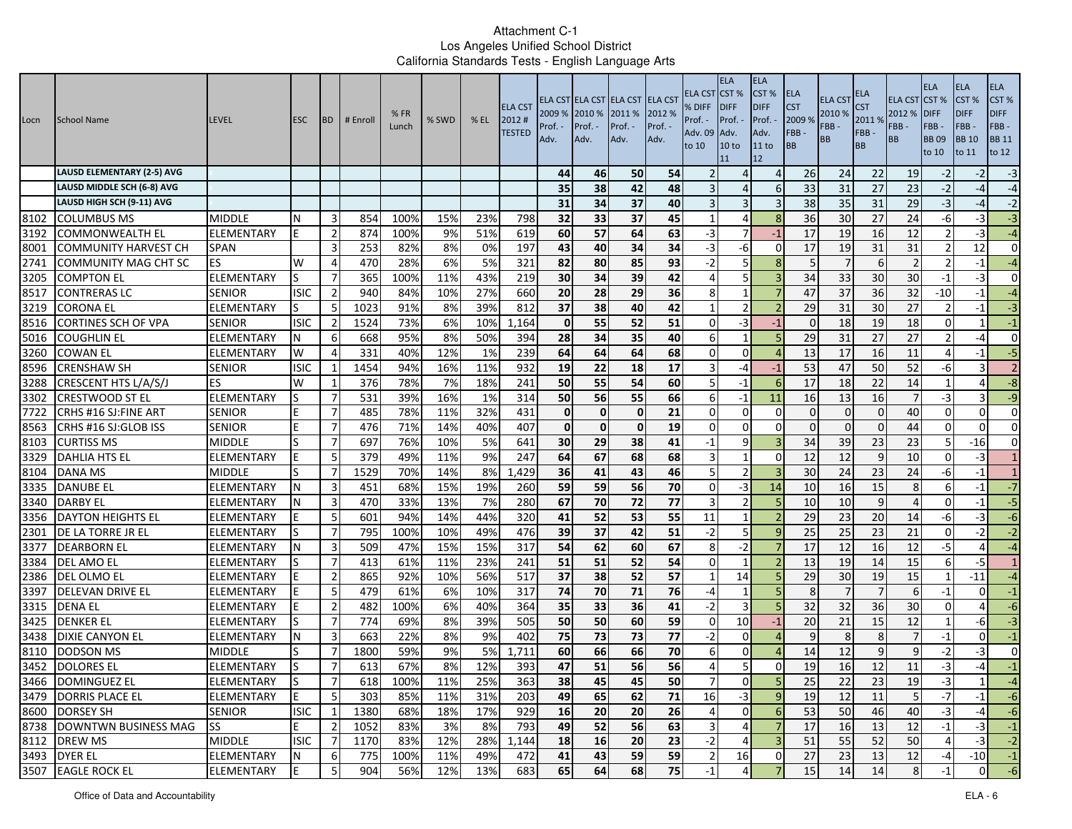| Locn | School Name                       | <b>LEVEL</b>      | <b>ESC</b>  | <b>BD</b>      | # Enroll | %FR<br>Lunch | % SWD | $%$ EL | <b>ELA CST</b><br>2012#<br><b>TESTED</b> | 2009 % 2010 %<br>Prof. ·<br>Adv. | Prof. -<br>Adv. | ELA CST ELA CST ELA CST ELA CST<br>2011 %<br>Prof. -<br>Adv. | 2012 %<br>Prof. -<br>Adv. | ELA CST<br>% DIFF<br>Prof. -<br>Adv. 09<br>to 10 | <b>ELA</b><br><b>ICST %</b><br><b>IDIFF</b><br>Prof. -<br>Adv.<br>10 <sub>to</sub><br>11 | <b>ELA</b><br>CST%<br><b>DIFF</b><br>Prof. -<br>Adv.<br>11 to<br>12 | ELA<br><b>CST</b><br>2009 %<br>FBB-<br>BB | ELA CS <sub>1</sub><br>2010 %<br>FBB-<br><b>BB</b> | ELA<br>S <sub>T</sub><br>2011 %<br>FBB-<br><b>BB</b> | <b>ELA CST CST %</b><br>2012 %<br>FBB-<br><b>BB</b> | <b>ELA</b><br><b>DIFF</b><br>FBB-<br><b>BB09</b><br>to 10 | <b>ELA</b><br>CST %<br><b>DIFF</b><br>FBB-<br><b>BB</b> 10<br>to 11 | ELA<br>CST%<br><b>DIFF</b><br>FBB-<br><b>BB 11</b><br>to 12 |
|------|-----------------------------------|-------------------|-------------|----------------|----------|--------------|-------|--------|------------------------------------------|----------------------------------|-----------------|--------------------------------------------------------------|---------------------------|--------------------------------------------------|------------------------------------------------------------------------------------------|---------------------------------------------------------------------|-------------------------------------------|----------------------------------------------------|------------------------------------------------------|-----------------------------------------------------|-----------------------------------------------------------|---------------------------------------------------------------------|-------------------------------------------------------------|
|      | <b>LAUSD ELEMENTARY (2-5) AVG</b> |                   |             |                |          |              |       |        |                                          | 44                               | 46              | 50                                                           | 54                        |                                                  | Δ                                                                                        | $\Delta$                                                            | 26                                        | 24                                                 | 22                                                   | 19                                                  | $-2$                                                      |                                                                     | $-3$                                                        |
|      | LAUSD MIDDLE SCH (6-8) AVG        |                   |             |                |          |              |       |        |                                          | 35                               | 38              | 42                                                           | 48                        |                                                  | Δ                                                                                        | -6                                                                  | 33                                        | 31                                                 | 27                                                   | 23                                                  | $-2$                                                      | -4                                                                  | $-4$                                                        |
|      | LAUSD HIGH SCH (9-11) AVG         |                   |             |                |          |              |       |        |                                          | 31                               | 34              | 37                                                           | 40                        |                                                  | 3                                                                                        |                                                                     | 38                                        | 35                                                 | 31                                                   | 29                                                  | $-3$                                                      | -4                                                                  | $-2$                                                        |
| 8102 | <b>COLUMBUS MS</b>                | <b>MIDDLE</b>     | N           | -3             | 854      | 100%         | 15%   | 23%    | 798                                      | 32                               | 33              | 37                                                           | 45                        | -1                                               | 4                                                                                        | 8                                                                   | 36                                        | 30                                                 | 27                                                   | 24                                                  | -6                                                        | -3                                                                  | $-3$                                                        |
| 3192 | <b>COMMONWEALTH EL</b>            | ELEMENTARY        |             | $\overline{2}$ | 874      | 100%         | 9%    | 51%    | 619                                      | 60                               | 57              | 64                                                           | 63                        | $-3$                                             |                                                                                          | $-1$                                                                | 17                                        | 19                                                 | 16                                                   | 12                                                  |                                                           | $-3$                                                                | $-4$                                                        |
| 8001 | <b>COMMUNITY HARVEST CH</b>       | <b>SPAN</b>       |             | 3              | 253      | 82%          | 8%    | 0%     | 197                                      | 43                               | 40              | 34                                                           | $\overline{34}$           | $-3$                                             | -6                                                                                       | $\Omega$                                                            | 17                                        | 19                                                 | $\overline{31}$                                      | 31                                                  | $\overline{2}$                                            | 12                                                                  | $\mathbf 0$                                                 |
| 2741 | COMMUNITY MAG CHT SC              | <b>ES</b>         | W           | 4              | 470      | 28%          | 6%    | 5%     | 321                                      | 82                               | 80              | 85                                                           | 93                        | $-2$                                             | 5                                                                                        | 8                                                                   | 5                                         |                                                    | 6                                                    | $\overline{2}$                                      | $\mathcal{P}$                                             | -1                                                                  | $-4$                                                        |
| 3205 | <b>COMPTON EL</b>                 | <b>ELEMENTARY</b> | S           | -7             | 365      | 100%         | 11%   | 43%    | 219                                      | 30                               | 34              | 39                                                           | 42                        | 4                                                | 5                                                                                        |                                                                     | 34                                        | 33                                                 | 30                                                   | 30                                                  | $-1$                                                      | -3                                                                  | $\mathbf{0}$                                                |
| 8517 | <b>CONTRERAS LC</b>               | <b>SENIOR</b>     | <b>ISIC</b> | $\overline{2}$ | 940      | 84%          | 10%   | 27%    | 660                                      | 20                               | 28              | 29                                                           | 36                        | 8                                                | $\mathbf{1}$                                                                             |                                                                     | 47                                        | 37                                                 | 36                                                   | 32                                                  | $-10$                                                     | $-1$                                                                | $-4$                                                        |
| 3219 | <b>CORONA EL</b>                  | ELEMENTARY        | S           | -5             | 1023     | 91%          | 8%    | 39%    | 812                                      | 37                               | 38              | 40                                                           | 42                        | -1                                               |                                                                                          |                                                                     | 29                                        | 31                                                 | 30                                                   | 27                                                  | $\overline{2}$                                            | -1                                                                  | $-3$                                                        |
| 8516 | <b>CORTINES SCH OF VPA</b>        | <b>SENIOR</b>     | <b>ISIC</b> | $\overline{2}$ | 1524     | 73%          | 6%    | 10%    | 1,164                                    | $\mathbf{0}$                     | 55              | 52                                                           | 51                        | $\Omega$                                         | -3                                                                                       | $-1$                                                                | $\Omega$                                  | 18                                                 | 19                                                   | 18                                                  | $\Omega$                                                  |                                                                     | $^{\circ}1$                                                 |
| 5016 | <b>COUGHLIN EL</b>                | ELEMENTARY        | IN.         | 6              | 668      | 95%          | 8%    | 50%    | 394                                      | 28                               | 34              | 35                                                           | 40                        | 6                                                | $\mathbf{1}$                                                                             | 5                                                                   | 29                                        | 31                                                 | 27                                                   | 27                                                  | $\overline{\phantom{a}}$                                  | -4                                                                  | $\mathbf{0}$                                                |
| 3260 | <b>COWAN EL</b>                   | <b>ELEMENTARY</b> | W           | 4              | 331      | 40%          | 12%   | 1%     | 239                                      | 64                               | 64              | 64                                                           | 68                        | $\Omega$                                         | $\Omega$                                                                                 |                                                                     | 13                                        | 17                                                 | 16                                                   | 11                                                  | $\Delta$                                                  | -1                                                                  | $-5$                                                        |
| 8596 | <b>CRENSHAW SH</b>                | <b>SENIOR</b>     | <b>ISIC</b> | 1              | 1454     | 94%          | 16%   | 11%    | 932                                      | 19                               | 22              | 18                                                           | 17                        | 3                                                | -4                                                                                       | $-1$                                                                | 53                                        | 47                                                 | 50                                                   | 52                                                  | -6                                                        |                                                                     | $\overline{2}$                                              |
| 3288 | CRESCENT HTS L/A/S/J              | ES                | W           | -1             | 376      | 78%          | 7%    | 18%    | 241                                      | 50                               | 55              | 54                                                           | 60                        | 5                                                | -1                                                                                       | -6                                                                  | 17                                        | 18                                                 | 22                                                   | 14                                                  | $\mathbf{1}$                                              | 4                                                                   | $-8$                                                        |
| 3302 | <b>CRESTWOOD ST EL</b>            | ELEMENTARY        | S           | -7             | 531      | 39%          | 16%   | 1%     | 314                                      | 50                               | 56              | 55                                                           | 66                        | 6                                                | $-1$                                                                                     | 11                                                                  | 16                                        | 13                                                 | 16                                                   |                                                     | $-3$                                                      |                                                                     | $-9$                                                        |
| 7722 | CRHS #16 SJ: FINE ART             | <b>SENIOR</b>     | E           | 7              | 485      | 78%          | 11%   | 32%    | 431                                      | $\mathbf{0}$                     | $\mathbf 0$     | $\mathbf{0}$                                                 | 21                        | $\Omega$                                         | $\Omega$                                                                                 | $\Omega$                                                            | $\Omega$                                  | $\Omega$                                           | $\Omega$                                             | 40                                                  | $\Omega$                                                  | $\Omega$                                                            | $\mathbf{0}$                                                |
| 8563 | CRHS #16 SJ:GLOB ISS              | <b>SENIOR</b>     |             | $\overline{7}$ | 476      | 71%          | 14%   | 40%    | 407                                      | $\mathbf{0}$                     | $\mathbf 0$     | $\mathbf{0}$                                                 | 19                        | $\Omega$                                         | $\Omega$                                                                                 | $\Omega$                                                            | $\Omega$                                  | $\Omega$                                           | $\Omega$                                             | 44                                                  | $\Omega$                                                  | $\Omega$                                                            | $\mathbf{0}$                                                |
| 8103 | <b>CURTISS MS</b>                 | <b>MIDDLE</b>     |             | $\overline{7}$ | 697      | 76%          | 10%   | 5%     | 641                                      | 30 <sup>1</sup>                  | 29              | 38                                                           | 41                        | $-1$                                             | q                                                                                        |                                                                     | 34                                        | 39                                                 | 23                                                   | 23                                                  | 5                                                         | $-16$                                                               | $\mathbf 0$                                                 |
| 3329 | DAHLIA HTS EL                     | <b>ELEMENTARY</b> |             | 5              | 379      | 49%          | 11%   | 9%     | 247                                      | 64                               | 67              | 68                                                           | 68                        | 3                                                | $\mathbf{1}$                                                                             | $\Omega$                                                            | 12                                        | 12                                                 | 9                                                    | 10                                                  | $\Omega$                                                  | $-3$                                                                | $\mathbf{1}$                                                |
| 8104 | DANA MS                           | <b>MIDDLE</b>     |             | 7              | 1529     | 70%          | 14%   | 8%     | 1,429                                    | 36                               | 41              | 43                                                           | 46                        |                                                  | $\mathcal{P}$                                                                            |                                                                     | 30                                        | 24                                                 | 23                                                   | 24                                                  | -6                                                        | $-1$                                                                | 1                                                           |
| 3335 | DANUBE EL                         | ELEMENTARY        | N           | 3              | 451      | 68%          | 15%   | 19%    | 260                                      | 59                               | 59              | 56                                                           | 70                        | $\Omega$                                         | -3                                                                                       | 14                                                                  | 10                                        | 16                                                 | 15                                                   | 8                                                   | 6                                                         | -1                                                                  | $-7$                                                        |
| 3340 | <b>DARBY EL</b>                   | ELEMENTARY        |             | $\overline{3}$ | 470      | 33%          | 13%   | 7%     | 280                                      | 67                               | 70              | $\overline{72}$                                              | $\overline{77}$           |                                                  |                                                                                          |                                                                     | 10                                        | 10                                                 | 9                                                    |                                                     | $\Omega$                                                  | $-1$                                                                | 5                                                           |
| 3356 | <b>DAYTON HEIGHTS EL</b>          | <b>ELEMENTARY</b> |             | 5              | 601      | 94%          | 14%   | 44%    | 320                                      | 41                               | 52              | 53                                                           | 55                        | 11                                               | $\mathbf{1}$                                                                             |                                                                     | 29                                        | 23                                                 | 20                                                   | 14                                                  | -6                                                        | -3                                                                  | $-6$                                                        |
| 2301 | DE LA TORRE JR EL                 | <b>ELEMENTARY</b> |             | $\overline{7}$ | 795      | 100%         | 10%   | 49%    | 476                                      | 39                               | 37              | 42                                                           | 51                        | $-2$                                             | 5                                                                                        | <sub>q</sub>                                                        | 25                                        | 25                                                 | 23                                                   | 21                                                  | $\Omega$                                                  | $-2$                                                                | $-2$                                                        |
| 3377 | <b>DEARBORN EL</b>                | ELEMENTARY        |             | 3              | 509      | 47%          | 15%   | 15%    | 317                                      | 54                               | 62              | 60                                                           | 67                        | 8                                                | $-2$                                                                                     |                                                                     | 17                                        | 12                                                 | 16                                                   | 12                                                  | $-5$                                                      | 4                                                                   | $-4$                                                        |
| 3384 | <b>DEL AMO EL</b>                 | ELEMENTARY        |             | -7             | 413      | 61%          | 11%   | 23%    | 241                                      | 51                               | 51              | 52                                                           | 54                        | $\Omega$                                         | -1                                                                                       |                                                                     | 13                                        | 19                                                 | 14                                                   | 15                                                  | 6                                                         | -5                                                                  | 1                                                           |
| 2386 | DEL OLMO EL                       | ELEMENTARY        |             | $\overline{2}$ | 865      | 92%          | 10%   | 56%    | 517                                      | 37                               | 38              | 52                                                           | 57                        | -1                                               | 14                                                                                       |                                                                     | 29                                        | 30                                                 | 19                                                   | 15                                                  | -1                                                        | $-11$                                                               | $-4$                                                        |
| 3397 | <b>DELEVAN DRIVE EL</b>           | ELEMENTARY        | E           | 5              | 479      | 61%          | 6%    | 10%    | 317                                      | 74                               | 70              | 71                                                           | 76                        | -4                                               |                                                                                          | 5                                                                   | 8                                         |                                                    | $\overline{7}$                                       | 6                                                   | $-1$                                                      | $\Omega$                                                            | $-1$                                                        |
| 3315 | <b>DENA EL</b>                    | ELEMENTARY        |             | $\overline{2}$ | 482      | 100%         | 6%    | 40%    | 364                                      | 35                               | 33              | 36                                                           | 41                        | $-2$                                             | 3                                                                                        | 5                                                                   | 32                                        | 32                                                 | 36                                                   | 30                                                  | $\Omega$                                                  | 4                                                                   | $-6$                                                        |
| 3425 | <b>DENKER EL</b>                  | ELEMENTARY        | S           | $\overline{7}$ | 774      | 69%          | 8%    | 39%    | 505                                      | 50                               | 50              | 60                                                           | 59                        | $\Omega$                                         | 10                                                                                       | $-1$                                                                | 20                                        | 21                                                 | 15                                                   | 12                                                  | $\mathbf{1}$                                              | -6                                                                  | $-3$                                                        |
| 3438 | DIXIE CANYON EL                   | ELEMENTARY        | N           | 3              | 663      | 22%          | 8%    | 9%     | 402                                      | 75                               | 73              | 73                                                           | 77                        | $-2$                                             | 0                                                                                        | $\Delta$                                                            | q                                         | 8                                                  | 8                                                    |                                                     | $-1$                                                      | $\Omega$                                                            | $-1$                                                        |
| 8110 | <b>DODSON MS</b>                  | <b>MIDDLE</b>     |             |                | 1800     | 59%          | 9%    | 5%     | 1,711                                    | 60                               | 66              | 66                                                           | 70                        | 6                                                | $\Omega$                                                                                 |                                                                     | 14                                        | 12                                                 | $\mathbf{q}$                                         | q                                                   | $-2$                                                      | -3                                                                  | $\mathbf 0$                                                 |
| 3452 | <b>DOLORES EL</b>                 | ELEMENTARY        | S           | $\overline{7}$ | 613      | 67%          | 8%    | 12%    | 393                                      | 47                               | $\overline{51}$ | 56                                                           | 56                        | 4                                                | 5                                                                                        | 0                                                                   | 19                                        | 16                                                 | 12                                                   | 11                                                  | $-3$                                                      | $-4$                                                                | $-1$                                                        |
|      | 3466 DOMINGUEZ EL                 | <b>ELEMENTARY</b> | S           |                | 618      | 100%         | 11%   | 25%    | 363                                      | 38                               | 45              | 45                                                           | 50                        |                                                  | υı                                                                                       | э                                                                   | 25                                        | $22\,$                                             | 23                                                   | 19                                                  |                                                           |                                                                     |                                                             |
|      | 3479 DORRIS PLACE EL              | <b>ELEMENTARY</b> | E           | -5             | 303      | 85%          | 11%   | 31%    | 203                                      | 49                               | 65              | 62                                                           | 71                        | 16                                               | $-3$                                                                                     | 9                                                                   | 19                                        | 12                                                 | 11                                                   | $\overline{5}$                                      | $-7$                                                      | $-1$                                                                | $-6$                                                        |
|      | 8600 DORSEY SH                    | <b>SENIOR</b>     | <b>ISIC</b> | 1              | 1380     | 68%          | 18%   | 17%    | 929                                      | 16                               | 20              | 20                                                           | 26                        | 4                                                | $\mathbf{0}$                                                                             | 6                                                                   | 53                                        | 50                                                 | 46                                                   | 40                                                  | $-3$                                                      | -4                                                                  | $-6$                                                        |
|      | 8738 DOWNTWN BUSINESS MAG         | <b>ISS</b>        | E           | $\overline{2}$ | 1052     | 83%          | 3%    | 8%     | 793                                      | 49                               | 52              | 56                                                           | 63                        | $\overline{3}$                                   | $\overline{4}$                                                                           | $\overline{7}$                                                      | 17                                        | 16                                                 | 13                                                   | 12                                                  | $-1$                                                      | $-3$                                                                | $^{\circ}1$                                                 |
|      | 8112 DREW MS                      | <b>MIDDLE</b>     | <b>ISIC</b> | -7             | 1170     | 83%          | 12%   | 28%    | 1,144                                    | 18                               | 16              | 20                                                           | 23                        | $-2$                                             | $\overline{4}$                                                                           | $\overline{3}$                                                      | 51                                        | 55                                                 | 52                                                   | 50                                                  | 4                                                         | $-3$                                                                | $-2$                                                        |
|      | 3493 DYER EL                      | ELEMENTARY        | N           | 6              | 775      | 100%         | 11%   | 49%    | 472                                      | 41                               | 43              | 59                                                           | 59                        | $\overline{2}$                                   | 16                                                                                       | 0                                                                   | $27$                                      | 23                                                 | 13                                                   | 12                                                  | $-4$                                                      | $-10$                                                               | $^{\rm -1}$                                                 |
|      | 3507 EAGLE ROCK EL                | <b>ELEMENTARY</b> | E           | -5             | 904      | 56%          | 12%   | 13%    | 683                                      | 65                               | 64              | 68                                                           | 75                        | $-1$                                             |                                                                                          |                                                                     | 15                                        | 14                                                 | 14                                                   | 8                                                   |                                                           | ΟI                                                                  | $-6$                                                        |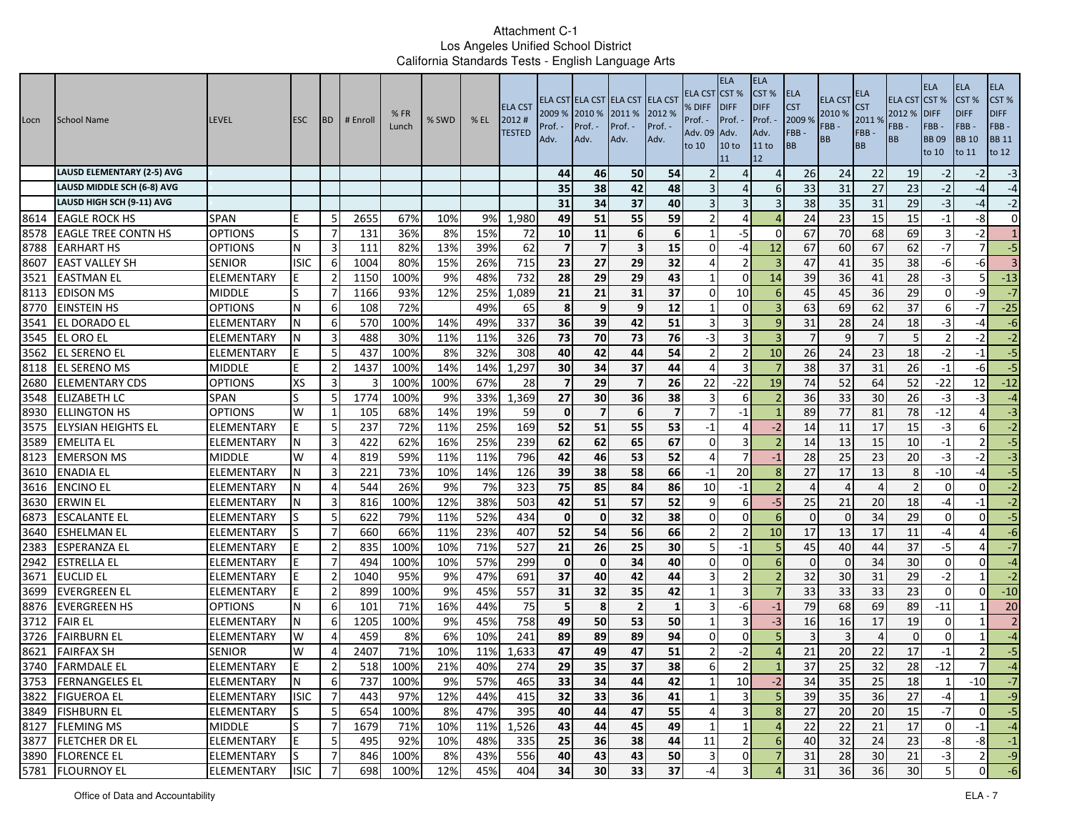| Locn         | School Name                             | <b>LEVEL</b>                    | <b>ESC</b>     | <b>BD</b>           | # Enroll   | %FR<br>Lunch | % SWD     | $%$ EL     | <b>ELA CST</b><br>2012#<br><b>TESTED</b> | 2009 % 2010 %<br>Prof. ·<br>Adv. | Prof. -<br>Adv. | ELA CST ELA CST ELA CST ELA CST<br>2011 %<br>Prof. -<br>Adv. | 2012 %<br>Prof. -<br>Adv. | ELA CST<br>% DIFF<br>Prof. -<br>Adv. 09<br>to 10 | <b>ELA</b><br><b>CST %</b><br><b>IDIFF</b><br>Prof. -<br>Adv.<br>10 <sub>to</sub><br>11 | <b>ELA</b><br>CST%<br><b>DIFF</b><br>Prof.<br>Adv.<br>11 to<br>12 | ELA<br><b>CST</b><br>2009 %<br>FBB-<br><b>BB</b> | ELA CS <sub>1</sub><br>2010 %<br>FBB-<br><b>BB</b> | ELA<br>S <sub>T</sub><br>2011 %<br>FBB-<br><b>BB</b> | <b>ELA CST CST %</b><br>2012 %<br>FBB-<br><b>BB</b> | <b>ELA</b><br><b>DIFF</b><br>FBB-<br><b>BB09</b><br>to 10 | <b>ELA</b><br>CST <sub>%</sub><br><b>DIFF</b><br>FBB-<br><b>BB</b> 10<br>to 11 | ELA<br>CST%<br><b>DIFF</b><br>FBB-<br><b>BB</b> 11<br>to 12 |
|--------------|-----------------------------------------|---------------------------------|----------------|---------------------|------------|--------------|-----------|------------|------------------------------------------|----------------------------------|-----------------|--------------------------------------------------------------|---------------------------|--------------------------------------------------|-----------------------------------------------------------------------------------------|-------------------------------------------------------------------|--------------------------------------------------|----------------------------------------------------|------------------------------------------------------|-----------------------------------------------------|-----------------------------------------------------------|--------------------------------------------------------------------------------|-------------------------------------------------------------|
|              | <b>LAUSD ELEMENTARY (2-5) AVG</b>       |                                 |                |                     |            |              |           |            |                                          | 44                               | 46              | 50                                                           | 54                        |                                                  | Δ                                                                                       | $\Delta$                                                          | 26                                               | 24                                                 | 22                                                   | 19                                                  | $-2$                                                      | $-2$                                                                           | $-3$                                                        |
|              | LAUSD MIDDLE SCH (6-8) AVG              |                                 |                |                     |            |              |           |            |                                          | 35                               | 38              | 42                                                           | 48                        |                                                  | Δ                                                                                       | -6                                                                | 33                                               | 31                                                 | 27                                                   | 23                                                  | $-2$                                                      | $-4$                                                                           | $-4$                                                        |
|              | LAUSD HIGH SCH (9-11) AVG               |                                 |                |                     |            |              |           |            |                                          | 31                               | 34              | 37                                                           | 40                        |                                                  | 3                                                                                       | 3                                                                 | 38                                               | 35                                                 | 31                                                   | 29                                                  | $-3$                                                      | -4                                                                             | $-2$                                                        |
| 8614         | <b>EAGLE ROCK HS</b>                    | <b>SPAN</b>                     |                | -5                  | 2655       | 67%          | 10%       | 9%         | 1,980                                    | 49                               | 51              | 55                                                           | 59                        |                                                  | 4                                                                                       |                                                                   | 24                                               | 23                                                 | 15                                                   | 15                                                  | $-1$                                                      | -8                                                                             | $\mathbf{0}$                                                |
| 8578         | <b>EAGLE TREE CONTN HS</b>              | <b>OPTIONS</b>                  | S              | -7                  | 131        | 36%          | 8%        | 15%        | 72                                       | 10                               | 11              | 6                                                            | 6                         |                                                  | $-5$                                                                                    | $\Omega$                                                          | 67                                               | 70                                                 | 68                                                   | 69                                                  | 3                                                         | $-2$                                                                           | $\mathbf{1}$                                                |
| 8788         | <b>EARHART HS</b>                       | <b>OPTIONS</b>                  | N              | 3                   | 111        | 82%          | 13%       | 39%        | 62                                       | $\overline{7}$                   | $\overline{7}$  | $\overline{\mathbf{3}}$                                      | 15                        | $\Omega$                                         | -4                                                                                      | 12                                                                | 67                                               | 60                                                 | 67                                                   | 62                                                  | $-7$                                                      | $\overline{7}$                                                                 | $-5$                                                        |
| 8607         | <b>EAST VALLEY SH</b>                   | <b>SENIOR</b>                   | <b>ISIC</b>    | 6                   | 1004       | 80%          | 15%       | 26%        | 715                                      | 23                               | 27              | 29                                                           | 32                        | 4                                                |                                                                                         |                                                                   | 47                                               | 41                                                 | 35                                                   | 38                                                  | $-6$                                                      | -6                                                                             | $\overline{3}$                                              |
| 3521         | <b>EASTMAN EL</b>                       | ELEMENTARY                      |                | $\overline{2}$      | 1150       | 100%         | 9%        | 48%        | 732                                      | 28                               | 29              | 29                                                           | 43<br>37                  | -1                                               | $\Omega$                                                                                | 14                                                                | 39                                               | 36                                                 | 41                                                   | 28                                                  | -3                                                        | 5.                                                                             | $-13$                                                       |
| 8113         | <b>EDISON MS</b>                        | <b>MIDDLE</b>                   | S              | 7                   | 1166       | 93%          | 12%       | 25%        | 1,089                                    | 21<br>8                          | 21<br>9         | 31                                                           | 12                        | $\Omega$<br>-1                                   | 10                                                                                      | -6                                                                | 45                                               | 45<br>69                                           | 36                                                   | 29<br>37                                            | $\overline{0}$                                            | -9                                                                             | $-7$                                                        |
| 8770<br>3541 | EINSTEIN HS<br>EL DORADO EL             | <b>OPTIONS</b><br>ELEMENTARY    | N<br>N         | -6<br>6             | 108<br>570 | 72%<br>100%  | 14%       | 49%<br>49% | 65<br>337                                | 36                               | 39              | 9<br>42                                                      | 51                        |                                                  | 0<br>3                                                                                  | q                                                                 | 63<br>31                                         | 28                                                 | 62<br>24                                             | 18                                                  | 6<br>$-3$                                                 | -7<br>-4                                                                       | $-25$<br>$-6$                                               |
| 3545         | <b>EL ORO EL</b>                        | ELEMENTARY                      | IN.            | 3                   | 488        | 30%          | 11%       | 11%        | 326                                      | 73                               | 70              | 73                                                           | 76                        | $-3$                                             | 3                                                                                       | $\overline{3}$                                                    | $\overline{7}$                                   | $\mathsf{q}$                                       | $\overline{7}$                                       | 5 <sup>1</sup>                                      | $\overline{2}$                                            | $-2$                                                                           | $-2$                                                        |
| 3562         | <b>EL SERENO EL</b>                     | ELEMENTARY                      |                | 5                   | 437        | 100%         | 8%        | 32%        | 308                                      | 40                               | 42              | 44                                                           | 54                        |                                                  |                                                                                         | 10                                                                | 26                                               | 24                                                 | 23                                                   | 18                                                  | $-2$                                                      | $-1$                                                                           | $-5$                                                        |
| 8118         | <b>EL SERENO MS</b>                     | <b>MIDDLE</b>                   | E              | $\overline{2}$      | 1437       | 100%         | 14%       | 14%        | 1,297                                    | 30                               | 34              | 37                                                           | 44                        | 4                                                | 3                                                                                       |                                                                   | 38                                               | 37                                                 | 31                                                   | 26                                                  | $-1$                                                      | -6                                                                             | $-5$                                                        |
| 2680         | <b>ELEMENTARY CDS</b>                   | OPTIONS                         | <b>XS</b>      | 3                   | 3          | 100%         | 100%      | 67%        | 28                                       | $\overline{ }$                   | 29              | $\overline{7}$                                               | 26                        | 22                                               | $-22$                                                                                   | 19                                                                | 74                                               | 52                                                 | 64                                                   | 52                                                  | $-22$                                                     | 12                                                                             | $-12$                                                       |
| 3548         | <b>ELIZABETH LC</b>                     | <b>SPAN</b>                     | S              | -5                  | 1774       | 100%         | 9%        | 33%        | 1,369                                    | 27                               | 30              | 36                                                           | 38                        |                                                  | 6                                                                                       |                                                                   | 36                                               | 33                                                 | 30                                                   | 26                                                  | $-3$                                                      | -3                                                                             | $-4$                                                        |
| 8930         | <b>ELLINGTON HS</b>                     | <b>OPTIONS</b>                  | W              | 1                   | 105        | 68%          | 14%       | 19%        | 59                                       | $\mathbf{0}$                     | $\overline{7}$  | 6                                                            | $\overline{\mathbf{z}}$   |                                                  | $-1$                                                                                    |                                                                   | 89                                               | 77                                                 | 81                                                   | 78                                                  | $-12$                                                     |                                                                                | $-3$                                                        |
| 3575         | <b>ELYSIAN HEIGHTS EL</b>               | ELEMENTARY                      |                | 5                   | 237        | 72%          | 11%       | 25%        | 169                                      | 52                               | 51              | 55                                                           | 53                        | $-1$                                             | $\Delta$                                                                                | $-2$                                                              | 14                                               | 11                                                 | 17                                                   | 15                                                  | $-3$                                                      | $6 \overline{6}$                                                               | $-2$                                                        |
| 3589         | <b>EMELITA EL</b>                       | <b>ELEMENTARY</b>               |                | 3                   | 422        | 62%          | 16%       | 25%        | 239                                      | 62                               | 62              | 65                                                           | 67                        | $\Omega$                                         | 3                                                                                       |                                                                   | 14                                               | 13                                                 | 15                                                   | 10                                                  | $-1$                                                      |                                                                                | $-5$                                                        |
| 8123         | <b>EMERSON MS</b>                       | <b>MIDDLE</b>                   | W              | 4                   | 819        | 59%          | 11%       | 11%        | 796                                      | 42                               | 46              | 53                                                           | 52                        | $\Delta$                                         | 7                                                                                       | $-1$                                                              | 28                                               | 25                                                 | 23                                                   | 20                                                  | $-3$                                                      | $-2$                                                                           | $-3$                                                        |
| 3610         | <b>ENADIA EL</b>                        | ELEMENTARY                      |                | 3                   | 221        | 73%          | 10%       | 14%        | 126                                      | 39                               | 38              | 58                                                           | 66                        | $-1$                                             | 20                                                                                      | 8                                                                 | 27                                               | 17                                                 | 13                                                   | 8                                                   | $-10$                                                     | -4                                                                             | $-5$                                                        |
| 3616         | <b>ENCINO EL</b>                        | ELEMENTARY                      |                | $\overline{4}$      | 544        | 26%          | 9%        | 7%         | 323                                      | 75                               | 85              | 84                                                           | 86                        | 10                                               | $-1$                                                                                    |                                                                   | $\Delta$                                         |                                                    | $\overline{4}$                                       |                                                     | $\Omega$                                                  | $\Omega$                                                                       | $-2$                                                        |
| 3630         | <b>ERWIN EL</b>                         | ELEMENTARY                      |                | $\overline{3}$      | 816        | 100%         | 12%       | 38%        | 503                                      | 42                               | 51              | $\overline{57}$                                              | 52                        | 9                                                | 6                                                                                       | $-5$                                                              | 25                                               | 21                                                 | $\overline{20}$                                      | 18                                                  | $-4$                                                      | $-1$                                                                           | $-2$                                                        |
| 6873         | <b>ESCALANTE EL</b>                     | ELEMENTARY                      |                | 5                   | 622        | 79%          | 11%       | 52%        | 434                                      | $\mathbf{0}$                     | $\mathbf 0$     | 32                                                           | 38                        | $\Omega$                                         | $\Omega$                                                                                | 6                                                                 | $\Omega$                                         | $\Omega$                                           | 34                                                   | 29                                                  | $\Omega$                                                  | $\Omega$                                                                       | $-5$                                                        |
| 3640         | <b>ESHELMAN EL</b>                      | <b>ELEMENTARY</b>               |                | $\overline{7}$      | 660        | 66%          | 11%       | 23%        | 407                                      | 52                               | 54              | 56                                                           | 66                        | $\overline{2}$                                   | 2                                                                                       | 10                                                                | 17                                               | 13                                                 | 17                                                   | 11                                                  | $-4$                                                      | $\overline{4}$                                                                 | $-6$                                                        |
| 2383         | ESPERANZA EL                            | ELEMENTARY                      |                | $\overline{2}$      | 835        | 100%         | 10%       | 71%        | 527                                      | 21                               | 26              | 25                                                           | 30                        | .5                                               | $-1$                                                                                    | -5                                                                | 45                                               | 40                                                 | 44                                                   | 37                                                  | $-5$                                                      | 4                                                                              | $-7$                                                        |
| 2942         | <b>ESTRELLA EL</b>                      | ELEMENTARY                      |                | -7                  | 494        | 100%         | 10%       | 57%        | 299                                      | $\mathbf{0}$                     | $\mathbf 0$     | 34                                                           | 40                        | $\Omega$                                         | $\Omega$                                                                                | -6                                                                | $\Omega$                                         | $\Omega$                                           | 34                                                   | 30                                                  | $\Omega$                                                  | $\Omega$                                                                       | $-4$                                                        |
| 3671         | <b>EUCLID EL</b>                        | ELEMENTARY                      |                | $\overline{2}$      | 1040       | 95%          | 9%        | 47%        | 691                                      | 37                               | 40              | 42                                                           | 44                        | 3                                                | $\overline{2}$                                                                          | 2                                                                 | 32                                               | 30                                                 | 31                                                   | 29                                                  | $-2$                                                      |                                                                                | $-2$                                                        |
| 3699         | <b>EVERGREEN EL</b>                     | ELEMENTARY                      | E              | $\overline{2}$      | 899        | 100%         | 9%        | 45%        | 557                                      | 31                               | 32              | 35                                                           | 42                        | $\mathbf{1}$                                     | 3                                                                                       |                                                                   | 33                                               | 33                                                 | 33                                                   | 23                                                  | $\overline{0}$                                            | 0                                                                              | $-10$                                                       |
| 8876         | <b>EVERGREEN HS</b>                     | <b>OPTIONS</b>                  | N              | 6                   | 101        | 71%          | 16%       | 44%        | 75                                       | 5                                | 8               | $\overline{2}$                                               | $\mathbf{1}$              |                                                  | -6                                                                                      | $-1$                                                              | 79                                               | 68                                                 | 69                                                   | 89                                                  | $-11$                                                     |                                                                                | 20                                                          |
| 3712         | <b>FAIR EL</b>                          | <b>ELEMENTARY</b>               | N              | 6                   | 1205       | 100%         | 9%        | 45%        | 758                                      | 49                               | 50              | 53                                                           | 50                        | $\mathbf{1}$                                     | 3                                                                                       | $-3$                                                              | 16                                               | 16                                                 | 17                                                   | 19                                                  | $\Omega$                                                  |                                                                                | $\overline{2}$                                              |
| 3726         | <b>FAIRBURN EL</b>                      | ELEMENTARY                      | W              | 4                   | 459        | 8%           | 6%        | 10%        | 241                                      | 89                               | 89              | 89                                                           | 94                        | 0                                                | 0                                                                                       | 5                                                                 | 3                                                | 3                                                  | $\overline{4}$                                       | $\Omega$                                            | $\Omega$                                                  |                                                                                | $-4$                                                        |
| 8621         | <b>FAIRFAX SH</b>                       | <b>SENIOR</b>                   | W              | 4                   | 2407       | 71%          | 10%       | 11%        | 1,633                                    | 47                               | 49              | 47                                                           | 51                        |                                                  | -2                                                                                      |                                                                   | 21                                               | 20                                                 | 22                                                   | 17                                                  | $-1$                                                      |                                                                                | $-5$                                                        |
| 3740         | <b>FARMDALE EL</b>                      | ELEMENTARY                      | Е              | $\overline{2}$      | 518        | 100%         | 21%       | 40%        | 274                                      | 29                               | 35              | 37                                                           | 38                        | 6                                                | $\overline{2}$                                                                          |                                                                   | 37                                               | 25                                                 | $\overline{32}$                                      | 28                                                  | $-12$                                                     | $\overline{7}$                                                                 | $-4$                                                        |
|              | 3753 FERNANGELES EL                     | ELEMENTARY                      | N <sub>1</sub> | $\sigma$            | 737        | 100%         | 9%        | 57%        | 465                                      | 33                               | 34              | 44                                                           | 42                        |                                                  | 10                                                                                      | -2                                                                | 34                                               | 35                                                 | 25                                                   | 18                                                  |                                                           | $-10$                                                                          | $\mathcal{L}$                                               |
|              | 3822 FIGUEROA EL                        | <b>ELEMENTARY</b>               | <b>ISIC</b>    | $\overline{7}$      | 443        | 97%          | 12%       | 44%        | 415                                      | 32                               | 33              | 36                                                           | 41                        | $\mathbf{1}$                                     | 3                                                                                       | 5                                                                 | 39                                               | 35                                                 | 36                                                   | 27                                                  | $-4$                                                      |                                                                                | $-9$                                                        |
|              | 3849 FISHBURN EL                        | ELEMENTARY                      | IS             | - 5                 | 654        | 100%         | 8%        | 47%        | 395                                      | 40                               | 44              | 47                                                           | 55                        | 4                                                | $\overline{3}$                                                                          | $\boldsymbol{8}$                                                  | $27$                                             | 20                                                 | 20                                                   | 15                                                  | $-7$                                                      | 0                                                                              | $-5$                                                        |
|              | 8127 FLEMING MS                         | <b>MIDDLE</b>                   | ls.            | $\overline{7}$      | 1679       | 71%<br>92%   | 10%       | 11%        | 1,526                                    | 43                               | 44              | 45                                                           | 49                        | 1                                                | 1<br>$\overline{2}$                                                                     | $\overline{4}$                                                    | 22                                               | 22                                                 | 21                                                   | 17                                                  | $\overline{0}$                                            | $-1$                                                                           | $-4$<br>$-1$                                                |
|              | 3877 FLETCHER DR EL<br>3890 FLORENCE EL | <b>ELEMENTARY</b><br>ELEMENTARY | E<br>lS        | 5<br>$\overline{7}$ | 495<br>846 | 100%         | 10%<br>8% | 48%<br>43% | 335<br>556                               | 25<br>40                         | 36<br>43        | 38<br>43                                                     | 44<br>50                  | 11<br>$\overline{3}$                             | $\overline{0}$                                                                          | 6<br>$\overline{7}$                                               | 40<br>31                                         | 32                                                 | 24                                                   | 23                                                  | -8<br>$-3$                                                | -8                                                                             |                                                             |
|              | 5781 FLOURNOY EL                        | <b>ELEMENTARY</b>               | <b>ISIC</b>    | 7                   | 698        | 100%         | 12%       | 45%        | 404                                      | 34                               | 30              | 33                                                           | 37                        | $-4$                                             |                                                                                         |                                                                   | 31                                               | 28<br>36                                           | 30<br>36                                             | 21<br>30                                            | 5 <sub>l</sub>                                            | $\overline{2}$<br>01                                                           | $-9$<br>$-6$                                                |
|              |                                         |                                 |                |                     |            |              |           |            |                                          |                                  |                 |                                                              |                           |                                                  |                                                                                         |                                                                   |                                                  |                                                    |                                                      |                                                     |                                                           |                                                                                |                                                             |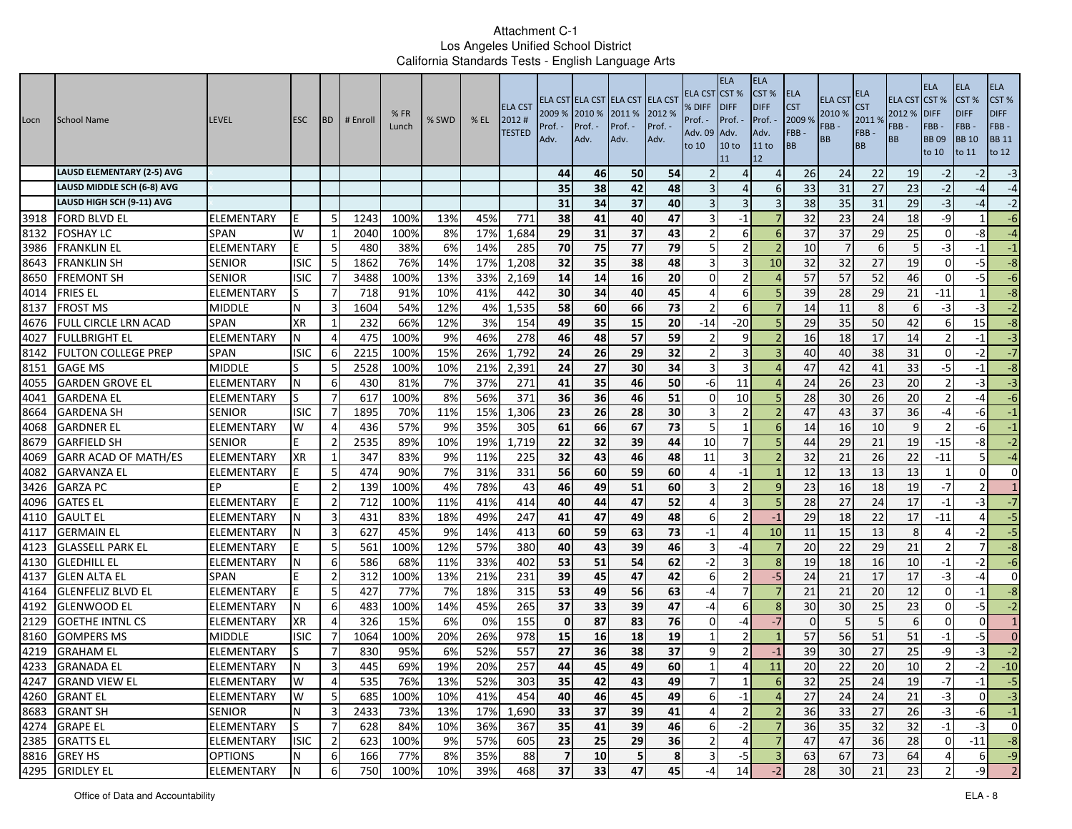| Locn | School Name                       | <b>LEVEL</b>      | <b>ESC</b>  | <b>BD</b>      | # Enroll | %FR<br>Lunch | % SWD | $%$ EL | <b>ELA CST</b><br>2012#<br><b>TESTED</b> | 2009 % 2010 %<br>Prof.<br>Adv. | Prof. -<br>Adv. | ELA CST ELA CST ELA CST ELA CST<br>2011 %<br>Prof. -<br>Adv. | 2012 %<br>Prof. -<br>Adv. | ELA CST<br>% DIFF<br>Prof. -<br>Adv. 09<br>to 10 | <b>ELA</b><br>CST%<br><b>IDIFF</b><br>Prof. -<br>Adv.<br>10 <sub>to</sub><br>11 | <b>ELA</b><br>CST %<br><b>DIFF</b><br>Prof.<br>Adv.<br>11 to<br>12 | <b>ELA</b><br><b>CST</b><br>2009 %<br>FBB-<br>BB | <b>ELA CST</b><br>2010 %<br>FBB-<br>BB | ELA<br><b>CST</b><br>2011%<br>FBB-<br><b>BB</b> | <b>ELA CST</b><br>2012 %<br>FBB -<br><b>BB</b> | <b>ELA</b><br>CST%<br><b>DIFF</b><br>FBB-<br><b>BB09</b><br>to 10 | <b>ELA</b><br>CST %<br><b>DIFF</b><br>FBB-<br><b>BB</b> 10<br>to 11 | <b>ELA</b><br>CST%<br><b>DIFF</b><br>FBB-<br><b>BB 11</b><br>to 12 |
|------|-----------------------------------|-------------------|-------------|----------------|----------|--------------|-------|--------|------------------------------------------|--------------------------------|-----------------|--------------------------------------------------------------|---------------------------|--------------------------------------------------|---------------------------------------------------------------------------------|--------------------------------------------------------------------|--------------------------------------------------|----------------------------------------|-------------------------------------------------|------------------------------------------------|-------------------------------------------------------------------|---------------------------------------------------------------------|--------------------------------------------------------------------|
|      | <b>LAUSD ELEMENTARY (2-5) AVG</b> |                   |             |                |          |              |       |        |                                          | 44                             | 46              | 50                                                           | 54                        |                                                  | Δ                                                                               | $\overline{4}$                                                     | 26                                               | 24                                     | 22                                              | 19                                             | $-2$                                                              | $-2$                                                                | $-3$                                                               |
|      | LAUSD MIDDLE SCH (6-8) AVG        |                   |             |                |          |              |       |        |                                          | 35                             | 38              | 42                                                           | 48                        |                                                  | $\Delta$                                                                        | 6                                                                  | 33                                               | 31                                     | 27                                              | 23                                             | $-2$                                                              | $-4$                                                                | $-4$                                                               |
|      | LAUSD HIGH SCH (9-11) AVG         |                   |             |                |          |              |       |        |                                          | 31                             | 34              | 37                                                           | 40                        |                                                  | $\overline{3}$                                                                  | 3                                                                  | 38                                               | 35                                     | 31                                              | 29                                             | $-3$                                                              | $-4$                                                                | $-2$                                                               |
| 3918 | <b>FORD BLVD EL</b>               | ELEMENTARY        | E           | -5             | 1243     | 100%         | 13%   | 45%    | 771                                      | 38                             | 41              | 40                                                           | 47                        |                                                  | $-1$                                                                            |                                                                    | 32                                               | 23                                     | 24                                              | 18                                             | -9                                                                |                                                                     | $-6$                                                               |
| 8132 | <b>FOSHAY LC</b>                  | <b>SPAN</b>       | W           | -1             | 2040     | 100%         | 8%    | 17%    | 1,684                                    | 29                             | 31              | 37                                                           | 43                        |                                                  | 6                                                                               | $\epsilon$                                                         | 37                                               | 37                                     | 29                                              | 25                                             | $\Omega$                                                          | $-8$                                                                | $-4$                                                               |
| 3986 | <b>FRANKLIN EL</b>                | <b>ELEMENTARY</b> | F           | 5              | 480      | 38%          | 6%    | 14%    | 285                                      | 70                             | 75              | 77                                                           | 79                        | 5                                                | $\overline{2}$                                                                  | $\overline{\phantom{a}}$                                           | 10                                               |                                        | 6                                               | 5 <sub>l</sub>                                 | $-3$                                                              | $-1$                                                                | $-1$                                                               |
| 8643 | <b>FRANKLIN SH</b>                | <b>SENIOR</b>     | <b>ISIC</b> | 5              | 1862     | 76%          | 14%   | 17%    | 1,208                                    | 32                             | 35              | 38                                                           | 48                        |                                                  | 3                                                                               | 10                                                                 | 32                                               | 32                                     | 27                                              | 19                                             | $\Omega$                                                          | $-5$                                                                | $-8$                                                               |
| 8650 | <b>FREMONT SH</b>                 | <b>SENIOR</b>     | <b>ISIC</b> |                | 3488     | 100%         | 13%   | 33%    | 2,169                                    | 14                             | 14              | 16                                                           | 20                        | O                                                | $\overline{2}$                                                                  |                                                                    | 57                                               | 57                                     | 52                                              | 46                                             | $\Omega$                                                          | $-5$                                                                | $-6$                                                               |
| 4014 | <b>FRIES EL</b>                   | ELEMENTARY        | lS.         | 7              | 718      | 91%          | 10%   | 41%    | 442                                      | 30                             | 34              | 40                                                           | 45                        |                                                  | 6                                                                               |                                                                    | 39                                               | 28                                     | 29                                              | 21                                             | $-11$                                                             |                                                                     | $-8$                                                               |
| 8137 | <b>FROST MS</b>                   | <b>MIDDLE</b>     | N           | 3              | 1604     | 54%          | 12%   | 4%     | 1,535                                    | 58                             | 60              | 66                                                           | 73                        |                                                  | 6                                                                               |                                                                    | 14                                               | 11                                     | 8                                               | 6                                              | -3                                                                | $-3$                                                                | $-2$                                                               |
| 4676 | <b>FULL CIRCLE LRN ACAD</b>       | <b>SPAN</b>       | <b>XR</b>   |                | 232      | 66%          | 12%   | 3%     | 154                                      | 49                             | 35              | 15                                                           | 20                        | $-14$                                            | $-20$                                                                           |                                                                    | 29                                               | 35                                     | 50                                              | 42                                             | 6                                                                 | 15                                                                  | $-8$                                                               |
| 4027 | <b>FULLBRIGHT EL</b>              | ELEMENTARY        | N           | $\overline{4}$ | 475      | 100%         | 9%    | 46%    | 278                                      | 46                             | 48              | 57                                                           | 59                        | -2                                               | 9                                                                               | $\overline{z}$                                                     | 16                                               | 18                                     | 17                                              | 14                                             |                                                                   | $-1$                                                                | $-3$                                                               |
| 8142 | <b>FULTON COLLEGE PREP</b>        | <b>SPAN</b>       | <b>ISIC</b> | 6              | 2215     | 100%         | 15%   | 26%    | 1,792                                    | 24                             | 26              | 29                                                           | 32                        |                                                  | 3                                                                               |                                                                    | 40                                               | 40                                     | 38                                              | 31                                             | $\Omega$                                                          | $-2$                                                                | $-7$                                                               |
| 8151 | <b>GAGE MS</b>                    | <b>MIDDLE</b>     |             | 5              | 2528     | 100%         | 10%   | 21%    | 2,391                                    | 24                             | 27              | 30                                                           | 34                        | 3                                                | 3                                                                               |                                                                    | 47                                               | 42                                     | 41                                              | 33                                             | -5                                                                | $-1$                                                                | $-8$                                                               |
| 4055 | <b>GARDEN GROVE EL</b>            | ELEMENTARY        | N           | 6              | 430      | 81%          | 7%    | 37%    | 271                                      | 41                             | 35              | 46                                                           | 50                        | -6                                               | 11                                                                              |                                                                    | 24                                               | 26                                     | 23                                              | 20                                             | - 2                                                               | -31                                                                 | $-3$                                                               |
| 4041 | <b>GARDENA EL</b>                 | ELEMENTARY        | ls          | $\overline{7}$ | 617      | 100%         | 8%    | 56%    | 371                                      | 36                             | 36              | 46                                                           | 51                        | $\Omega$                                         | 10                                                                              |                                                                    | 28                                               | 30                                     | 26                                              | 20                                             |                                                                   | $-4$                                                                | $-6$                                                               |
| 8664 | <b>GARDENA SH</b>                 | <b>SENIOR</b>     | <b>ISIC</b> | $\overline{7}$ | 1895     | 70%          | 11%   | 15%    | 1,306                                    | 23                             | 26              | 28                                                           | 30                        | 3                                                | $\overline{2}$                                                                  |                                                                    | 47                                               | 43                                     | 37                                              | 36                                             | -4                                                                | -61                                                                 | $-1$                                                               |
| 4068 | <b>GARDNER EL</b>                 | <b>ELEMENTARY</b> | W           | 4              | 436      | 57%          | 9%    | 35%    | 305                                      | 61                             | 66              | 67                                                           | 73                        | 5                                                | $\mathbf{1}$                                                                    | $\epsilon$                                                         | 14                                               | 16                                     | 10                                              | 9                                              |                                                                   | $-6$                                                                | $-1$                                                               |
| 8679 | <b>GARFIELD SH</b>                | <b>SENIOR</b>     |             | $\overline{2}$ | 2535     | 89%          | 10%   | 19%    | 1,719                                    | 22                             | 32              | 39                                                           | 44                        | 10                                               | $\overline{7}$                                                                  |                                                                    | 44                                               | 29                                     | 21                                              | 19                                             | $-15$                                                             | -8                                                                  | $-2$                                                               |
| 4069 | <b>GARR ACAD OF MATH/ES</b>       | <b>ELEMENTARY</b> | <b>XR</b>   | -1             | 347      | 83%          | 9%    | 11%    | 225                                      | 32                             | 43              | 46                                                           | 48                        | 11                                               | 3                                                                               |                                                                    | 32                                               | 21                                     | 26                                              | 22                                             | $-11$                                                             | 5 <sup>1</sup>                                                      | $-4$                                                               |
| 4082 | <b>GARVANZA EL</b>                | ELEMENTARY        |             | -5             | 474      | 90%          | 7%    | 31%    | 331                                      | 56                             | 60              | 59                                                           | 60                        |                                                  | $-1$                                                                            |                                                                    | 12                                               | 13                                     | 13                                              | 13                                             |                                                                   | $\Omega$                                                            | $\overline{0}$                                                     |
| 3426 | <b>GARZA PC</b>                   | EP                |             | $\overline{2}$ | 139      | 100%         | 4%    | 78%    | 43                                       | 46                             | 49              | 51                                                           | 60                        | З                                                | $\overline{2}$                                                                  | <b>g</b>                                                           | 23                                               | 16                                     | 18                                              | 19                                             | $-7$                                                              | $\overline{2}$                                                      | $\mathbf{1}$                                                       |
| 4096 | <b>GATES EL</b>                   | ELEMENTARY        | E           | $\overline{2}$ | 712      | 100%         | 11%   | 41%    | 414                                      | 40                             | 44              | 47                                                           | 52                        |                                                  |                                                                                 |                                                                    | 28                                               | 27                                     | $\overline{24}$                                 | 17                                             | $-1$                                                              | $-3$                                                                | $-7$                                                               |
| 4110 | <b>GAULT EL</b>                   | ELEMENTARY        | N           | 3              | 431      | 83%          | 18%   | 49%    | 247                                      | 41                             | 47              | 49                                                           | 48                        | 6                                                | $\mathfrak{p}$                                                                  | $-1$                                                               | 29                                               | 18                                     | 22                                              | 17                                             | $-11$                                                             | $\overline{4}$                                                      | $-5$                                                               |
| 4117 | <b>GERMAIN EL</b>                 | ELEMENTARY        |             | 3              | 627      | 45%          | 9%    | 14%    | 413                                      | 60                             | 59              | 63                                                           | 73                        | $-1$                                             | 4                                                                               | 10                                                                 | 11                                               | 15                                     | 13                                              | 8                                              | $\Delta$                                                          | $-2$                                                                | $-5$                                                               |
| 4123 | <b>GLASSELL PARK EL</b>           | ELEMENTARY        |             | 5              | 561      | 100%         | 12%   | 57%    | 380                                      | 40                             | 43              | 39                                                           | 46                        |                                                  | -4                                                                              |                                                                    | 20                                               | 22                                     | 29                                              | 21                                             |                                                                   |                                                                     | $-8$                                                               |
| 4130 | <b>GLEDHILL EL</b>                | ELEMENTARY        |             | 6              | 586      | 68%          | 11%   | 33%    | 402                                      | 53                             | 51              | 54                                                           | 62                        | -2                                               | 3                                                                               | -8                                                                 | 19                                               | 18                                     | 16                                              | 10 <sup>1</sup>                                | $-1$                                                              | -21                                                                 | $-6$                                                               |
| 4137 | <b>GLEN ALTA EL</b>               | SPAN              |             | $\overline{2}$ | 312      | 100%         | 13%   | 21%    | 231                                      | 39                             | 45              | 47                                                           | 42                        | -6                                               | $\overline{2}$                                                                  | $-5$                                                               | 24                                               | 21                                     | 17                                              | 17                                             | $-3$                                                              | $-4$                                                                | $\Omega$                                                           |
| 4164 | <b>GLENFELIZ BLVD EL</b>          | ELEMENTARY        | E           | 5              | 427      | 77%          | 7%    | 18%    | 315                                      | 53                             | 49              | 56                                                           | 63                        | -4                                               |                                                                                 |                                                                    | 21                                               | 21                                     | 20                                              | 12                                             | 0                                                                 | $-1$                                                                | $-8$                                                               |
| 4192 | <b>GLENWOOD EL</b>                | ELEMENTARY        | N           | 6              | 483      | 100%         | 14%   | 45%    | 265                                      | 37                             | 33              | 39                                                           | 47                        | -4                                               | 6                                                                               | $\mathbf{g}$                                                       | 30                                               | 30                                     | 25                                              | 23                                             | $\Omega$                                                          | $-5$                                                                | $-2$                                                               |
| 2129 | <b>GOETHE INTNL CS</b>            | ELEMENTARY        | <b>XR</b>   | $\overline{4}$ | 326      | 15%          | 6%    | 0%     | 155                                      | $\mathbf{0}$                   | 87              | 83                                                           | 76                        | $\Omega$                                         | $-4$                                                                            | $-7$                                                               | $\Omega$                                         |                                        | 5                                               | $6 \mid$                                       | $\Omega$                                                          | $\mathbf{0}$                                                        | $\mathbf{1}$                                                       |
| 8160 | <b>GOMPERS MS</b>                 | <b>MIDDLE</b>     | <b>ISIC</b> | $\overline{7}$ | 1064     | 100%         | 20%   | 26%    | 978                                      | 15                             | 16              | 18                                                           | 19                        |                                                  | $\overline{2}$                                                                  |                                                                    | 57                                               | 56                                     | 51                                              | 51                                             | $-1$                                                              | $-5$                                                                | $\overline{0}$                                                     |
| 4219 | <b>GRAHAM EL</b>                  | ELEMENTARY        |             |                | 830      | 95%          | 6%    | 52%    | 557                                      | 27                             | 36              | 38                                                           | 37                        |                                                  | $\overline{2}$                                                                  | $-1$                                                               | 39                                               | 30                                     | 27                                              | 25                                             | -9                                                                | $-3$                                                                | $-2$                                                               |
| 4233 | <b>GRANADA EL</b>                 | ELEMENTARY        | N           | 3              | 445      | 69%          | 19%   | 20%    | 257                                      | 44                             | 45              | 49                                                           | 60                        |                                                  | $\overline{4}$                                                                  | 11                                                                 | 20                                               | $\overline{22}$                        | $\overline{20}$                                 | 10                                             | $\overline{2}$                                                    | $-2$                                                                | $-10$                                                              |
|      | 4247 GRAND VIEW EL                | ELEMENTARY        | W           |                | 535      | 76%          | 13%   | 52%    | 303                                      | 35                             | 42              | 43                                                           | 49                        |                                                  |                                                                                 | $\sigma$                                                           | 32                                               | 25                                     | 24                                              | 19                                             |                                                                   | -11                                                                 | $-5$                                                               |
|      | 4260 GRANT EL                     | ELEMENTARY        | W           | 5              | 685      | 100%         | 10%   | 41%    | 454                                      | 40                             | 46              | 45                                                           | 49                        | 6                                                | $-1$                                                                            |                                                                    | 27                                               | 24                                     | 24                                              | 21                                             | $-3$                                                              | $\mathbf{0}$                                                        | $-3$                                                               |
|      | 8683 GRANT SH                     | <b>SENIOR</b>     | N           | $\overline{3}$ | 2433     | 73%          | 13%   | 17%    | 1,690                                    | 33                             | 37              | 39                                                           | 41                        | $\overline{4}$                                   | $\overline{2}$                                                                  | $\overline{2}$                                                     | 36                                               | 33                                     | 27                                              | 26                                             | $-3$                                                              | -6                                                                  | $-1$                                                               |
|      | 4274 GRAPE EL                     | <b>ELEMENTARY</b> | lS          | $\overline{7}$ | 628      | 84%          | 10%   | 36%    | 367                                      | 35                             | 41              | 39                                                           | 46                        | 6                                                | $-2$                                                                            | $\overline{7}$                                                     | 36                                               | 35                                     | 32                                              | 32                                             | $-1$                                                              | $-3$                                                                | $\overline{0}$                                                     |
|      | 2385 GRATTS EL                    | <b>ELEMENTARY</b> | <b>ISIC</b> | $\overline{2}$ | 623      | 100%         | 9%    | 57%    | 605                                      | 23                             | 25              | 29                                                           | 36                        | $\overline{2}$                                   | $\overline{4}$                                                                  | $\overline{7}$                                                     | 47                                               | 47                                     | 36                                              | 28                                             | $\overline{0}$                                                    | $-11$                                                               | $-8$                                                               |
|      | 8816 GREY HS                      | <b>OPTIONS</b>    | N           | 6              | 166      | 77%          | 8%    | 35%    | 88                                       | 7                              | 10              | 5 <sub>l</sub>                                               | 8                         | 3                                                | $-5$                                                                            | $\overline{3}$                                                     | 63                                               | 67                                     | 73                                              | 64                                             | $\overline{4}$                                                    | 6                                                                   | $-9$                                                               |
|      | 4295 GRIDLEY EL                   | <b>ELEMENTARY</b> | N           | 6              | 750      | 100%         | 10%   | 39%    | 468                                      | 37                             | 33              | 47                                                           | 45                        | -4                                               | 14                                                                              | $-2$                                                               | 28                                               | 30                                     | 21                                              | 23                                             |                                                                   | $-9$                                                                | $\overline{2}$                                                     |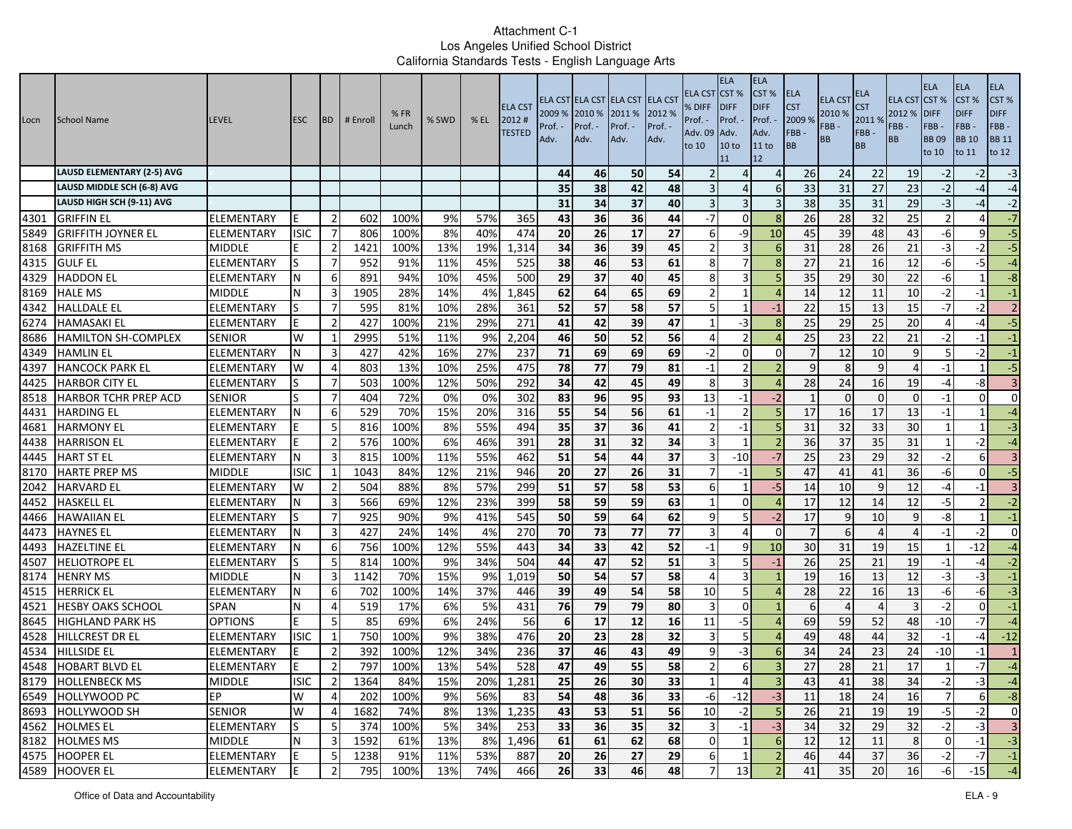| Locn | School Name                       | <b>LEVEL</b>      | <b>ESC</b>  | <b>BD</b>      | # Enroll | %FR<br>Lunch | % SWD | $%$ EL | <b>ELA CST</b><br>2012#<br><b>TESTED</b> | 2009 % 2010 %<br>Prof. ·<br>Adv. | Prof. -<br>Adv. | ELA CST ELA CST ELA CST ELA CST<br>2011 %<br>Prof. -<br>Adv. | 2012 %<br>Prof. -<br>Adv. | ELA CST<br>% DIFF<br>Prof. -<br>Adv. 09<br>to 10 | <b>ELA</b><br>ICST <sub>%</sub><br><b>IDIFF</b><br>Prof. -<br>Adv.<br>10 <sub>to</sub><br>11 | <b>ELA</b><br>CST%<br><b>DIFF</b><br>Prof. -<br>Adv.<br>11 to<br>12 | ELA<br><b>CST</b><br>2009 %<br>FBB-<br><b>BB</b> | ELA CS <sub>1</sub><br>2010 %<br>FBB-<br><b>BB</b> | ELA<br>S <sub>T</sub><br>2011 %<br>FBB-<br><b>BB</b> | <b>ELA CST CST %</b><br>2012 %<br>FBB-<br><b>BB</b> | <b>ELA</b><br><b>DIFF</b><br>FBB-<br><b>BB09</b><br>to 10 | <b>ELA</b><br>CST %<br><b>DIFF</b><br>FBB-<br><b>BB</b> 10<br>to 11 | ELA<br>CST%<br><b>DIFF</b><br>FBB-<br><b>BB 11</b><br>to 12 |
|------|-----------------------------------|-------------------|-------------|----------------|----------|--------------|-------|--------|------------------------------------------|----------------------------------|-----------------|--------------------------------------------------------------|---------------------------|--------------------------------------------------|----------------------------------------------------------------------------------------------|---------------------------------------------------------------------|--------------------------------------------------|----------------------------------------------------|------------------------------------------------------|-----------------------------------------------------|-----------------------------------------------------------|---------------------------------------------------------------------|-------------------------------------------------------------|
|      | <b>LAUSD ELEMENTARY (2-5) AVG</b> |                   |             |                |          |              |       |        |                                          | 44                               | 46              | 50                                                           | 54                        |                                                  | Δ                                                                                            | $\Delta$                                                            | 26                                               | 24                                                 | 22                                                   | 19                                                  | $-2$                                                      |                                                                     | $-3$                                                        |
|      | LAUSD MIDDLE SCH (6-8) AVG        |                   |             |                |          |              |       |        |                                          | 35                               | 38              | 42                                                           | 48                        |                                                  | Δ                                                                                            | -6                                                                  | 33                                               | 31                                                 | 27                                                   | 23                                                  | $-2$                                                      | -4                                                                  | $-4$                                                        |
|      | LAUSD HIGH SCH (9-11) AVG         |                   |             |                |          |              |       |        |                                          | 31                               | 34              | 37                                                           | 40                        |                                                  | 3                                                                                            |                                                                     | 38                                               | 35                                                 | 31                                                   | 29                                                  | $-3$                                                      | -4                                                                  | $-2$                                                        |
| 4301 | IGRIFFIN EL                       | ELEMENTARY        | E           | $\overline{2}$ | 602      | 100%         | 9%    | 57%    | 365                                      | 43                               | 36              | 36                                                           | 44                        | $-7$                                             | $\Omega$                                                                                     | 8                                                                   | 26                                               | 28                                                 | 32                                                   | 25                                                  | $\overline{2}$                                            |                                                                     | $-7$                                                        |
| 5849 | <b>GRIFFITH JOYNER EL</b>         | ELEMENTARY        | <b>ISIC</b> | 7              | 806      | 100%         | 8%    | 40%    | 474                                      | 20                               | 26              | 17                                                           | 27                        | 6                                                | -9                                                                                           | 10                                                                  | 45                                               | 39                                                 | 48                                                   | 43                                                  | -6                                                        | q                                                                   | $-5$                                                        |
| 8168 | <b>GRIFFITH MS</b>                | <b>MIDDLE</b>     |             | $\overline{2}$ | 1421     | 100%         | 13%   | 19%    | 1,314                                    | 34                               | 36              | 39                                                           | 45                        | $\mathcal{P}$                                    | 3                                                                                            | 6                                                                   | 31                                               | 28                                                 | $\overline{26}$                                      | 21                                                  | $-3$                                                      | $-2$                                                                | 5                                                           |
| 4315 | <b>GULF EL</b>                    | <b>ELEMENTARY</b> |             | $\overline{7}$ | 952      | 91%          | 11%   | 45%    | 525                                      | 38                               | 46              | 53                                                           | 61                        | 8                                                |                                                                                              | 8                                                                   | 27                                               | 21                                                 | 16                                                   | 12                                                  | $-6$                                                      | $-5$                                                                | $-4$                                                        |
| 4329 | <b>HADDON EL</b>                  | ELEMENTARY        |             | 6              | 891      | 94%          | 10%   | 45%    | 500                                      | 29                               | 37              | 40                                                           | 45                        | 8                                                | 3                                                                                            |                                                                     | 35                                               | 29                                                 | 30                                                   | 22                                                  | -6                                                        |                                                                     | $-8$                                                        |
| 8169 | <b>HALE MS</b>                    | <b>MIDDLE</b>     | N           | 3              | 1905     | 28%          | 14%   | 4%     | 1,845                                    | 62                               | 64              | 65                                                           | 69                        |                                                  |                                                                                              |                                                                     | 14                                               | 12                                                 | 11                                                   | 10                                                  | $-2$                                                      | -1                                                                  | $-1$                                                        |
| 4342 | <b>HALLDALE EL</b>                | ELEMENTARY        | S           | -7             | 595      | 81%          | 10%   | 28%    | 361                                      | 52                               | 57              | 58                                                           | 57                        |                                                  |                                                                                              | $-1$                                                                | 22                                               | 15                                                 | 13                                                   | 15                                                  | $-7$                                                      | $-2$                                                                | $\overline{2}$                                              |
| 6274 | <b>HAMASAKI EL</b>                | ELEMENTARY        |             | $\overline{2}$ | 427      | 100%         | 21%   | 29%    | 271                                      | 41                               | 42              | 39                                                           | 47                        | -1                                               | -3                                                                                           |                                                                     | 25                                               | 29                                                 | $\overline{25}$                                      | 20                                                  | $\Delta$                                                  | $-4$                                                                | $-5$                                                        |
| 8686 | <b>HAMILTON SH-COMPLEX</b>        | <b>SENIOR</b>     | W           | 1              | 2995     | 51%          | 11%   | 9%     | 2,204                                    | 46                               | 50              | 52                                                           | 56                        | 4                                                | $\overline{2}$                                                                               |                                                                     | 25                                               | 23                                                 | 22                                                   | 21                                                  | $-2$                                                      | $-1$                                                                | $-1$                                                        |
| 4349 | <b>HAMLIN EL</b>                  | <b>ELEMENTARY</b> |             | 3              | 427      | 42%          | 16%   | 27%    | 237                                      | 71                               | 69              | 69                                                           | 69                        | $-2$                                             | $\Omega$                                                                                     | $\Omega$                                                            |                                                  | 12                                                 | 10                                                   |                                                     | 5                                                         | $-2$                                                                | $^{\rm -1}$                                                 |
| 4397 | <b>HANCOCK PARK EL</b>            | ELEMENTARY        | W           | 4              | 803      | 13%          | 10%   | 25%    | 475                                      | 78                               | 77              | 79                                                           | 81                        | $-1$                                             | $\overline{2}$                                                                               |                                                                     | 9                                                | 8                                                  | 9                                                    |                                                     | $-1$                                                      |                                                                     | $-5$                                                        |
| 4425 | <b>HARBOR CITY EL</b>             | ELEMENTARY        |             | $\overline{7}$ | 503      | 100%         | 12%   | 50%    | 292                                      | 34                               | 42              | 45                                                           | 49                        | 8                                                | 3                                                                                            |                                                                     | 28                                               | 24                                                 | 16                                                   | 19                                                  | $-4$                                                      | -8                                                                  | $\overline{3}$                                              |
| 8518 | <b>HARBOR TCHR PREP ACD</b>       | <b>SENIOR</b>     |             | -7             | 404      | 72%          | 0%    | 0%     | 302                                      | 83                               | 96              | 95                                                           | 93                        | 13                                               | $-1$                                                                                         | $-2$                                                                | -1                                               | $\Omega$                                           | $\overline{0}$                                       | 0                                                   | $-1$                                                      | $\overline{0}$                                                      | $\mathbf{0}$                                                |
| 4431 | <b>HARDING EL</b>                 | ELEMENTARY        |             | 6              | 529      | 70%          | 15%   | 20%    | 316                                      | 55                               | 54              | 56                                                           | 61                        | $-1$                                             | $\mathcal{P}$                                                                                |                                                                     | 17                                               | 16                                                 | 17                                                   | 13                                                  | $-1$                                                      |                                                                     | $-4$                                                        |
| 4681 | <b>HARMONY EL</b>                 | ELEMENTARY        |             | 5              | 816      | 100%         | 8%    | 55%    | 494                                      | 35                               | 37              | 36                                                           | 41                        | $\mathcal{P}$                                    | $-1$                                                                                         | 5                                                                   | 31                                               | 32                                                 | $\overline{33}$                                      | 30                                                  | $\mathbf 1$                                               |                                                                     | $-3$                                                        |
| 4438 | <b>HARRISON EL</b>                | <b>ELEMENTARY</b> |             | $\overline{2}$ | 576      | 100%         | 6%    | 46%    | 391                                      | 28                               | 31              | 32                                                           | 34                        |                                                  | -1                                                                                           |                                                                     | 36                                               | 37                                                 | 35                                                   | 31                                                  | $\mathbf{1}$                                              | $-2$                                                                | $-4$                                                        |
| 4445 | <b>HART ST EL</b>                 | ELEMENTARY        |             | $\overline{3}$ | 815      | 100%         | 11%   | 55%    | 462                                      | $\overline{51}$                  | 54              | 44                                                           | 37                        | 3                                                | $-10$                                                                                        | $-7$                                                                | 25                                               | 23                                                 | 29                                                   | 32                                                  | $-2$                                                      | $6 \overline{6}$                                                    | $\overline{3}$                                              |
| 8170 | <b>HARTE PREP MS</b>              | <b>MIDDLE</b>     | <b>ISIC</b> | 1              | 1043     | 84%          | 12%   | 21%    | 946                                      | 20                               | 27              | 26                                                           | 31                        |                                                  | $-1$                                                                                         |                                                                     | 47                                               | 41                                                 | 41                                                   | 36                                                  | -6                                                        | $\Omega$                                                            | $-5$                                                        |
| 2042 | <b>HARVARD EL</b>                 | ELEMENTARY        | W           | -2             | 504      | 88%          | 8%    | 57%    | 299                                      | 51                               | 57              | 58                                                           | 53                        | 6                                                | -1                                                                                           | $-5$                                                                | 14                                               | 10                                                 | 9                                                    | 12                                                  | $-4$                                                      | -1                                                                  | $\overline{3}$                                              |
| 4452 | <b>HASKELL EL</b>                 | ELEMENTARY        | N           | $\overline{3}$ | 566      | 69%          | 12%   | 23%    | 399                                      | 58                               | 59              | 59                                                           | 63                        | -1                                               | $\Omega$                                                                                     |                                                                     | 17                                               | 12                                                 | 14                                                   | 12                                                  | $-5$                                                      |                                                                     | $-2$                                                        |
| 4466 | <b>HAWAIIAN EL</b>                | ELEMENTARY        | lS          | $\overline{7}$ | 925      | 90%          | 9%    | 41%    | 545                                      | 50                               | 59              | 64                                                           | 62                        | 9                                                | 5                                                                                            | $-2$                                                                | 17                                               | 9                                                  | 10                                                   | 9                                                   | -8                                                        |                                                                     | $^{\circ}1$                                                 |
| 4473 | <b>HAYNES EL</b>                  | <b>ELEMENTARY</b> |             | 3              | 427      | 24%          | 14%   | 4%     | 270                                      | 70                               | 73              | 77                                                           | 77                        |                                                  | $\Delta$                                                                                     | $\Omega$                                                            | $\overline{7}$                                   | 6                                                  | $\overline{4}$                                       | 4                                                   | $-1$                                                      | $-2$                                                                | $\mathbf 0$                                                 |
| 4493 | <b>HAZELTINE EL</b>               | ELEMENTARY        |             | 6              | 756      | 100%         | 12%   | 55%    | 443                                      | 34                               | 33              | 42                                                           | 52                        | $-1$                                             | q                                                                                            | 10                                                                  | 30                                               | 31                                                 | 19                                                   | 15                                                  |                                                           | $-12$                                                               | $-4$                                                        |
| 4507 | <b>HELIOTROPE EL</b>              | ELEMENTARY        | ls          | -5             | 814      | 100%         | 9%    | 34%    | 504                                      | 44                               | 47              | 52                                                           | 51                        | 3                                                | 5                                                                                            | $-1$                                                                | 26                                               | 25                                                 | 21                                                   | 19                                                  | $-1$                                                      | -4                                                                  | $-2$                                                        |
| 8174 | <b>HENRY MS</b>                   | <b>MIDDLE</b>     | N           | 3              | 1142     | 70%          | 15%   | 9%     | 1,019                                    | 50                               | 54              | 57                                                           | 58                        |                                                  | 3                                                                                            |                                                                     | 19                                               | 16                                                 | 13                                                   | 12                                                  | $-3$                                                      | $-3$                                                                | $-1$                                                        |
| 4515 | <b>HERRICK EL</b>                 | ELEMENTARY        | N           | 6              | 702      | 100%         | 14%   | 37%    | 446                                      | 39                               | 49              | 54                                                           | 58                        | 10                                               | 5                                                                                            |                                                                     | 28                                               | 22                                                 | 16                                                   | 13                                                  | $-6$                                                      | -6                                                                  | نا                                                          |
| 4521 | <b>HESBY OAKS SCHOOL</b>          | <b>SPAN</b>       | N           | 4              | 519      | 17%          | 6%    | 5%     | 431                                      | 76                               | 79              | 79                                                           | 80                        |                                                  | $\Omega$                                                                                     |                                                                     | 6                                                |                                                    |                                                      |                                                     | $-2$                                                      | $\Omega$                                                            | $-1$                                                        |
| 8645 | <b>HIGHLAND PARK HS</b>           | <b>OPTIONS</b>    |             | 5              | 85       | 69%          | 6%    | 24%    | 56                                       | $6 \overline{6}$                 | 17              | 12                                                           | 16                        | 11                                               | $-5$                                                                                         |                                                                     | 69                                               | 59                                                 | 52                                                   | 48                                                  | $-10$                                                     | $-7$                                                                | $-4$                                                        |
| 4528 | <b>HILLCREST DR EL</b>            | ELEMENTARY        | <b>ISIC</b> | $\mathbf{1}$   | 750      | 100%         | 9%    | 38%    | 476                                      | 20                               | 23              | 28                                                           | 32                        |                                                  | 5                                                                                            | Δ                                                                   | 49                                               | 48                                                 | 44                                                   | 32                                                  | $-1$                                                      | $-4$                                                                | $-12$                                                       |
| 4534 | <b>HILLSIDE EL</b>                | ELEMENTARY        |             | $\overline{2}$ | 392      | 100%         | 12%   | 34%    | 236                                      | 37                               | 46              | 43                                                           | 49                        | q                                                | -3                                                                                           |                                                                     | 34                                               | 24                                                 | 23                                                   | 24                                                  | $-10$                                                     | -1                                                                  | $\mathbf{1}$                                                |
| 4548 | <b>HOBART BLVD EL</b>             | ELEMENTARY        |             | $\overline{2}$ | 797      | 100%         | 13%   | 54%    | 528                                      | 47                               | 49              | 55                                                           | 58                        | $\overline{2}$                                   | 6                                                                                            |                                                                     | 27                                               | 28                                                 | $\overline{21}$                                      | 17                                                  | $\mathbf{1}$                                              | $-7$                                                                | $-4$                                                        |
|      | 8179 HOLLENBECK MS                | <b>MIDDLE</b>     | <b>ISIC</b> | $\mathbf{z}$   | 1364     | 84%          | 15%   |        | 20% 1,281                                | 25                               | ${\bf 26}$      | 30                                                           | 33                        |                                                  |                                                                                              | э                                                                   | 43                                               | $41\,$                                             | 38                                                   | 34                                                  | -21                                                       | -3                                                                  |                                                             |
|      | 6549 HOLLYWOOD PC                 | EP                | W           | $\overline{4}$ | 202      | 100%         | 9%    | 56%    | 83                                       | 54                               | 48              | 36                                                           | 33                        | $-6$                                             | $-12$                                                                                        | $-3$                                                                | 11                                               | 18                                                 | $\overline{24}$                                      | 16                                                  | $\overline{7}$                                            | $6 \overline{6}$                                                    | $-8$                                                        |
|      | 8693 HOLLYWOOD SH                 | <b>SENIOR</b>     | W           | $\overline{a}$ | 1682     | 74%          | 8%    | 13%    | 1,235                                    | 43                               | 53              | 51                                                           | 56                        | 10                                               | $-2$                                                                                         | 5                                                                   | 26                                               | 21                                                 | 19                                                   | 19                                                  | $-5$                                                      | $-2$                                                                | $\mathbf 0$                                                 |
|      | 4562 HOLMES EL                    | <b>ELEMENTARY</b> | lS          | -5             | 374      | 100%         | 5%    | 34%    | 253                                      | 33                               | 36              | 35                                                           | 32                        | $\overline{3}$                                   | $-1$                                                                                         | $-3$                                                                | 34                                               | 32                                                 | 29                                                   | 32                                                  | $-2$                                                      | $-3$                                                                | $\overline{3}$                                              |
|      | 8182 HOLMES MS                    | <b>MIDDLE</b>     | N           | 3              | 1592     | 61%          | 13%   | 8%     | 1,496                                    | 61                               | 61              | 62                                                           | 68                        | $\overline{0}$                                   | $\mathbf{1}$                                                                                 | 6                                                                   | 12                                               | 12                                                 | 11                                                   | 8                                                   | $\overline{0}$                                            | $-1$                                                                | $-3$                                                        |
|      | 4575 HOOPER EL                    | ELEMENTARY        | E           | -5             | 1238     | 91%          | 11%   | 53%    | 887                                      | 20                               | 26              | 27                                                           | 29                        | 6                                                | $\mathbf{1}$                                                                                 | $\overline{2}$                                                      | 46                                               | 44                                                 | 37                                                   | 36                                                  | $-2$                                                      | -7                                                                  | $-1$                                                        |
|      | 4589 HOOVER EL                    | <b>ELEMENTARY</b> |             | 2              | 795      | 100%         | 13%   | 74%    | 466                                      | 26                               | 33              | 46                                                           | 48                        | 7                                                | 13                                                                                           |                                                                     | 41                                               | 35                                                 | 20                                                   | 16                                                  | $-6$                                                      | $-15$                                                               | $-4$                                                        |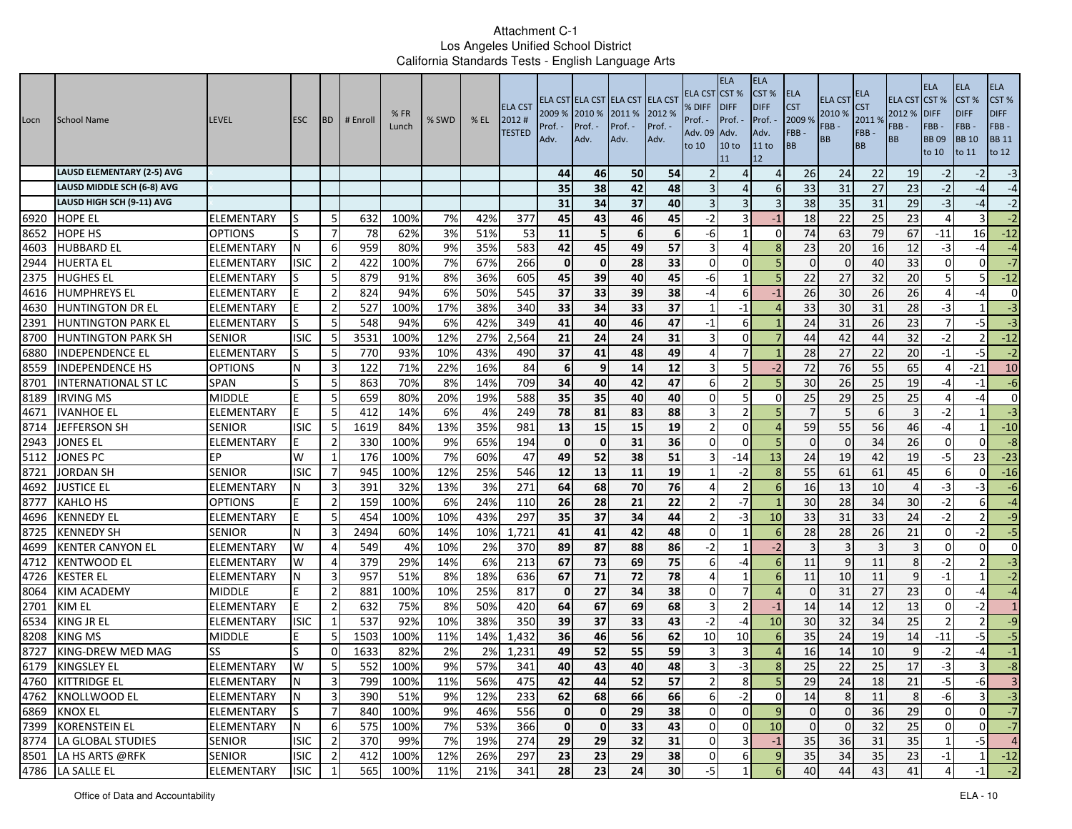| Locn         | School Name                        | <b>LEVEL</b>             | <b>ESC</b>  | <b>BD</b>                        | # Enroll   | %FR<br>Lunch | % SWD     | $%$ EL     | <b>ELA CST</b><br>2012#<br><b>TESTED</b> | 2009 %<br>Prof.<br>Adv. | 2010 %<br>Prof. -<br>Adv. | ELA CST ELA CST ELA CST ELA CST<br>2011 %<br>Prof. -<br>Adv. | 2012 %<br>Prof. -<br>Adv. | ELA CST<br>% DIFF<br>Prof. -<br><b>Adv. 09</b><br>to 10 | <b>ELA</b><br>CST <sup>%</sup><br><b>IDIFF</b><br>Prof. -<br>Adv.<br>10 <sub>to</sub><br>11 | <b>ELA</b><br>CST%<br><b>DIFF</b><br>Prof.<br>Adv.<br>11 to<br>12 | ELA<br><b>CST</b><br>2009 %<br>FBB-<br>ВB | <b>ELA CST</b><br>2010 %<br>FBB-<br>BB | ELA<br>S <sub>T</sub><br>2011 %<br>FBB-<br><b>BB</b> | <b>ELA CST</b><br>2012 %<br>FBB-<br><b>BB</b> | <b>ELA</b><br>CST %<br><b>DIFF</b><br>FBB-<br><b>BB09</b><br>to 10 | <b>ELA</b><br>CST <sub>%</sub><br><b>DIFF</b><br>FBB-<br><b>BB</b> 10<br>to 11 | ELA<br>CST%<br><b>DIFF</b><br>FBB-<br><b>BB</b> 11<br>to 12 |
|--------------|------------------------------------|--------------------------|-------------|----------------------------------|------------|--------------|-----------|------------|------------------------------------------|-------------------------|---------------------------|--------------------------------------------------------------|---------------------------|---------------------------------------------------------|---------------------------------------------------------------------------------------------|-------------------------------------------------------------------|-------------------------------------------|----------------------------------------|------------------------------------------------------|-----------------------------------------------|--------------------------------------------------------------------|--------------------------------------------------------------------------------|-------------------------------------------------------------|
|              | <b>LAUSD ELEMENTARY (2-5) AVG</b>  |                          |             |                                  |            |              |           |            |                                          | 44                      | 46                        | 50                                                           | 54                        |                                                         | Δ                                                                                           | $\overline{4}$                                                    | 26                                        | 24                                     | 22                                                   | 19                                            | $-2$                                                               | -2                                                                             | $-3$                                                        |
|              | LAUSD MIDDLE SCH (6-8) AVG         |                          |             |                                  |            |              |           |            |                                          | 35                      | 38                        | 42                                                           | 48                        |                                                         | 4                                                                                           | 6                                                                 | 33                                        | 31                                     | 27                                                   | 23                                            | $-2$                                                               | -4                                                                             | $-4$                                                        |
|              | LAUSD HIGH SCH (9-11) AVG          |                          |             |                                  |            |              |           |            |                                          | 31                      | 34                        | 37                                                           | 40                        | 3                                                       | 3                                                                                           | 3                                                                 | 38                                        | 35                                     | 31                                                   | 29                                            | $-3$                                                               | -4                                                                             | $-2$                                                        |
| 6920         | <b>HOPE EL</b>                     | ELEMENTARY               | ıs          | -5                               | 632        | 100%         | 7%        | 42%        | 377                                      | 45                      | 43                        | 46                                                           | 45                        | $-2$                                                    | 3                                                                                           | $-1$                                                              | 18                                        | 22                                     | 25                                                   | 23                                            | $\overline{4}$                                                     |                                                                                | $-2$                                                        |
| 8652         | <b>HOPE HS</b>                     | <b>OPTIONS</b>           |             | $\overline{7}$                   | 78         | 62%          | 3%        | 51%        | 53                                       | 11                      | 5                         | 6                                                            | 6                         | -6                                                      |                                                                                             | $\Omega$                                                          | 74                                        | 63                                     | 79                                                   | 67                                            | $-11$                                                              | 16                                                                             | $-12$                                                       |
| 4603         | <b>HUBBARD EL</b>                  | ELEMENTARY               | N           | 6                                | 959        | 80%          | 9%        | 35%        | 583                                      | 42                      | 45                        | 49                                                           | 57                        | 3                                                       | $\Delta$                                                                                    | 8                                                                 | 23                                        | 20                                     | 16                                                   | 12                                            | $-3$                                                               | -4                                                                             | $-4$                                                        |
| 2944         | <b>HUERTA EL</b>                   | ELEMENTARY               | <b>ISIC</b> | $\overline{2}$                   | 422        | 100%         | 7%        | 67%        | 266                                      | $\mathbf 0$             | $\mathbf 0$               | 28                                                           | 33                        | 0                                                       | 0                                                                                           | 5                                                                 | $\Omega$                                  | $\Omega$                               | 40                                                   | 33                                            | $\Omega$                                                           | $\Omega$                                                                       | $-7$                                                        |
| 2375         | <b>HUGHES EL</b>                   | ELEMENTARY               |             | -5                               | 879        | 91%          | 8%        | 36%        | 605                                      | 45                      | 39                        | 40                                                           | 45                        | -6                                                      |                                                                                             | 5                                                                 | 22                                        | 27                                     | 32                                                   | 20                                            | 5                                                                  | 5                                                                              | $-12$                                                       |
| 4616         | <b>HUMPHREYS EL</b>                | ELEMENTARY               |             | $\overline{2}$                   | 824        | 94%          | 6%        | 50%        | 545                                      | $\overline{37}$         | 33                        | 39                                                           | 38                        | -4                                                      | 6                                                                                           | $-1$                                                              | 26                                        | 30                                     | 26                                                   | 26                                            | $\overline{4}$                                                     | -4                                                                             | $\mathbf{0}$                                                |
| 4630         | <b>HUNTINGTON DR EL</b>            | ELEMENTARY               |             | $\overline{2}$                   | 527        | 100%         | 17%       | 38%        | 340                                      | 33                      | 34                        | 33                                                           | 37                        |                                                         | $-1$                                                                                        |                                                                   | 33                                        | 30                                     | 31                                                   | 28                                            | $-3$                                                               |                                                                                | $-3$                                                        |
| 2391         | <b>HUNTINGTON PARK EL</b>          | ELEMENTARY               |             | 5                                | 548        | 94%          | 6%        | 42%        | 349                                      | 41                      | 40                        | 46                                                           | 47                        | $-1$                                                    | 6                                                                                           |                                                                   | 24                                        | 31                                     | $\overline{26}$                                      | 23                                            | $\overline{7}$                                                     | $-5$                                                                           | $-3$                                                        |
| 8700         | <b>HUNTINGTON PARK SH</b>          | <b>SENIOR</b>            | <b>ISIC</b> | 5                                | 3531       | 100%         | 12%       | 27%        | 2,564                                    | 21                      | 24                        | 24                                                           | 31                        | 3                                                       | 0 <sup>o</sup>                                                                              |                                                                   | 44                                        | 42                                     | 44                                                   | 32                                            | $-2$                                                               | 2                                                                              | $-12$                                                       |
| 6880         | <b>INDEPENDENCE EL</b>             | ELEMENTARY               |             | 5                                | 770        | 93%          | 10%       | 43%        | 490                                      | 37                      | 41                        | 48                                                           | 49                        | 4                                                       |                                                                                             |                                                                   | 28                                        | 27                                     | 22                                                   | 20                                            | $-1$                                                               | -5                                                                             | $-2$                                                        |
| 8559         | <b>INDEPENDENCE HS</b>             | OPTIONS                  | N           | 3                                | 122        | 71%          | 22%       | 16%        | 84                                       | 6                       | 9                         | 14                                                           | 12                        | 3                                                       | 5                                                                                           | $-2$                                                              | 72                                        | 76                                     | 55                                                   | 65                                            | 4                                                                  | -21                                                                            | 10                                                          |
| 8701         | <b>INTERNATIONAL ST LC</b>         | SPAN                     | S           | 5                                | 863        | 70%          | 8%        | 14%        | 709                                      | 34                      | 40                        | 42                                                           | 47                        | 6                                                       | $\overline{2}$                                                                              |                                                                   | 30                                        | 26                                     | 25                                                   | 19                                            | $-4$                                                               | -1                                                                             | $-6$                                                        |
| 8189         | <b>IRVING MS</b>                   | <b>MIDDLE</b>            |             | 5                                | 659        | 80%          | 20%       | 19%        | 588                                      | 35                      | $\overline{35}$           | 40                                                           | 40                        | $\Omega$                                                | 5                                                                                           | $\Omega$                                                          | 25                                        | 29                                     | 25                                                   | 25                                            | 4                                                                  | -4                                                                             | $\mathbf{0}$                                                |
| 4671         | <b>IVANHOE EL</b>                  | ELEMENTARY               |             | 5                                | 412        | 14%          | 6%        | 4%         | 249                                      | 78                      | 81                        | 83                                                           | 88                        | 3                                                       | $\mathcal{P}$                                                                               |                                                                   |                                           |                                        | 6                                                    | 3                                             | $-2$                                                               |                                                                                | $-3$                                                        |
| 8714         | JEFFERSON SH                       | SENIOR                   | <b>ISIC</b> | 5 <sub>l</sub>                   | 1619       | 84%          | 13%       | 35%        | 981                                      | 13                      | 15                        | 15                                                           | 19                        | $\overline{2}$                                          | $\Omega$                                                                                    | $\Delta$                                                          | 59                                        | 55                                     | 56                                                   | 46                                            | $-4$                                                               |                                                                                | $-10$                                                       |
| 2943         | JONES EL                           | ELEMENTARY               |             | $\overline{2}$                   | 330        | 100%         | 9%        | 65%        | 194                                      | $\Omega$                | $\mathbf 0$               | 31                                                           | 36                        | $\Omega$                                                | $\Omega$                                                                                    | 5                                                                 | $\Omega$                                  | $\Omega$                               | 34                                                   | 26                                            | $\Omega$                                                           | $\Omega$                                                                       | $-8$                                                        |
| 5112         | <b>JONES PC</b>                    | EР                       | W           | 1                                | 176        | 100%         | 7%        | 60%        | 47                                       | 49                      | 52                        | 38                                                           | 51                        | 3                                                       | $-14$                                                                                       | 13                                                                | 24                                        | 19                                     | 42                                                   | 19                                            | $-5$                                                               | 23                                                                             | $-23$                                                       |
| 8721         | JORDAN SH                          | SENIOR                   | <b>ISIC</b> | 7                                | 945        | 100%         | 12%       | 25%        | 546                                      | 12                      | 13                        | 11                                                           | 19                        |                                                         | -2                                                                                          | -8                                                                | 55                                        | 61                                     | 61                                                   | 45                                            | 6                                                                  | $\Omega$                                                                       | $-16$                                                       |
| 4692         | <b>JUSTICE EL</b>                  | ELEMENTARY               | N           | 3                                | 391        | 32%          | 13%       | 3%         | 271                                      | 64                      | 68                        | 70                                                           | 76                        | $\Delta$                                                | $\overline{2}$                                                                              | 6                                                                 | 16                                        | 13                                     | 10                                                   | 4                                             | -3                                                                 | -3                                                                             | $-6$                                                        |
| 8777         | <b>KAHLO HS</b>                    | <b>OPTIONS</b>           |             | $\overline{2}$                   | 159        | 100%         | 6%        | 24%        | 110                                      | $\overline{26}$         | $\overline{28}$           | $\overline{21}$                                              | 22                        |                                                         | $-7$                                                                                        |                                                                   | 30                                        | 28                                     | 34                                                   | 30                                            | $-2$                                                               | 6                                                                              | $-4$                                                        |
| 4696         | <b>KENNEDY EL</b>                  | ELEMENTARY               |             | 5                                | 454        | 100%         | 10%       | 43%        | 297                                      | 35                      | 37                        | 34                                                           | 44                        | $\overline{\phantom{a}}$                                | $-3$                                                                                        | 10                                                                | 33                                        | 31                                     | 33                                                   | 24                                            | $-2$                                                               | $\overline{2}$                                                                 | $-9$                                                        |
| 8725         | <b>KENNEDY SH</b>                  | <b>SENIOR</b>            | N           | 3                                | 2494       | 60%          | 14%       | 10%        | 1,721                                    | 41                      | 41                        | 42                                                           | 48                        | $\Omega$                                                |                                                                                             | 6                                                                 | 28                                        | 28                                     | 26                                                   | 21                                            | $\Omega$                                                           | $-2$                                                                           | $-5$                                                        |
| 4699         | <b>KENTER CANYON EL</b>            | ELEMENTARY               | W           | $\overline{4}$                   | 549        | 4%           | 10%       | 2%         | 370                                      | 89                      | 87                        | 88                                                           | 86                        | $-2$                                                    |                                                                                             | $-2$                                                              | $\overline{3}$                            |                                        |                                                      | 3                                             | $\Omega$                                                           | $\Omega$                                                                       | $\mathbf 0$                                                 |
| 4712         | <b>KENTWOOD EL</b>                 | ELEMENTARY               | W           | 4                                | 379        | 29%          | 14%       | 6%         | 213                                      | 67                      | 73                        | 69                                                           | 75                        | 6                                                       | -4                                                                                          | 6                                                                 | 11                                        | $\mathbf{q}$                           | 11                                                   | 8                                             | $-2$                                                               | $\overline{2}$                                                                 | $-3$                                                        |
| 4726<br>8064 | <b>KESTER EL</b>                   | ELEMENTARY               | N           | 3                                | 957<br>881 | 51%<br>100%  | 8%<br>10% | 18%<br>25% | 636<br>817                               | 67                      | 71<br>27                  | 72<br>34                                                     | 78<br>38                  | $\Delta$                                                |                                                                                             | 6<br>$\Delta$                                                     | 11<br>$\Omega$                            | 10 <sup>1</sup><br>31                  | 11<br>27                                             | 9                                             | $-1$<br>$\Omega$                                                   |                                                                                | $-2$<br>$-4$                                                |
|              | <b>KIM ACADEMY</b>                 | MIDDLE                   |             | $\overline{2}$<br>$\overline{2}$ | 632        | 75%          | 8%        | 50%        |                                          | $\mathbf 0$<br>64       |                           | 69                                                           | 68                        | $\Omega$<br>3                                           | $\overline{\phantom{a}}$                                                                    | $-1$                                                              |                                           | 14                                     | 12                                                   | 23<br>13                                      | $\Omega$                                                           | $-4$<br>$-2$                                                                   | $\mathbf{1}$                                                |
| 2701<br>6534 | <b>KIM EL</b><br><b>KING JR EL</b> | ELEMENTARY<br>ELEMENTARY | <b>ISIC</b> | 1                                | 537        | 92%          | 10%       | 38%        | 420<br>350                               | 39                      | 67<br>37                  | 33                                                           | 43                        | $-2$                                                    | $-4$                                                                                        | 10                                                                | 14<br>30                                  | 32                                     | $\overline{34}$                                      | 25                                            | $\overline{\phantom{a}}$                                           | $\overline{2}$                                                                 | $-9$                                                        |
| 8208         | <b>KING MS</b>                     | <b>MIDDLE</b>            |             | 5                                | 1503       | 100%         | 11%       | 14%        | 1,432                                    | 36                      | 46                        | 56                                                           | 62                        | 10                                                      | 10                                                                                          | 6                                                                 | 35                                        | 24                                     | 19                                                   | 14                                            | $-11$                                                              | $-5$                                                                           | $-5$                                                        |
| 8727         | KING-DREW MED MAG                  | SS                       |             | 0                                | 1633       | 82%          | 2%        | 2%         | 1,231                                    | 49                      | 52                        | 55                                                           | 59                        |                                                         | 3                                                                                           |                                                                   | 16                                        | 14                                     | 10                                                   |                                               | $-2$                                                               | -4                                                                             | $-1$                                                        |
| 6179         | <b>KINGSLEY EL</b>                 | ELEMENTARY               | W           | 5                                | 552        | 100%         | 9%        | 57%        | 341                                      | 40                      | 43                        | 40                                                           | 48                        | 3                                                       | -3                                                                                          | 8                                                                 | 25                                        | 22                                     | 25                                                   | 17                                            | $-3$                                                               | $\overline{3}$                                                                 | $-8$                                                        |
|              | 4760 KITTRIDGE EL                  | <b>ELEMENTARY</b>        |             |                                  | 799        | 100%         | 11%       | 56%        | 475                                      | 42                      |                           | 52                                                           | 57                        |                                                         |                                                                                             |                                                                   |                                           | 24                                     |                                                      | $21\,$                                        |                                                                    | $-6$                                                                           |                                                             |
|              | 4762 KNOLLWOOD EL                  | <b>ELEMENTARY</b>        | ΙN<br>N     | 3<br>$\overline{3}$              | 390        | 51%          | 9%        | 12%        | 233                                      | 62                      | 44<br>68                  | 66                                                           | 66                        | 6                                                       | ୪<br>$-2$                                                                                   | э<br>$\mathbf 0$                                                  | 29<br>14                                  | 8                                      | 18<br>11                                             | 8                                             | $-6$                                                               | $\overline{3}$                                                                 | $\mathbf{3}$<br>نى                                          |
|              | 6869 KNOX EL                       | ELEMENTARY               | S           | $\overline{7}$                   | 840        | 100%         | 9%        | 46%        | 556                                      | 0                       | $\pmb{0}$                 | 29                                                           | 38                        | $\overline{0}$                                          | 0                                                                                           | $\overline{9}$                                                    | $\overline{0}$                            | $\overline{0}$                         | 36                                                   | 29                                            | $\overline{0}$                                                     | $\overline{0}$                                                                 | $-7$                                                        |
|              | 7399 KORENSTEIN EL                 | ELEMENTARY               | N           | 6                                | 575        | 100%         | 7%        | 53%        | 366                                      | $\mathbf{0}$            | $\mathbf 0$               | 33                                                           | 43                        | $\overline{0}$                                          | $\overline{0}$                                                                              | 10                                                                | $\overline{0}$                            | $\Omega$                               | 32                                                   | 25                                            | $\overline{0}$                                                     | 0                                                                              | $-7$                                                        |
|              | 8774 LA GLOBAL STUDIES             | <b>SENIOR</b>            | <b>ISIC</b> | $\overline{2}$                   | 370        | 99%          | 7%        | 19%        | 274                                      | 29                      | 29                        | 32                                                           | 31                        | $\overline{0}$                                          | $\overline{3}$                                                                              | $-1$                                                              | 35                                        | 36                                     | 31                                                   | 35                                            | $\mathbf{1}$                                                       | $-5$                                                                           | $\overline{4}$                                              |
|              | 8501 LA HS ARTS @RFK               | <b>SENIOR</b>            | <b>ISIC</b> | $\overline{2}$                   | 412        | 100%         | 12%       | 26%        | 297                                      | 23                      | 23                        | 29                                                           | 38                        | $\overline{0}$                                          | 6                                                                                           | $\overline{9}$                                                    | 35                                        | 34                                     | 35                                                   | 23                                            | $-1$                                                               |                                                                                | $-12$                                                       |
|              | 4786 LA SALLE EL                   | <b>ELEMENTARY</b>        | <b>ISIC</b> |                                  | 565        | 100%         | 11%       | 21%        | 341                                      | 28                      | 23                        | 24                                                           | 30                        | $-5$                                                    |                                                                                             | 6                                                                 | 40                                        | 44                                     | 43                                                   | 41                                            |                                                                    |                                                                                | $-2$                                                        |
|              |                                    |                          |             |                                  |            |              |           |            |                                          |                         |                           |                                                              |                           |                                                         |                                                                                             |                                                                   |                                           |                                        |                                                      |                                               |                                                                    |                                                                                |                                                             |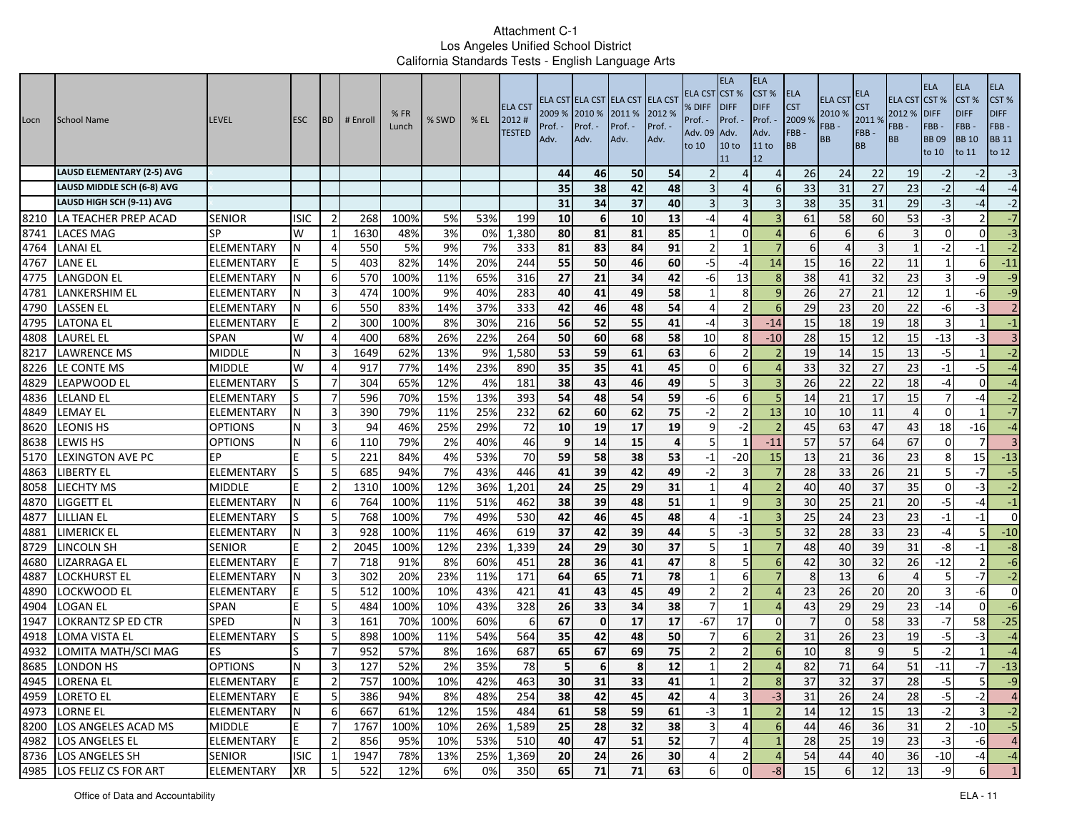| Locn | <b>School Name</b>                | <b>LEVEL</b>      | <b>ESC</b>  | <b>BD</b>      | # Enroll | %FR<br>Lunch | % SWD | $%$ EL | <b>ELA CST</b><br>2012#<br><b>TESTED</b> | 2009 %<br>Prof. ·<br>Adv. | 2010 %<br>Prof. -<br>Adv. | ELA CST ELA CST ELA CST ELA CST<br>2011 %<br>Prof. -<br>Adv. | 2012 %<br>Prof. -<br>Adv. | ELA CST<br>% DIFF<br>Prof. -<br>Adv. 09<br>to 10 | <b>ELA</b><br>CST <sup>%</sup><br><b>IDIFF</b><br>Prof. -<br>Adv.<br>10 <sub>to</sub><br>11 | <b>ELA</b><br>CST %<br><b>DIFF</b><br>Prof.<br>Adv.<br>11 to<br>12 | <b>ELA</b><br><b>CST</b><br>2009 %<br>FBB-<br>BB | <b>ELA CST</b><br>2010 %<br>FBB-<br>BB | ELA<br><b>CST</b><br>2011 %<br>FBB-<br><b>BB</b> | <b>ELA CST</b><br>2012 %<br>FBB -<br><b>BB</b> | <b>ELA</b><br>CST%<br><b>DIFF</b><br>FBB-<br><b>BB09</b><br>to 10 | <b>ELA</b><br>CST <sub>%</sub><br><b>DIFF</b><br>FBB-<br><b>BB10</b><br>to 11 | <b>ELA</b><br>CST%<br><b>DIFF</b><br>FBB-<br><b>BB 11</b><br>to 12 |
|------|-----------------------------------|-------------------|-------------|----------------|----------|--------------|-------|--------|------------------------------------------|---------------------------|---------------------------|--------------------------------------------------------------|---------------------------|--------------------------------------------------|---------------------------------------------------------------------------------------------|--------------------------------------------------------------------|--------------------------------------------------|----------------------------------------|--------------------------------------------------|------------------------------------------------|-------------------------------------------------------------------|-------------------------------------------------------------------------------|--------------------------------------------------------------------|
|      | <b>LAUSD ELEMENTARY (2-5) AVG</b> |                   |             |                |          |              |       |        |                                          | 44                        | 46                        | 50                                                           | 54                        |                                                  |                                                                                             | $\Delta$                                                           | 26                                               | 24                                     | 22                                               | 19                                             | $-2$                                                              | $-2$                                                                          | $-3$                                                               |
|      | LAUSD MIDDLE SCH (6-8) AVG        |                   |             |                |          |              |       |        |                                          | 35                        | 38                        | 42                                                           | 48                        |                                                  | $\Delta$                                                                                    | 6                                                                  | 33                                               | 31                                     | 27                                               | 23                                             | $-2$                                                              | $-4$                                                                          | $-4$                                                               |
|      | LAUSD HIGH SCH (9-11) AVG         |                   |             |                |          |              |       |        |                                          | 31                        | 34                        | 37                                                           | 40                        |                                                  | 3                                                                                           |                                                                    | 38                                               | 35                                     | 31                                               | 29                                             | $-3$                                                              | $-4$                                                                          | $-2$                                                               |
| 8210 | LA TEACHER PREP ACAD              | <b>SENIOR</b>     | ISIC        | -2             | 268      | 100%         | 5%    | 53%    | 199                                      | 10                        | 6                         | 10                                                           | 13                        | -4                                               | Δ                                                                                           |                                                                    | 61                                               | 58                                     | 60                                               | 53                                             | -3                                                                |                                                                               | $-7$                                                               |
| 8741 | <b>LACES MAG</b>                  | <b>SP</b>         | W           |                | 1630     | 48%          | 3%    | 0%     | 1,380                                    | 80                        | 81                        | 81                                                           | 85                        |                                                  | $\Omega$                                                                                    |                                                                    | 6                                                |                                        | 6                                                |                                                | $\Omega$                                                          | $\Omega$                                                                      | $-3$                                                               |
| 4764 | LANAI EL                          | <b>ELEMENTARY</b> |             | $\overline{4}$ | 550      | 5%           | 9%    | 7%     | 333                                      | 81                        | 83                        | 84                                                           | 91                        | $\overline{2}$                                   |                                                                                             | $\overline{7}$                                                     | 6                                                |                                        | 3                                                |                                                | $-2$                                                              | $-1$                                                                          | $-2$                                                               |
| 4767 | LANE EL                           | ELEMENTARY        |             | -5             | 403      | 82%          | 14%   | 20%    | 244                                      | 55                        | 50                        | 46                                                           | 60                        | -5                                               | -4                                                                                          | 14                                                                 | 15                                               | 16                                     | 22                                               | 11                                             |                                                                   | 6                                                                             | $-11$                                                              |
| 4775 | LANGDON EL                        | ELEMENTARY        |             | 6              | 570      | 100%         | 11%   | 65%    | 316                                      | 27                        | 21                        | 34                                                           | 42                        | -6                                               | 13                                                                                          |                                                                    | 38                                               | 41                                     | 32                                               | 23                                             |                                                                   | -9                                                                            | $-9$                                                               |
| 4781 | LANKERSHIM EL                     | ELEMENTARY        |             | 3              | 474      | 100%         | 9%    | 40%    | 283                                      | 40                        | 41                        | 49                                                           | 58                        |                                                  | 8                                                                                           | 9                                                                  | 26                                               | 27                                     | 21                                               | 12                                             |                                                                   | -6                                                                            | $-9$                                                               |
| 4790 | LASSEN EL                         | ELEMENTARY        | N           | -6             | 550      | 83%          | 14%   | 37%    | 333                                      | 42                        | 46                        | 48                                                           | 54                        | $\prime$                                         |                                                                                             | -6                                                                 | 29                                               | 23                                     | 20                                               | 22                                             | -6                                                                | $-3$                                                                          | $\overline{2}$                                                     |
| 4795 | LATONA EL                         | ELEMENTARY        |             | $\overline{2}$ | 300      | 100%         | 8%    | 30%    | 216                                      | 56                        | 52                        | 55                                                           | 41                        | -4                                               | 3                                                                                           | $-14$                                                              | 15                                               | 18                                     | 19                                               | 18                                             |                                                                   |                                                                               | $-1$                                                               |
| 4808 | LAUREL EL                         | <b>SPAN</b>       | W           | 4              | 400      | 68%          | 26%   | 22%    | 264                                      | 50                        | 60                        | 68                                                           | 58                        | 10                                               | 8                                                                                           | $-10$                                                              | 28                                               | 15                                     | 12                                               | 15                                             | $-13$                                                             | $-3$                                                                          | $\overline{3}$                                                     |
| 8217 | <b>LAWRENCE MS</b>                | MIDDLE            | N           | 3              | 1649     | 62%          | 13%   | 9%     | 1,580                                    | 53                        | 59                        | 61                                                           | 63                        | 6                                                |                                                                                             |                                                                    | 19                                               | 14                                     | 15                                               | 13                                             | $-5$                                                              |                                                                               | $-2$                                                               |
| 8226 | LE CONTE MS                       | <b>MIDDLE</b>     | W           | 4              | 917      | 77%          | 14%   | 23%    | 890                                      | 35                        | 35                        | 41                                                           | 45                        | 0                                                | 6                                                                                           |                                                                    | 33                                               | 32                                     | 27                                               | 23                                             | $-1$                                                              | $-5$                                                                          | $-4$                                                               |
| 4829 | LEAPWOOD EL                       | ELEMENTARY        |             | -7             | 304      | 65%          | 12%   | 4%     | 181                                      | 38                        | 43                        | 46                                                           | 49                        | 5                                                | 3                                                                                           |                                                                    | 26                                               | 22                                     | 22                                               | 18                                             | $-4$                                                              | $\mathbf{0}$                                                                  | $-4$                                                               |
| 4836 | <b>LELAND EL</b>                  | ELEMENTARY        |             | -7             | 596      | 70%          | 15%   | 13%    | 393                                      | 54                        | 48                        | 54                                                           | 59                        | -6                                               | 6                                                                                           |                                                                    | 14                                               | 21                                     | 17                                               | 15                                             |                                                                   | $-4$                                                                          | $-2$                                                               |
| 4849 | LEMAY EL                          | ELEMENTARY        | N           | 3              | 390      | 79%          | 11%   | 25%    | 232                                      | 62                        | 60                        | 62                                                           | 75                        | $-2$                                             | $\overline{2}$                                                                              | 13                                                                 | 10                                               | 10                                     | 11                                               |                                                | $\Omega$                                                          |                                                                               | $-7$                                                               |
| 8620 | <b>LEONIS HS</b>                  | <b>OPTIONS</b>    | N           | 3              | 94       | 46%          | 25%   | 29%    | 72                                       | 10                        | 19                        | 17                                                           | 19                        | q                                                | $-2$                                                                                        |                                                                    | 45                                               | 63                                     | 47                                               | 43                                             | 18                                                                | $-16$                                                                         | $-4$                                                               |
| 8638 | LEWIS HS                          | <b>OPTIONS</b>    | N           | -6             | 110      | 79%          | 2%    | 40%    | 46                                       | 9                         | 14                        | 15                                                           | 4                         |                                                  |                                                                                             | $-11$                                                              | 57                                               | 57                                     | 64                                               | 67                                             | $\Omega$                                                          | 7                                                                             | $\overline{\mathbf{3}}$                                            |
| 5170 | <b>LEXINGTON AVE PC</b>           | EР                | E           | 5              | 221      | 84%          | 4%    | 53%    | 70                                       | 59                        | 58                        | 38                                                           | 53                        | $-1$                                             | $-20$                                                                                       | 15                                                                 | 13                                               | 21                                     | 36                                               | 23                                             | 8                                                                 | 15                                                                            | $-13$                                                              |
| 4863 | LIBERTY EL                        | ELEMENTARY        |             | -5             | 685      | 94%          | 7%    | 43%    | 446                                      | 41                        | 39                        | 42                                                           | 49                        | -2                                               | 3                                                                                           |                                                                    | 28                                               | 33                                     | 26                                               | 21                                             |                                                                   | $-7$                                                                          | $-5$                                                               |
| 8058 | <b>LIECHTY MS</b>                 | <b>MIDDLE</b>     |             | $\overline{2}$ | 1310     | 100%         | 12%   | 36%    | 1,201                                    | 24                        | 25                        | 29                                                           | 31                        | -1                                               | 4                                                                                           |                                                                    | 40                                               | 40                                     | 37                                               | 35                                             | $\mathbf 0$                                                       | $-3$                                                                          | $-2$                                                               |
| 4870 | liggett el                        | ELEMENTARY        | N           | 6              | 764      | 100%         | 11%   | 51%    | 462                                      | 38                        | 39                        | 48                                                           | 51                        |                                                  | 9                                                                                           |                                                                    | 30                                               | 25                                     | $\overline{21}$                                  | 20                                             | -5                                                                | $-4$                                                                          | $^{\rm -1}$                                                        |
| 4877 | LILLIAN EL                        | ELEMENTARY        |             | -5             | 768      | 100%         | 7%    | 49%    | 530                                      | 42                        | 46                        | 45                                                           | 48                        |                                                  | $-1$                                                                                        | $\overline{a}$                                                     | 25                                               | 24                                     | 23                                               | 23                                             | $-1$                                                              | $-1$                                                                          | $\overline{0}$                                                     |
| 4881 | LIMERICK EL                       | ELEMENTARY        |             | 3              | 928      | 100%         | 11%   | 46%    | 619                                      | 37                        | 42                        | 39                                                           | 44                        | 5                                                | -3                                                                                          | 5                                                                  | 32                                               | 28                                     | 33                                               | 23                                             | $-4$                                                              | 51                                                                            | $-10$                                                              |
| 8729 | LINCOLN SH                        | <b>SENIOR</b>     | F           | $\overline{2}$ | 2045     | 100%         | 12%   | 23%    | 1,339                                    | 24                        | 29                        | 30                                                           | 37                        | ŗ.                                               |                                                                                             |                                                                    | 48                                               | 40                                     | 39                                               | 31                                             | -8                                                                | $-1$                                                                          | $-8$                                                               |
| 4680 | LIZARRAGA EL                      | ELEMENTARY        |             | -7             | 718      | 91%          | 8%    | 60%    | 451                                      | 28                        | 36                        | 41                                                           | 47                        | 8                                                | 5                                                                                           | 6                                                                  | 42                                               | 30                                     | 32                                               | 26                                             | -12                                                               | $\overline{2}$                                                                | $-6$                                                               |
| 4887 | LOCKHURST EL                      | ELEMENTARY        |             | 3              | 302      | 20%          | 23%   | 11%    | 171                                      | 64                        | 65                        | 71                                                           | 78                        |                                                  | 6                                                                                           |                                                                    | 8                                                | 13                                     | 6                                                |                                                |                                                                   | $-7$                                                                          | $-2$                                                               |
| 4890 | LOCKWOOD EL                       | ELEMENTARY        | F           | 5              | 512      | 100%         | 10%   | 43%    | 421                                      | 41                        | 43                        | 45                                                           | 49                        |                                                  | $\overline{2}$                                                                              |                                                                    | 23                                               | 26                                     | 20                                               | 20                                             |                                                                   | $-6$                                                                          | $\overline{0}$                                                     |
| 4904 | LOGAN EL                          | <b>SPAN</b>       |             | -5             | 484      | 100%         | 10%   | 43%    | 328                                      | 26                        | 33                        | 34                                                           | 38                        |                                                  |                                                                                             |                                                                    | 43                                               | 29                                     | 29                                               | 23                                             | $-14$                                                             | $\Omega$                                                                      | $-6$                                                               |
| 1947 | <b>LOKRANTZ SP ED CTR</b>         | <b>SPED</b>       | N           | 3              | 161      | 70%          | 100%  | 60%    | 6                                        | 67                        | $\mathbf 0$               | 17                                                           | 17                        | $-67$                                            | 17                                                                                          | $\Omega$                                                           | $\overline{7}$                                   | $\Omega$                               | 58                                               | 33                                             | $-7$                                                              | 58                                                                            | $-25$                                                              |
| 4918 | LOMA VISTA EL                     | ELEMENTARY        |             | -5             | 898      | 100%         | 11%   | 54%    | 564                                      | 35                        | 42                        | 48                                                           | 50                        |                                                  | 6                                                                                           | $\overline{2}$                                                     | 31                                               | 26                                     | 23                                               | 19                                             | -5                                                                | $-3$                                                                          | $-4$                                                               |
| 4932 | LOMITA MATH/SCI MAG               | ES                |             | -7             | 952      | 57%          | 8%    | 16%    | 687                                      | 65                        | 67                        | 69                                                           | 75                        |                                                  | $\overline{2}$                                                                              |                                                                    | 10                                               |                                        | 9                                                |                                                | $-2$                                                              |                                                                               | $-4$                                                               |
| 8685 | LONDON HS                         | <b>OPTIONS</b>    | N           | 3              | 127      | 52%          | 2%    | 35%    | 78                                       | 5                         | 6                         | 8                                                            | 12                        | -1                                               | $\overline{2}$                                                                              |                                                                    | 82                                               | 71                                     | 64                                               | 51                                             | $-11$                                                             | $-7$                                                                          | $-13$                                                              |
|      | 4945 LORENA EL                    | <b>ELEMENTARY</b> | E           | $\mathbf{z}$   | 757      | 100%         | 10%   | 42%    | 463                                      | 30                        | 31                        | 33                                                           | 41                        |                                                  | $\mathbf{z}$                                                                                | ୪                                                                  | 37                                               | 32                                     | $37\,$                                           | 28                                             |                                                                   | $\mathsf{P}$                                                                  | $-9$                                                               |
|      | 4959 LORETO EL                    | <b>ELEMENTARY</b> | E           | -5             | 386      | 94%          | 8%    | 48%    | 254                                      | 38                        | 42                        | 45                                                           | 42                        | $\Delta$                                         | $\overline{3}$                                                                              | $-3$                                                               | 31                                               | 26                                     | 24                                               | 28                                             | $-5$                                                              | $-2$                                                                          | $\overline{4}$                                                     |
|      | 4973 LORNE EL                     | ELEMENTARY        | N           | 6              | 667      | 61%          | 12%   | 15%    | 484                                      | 61                        | 58                        | 59                                                           | 61                        | $-3$                                             | $\mathbf{1}$                                                                                | $\overline{2}$                                                     | 14                                               | 12                                     | 15                                               | 13                                             | $-2$                                                              | $\overline{\mathsf{3}}$                                                       | $-2$                                                               |
|      | 8200 LOS ANGELES ACAD MS          | <b>MIDDLE</b>     | E           | $\overline{7}$ | 1767     | 100%         | 10%   | 26%    | 1,589                                    | 25                        | 28                        | 32                                                           | 38                        | 3                                                | 4                                                                                           | $6 \overline{6}$                                                   | 44                                               | 46                                     | 36                                               | 31                                             | 2                                                                 | $-10$                                                                         | $-5$                                                               |
|      | 4982 LOS ANGELES EL               | <b>ELEMENTARY</b> | E           | $\overline{2}$ | 856      | 95%          | 10%   | 53%    | 510                                      | 40                        | 47                        | 51                                                           | 52                        | 7                                                | $\overline{4}$                                                                              | $\mathbf{1}$                                                       | 28                                               | 25                                     | 19                                               | 23                                             | $-3$                                                              | -6                                                                            | $\overline{4}$                                                     |
|      | 8736 LOS ANGELES SH               | <b>SENIOR</b>     | <b>ISIC</b> |                | 1947     | 78%          | 13%   | 25%    | 1,369                                    | 20 <sub>l</sub>           | 24                        | 26                                                           | 30                        | 4                                                | $\overline{2}$                                                                              | $\overline{4}$                                                     | 54                                               | 44                                     | 40                                               | 36                                             | $-10$                                                             | $-4$                                                                          | $-4$                                                               |
|      | 4985 LOS FELIZ CS FOR ART         | <b>ELEMENTARY</b> | XR          | -5             | 522      | 12%          | 6%    | 0%     | 350                                      | 65                        | 71                        | 71                                                           | 63                        | 6                                                | $\overline{0}$                                                                              | -8                                                                 | 15                                               | 6                                      | 12                                               | 13                                             | -9                                                                | 6I                                                                            | $\vert$ 1                                                          |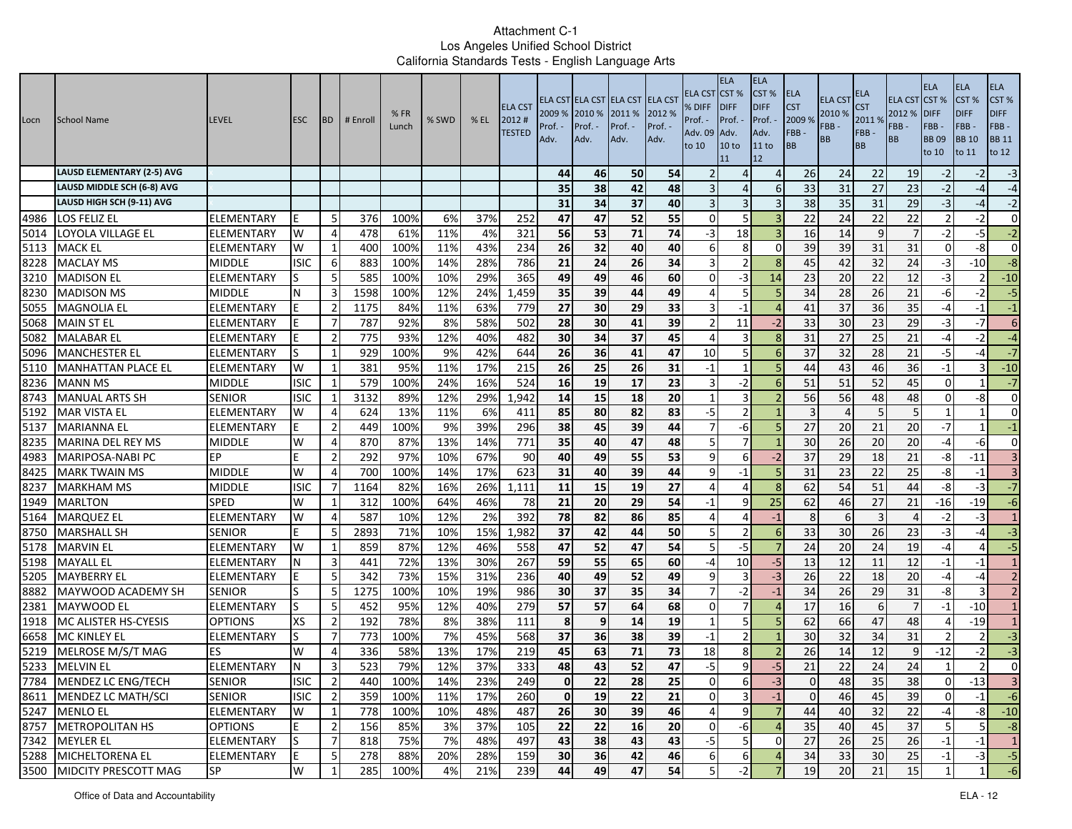| Locn | School Name                       | <b>LEVEL</b>      | <b>ESC</b>  | <b>BD</b>      | # Enroll | %FR<br>Lunch | % SWD | $%$ EL | <b>ELA CST</b><br>2012#<br><b>TESTED</b> | 2009 % 2010 %<br>Prof.<br>Adv. | Prof. -<br>Adv. | ELA CST ELA CST ELA CST ELA CST<br>2011 %<br>Prof. -<br>Adv. | 2012 %<br>Prof. -<br>Adv. | ELA CST<br>% DIFF<br>Prof. -<br>Adv. 09<br>to 10 | <b>ELA</b><br>CST <sup>%</sup><br><b>DIFF</b><br>Prof. -<br>Adv.<br>10 <sub>to</sub><br>11 | <b>ELA</b><br>CST %<br><b>DIFF</b><br>Prof.<br>Adv.<br>11 to<br>12 | <b>ELA</b><br><b>CST</b><br>2009 %<br>FBB-<br>BB | <b>ELA CST</b><br>2010 %<br>FBB-<br>BB | ELA<br><b>CST</b><br>2011%<br>FBB-<br><b>BB</b> | <b>ELA CST</b><br>2012 %<br>FBB -<br><b>BB</b> | <b>ELA</b><br>CST%<br><b>DIFF</b><br>FBB-<br><b>BB09</b><br>to 10 | <b>ELA</b><br>CST %<br><b>DIFF</b><br>FBB-<br><b>BB</b> 10<br>to 11 | <b>ELA</b><br>CST %<br><b>DIFF</b><br>FBB-<br><b>BB 11</b><br>to 12 |
|------|-----------------------------------|-------------------|-------------|----------------|----------|--------------|-------|--------|------------------------------------------|--------------------------------|-----------------|--------------------------------------------------------------|---------------------------|--------------------------------------------------|--------------------------------------------------------------------------------------------|--------------------------------------------------------------------|--------------------------------------------------|----------------------------------------|-------------------------------------------------|------------------------------------------------|-------------------------------------------------------------------|---------------------------------------------------------------------|---------------------------------------------------------------------|
|      | <b>LAUSD ELEMENTARY (2-5) AVG</b> |                   |             |                |          |              |       |        |                                          | 44                             | 46              | 50                                                           | 54                        |                                                  |                                                                                            | $\overline{4}$                                                     | 26                                               | 24                                     | 22                                              | 19                                             | $-2$                                                              | $-2$                                                                | $-3$                                                                |
|      | LAUSD MIDDLE SCH (6-8) AVG        |                   |             |                |          |              |       |        |                                          | 35                             | 38              | 42                                                           | 48                        |                                                  | $\Delta$                                                                                   | 6                                                                  | 33                                               | 31                                     | 27                                              | 23                                             | $-2$                                                              | -4                                                                  | $-4$                                                                |
|      | LAUSD HIGH SCH (9-11) AVG         |                   |             |                |          |              |       |        |                                          | 31                             | 34              | 37                                                           | 40                        |                                                  | 3                                                                                          |                                                                    | 38                                               | 35                                     | 31                                              | 29                                             | $-3$                                                              | $-4$                                                                | $-2$                                                                |
| 4986 | LOS FELIZ EL                      | ELEMENTARY        | E           | -5             | 376      | 100%         | 6%    | 37%    | 252                                      | 47                             | 47              | 52                                                           | 55                        | $\bigcap$                                        | 5                                                                                          |                                                                    | 22                                               | 24                                     | 22                                              | 22                                             |                                                                   | $-2$                                                                | $\overline{0}$                                                      |
| 5014 | LOYOLA VILLAGE EL                 | ELEMENTARY        | W           | $\overline{4}$ | 478      | 61%          | 11%   | 4%     | 321                                      | 56                             | 53              | 71                                                           | 74                        | $-3$                                             | 18                                                                                         |                                                                    | 16                                               | 14                                     | 9                                               |                                                | $-2$                                                              | $-5$                                                                | $-2$                                                                |
| 5113 | <b>MACK EL</b>                    | ELEMENTARY        | W           | $\mathbf{1}$   | 400      | 100%         | 11%   | 43%    | 234                                      | 26                             | 32              | 40                                                           | 40                        |                                                  | 8                                                                                          | $\Omega$                                                           | 39                                               | 39                                     | 31                                              | 31                                             | $\Omega$                                                          | $-8$                                                                | $\overline{0}$                                                      |
| 8228 | <b>MACLAY MS</b>                  | <b>MIDDLE</b>     | <b>ISIC</b> | 6              | 883      | 100%         | 14%   | 28%    | 786                                      | 21                             | 24              | 26                                                           | 34                        |                                                  | $\overline{2}$                                                                             | 8                                                                  | 45                                               | 42                                     | 32                                              | 24                                             | -3                                                                | $-10$                                                               | $-8$                                                                |
| 3210 | <b>MADISON EL</b>                 | ELEMENTARY        |             | -5             | 585      | 100%         | 10%   | 29%    | 365                                      | 49                             | 49              | 46                                                           | 60                        |                                                  | -3                                                                                         | 14                                                                 | 23                                               | 20                                     | 22                                              | 12                                             | -3                                                                | $\overline{2}$                                                      | $-10$                                                               |
| 8230 | <b>MADISON MS</b>                 | MIDDLE            | N           | 3              | 1598     | 100%         | 12%   | 24%    | 1,459                                    | 35                             | 39              | 44                                                           | 49                        |                                                  | 5                                                                                          |                                                                    | 34                                               | 28                                     | 26                                              | 21                                             | -6                                                                | $-2$                                                                | $-5$                                                                |
| 5055 | <b>MAGNOLIA EL</b>                | ELEMENTARY        |             | $\overline{2}$ | 1175     | 84%          | 11%   | 63%    | 779                                      | 27                             | 30              | 29                                                           | 33                        |                                                  | $-1$                                                                                       |                                                                    | 41                                               | 37                                     | 36                                              | 35                                             | $-4$                                                              | $-1$                                                                | $-1$                                                                |
| 5068 | <b>MAIN ST EL</b>                 | ELEMENTARY        |             | -7             | 787      | 92%          | 8%    | 58%    | 502                                      | 28                             | 30              | 41                                                           | 39                        |                                                  | 11                                                                                         | $-2$                                                               | 33                                               | 30                                     | 23                                              | 29                                             | -3                                                                | $-7$                                                                | 6                                                                   |
| 5082 | <b>MALABAR EL</b>                 | ELEMENTARY        |             | $\overline{2}$ | 775      | 93%          | 12%   | 40%    | 482                                      | 30                             | 34              | 37                                                           | 45                        |                                                  | 3                                                                                          | $\mathbf{g}$                                                       | 31                                               | 27                                     | 25                                              | 21                                             | $-4$                                                              | $-2$                                                                | $-4$                                                                |
| 5096 | <b>MANCHESTER EL</b>              | <b>ELEMENTARY</b> |             |                | 929      | 100%         | 9%    | 42%    | 644                                      | 26                             | 36              | 41                                                           | 47                        | 10                                               | 5                                                                                          | 6                                                                  | 37                                               | 32                                     | 28                                              | 21                                             | $-5$                                                              | $-4$                                                                | $-7$                                                                |
| 5110 | <b>MANHATTAN PLACE EL</b>         | ELEMENTARY        | W           | 1              | 381      | 95%          | 11%   | 17%    | 215                                      | 26                             | 25              | 26                                                           | 31                        | $-1$                                             | $\mathbf{1}$                                                                               |                                                                    | 44                                               | 43                                     | 46                                              | 36                                             | $-1$                                                              | ς                                                                   | $-10$                                                               |
| 8236 | <b>MANN MS</b>                    | MIDDLE            | <b>ISIC</b> | 1              | 579      | 100%         | 24%   | 16%    | 524                                      | 16                             | 19              | 17                                                           | 23                        | 3                                                | -2                                                                                         |                                                                    | 51                                               | 51                                     | 52                                              | 45                                             | $\Omega$                                                          |                                                                     | $-7$                                                                |
| 8743 | <b>MANUAL ARTS SH</b>             | <b>SENIOR</b>     | <b>ISIC</b> | -1             | 3132     | 89%          | 12%   | 29%    | 1,942                                    | 14                             | 15              | 18                                                           | 20                        |                                                  | 3                                                                                          |                                                                    | 56                                               | 56                                     | 48                                              | 48                                             | $\Omega$                                                          | -8                                                                  | $\overline{0}$                                                      |
| 5192 | <b>MAR VISTA EL</b>               | ELEMENTARY        | W           | 4              | 624      | 13%          | 11%   | 6%     | 411                                      | 85                             | 80              | 82                                                           | 83                        | $-5$                                             | $\overline{2}$                                                                             |                                                                    | $\overline{3}$                                   |                                        | 5                                               | 5                                              |                                                                   |                                                                     | $\Omega$                                                            |
| 5137 | <b>MARIANNA EL</b>                | ELEMENTARY        |             | $\overline{2}$ | 449      | 100%         | 9%    | 39%    | 296                                      | 38                             | 45              | 39                                                           | 44                        | 7                                                | -6                                                                                         | 5                                                                  | 27                                               | 20                                     | 21                                              | 20                                             | $-7$                                                              |                                                                     | $-1$                                                                |
| 8235 | MARINA DEL REY MS                 | <b>MIDDLE</b>     | W           | $\overline{4}$ | 870      | 87%          | 13%   | 14%    | 771                                      | 35                             | 40              | 47                                                           | 48                        | 5                                                | $\overline{7}$                                                                             |                                                                    | 30                                               | 26                                     | 20                                              | 20                                             | $-4$                                                              | $-6$                                                                | $\overline{0}$                                                      |
| 4983 | <b>MARIPOSA-NABI PC</b>           | EР                | E           | $\overline{2}$ | 292      | 97%          | 10%   | 67%    | 90                                       | 40                             | 49              | 55                                                           | 53                        | q                                                | 6                                                                                          | $-2$                                                               | 37                                               | 29                                     | 18                                              | 21                                             | -8                                                                | $-11$                                                               | $\overline{\mathbf{3}}$                                             |
| 8425 | <b>MARK TWAIN MS</b>              | <b>MIDDLE</b>     | W           | 4              | 700      | 100%         | 14%   | 17%    | 623                                      | 31                             | 40              | 39                                                           | 44                        |                                                  | $-1$                                                                                       |                                                                    | 31                                               | 23                                     | 22                                              | 25                                             | -8                                                                | $-1$                                                                | $\overline{3}$                                                      |
| 8237 | <b>MARKHAM MS</b>                 | MIDDLE            | <b>ISIC</b> | 7              | 1164     | 82%          | 16%   | 26%    | 1,111                                    | 11                             | 15              | 19                                                           | 27                        |                                                  | 4                                                                                          | -8                                                                 | 62                                               | 54                                     | 51                                              | 44                                             | -8                                                                | -3                                                                  | $-7$                                                                |
| 1949 | <b>MARLTON</b>                    | <b>SPED</b>       | W           |                | 312      | 100%         | 64%   | 46%    | 78                                       | $\overline{21}$                | 20              | 29                                                           | 54                        | $-1$                                             | 9                                                                                          | 25                                                                 | 62                                               | 46                                     | $\overline{27}$                                 | 21                                             | $-16$                                                             | $-19$                                                               | $-6$                                                                |
| 5164 | <b>MARQUEZ EL</b>                 | ELEMENTARY        | W           | $\overline{4}$ | 587      | 10%          | 12%   | 2%     | 392                                      | 78                             | 82              | 86                                                           | 85                        |                                                  | Δ                                                                                          | $-1$                                                               | 8                                                |                                        | $\overline{3}$                                  |                                                | $-2$                                                              | $-3$                                                                | $\mathbf{1}$                                                        |
| 8750 | <b>MARSHALL SH</b>                | <b>SENIOR</b>     |             | 5              | 2893     | 71%          | 10%   | 15%    | 1,982                                    | 37                             | 42              | 44                                                           | 50                        | 5                                                | $\overline{2}$                                                                             | 6                                                                  | 33                                               | 30                                     | 26                                              | 23                                             | $-3$                                                              | $-4$                                                                | $-3$                                                                |
| 5178 | <b>MARVIN EL</b>                  | ELEMENTARY        | W           | -1             | 859      | 87%          | 12%   | 46%    | 558                                      | 47                             | 52              | 47                                                           | 54                        | 5                                                | $-5$                                                                                       |                                                                    | 24                                               | 20                                     | 24                                              | 19                                             | $-4$                                                              | $\overline{4}$                                                      | $-5$                                                                |
| 5198 | <b>MAYALL EL</b>                  | ELEMENTARY        |             | 3              | 441      | 72%          | 13%   | 30%    | 267                                      | 59                             | 55              | 65                                                           | 60                        | -4                                               | 10                                                                                         | $-5$                                                               | 13                                               | 12                                     | 11                                              | 12                                             | $-1$                                                              | -1                                                                  | $\mathbf{1}$                                                        |
| 5205 | <b>MAYBERRY EL</b>                | ELEMENTARY        |             | 5              | 342      | 73%          | 15%   | 31%    | 236                                      | 40                             | 49              | 52                                                           | 49                        | q                                                | 3                                                                                          | -3                                                                 | 26                                               | 22                                     | 18                                              | 20                                             | -4                                                                | $-4$                                                                | 2 <sup>1</sup>                                                      |
| 8882 | MAYWOOD ACADEMY SH                | <b>SENIOR</b>     |             | 5              | 1275     | 100%         | 10%   | 19%    | 986                                      | 30                             | 37              | 35                                                           | 34                        |                                                  | -2                                                                                         | $-1$                                                               | 34                                               | 26                                     | 29                                              | 31                                             | -8                                                                | $\overline{3}$                                                      | 2                                                                   |
| 2381 | MAYWOOD EL                        | ELEMENTARY        | lS          | 5              | 452      | 95%          | 12%   | 40%    | 279                                      | 57                             | 57              | 64                                                           | 68                        | $\cup$                                           | $\overline{7}$                                                                             |                                                                    | 17                                               | 16                                     | 6                                               |                                                | $-1$                                                              | $-10$                                                               | $1\overline{ }$                                                     |
| 1918 | MC ALISTER HS-CYESIS              | <b>OPTIONS</b>    | <b>XS</b>   | $\overline{2}$ | 192      | 78%          | 8%    | 38%    | 111                                      | 8                              | 9               | 14                                                           | 19                        |                                                  | 5 <sub>l</sub>                                                                             |                                                                    | 62                                               | 66                                     | 47                                              | 48                                             |                                                                   | $-19$                                                               | $\mathbf{1}$                                                        |
| 6658 | MC KINLEY EL                      | ELEMENTARY        | S           | $\overline{7}$ | 773      | 100%         | 7%    | 45%    | 568                                      | 37                             | 36              | 38                                                           | 39                        | $-1$                                             | $\overline{2}$                                                                             |                                                                    | 30                                               | 32                                     | 34                                              | 31                                             |                                                                   |                                                                     | $-3$                                                                |
| 5219 | MELROSE M/S/T MAG                 | ES                | W           | 4              | 336      | 58%          | 13%   | 17%    | 219                                      | 45                             | 63              | 71                                                           | 73                        | 18                                               | 8                                                                                          |                                                                    | 26                                               | 14                                     | 12                                              | q                                              | -12                                                               | $-2$                                                                | $-3$                                                                |
| 5233 | <b>MELVIN EL</b>                  | ELEMENTARY        | N           | 3              | 523      | 79%          | 12%   | 37%    | 333                                      | 48                             | 43              | 52                                                           | 47                        | $-5$                                             | 9                                                                                          | $-5$                                                               | 21                                               | 22                                     | 24                                              | 24                                             |                                                                   | 2 <sub>1</sub>                                                      | $\overline{0}$                                                      |
|      | 7784 MENDEZ LC ENG/TECH           | <b>SENIOR</b>     | <b>ISIC</b> | $\mathbf{z}$   | 440      | 100%         | 14%   | 23%    | 249                                      | οl                             | 22              | 28                                                           | 25                        |                                                  | b                                                                                          | -31                                                                |                                                  | 48                                     | 35                                              | 38                                             |                                                                   | $-13$                                                               |                                                                     |
|      | 8611 MENDEZ LC MATH/SCI           | <b>SENIOR</b>     | <b>ISIC</b> | $\overline{2}$ | 359      | 100%         | 11%   | 17%    | 260                                      | 0                              | 19              | 22                                                           | 21                        | $\Omega$                                         | $\overline{3}$                                                                             | $-1$                                                               | $\mathbf{0}$                                     | 46                                     | 45                                              | 39                                             | $\Omega$                                                          | $-1$                                                                | $-6$                                                                |
|      | 5247 MENLO EL                     | ELEMENTARY        | W           | 1              | 778      | 100%         | 10%   | 48%    | 487                                      | 26                             | 30              | 39                                                           | 46                        | $\overline{4}$                                   | $\overline{9}$                                                                             | $\overline{7}$                                                     | 44                                               | 40                                     | 32                                              | 22                                             | $-4$                                                              | $-8$                                                                | $-10$                                                               |
|      | 8757 METROPOLITAN HS              | <b>OPTIONS</b>    | E           | $\overline{2}$ | 156      | 85%          | 3%    | 37%    | 105                                      | 22                             | 22              | 16                                                           | 20                        | 0                                                | $-6$                                                                                       | $\overline{4}$                                                     | 35                                               | 40                                     | 45                                              | 37                                             |                                                                   | 5 <sub>l</sub>                                                      | $-8$                                                                |
|      | 7342 MEYLER EL                    | ELEMENTARY        | S           | $\overline{7}$ | 818      | 75%          | 7%    | 48%    | 497                                      | 43                             | 38              | 43                                                           | 43                        | $-5$                                             | 5 <sub>l</sub>                                                                             | 0                                                                  | 27                                               | 26                                     | 25                                              | 26                                             | $-1$                                                              | $-1$                                                                | $\vert$ 1                                                           |
|      | 5288 MICHELTORENA EL              | ELEMENTARY        | E           | -5             | 278      | 88%          | 20%   | 28%    | 159                                      | 30                             | 36              | 42                                                           | 46                        | 6                                                | 6                                                                                          | $\overline{4}$                                                     | 34                                               | 33                                     | 30                                              | 25                                             | $-1$                                                              | -31                                                                 | $-5$                                                                |
|      | 3500 MIDCITY PRESCOTT MAG         | <b>SP</b>         | W           |                | 285      | 100%         | 4%    | 21%    | 239                                      | 44                             | 49              | 47                                                           | 54                        | 5                                                | $-2$                                                                                       |                                                                    | 19                                               | 20                                     | 21                                              | 15                                             |                                                                   |                                                                     | $-6$                                                                |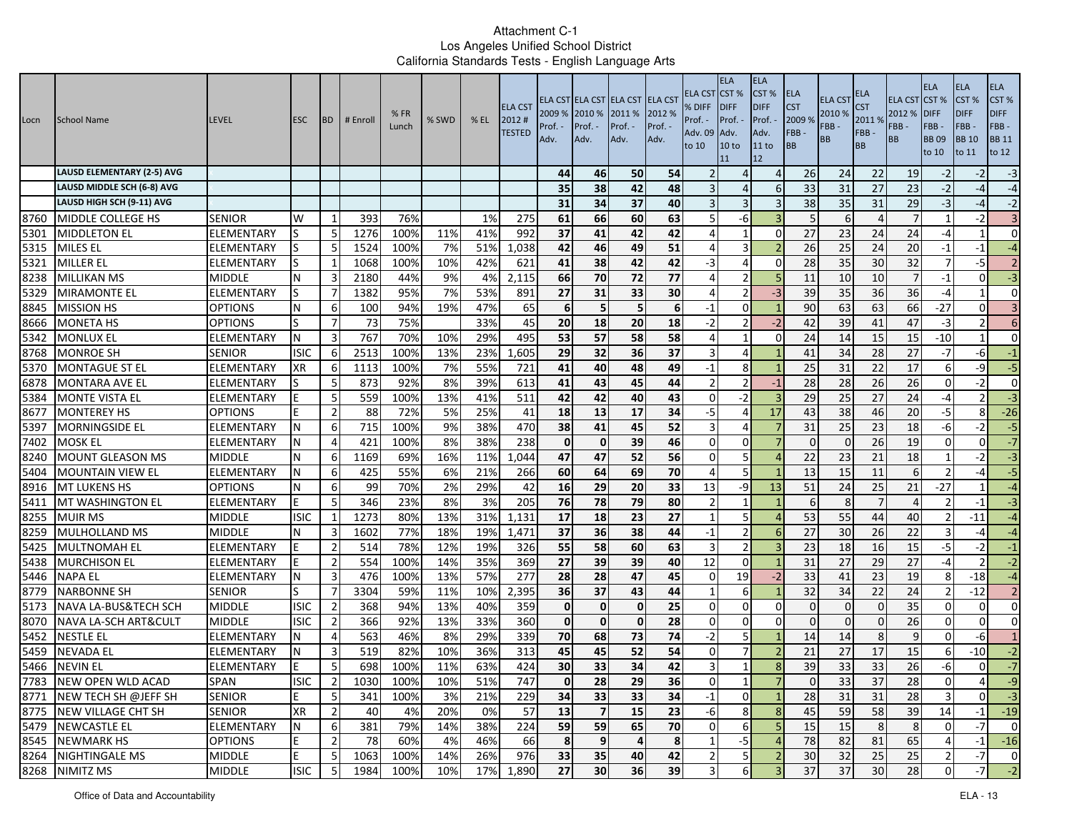| Locn         | School Name                                          | <b>LEVEL</b>                        | <b>ESC</b>       | <b>BD</b>       | # Enrol      | %FR<br>Lunch | % SWD      | $%$ EL     | <b>ELA CST</b><br>2012#<br><b>TESTED</b> | 2009 % 2010 %<br>Prof.<br>Adv. | Prof. -<br>Adv.  | ELA CST ELA CST ELA CST ELA CST<br>2011 %<br>Prof. -<br>Adv. | 2012 %<br>Prof. -<br>Adv. | ELA CST<br>% DIFF<br>Prof. -<br>Adv. 09<br>to 10 | <b>ELA</b><br>CST%<br><b>IDIFF</b><br>Prof. -<br>Adv.<br>10 <sub>to</sub><br>11 | <b>ELA</b><br>CST %<br><b>DIFF</b><br>Prof.<br>Adv.<br>11 to<br>12 | <b>ELA</b><br><b>CST</b><br>2009 %<br>FBB-<br>BB | <b>ELA CST</b><br>2010 %<br>FBB-<br>BB | ELA<br><b>CST</b><br>2011%<br>FBB-<br><b>BB</b> | <b>ELA CST</b><br>2012 %<br>FBB -<br><b>BB</b> | <b>ELA</b><br>CST%<br><b>DIFF</b><br>FBB-<br><b>BB09</b><br>to 10 | <b>ELA</b><br>CST %<br><b>DIFF</b><br>FBB-<br><b>BB</b> 10<br>to 11 | <b>ELA</b><br>CST%<br><b>DIFF</b><br>FBB-<br><b>BB 11</b><br>to 12 |
|--------------|------------------------------------------------------|-------------------------------------|------------------|-----------------|--------------|--------------|------------|------------|------------------------------------------|--------------------------------|------------------|--------------------------------------------------------------|---------------------------|--------------------------------------------------|---------------------------------------------------------------------------------|--------------------------------------------------------------------|--------------------------------------------------|----------------------------------------|-------------------------------------------------|------------------------------------------------|-------------------------------------------------------------------|---------------------------------------------------------------------|--------------------------------------------------------------------|
|              | <b>LAUSD ELEMENTARY (2-5) AVG</b>                    |                                     |                  |                 |              |              |            |            |                                          | 44                             | 46               | 50                                                           | 54                        |                                                  | $\Delta$                                                                        | $\overline{4}$                                                     | 26                                               | 24                                     | 22                                              | 19                                             | $-2$                                                              | $-2$                                                                | $-3$                                                               |
|              | LAUSD MIDDLE SCH (6-8) AVG                           |                                     |                  |                 |              |              |            |            |                                          | 35                             | 38               | 42                                                           | 48                        |                                                  | $\Delta$                                                                        | 6                                                                  | 33                                               | 31                                     | 27                                              | 23                                             | $-2$                                                              | $-4$                                                                | $-4$                                                               |
|              | LAUSD HIGH SCH (9-11) AVG                            |                                     |                  |                 |              |              |            |            |                                          | 31                             | 34               | 37                                                           | 40                        |                                                  | $\overline{3}$                                                                  | 3                                                                  | 38                                               | 35                                     | 31                                              | 29                                             | $-3$                                                              | $-4$                                                                | $-2$                                                               |
| 8760         | MIDDLE COLLEGE HS                                    | <b>SENIOR</b>                       | W                | -1              | 393          | 76%          |            | 1%         | 275                                      | 61                             | 66               | 60                                                           | 63                        |                                                  | -6                                                                              |                                                                    | 5                                                |                                        | $\overline{4}$                                  |                                                |                                                                   | $-2$                                                                | $\overline{3}$                                                     |
| 5301         | <b>MIDDLETON EL</b>                                  | ELEMENTARY                          | lS               | $5\overline{5}$ | 1276         | 100%         | 11%        | 41%        | 992                                      | 37                             | 41               | 42                                                           | 42                        |                                                  |                                                                                 | $\Omega$                                                           | 27                                               | 23                                     | 24                                              | 24                                             | -4                                                                |                                                                     | $\overline{0}$                                                     |
| 5315         | <b>MILES EL</b>                                      | ELEMENTARY                          | lS.              | 5               | 1524         | 100%         | 7%         | 51%        | 1,038                                    | 42                             | 46               | 49                                                           | 51                        | $\Delta$                                         | 3                                                                               | $\overline{2}$                                                     | 26                                               | 25                                     | 24                                              | 20                                             | $-1$                                                              | $-1$                                                                | $-4$                                                               |
| 5321         | <b>MILLER EL</b>                                     | ELEMENTARY                          |                  |                 | 1068         | 100%         | 10%        | 42%        | 621                                      | 41                             | 38               | 42                                                           | 42                        | -3                                               | 4                                                                               | $\Omega$                                                           | 28                                               | 35                                     | 30                                              | 32                                             |                                                                   | $-5$                                                                | $\overline{2}$                                                     |
| 8238         | <b>MILLIKAN MS</b>                                   | <b>MIDDLE</b>                       | N                | 3               | 2180         | 44%          | 9%         | 4%         | 2,115                                    | 66                             | 70               | 72                                                           | 77                        |                                                  | $\overline{2}$                                                                  |                                                                    | 11                                               | 10                                     | 10                                              | $\overline{7}$                                 | $-1$                                                              | $\Omega$                                                            | $-3$                                                               |
| 5329         | <b>MIRAMONTE EL</b>                                  | ELEMENTARY                          | lS.              | $\overline{7}$  | 1382         | 95%          | 7%         | 53%        | 891                                      | 27                             | 31               | 33                                                           | 30                        |                                                  | $\overline{2}$                                                                  | $-3$                                                               | 39                                               | 35                                     | 36                                              | 36                                             | $-4$                                                              |                                                                     | $\overline{0}$                                                     |
| 8845         | <b>MISSION HS</b>                                    | <b>OPTIONS</b>                      | N                | -6              | 100          | 94%          | 19%        | 47%        | 65                                       | 6                              | 5                | 5                                                            | 6                         | $-1$                                             | $\Omega$                                                                        |                                                                    | 90                                               | 63                                     | 63                                              | 66                                             | $-27$                                                             | $\Omega$                                                            | $\overline{3}$                                                     |
| 8666         | <b>MONETA HS</b>                                     | <b>OPTIONS</b>                      |                  | 7               | 73           | 75%          |            | 33%        | 45                                       | 20                             | 18               | 20                                                           | 18                        | $-2$                                             | $\overline{2}$                                                                  | $-2$                                                               | 42                                               | 39                                     | 41                                              | 47                                             | $-3$                                                              | $\overline{\mathcal{L}}$                                            | 6                                                                  |
| 5342         | <b>MONLUX EL</b>                                     | ELEMENTARY                          | N                | 3               | 767          | 70%          | 10%        | 29%        | 495                                      | 53                             | 57               | 58                                                           | 58                        | $\Delta$                                         | $\mathbf{1}$                                                                    | $\Omega$                                                           | 24                                               | 14                                     | 15                                              | 15                                             | $-10$                                                             | $\mathbf{1}$                                                        | $\overline{0}$                                                     |
| 8768         | <b>MONROE SH</b>                                     | <b>SENIOR</b>                       | <b>ISIC</b>      | 6               | 2513         | 100%         | 13%        | 23%        | 1,605                                    | 29                             | 32               | 36                                                           | 37                        |                                                  | $\Delta$                                                                        |                                                                    | 41                                               | 34                                     | 28                                              | 27                                             | $-7$                                                              | -61                                                                 | $-1$                                                               |
| 5370         | <b>MONTAGUE ST EL</b>                                | <b>ELEMENTARY</b>                   | XR               | 6               | 1113         | 100%         | 7%         | 55%        | 721                                      | 41                             | 40               | 48                                                           | 49                        | $-1$                                             | 8                                                                               |                                                                    | 25                                               | 31                                     | 22                                              | 17                                             | 6                                                                 | $-9$                                                                | $-5$                                                               |
| 6878         | MONTARA AVE EL                                       | ELEMENTARY                          |                  | 5               | 873          | 92%          | 8%         | 39%        | 613                                      | 41                             | 43               | 45                                                           | 44                        | -2                                               | $\overline{2}$                                                                  | $-1$                                                               | 28                                               | 28                                     | 26                                              | 26                                             | $\Omega$                                                          | -21                                                                 | $\overline{0}$                                                     |
| 5384         | <b>MONTE VISTA EL</b>                                | ELEMENTARY                          |                  | 5               | 559          | 100%         | 13%        | 41%        | $\overline{511}$                         | 42                             | 42               | 40                                                           | 43                        | $\Omega$                                         | $-2$                                                                            |                                                                    | 29                                               | 25                                     | 27                                              | 24                                             | $-4$                                                              |                                                                     | $\overline{a}$                                                     |
| 8677         | <b>MONTEREY HS</b>                                   | <b>OPTIONS</b>                      |                  | $\overline{2}$  | 88           | 72%          | 5%         | 25%        | 41                                       | 18                             | 13               | 17                                                           | 34                        | $-5$                                             | 4                                                                               | 17                                                                 | 43                                               | 38                                     | 46                                              | 20                                             | $-5$                                                              | 8                                                                   | $-26$                                                              |
| 5397         | <b>MORNINGSIDE EL</b>                                | ELEMENTARY                          | N                | 6               | 715          | 100%         | 9%         | 38%        | 470                                      | 38                             | 41               | 45                                                           | 52                        | 3                                                | $\Delta$                                                                        |                                                                    | 31                                               | 25                                     | 23                                              | 18                                             | -6                                                                | $-2$                                                                | $-5$                                                               |
| 7402         | <b>MOSK EL</b>                                       | ELEMENTARY                          |                  | $\overline{4}$  | 421          | 100%         | 8%         | 38%        | 238                                      | $\Omega$                       | $\mathbf 0$      | 39                                                           | 46                        | $\Omega$                                         | $\Omega$                                                                        |                                                                    | $\Omega$                                         |                                        | 26                                              | 19                                             | $\Omega$                                                          | $\Omega$                                                            | $-7$                                                               |
| 8240         | <b>MOUNT GLEASON MS</b>                              | <b>MIDDLE</b>                       | N                | 6               | 1169         | 69%          | 16%        | 11%        | 1,044                                    | 47                             | 47               | 52                                                           | 56                        | $\Omega$                                         | 5                                                                               |                                                                    | 22                                               | 23                                     | 21                                              | 18                                             |                                                                   | $-2$                                                                | $-3$                                                               |
| 5404         | <b>MOUNTAIN VIEW EL</b>                              | ELEMENTARY                          | N                | 6               | 425          | 55%          | 6%         | 21%        | 266                                      | 60                             | 64               | 69                                                           | 70                        |                                                  | 5                                                                               |                                                                    | 13                                               | 15                                     | 11                                              | $6 \mid$                                       |                                                                   | -4                                                                  | $-5$                                                               |
| 8916         | MT LUKENS HS                                         | <b>OPTIONS</b>                      | N                | 6               | 99           | 70%          | 2%         | 29%        | 42                                       | 16                             | 29               | 20                                                           | 33                        | 13                                               | او۔                                                                             | 13                                                                 | 51                                               | 24                                     | 25                                              | 21                                             | $-27$                                                             | 1                                                                   | $-4$                                                               |
| 5411         | MT WASHINGTON EL                                     | ELEMENTARY                          | E                | 5               | 346          | 23%          | 8%         | 3%         | 205                                      | 76                             | 78               | 79                                                           | 80                        |                                                  |                                                                                 |                                                                    | 6                                                | $\mathbf{8}$                           | $\overline{7}$                                  |                                                |                                                                   | $-1$                                                                | $-3$                                                               |
| 8255         | <b>MUIR MS</b>                                       | <b>MIDDLE</b>                       | <b>ISIC</b>      | 1               | 1273         | 80%          | 13%        | 31%        | 1,131                                    | 17                             | 18               | 23                                                           | 27                        |                                                  | 5                                                                               |                                                                    | 53                                               | 55                                     | 44                                              | 40                                             |                                                                   | $-11$                                                               | $-4$                                                               |
| 8259         | MULHOLLAND MS                                        | <b>MIDDLE</b>                       |                  | 3               | 1602         | 77%          | 18%        | 19%        | 1,471                                    | 37                             | 36               | 38                                                           | 44                        | $-1$                                             | $\overline{2}$                                                                  | 6                                                                  | 27                                               | 30                                     | 26                                              | 22                                             |                                                                   | $-4$                                                                | $-4$                                                               |
| 5425         | <b>MULTNOMAH EL</b>                                  | ELEMENTARY                          |                  | $\overline{2}$  | 514          | 78%          | 12%        | 19%        | 326                                      | 55                             | 58               | 60                                                           | 63                        | 3                                                | 2 <sup>1</sup>                                                                  |                                                                    | 23                                               | 18                                     | 16                                              | 15                                             | $-5$                                                              | $-2$                                                                | $-1$                                                               |
| 5438         | <b>MURCHISON EL</b>                                  | ELEMENTARY                          |                  | $\overline{2}$  | 554          | 100%         | 14%        | 35%        | 369                                      | 27                             | 39               | 39                                                           | 40                        | 12                                               | $\overline{0}$                                                                  |                                                                    | 31                                               | 27                                     | 29                                              | 27                                             | $-4$                                                              | $\overline{2}$                                                      | $-2$                                                               |
| 5446         | <b>NAPA EL</b>                                       | ELEMENTARY                          | N                | 3               | 476          | 100%         | 13%        | 57%        | 277                                      | 28                             | 28               | 47                                                           | 45                        | $\Omega$                                         | 19                                                                              | $-2$                                                               | 33                                               | 41                                     | 23                                              | 19                                             | 8                                                                 | $-18$                                                               | $-4$                                                               |
| 8779         | <b>NARBONNE SH</b>                                   | <b>SENIOR</b>                       | S                | 7               | 3304         | 59%          | 11%        | 10%        | 2,395                                    | 36                             | 37               | 43                                                           | 44                        |                                                  | 6                                                                               |                                                                    | 32                                               | 34                                     | 22                                              | 24                                             |                                                                   | $-12$                                                               | $\overline{2}$                                                     |
| 5173         | <b>NAVA LA-BUS&amp;TECH SCH</b>                      | <b>MIDDLE</b>                       | <b>ISIC</b>      | $\overline{2}$  | 368          | 94%          | 13%        | 40%        | 359                                      | $\mathbf{0}$                   | $\mathbf{0}$     | $\mathbf{0}$                                                 | 25                        | $\sqrt{ }$                                       | $\Omega$                                                                        | $\Omega$                                                           | $\Omega$                                         |                                        | $\Omega$                                        | 35                                             | $\Omega$                                                          | $\Omega$                                                            | $\overline{0}$                                                     |
| 8070         | NAVA LA-SCH ART&CULT                                 | <b>MIDDLE</b>                       | <b>ISIC</b>      | $\overline{2}$  | 366          | 92%          | 13%        | 33%        | 360                                      | $\mathbf{0}$                   | $\mathbf 0$      | $\mathbf{0}$                                                 | 28                        | $\Omega$                                         | $\mathbf 0$                                                                     | $\Omega$                                                           | $\Omega$                                         | $\Omega$                               | $\Omega$                                        | 26                                             | $\Omega$                                                          | $\overline{0}$                                                      | $\overline{0}$                                                     |
| 5452         | <b>NESTLE EL</b>                                     | <b>ELEMENTARY</b>                   |                  | 4               | 563          | 46%          | 8%         | 29%        | 339                                      | 70                             | 68               | 73                                                           | 74                        | $-2$                                             | 5                                                                               |                                                                    | 14                                               | 14                                     | 8                                               | 9                                              | $\Omega$                                                          | $-6$                                                                | $\mathbf{1}$                                                       |
| 5459<br>5466 | <b>NEVADA EL</b><br><b>NEVIN EL</b>                  | ELEMENTARY                          |                  | 3               | 519<br>698   | 82%<br>100%  | 10%<br>11% | 36%<br>63% | 313<br>424                               | 45<br>30                       | 45<br>33         | 52<br>34                                                     | 54<br>42                  | O<br>3                                           |                                                                                 | 8                                                                  | 21<br>$\overline{39}$                            | 27<br>33                               | 17<br>33                                        | 15<br>26                                       | 6                                                                 | $-10$<br>$\mathbf{0}$                                               | $-2$<br>$-7$                                                       |
|              | 7783 NEW OPEN WLD ACAD                               | ELEMENTARY                          |                  | 5               |              |              |            |            |                                          |                                |                  |                                                              |                           |                                                  |                                                                                 |                                                                    |                                                  |                                        |                                                 |                                                | -6                                                                |                                                                     |                                                                    |
|              |                                                      | SPAN                                | <b>ISIC</b>      | $\overline{2}$  | 1030         | 100%         | 10%        | 51%        | 747                                      | υı                             | 28               | 29<br>33                                                     | 36<br>34                  |                                                  | $\overline{0}$                                                                  |                                                                    | U<br>28                                          | 33                                     | $37\,$<br>31                                    | 28                                             |                                                                   | 41<br>$\mathbf{0}$                                                  | $-9$<br>$-3$                                                       |
|              | 8771 NEW TECH SH @JEFF SH<br>8775 NEW VILLAGE CHT SH | <b>SENIOR</b>                       | E                | $5\phantom{.0}$ | 341          | 100%         | 3%         | 21%        | 229<br>57                                | 34                             | 33               |                                                              |                           | $-1$                                             |                                                                                 |                                                                    |                                                  | 31                                     | 58                                              | 28                                             | $\overline{3}$                                                    |                                                                     |                                                                    |
|              |                                                      | <b>SENIOR</b>                       | XR               | $\overline{2}$  | 40           | 4%           | 20%        | $0\%$      |                                          | 13                             | $\overline{7}$   | 15                                                           | 23                        | $-6$                                             | 8                                                                               | $\boldsymbol{8}$<br>5                                              | 45                                               | 59                                     |                                                 | 39                                             | 14<br>$\mathbf 0$                                                 | $-1$                                                                | $-19$                                                              |
|              | 5479 NEWCASTLE EL                                    | <b>ELEMENTARY</b><br><b>OPTIONS</b> | N                | 6               | 381          | 79%<br>60%   | 14%<br>4%  | 38%        | 224                                      | 59<br>8                        | 59               | 65<br>$\overline{4}$                                         | 70<br>$\pmb{8}$           | $\mathbf 0$<br>$\mathbf{1}$                      | 6                                                                               | $\overline{4}$                                                     | 15                                               | 15                                     | 8 <sup>°</sup>                                  | 8                                              | 4                                                                 | $-7$                                                                | $\overline{0}$                                                     |
|              | 8545 NEWMARK HS                                      |                                     | E                | $\overline{2}$  | 78           |              |            | 46%        | 66<br>976                                |                                | $\boldsymbol{9}$ |                                                              | 42                        |                                                  | $-5$                                                                            |                                                                    | 78                                               | 82                                     | 81                                              | 65                                             |                                                                   | $-1$                                                                | $-16$                                                              |
|              | 8264 NIGHTINGALE MS<br>8268 NIMITZ MS                | <b>MIDDLE</b><br><b>MIDDLE</b>      | E<br><b>ISIC</b> | 5<br>-5         | 1063<br>1984 | 100%<br>100% | 14%<br>10% | 26%<br>17% | 1,890                                    | 33<br>27                       | 35<br>30         | 40<br>36                                                     | 39                        | $\overline{2}$<br>3                              | 5 <sub>l</sub><br>6                                                             | $\overline{2}$                                                     | 30<br>37                                         | 32<br>37                               | 25<br>30                                        | 25<br>28                                       | 2<br>$\Omega$                                                     | $-7$<br>$-7$                                                        | $\overline{0}$<br>$-2$                                             |
|              |                                                      |                                     |                  |                 |              |              |            |            |                                          |                                |                  |                                                              |                           |                                                  |                                                                                 |                                                                    |                                                  |                                        |                                                 |                                                |                                                                   |                                                                     |                                                                    |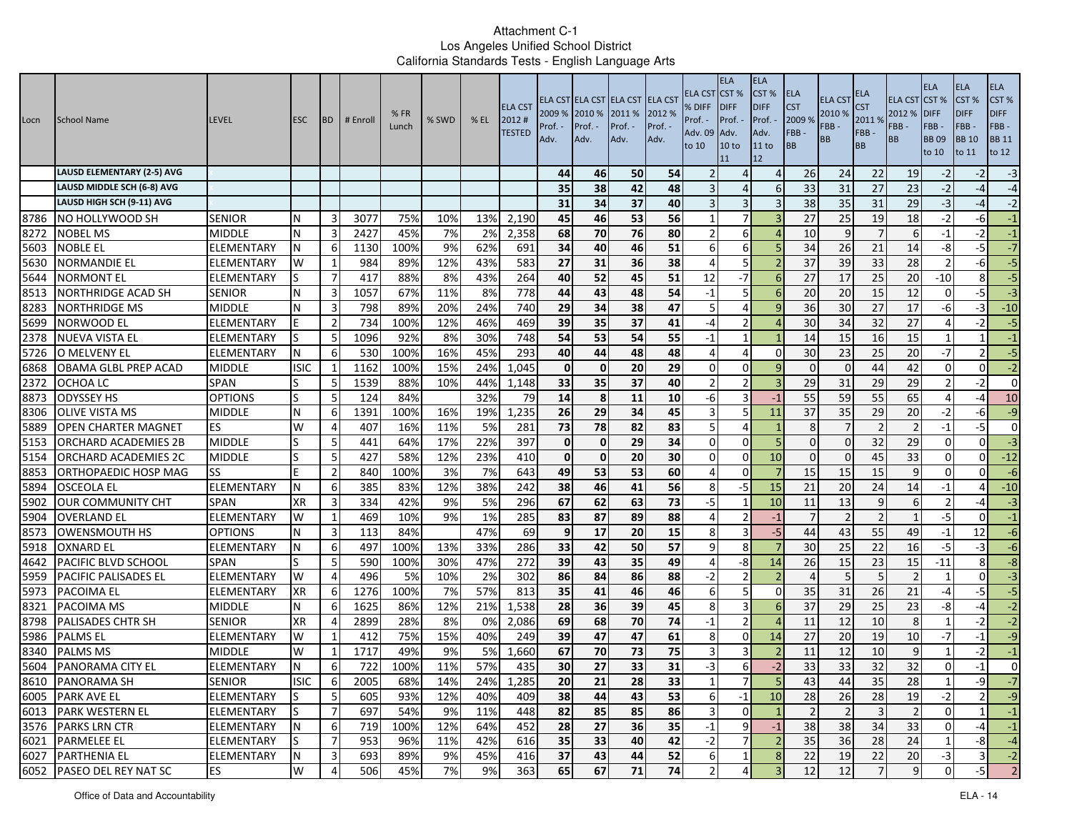| Locn | School Name                       | <b>LEVEL</b>      | <b>ESC</b>  | <b>IBD</b>     | # Enrol | %FR<br>Lunch | % SWD | $%$ EL | <b>ELA CST</b><br>2012#<br><b>TESTED</b> | 2009 %<br>Prof.<br>Adv. | 2010 %<br>Prof. -<br>Adv. | ELA CST ELA CST ELA CST ELA CST<br>2011 %<br>Prof. -<br>Adv. | 2012 %<br>Prof. -<br>Adv. | ELA CST<br>% DIFF<br>Prof. -<br>Adv. 09<br>to 10 | <b>ELA</b><br>CST <sup>%</sup><br><b>IDIFF</b><br>Prof. -<br>Adv.<br>10 <sub>to</sub><br>11 | <b>ELA</b><br>CST %<br><b>DIFF</b><br>Prof.<br>Adv.<br>11 to<br>12 | <b>ELA</b><br><b>CST</b><br>2009 %<br>FBB-<br>BB | <b>ELA CST</b><br>2010 %<br>FBB-<br>BB | ELA<br><b>CST</b><br>2011%<br>FBB-<br><b>BB</b> | <b>ELA CST</b><br>2012 %<br>FBB -<br><b>BB</b> | <b>ELA</b><br>CST%<br><b>DIFF</b><br>FBB-<br><b>BB09</b><br>to 10 | <b>ELA</b><br>CST %<br><b>DIFF</b><br>FBB-<br><b>BB</b> 10<br>to 11 | <b>ELA</b><br>CST%<br><b>DIFF</b><br>FBB-<br><b>BB 11</b><br>to 12 |
|------|-----------------------------------|-------------------|-------------|----------------|---------|--------------|-------|--------|------------------------------------------|-------------------------|---------------------------|--------------------------------------------------------------|---------------------------|--------------------------------------------------|---------------------------------------------------------------------------------------------|--------------------------------------------------------------------|--------------------------------------------------|----------------------------------------|-------------------------------------------------|------------------------------------------------|-------------------------------------------------------------------|---------------------------------------------------------------------|--------------------------------------------------------------------|
|      | <b>LAUSD ELEMENTARY (2-5) AVG</b> |                   |             |                |         |              |       |        |                                          | 44                      | 46                        | 50                                                           | 54                        |                                                  |                                                                                             | $\overline{4}$                                                     | 26                                               | 24                                     | 22                                              | 19                                             | $-2$                                                              | $-2$                                                                | $-3$                                                               |
|      | LAUSD MIDDLE SCH (6-8) AVG        |                   |             |                |         |              |       |        |                                          | 35                      | 38                        | 42                                                           | 48                        |                                                  | $\Delta$                                                                                    | 6                                                                  | 33                                               | 31                                     | 27                                              | 23                                             | $-2$                                                              | -4                                                                  | $-4$                                                               |
|      | LAUSD HIGH SCH (9-11) AVG         |                   |             |                |         |              |       |        |                                          | 31                      | 34                        | 37                                                           | 40                        |                                                  | 3                                                                                           |                                                                    | 38                                               | 35                                     | 31                                              | 29                                             | $-3$                                                              | $-4$                                                                | $-2$                                                               |
| 8786 | NO HOLLYWOOD SH                   | <b>SENIOR</b>     | N           | 3              | 3077    | 75%          | 10%   | 13%    | 2,190                                    | 45                      | 46                        | 53                                                           | 56                        |                                                  | 7                                                                                           |                                                                    | 27                                               | 25                                     | 19                                              | 18                                             | $-2$                                                              | $-6$                                                                | $-1$                                                               |
| 8272 | <b>NOBEL MS</b>                   | <b>MIDDLE</b>     | N           | 3              | 2427    | 45%          | 7%    | 2%     | 2,358                                    | 68                      | 70                        | 76                                                           | 80                        |                                                  | 6                                                                                           |                                                                    | 10                                               |                                        |                                                 | 6                                              | $-1$                                                              | $-2$                                                                | $^{\rm -1}$                                                        |
| 5603 | <b>NOBLE EL</b>                   | ELEMENTARY        | N           | 6              | 1130    | 100%         | 9%    | 62%    | 691                                      | 34                      | 40                        | 46                                                           | 51                        | -6                                               | 6                                                                                           | 5                                                                  | 34                                               | 26                                     | 21                                              | 14                                             | -8                                                                | $-5$                                                                | $-7$                                                               |
| 5630 | <b>NORMANDIE EL</b>               | ELEMENTARY        | W           | 1              | 984     | 89%          | 12%   | 43%    | 583                                      | 27                      | 31                        | 36                                                           | 38                        | $\Delta$                                         | 5                                                                                           |                                                                    | 37                                               | 39                                     | 33                                              | 28                                             |                                                                   | $-6$                                                                | $-5$                                                               |
| 5644 | NORMONT EL                        | ELEMENTARY        |             | 7              | 417     | 88%          | 8%    | 43%    | 264                                      | 40                      | 52                        | 45                                                           | 51                        | 12                                               | $-7$                                                                                        |                                                                    | 27                                               | 17                                     | 25                                              | 20                                             | $-10$                                                             | 8                                                                   | $-5$                                                               |
| 8513 | <b>NORTHRIDGE ACAD SH</b>         | SENIOR            | N           | 3              | 1057    | 67%          | 11%   | 8%     | $\overline{778}$                         | 44                      | 43                        | 48                                                           | 54                        | $-1$                                             | 5                                                                                           | 6                                                                  | 20                                               | 20                                     | 15                                              | 12                                             | 0                                                                 | $-5$                                                                | $\overline{a}$                                                     |
| 8283 | <b>NORTHRIDGE MS</b>              | <b>MIDDLE</b>     | N           | 3              | 798     | 89%          | 20%   | 24%    | 740                                      | 29                      | 34                        | 38                                                           | 47                        | 5                                                | 4                                                                                           |                                                                    | 36                                               | 30                                     | 27                                              | 17                                             | -6                                                                | $-3$                                                                | $-10$                                                              |
| 5699 | NORWOOD EL                        | ELEMENTARY        |             | $\overline{2}$ | 734     | 100%         | 12%   | 46%    | 469                                      | 39                      | 35                        | 37                                                           | 41                        | -4                                               | $\overline{2}$                                                                              |                                                                    | 30                                               | 34                                     | 32                                              | 27                                             |                                                                   | $-2$                                                                | $-5$                                                               |
| 2378 | <b>NUEVA VISTA EL</b>             | ELEMENTARY        |             | 5              | 1096    | 92%          | 8%    | 30%    | 748                                      | 54                      | 53                        | 54                                                           | 55                        | $-1$                                             | $\mathbf{1}$                                                                                |                                                                    | 14                                               | 15                                     | 16                                              | 15                                             |                                                                   |                                                                     | $-1$                                                               |
| 5726 | O MELVENY EL                      | <b>ELEMENTARY</b> | N           | 6              | 530     | 100%         | 16%   | 45%    | 293                                      | 40                      | 44                        | 48                                                           | 48                        |                                                  | 4                                                                                           | $\Omega$                                                           | 30                                               | 23                                     | 25                                              | 20                                             | $-7$                                                              |                                                                     | $-5$                                                               |
| 6868 | OBAMA GLBL PREP ACAD              | <b>MIDDLE</b>     | <b>ISIC</b> | 1              | 1162    | 100%         | 15%   | 24%    | 1,045                                    | $\mathbf{0}$            | $\mathbf 0$               | 20                                                           | 29                        | $\Omega$                                         | $\Omega$                                                                                    |                                                                    | $\Omega$                                         | $\Omega$                               | 44                                              | 42                                             | $\Omega$                                                          | $\Omega$                                                            | $-2$                                                               |
| 2372 | OCHOA LC                          | SPAN              | lS.         | -5             | 1539    | 88%          | 10%   | 44%    | 1,148                                    | 33                      | 35                        | 37                                                           | 40                        |                                                  | $\overline{2}$                                                                              | 3                                                                  | 29                                               | 31                                     | 29                                              | 29                                             |                                                                   | $-2$                                                                | $\overline{0}$                                                     |
| 8873 | <b>ODYSSEY HS</b>                 | OPTIONS           | lS          | -5             | 124     | 84%          |       | 32%    | 79                                       | 14                      | 8                         | 11                                                           | 10                        | -6                                               |                                                                                             | $-1$                                                               | 55                                               | 59                                     | 55                                              | 65                                             |                                                                   | $-4$                                                                | 10                                                                 |
| 8306 | <b>OLIVE VISTA MS</b>             | <b>MIDDLE</b>     | N           | 6              | 1391    | 100%         | 16%   | 19%    | 1,235                                    | 26                      | 29                        | 34                                                           | 45                        |                                                  | 5                                                                                           | 11                                                                 | 37                                               | 35                                     | 29                                              | 20                                             | $-2$                                                              | $-6$                                                                | $-9$                                                               |
| 5889 | <b>OPEN CHARTER MAGNET</b>        | ES                | W           | $\Delta$       | 407     | 16%          | 11%   | 5%     | 281                                      | 73                      | 78                        | 82                                                           | 83                        | 5                                                | $\Delta$                                                                                    |                                                                    | 8                                                |                                        | $\mathcal{P}$                                   | 2                                              | $-1$                                                              | $-5$                                                                | $\overline{0}$                                                     |
| 5153 | <b>ORCHARD ACADEMIES 2B</b>       | <b>MIDDLE</b>     |             | -5             | 441     | 64%          | 17%   | 22%    | 397                                      | $\mathbf{0}$            | $\mathbf 0$               | 29                                                           | 34                        | $\Omega$                                         | $\Omega$                                                                                    | 5                                                                  | $\Omega$                                         | $\Omega$                               | 32                                              | 29                                             | $\Omega$                                                          | $\Omega$                                                            | $-3$                                                               |
| 5154 | ORCHARD ACADEMIES 2C              | <b>MIDDLE</b>     |             | 5              | 427     | 58%          | 12%   | 23%    | 410                                      | $\mathbf{0}$            | $\mathbf 0$               | 20                                                           | 30                        | $\Omega$                                         | $\mathbf 0$                                                                                 | 10                                                                 | $\Omega$                                         |                                        | 45                                              | 33                                             | $\Omega$                                                          | $\Omega$                                                            | $-12$                                                              |
| 8853 | ORTHOPAEDIC HOSP MAG              | SS                |             | $\overline{2}$ | 840     | 100%         | 3%    | 7%     | 643                                      | 49                      | 53                        | 53                                                           | 60                        |                                                  | $\Omega$                                                                                    |                                                                    | 15                                               | 15                                     | 15                                              | 9                                              | $\Omega$                                                          | $\Omega$                                                            | $-6$                                                               |
| 5894 | <b>OSCEOLA EL</b>                 | ELEMENTARY        | N           | 6              | 385     | 83%          | 12%   | 38%    | 242                                      | 38                      | 46                        | 41                                                           | 56                        | 8                                                | -5                                                                                          | 15                                                                 | 21                                               | 20                                     | 24                                              | 14                                             | $-1$                                                              | $\overline{4}$                                                      | $-10$                                                              |
| 5902 | <b>OUR COMMUNITY CHT</b>          | <b>SPAN</b>       | <b>XR</b>   | 3              | 334     | 42%          | 9%    | 5%     | 296                                      | 67                      | 62                        | 63                                                           | $\overline{73}$           | $-5$                                             |                                                                                             | 10                                                                 | 11                                               | 13                                     | 9                                               | 6                                              |                                                                   | -4                                                                  | $-3$                                                               |
| 5904 | <b>OVERLAND EL</b>                | ELEMENTARY        | W           | 1              | 469     | 10%          | 9%    | 1%     | 285                                      | 83                      | 87                        | 89                                                           | 88                        |                                                  | $\mathcal{L}$                                                                               | $-1$                                                               | $\overline{7}$                                   |                                        | $\overline{2}$                                  |                                                | $-5$                                                              | $\Omega$                                                            | $^{\rm -1}$                                                        |
| 8573 | <b>OWENSMOUTH HS</b>              | <b>OPTIONS</b>    | N           | 3              | 113     | 84%          |       | 47%    | 69                                       | 9                       | 17                        | 20                                                           | 15                        | 8                                                | 3                                                                                           | $-5$                                                               | 44                                               | 43                                     | 55                                              | 49                                             | $-1$                                                              | 12                                                                  | $-6$                                                               |
| 5918 | <b>OXNARD EL</b>                  | ELEMENTARY        | N           | 6              | 497     | 100%         | 13%   | 33%    | 286                                      | 33                      | 42                        | 50                                                           | 57                        | q                                                | 8                                                                                           |                                                                    | 30                                               | 25                                     | 22                                              | 16                                             | $-5$                                                              | $-3$                                                                | $-6$                                                               |
| 4642 | <b>PACIFIC BLVD SCHOOL</b>        | <b>SPAN</b>       | S           | -5             | 590     | 100%         | 30%   | 47%    | 272                                      | 39                      | 43                        | 35                                                           | 49                        |                                                  | -8                                                                                          | 14                                                                 | 26                                               | 15                                     | 23                                              | 15 <sub>l</sub>                                | $-11$                                                             | 8                                                                   | $-8$                                                               |
| 5959 | <b>PACIFIC PALISADES EL</b>       | ELEMENTARY        | W           | 4              | 496     | 5%           | 10%   | 2%     | 302                                      | 86                      | 84                        | 86                                                           | 88                        | $-2$                                             | 2                                                                                           |                                                                    | $\boldsymbol{\vartriangle}$                      |                                        | 5                                               |                                                | -1                                                                | $\Omega$                                                            | $-3$                                                               |
| 5973 | <b>PACOIMA EL</b>                 | ELEMENTARY        | <b>XR</b>   | 6              | 1276    | 100%         | 7%    | 57%    | 813                                      | 35                      | 41                        | 46                                                           | 46                        | -6                                               | 5                                                                                           | $\Omega$                                                           | 35                                               | 31                                     | 26                                              | 21                                             | $-4$                                                              | $-5$                                                                | $-5$                                                               |
| 8321 | PACOIMA MS                        | <b>MIDDLE</b>     | N           | 6              | 1625    | 86%          | 12%   | 21%    | 1,538                                    | 28                      | 36                        | 39                                                           | 45                        | 8                                                | 3                                                                                           | 6                                                                  | 37                                               | 29                                     | 25                                              | 23                                             | -8                                                                | $-4$                                                                | $-2$                                                               |
| 8798 | <b>PALISADES CHTR SH</b>          | <b>SENIOR</b>     | <b>XR</b>   | $\overline{4}$ | 2899    | 28%          | 8%    | 0%     | 2,086                                    | 69                      | 68                        | 70                                                           | 74                        | $-1$                                             | $\overline{2}$                                                                              |                                                                    | 11                                               | 12                                     | 10                                              | 8                                              |                                                                   | $-2$                                                                | $-2$                                                               |
| 5986 | <b>PALMS EL</b>                   | ELEMENTARY        | W           |                | 412     | 75%          | 15%   | 40%    | 249                                      | 39                      | 47                        | 47                                                           | 61                        | 8                                                | 0                                                                                           | 14                                                                 | 27                                               | 20                                     | 19                                              | 10                                             | -7                                                                | $-1$                                                                | $-9$                                                               |
| 8340 | <b>PALMS MS</b>                   | <b>MIDDLE</b>     | W           |                | 1717    | 49%          | 9%    | 5%     | 1,660                                    | 67                      | 70                        | 73                                                           | 75                        |                                                  | 3                                                                                           |                                                                    | 11                                               | 12                                     | 10                                              | 9                                              |                                                                   | $-2$                                                                | $-1$                                                               |
| 5604 | PANORAMA CITY EL                  | ELEMENTARY        | N           | 6              | 722     | 100%         | 11%   | 57%    | 435                                      | 30                      | 27                        | 33                                                           | 31                        | $-3$                                             | 6                                                                                           | $-2$                                                               | 33                                               | 33                                     | 32                                              | 32                                             | $\Omega$                                                          | $-1$                                                                | $\Omega$                                                           |
|      | 8610 PANORAMA SH                  | <b>SENIOR</b>     | ISIC        | 6              | 2005    | 68%          | 14%   |        | 24% 1,285                                | 20                      | 21                        | 28                                                           | 33                        |                                                  |                                                                                             |                                                                    | 43                                               | 44                                     | 35                                              | 28                                             |                                                                   | -9                                                                  | $\text{-}7$                                                        |
|      | 6005 PARK AVE EL                  | ELEMENTARY        | lS          | 5              | 605     | 93%          | 12%   | 40%    | 409                                      | 38                      | 44                        | 43                                                           | 53                        | 6                                                | $-1$                                                                                        | 10                                                                 | 28                                               | 26                                     | 28                                              | 19                                             | $-2$                                                              | $\overline{2}$                                                      | $-9$                                                               |
|      | 6013 PARK WESTERN EL              | ELEMENTARY        | lS          | $\overline{7}$ | 697     | 54%          | 9%    | 11%    | 448                                      | 82                      | 85                        | 85                                                           | 86                        | 3                                                | $\overline{0}$                                                                              | $\overline{1}$                                                     | $\overline{2}$                                   |                                        | $\overline{3}$                                  | $\overline{2}$                                 | $\Omega$                                                          |                                                                     | $-1$                                                               |
|      | 3576 PARKS LRN CTR                | ELEMENTARY        | N           | 6              | 719     | 100%         | 12%   | 64%    | 452                                      | 28                      | 27                        | 36                                                           | 35                        | $-1$                                             | 9                                                                                           | $-1$                                                               | 38                                               | 38                                     | 34                                              | 33                                             | $\mathbf 0$                                                       | $-4$                                                                | $-1$                                                               |
|      | 6021 PARMELEE EL                  | ELEMENTARY        | S           | $\overline{7}$ | 953     | 96%          | 11%   | 42%    | 616                                      | 35                      | 33                        | 40                                                           | 42                        | $-2$                                             | $\overline{7}$                                                                              | $\overline{2}$                                                     | 35                                               | 36                                     | 28                                              | 24                                             | $\mathbf{1}$                                                      | -81                                                                 | $-4$                                                               |
|      | 6027 PARTHENIA EL                 | ELEMENTARY        | N           | 3              | 693     | 89%          | 9%    | 45%    | 416                                      | 37                      | 43                        | 44                                                           | 52                        | 6                                                | $\mathbf{1}$                                                                                | 8                                                                  | 22                                               | 19                                     | 22                                              | 20                                             | $-3$                                                              | $\overline{3}$                                                      | $-2$                                                               |
|      | 6052 PASEO DEL REY NAT SC         | <b>IES</b>        | W           | 4              | 506     | 45%          | 7%    | 9%     | 363                                      | 65                      | 67                        | 71                                                           | 74                        | $\overline{2}$                                   | 4                                                                                           |                                                                    | 12                                               | 12                                     | $\overline{7}$                                  |                                                | $\Omega$                                                          | $-5$                                                                | $\overline{2}$                                                     |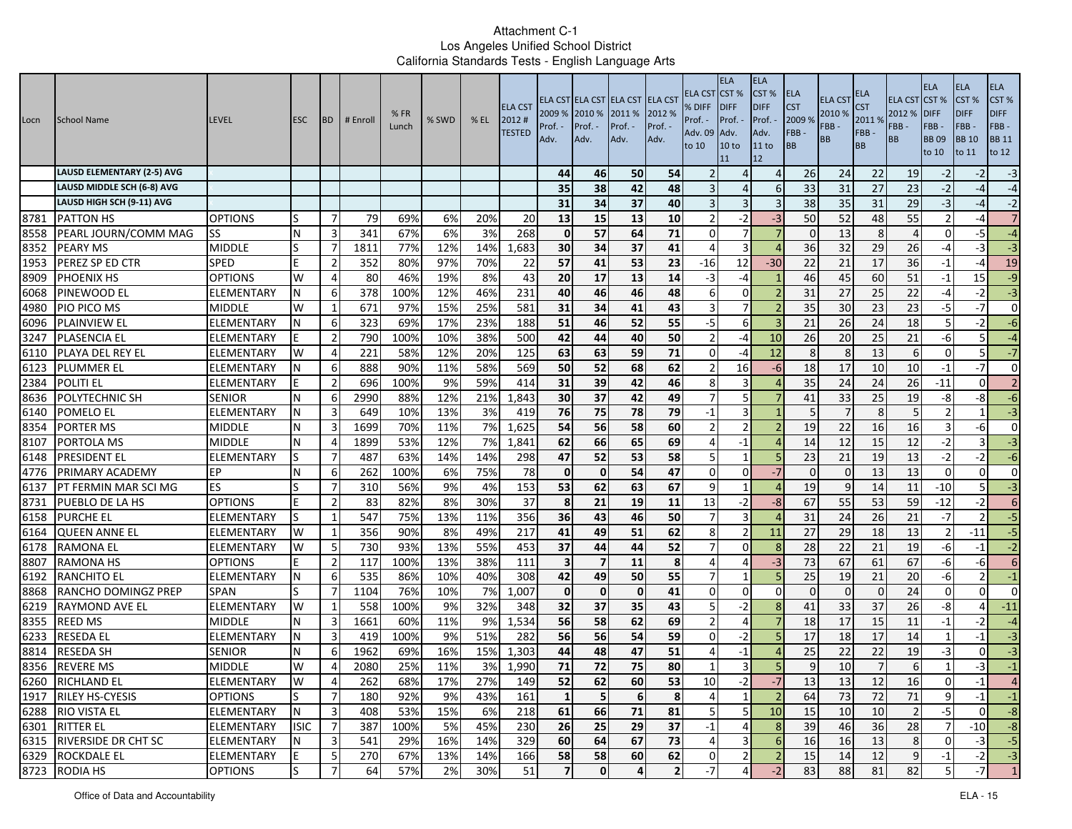| Locn | School Name                       | <b>LEVEL</b>      | <b>ESC</b>  | <b>BD</b>      | # Enroll | %FR<br>Lunch | % SWD | $%$ EL | <b>ELA CST</b><br>2012#<br><b>TESTED</b> | 2009 % 2010 %<br>Prof. ·<br>Adv. | Prof. -<br>Adv. | ELA CST ELA CST ELA CST ELA CST<br>2011 %<br>Prof. -<br>Adv. | 2012 %<br>Prof. -<br>Adv. | ELA CST<br>% DIFF<br>Prof. -<br>Adv. 09<br>to 10 | <b>ELA</b><br>CST <sup>%</sup><br><b>IDIFF</b><br>Prof. -<br>Adv.<br>10 <sub>to</sub><br>11 | <b>ELA</b><br>CST%<br><b>DIFF</b><br>Prof.<br>Adv.<br>11 to<br>12 | ELA<br><b>CST</b><br>2009 %<br>FBB-<br>BB | ELA CS <sub>1</sub><br>2010 %<br>FBB-<br><b>BB</b> | ELA<br>S <sub>T</sub><br>2011 %<br>FBB-<br><b>BB</b> | <b>ELA CST</b><br>2012 %<br>FBB-<br><b>BB</b> | <b>ELA</b><br>CST %<br><b>DIFF</b><br>FBB-<br><b>BB09</b><br>to 10 | <b>ELA</b><br>CST <sub>%</sub><br><b>DIFF</b><br>FBB-<br><b>BB</b> 10<br>to 11 | ELA<br>CST%<br><b>DIFF</b><br>FBB-<br><b>BB</b> 11<br>to 12 |
|------|-----------------------------------|-------------------|-------------|----------------|----------|--------------|-------|--------|------------------------------------------|----------------------------------|-----------------|--------------------------------------------------------------|---------------------------|--------------------------------------------------|---------------------------------------------------------------------------------------------|-------------------------------------------------------------------|-------------------------------------------|----------------------------------------------------|------------------------------------------------------|-----------------------------------------------|--------------------------------------------------------------------|--------------------------------------------------------------------------------|-------------------------------------------------------------|
|      | <b>LAUSD ELEMENTARY (2-5) AVG</b> |                   |             |                |          |              |       |        |                                          | 44                               | 46              | 50                                                           | 54                        |                                                  | Δ                                                                                           | $\Delta$                                                          | 26                                        | 24                                                 | 22                                                   | 19                                            | $-2$                                                               | -2                                                                             | $-3$                                                        |
|      | LAUSD MIDDLE SCH (6-8) AVG        |                   |             |                |          |              |       |        |                                          | 35                               | 38              | 42                                                           | 48                        |                                                  | Δ                                                                                           | -6                                                                | 33                                        | 31                                                 | 27                                                   | 23                                            | $-2$                                                               | -4                                                                             | $-4$                                                        |
|      | LAUSD HIGH SCH (9-11) AVG         |                   |             |                |          |              |       |        |                                          | 31                               | 34              | 37                                                           | 40                        |                                                  | 3                                                                                           |                                                                   | 38                                        | 35                                                 | 31                                                   | 29                                            | $-3$                                                               | -4                                                                             | $-2$                                                        |
| 8781 | <b>PATTON HS</b>                  | <b>OPTIONS</b>    | S           | -7             | 79       | 69%          | 6%    | 20%    | 20                                       | 13                               | 15              | 13                                                           | 10                        |                                                  | -2                                                                                          | $-3$                                                              | 50                                        | 52                                                 | 48                                                   | 55                                            | $\overline{2}$                                                     | -4                                                                             | $\overline{7}$                                              |
| 8558 | PEARL JOURN/COMM MAG              | <b>SS</b>         | N           | 3              | 341      | 67%          | 6%    | 3%     | 268                                      | $\mathbf{0}$                     | 57              | 64                                                           | 71                        | $\Omega$                                         |                                                                                             |                                                                   | $\Omega$                                  | 13                                                 | 8                                                    |                                               | $\Omega$                                                           | $-5$                                                                           | $-4$                                                        |
| 8352 | <b>PEARY MS</b>                   | <b>MIDDLE</b>     | S           | $\overline{7}$ | 1811     | 77%          | 12%   | 14%    | 1,683                                    | 30 <sup>1</sup>                  | 34              | 37                                                           | 41                        | 4                                                | $\overline{3}$                                                                              | $\Delta$                                                          | 36                                        | 32                                                 | 29                                                   | 26                                            | $-4$                                                               | $-3$                                                                           | نا                                                          |
| 1953 | PEREZ SP ED CTR                   | <b>SPED</b>       | E           | $\overline{2}$ | 352      | 80%          | 97%   | 70%    | 22                                       | 57                               | 41              | 53                                                           | 23                        | -16                                              | 12                                                                                          | -30                                                               | 22                                        | 21                                                 | 17                                                   | 36                                            | $-1$                                                               | $-4$                                                                           | 19                                                          |
| 8909 | <b>PHOENIX HS</b>                 | <b>OPTIONS</b>    | W           | 4              | 80       | 46%          | 19%   | 8%     | 43                                       | 20                               | 17              | 13                                                           | 14                        | -3                                               | -4                                                                                          |                                                                   | 46                                        | 45                                                 | 60                                                   | 51                                            | $-1$                                                               | 15                                                                             | $-9$                                                        |
| 6068 | PINEWOOD EL                       | ELEMENTARY        | N           | 6              | 378      | 100%         | 12%   | 46%    | 231                                      | 40                               | 46              | 46                                                           | 48                        | 6                                                | $\mathbf 0$                                                                                 |                                                                   | 31                                        | 27                                                 | 25                                                   | 22                                            | $-4$                                                               | $-2$                                                                           | نا                                                          |
| 4980 | <b>PIO PICO MS</b>                | <b>MIDDLE</b>     | W           | -1             | 671      | 97%          | 15%   | 25%    | 581                                      | 31                               | 34              | 41                                                           | 43                        |                                                  | 7                                                                                           |                                                                   | 35                                        | 30                                                 | 23                                                   | 23                                            | $-5$                                                               | $-7$                                                                           | $\mathbf{0}$                                                |
| 6096 | <b>PLAINVIEW EL</b>               | ELEMENTARY        | N           | 6              | 323      | 69%          | 17%   | 23%    | 188                                      | 51                               | 46              | 52                                                           | 55                        | $-5$                                             | 6                                                                                           |                                                                   | 21                                        | 26                                                 | $\overline{24}$                                      | 18                                            | 5                                                                  | $-2$                                                                           | $-6$                                                        |
| 3247 | <b>PLASENCIA EL</b>               | ELEMENTARY        |             | $\overline{2}$ | 790      | 100%         | 10%   | 38%    | 500                                      | 42                               | 44              | 40                                                           | 50                        | $\mathcal{P}$                                    | $-4$                                                                                        | 10                                                                | 26                                        | 20                                                 | 25                                                   | 21                                            | $-6$                                                               | 5 <sub>l</sub>                                                                 | $-4$                                                        |
| 6110 | PLAYA DEL REY EL                  | <b>ELEMENTARY</b> | W           | $\overline{4}$ | 221      | 58%          | 12%   | 20%    | 125                                      | 63                               | 63              | 59                                                           | 71                        | $\Omega$                                         | -4                                                                                          | 12                                                                | 8                                         | 8                                                  | 13                                                   | 6                                             | $\Omega$                                                           | 5 <sub>l</sub>                                                                 | $-7$                                                        |
| 6123 | <b>PLUMMER EL</b>                 | ELEMENTARY        |             | 6              | 888      | 90%          | 11%   | 58%    | 569                                      | 50                               | 52              | 68                                                           | 62                        | $\mathcal{P}$                                    | 16                                                                                          | -6                                                                | 18                                        | 17                                                 | 10                                                   | 10                                            | $-1$                                                               | -7                                                                             | $\mathbf{0}$                                                |
| 2384 | <b>POLITI EL</b>                  | ELEMENTARY        |             | $\overline{2}$ | 696      | 100%         | 9%    | 59%    | 414                                      | 31                               | 39              | 42                                                           | 46                        | 8                                                | 3                                                                                           |                                                                   | 35                                        | 24                                                 | 24                                                   | 26                                            | $-11$                                                              | $\overline{0}$                                                                 | $\overline{2}$                                              |
| 8636 | <b>POLYTECHNIC SH</b>             | <b>SENIOR</b>     | N           | 6              | 2990     | 88%          | 12%   | 21%    | 1,843                                    | 30                               | 37              | 42                                                           | 49                        |                                                  | 5                                                                                           |                                                                   | 41                                        | 33                                                 | 25                                                   | 19                                            | -8                                                                 | -8                                                                             | $-6$                                                        |
| 6140 | <b>POMELO EL</b>                  | ELEMENTARY        | N           | 3              | 649      | 10%          | 13%   | 3%     | 419                                      | 76                               | 75              | 78                                                           | 79                        | $-1$                                             | 3                                                                                           |                                                                   | 5                                         |                                                    | 8                                                    |                                               | $\mathfrak{p}$                                                     |                                                                                | $-3$                                                        |
| 8354 | <b>PORTER MS</b>                  | <b>MIDDLE</b>     | N           | 3              | 1699     | 70%          | 11%   | 7%     | 1,625                                    | 54                               | 56              | 58                                                           | 60                        | $\mathcal{P}$                                    | $\mathcal{P}$                                                                               |                                                                   | 19                                        | 22                                                 | 16                                                   | 16                                            | 3                                                                  | $-6$                                                                           | $\mathbf{0}$                                                |
| 8107 | PORTOLA MS                        | <b>MIDDLE</b>     | N           | 4              | 1899     | 53%          | 12%   | 7%     | 1,841                                    | 62                               | 66              | 65                                                           | 69                        | Δ                                                | $-1$                                                                                        |                                                                   | 14                                        | 12                                                 | 15                                                   | 12                                            | $-2$                                                               |                                                                                | $-3$                                                        |
| 6148 | PRESIDENT EL                      | ELEMENTARY        | S           | -7             | 487      | 63%          | 14%   | 14%    | 298                                      | 47                               | 52              | 53                                                           | 58                        | 5                                                |                                                                                             | 5                                                                 | 23                                        | 21                                                 | 19                                                   | 13                                            | $-2$                                                               | $-2$                                                                           | $-6$                                                        |
| 4776 | PRIMARY ACADEMY                   | EP                | N           | 6              | 262      | 100%         | 6%    | 75%    | 78                                       | $\mathbf{0}$                     | $\mathbf 0$     | 54                                                           | 47                        | $\Omega$                                         | $\Omega$                                                                                    | $-7$                                                              | $\Omega$                                  | $\Omega$                                           | 13                                                   | 13                                            | $\Omega$                                                           | $\Omega$                                                                       | $\mathbf{0}$                                                |
| 6137 | PT FERMIN MAR SCI MG              | <b>ES</b>         | ls          | 7              | 310      | 56%          | 9%    | 4%     | 153                                      | 53                               | 62              | 63                                                           | 67                        | 9                                                |                                                                                             |                                                                   | 19                                        | 9                                                  | 14                                                   | 11                                            | $-10$                                                              | 5 <sub>l</sub>                                                                 | $-3$                                                        |
| 8731 | PUEBLO DE LA HS                   | <b>OPTIONS</b>    | E           | $\overline{2}$ | 83       | 82%          | 8%    | 30%    | 37                                       | 8                                | 21              | 19                                                           | 11                        | 13                                               | $-2$                                                                                        | $-8$                                                              | 67                                        | 55                                                 | 53                                                   | 59                                            | $-12$                                                              | $-2$                                                                           | $6 \overline{6}$                                            |
| 6158 | <b>PURCHE EL</b>                  | ELEMENTARY        | S           | 1              | 547      | 75%          | 13%   | 11%    | 356                                      | 36                               | 43              | 46                                                           | 50                        | $\overline{7}$                                   | $\overline{3}$                                                                              |                                                                   | 31                                        | 24                                                 | 26                                                   | 21                                            | $-7$                                                               | $\overline{2}$                                                                 | $-5$                                                        |
| 6164 | <b>QUEEN ANNE EL</b>              | ELEMENTARY        | W           | 1              | 356      | 90%          | 8%    | 49%    | 217                                      | 41                               | 49              | 51                                                           | 62                        | 8                                                | $\overline{2}$                                                                              | 11                                                                | 27                                        | 29                                                 | 18                                                   | 13                                            | $\overline{2}$                                                     | $-11$                                                                          | $-5$                                                        |
| 6178 | <b>RAMONA EL</b>                  | ELEMENTARY        | W           | 5              | 730      | 93%          | 13%   | 55%    | 453                                      | 37                               | 44              | 44                                                           | 52                        |                                                  | O                                                                                           | 8                                                                 | 28                                        | 22                                                 | 21                                                   | 19                                            | $-6$                                                               | $-1$                                                                           | $-2$                                                        |
| 8807 | <b>RAMONA HS</b>                  | <b>OPTIONS</b>    |             | $\overline{2}$ | 117      | 100%         | 13%   | 38%    | 111                                      | 3                                | 7               | 11                                                           | 8                         |                                                  | 4                                                                                           | $-3$                                                              | 73                                        | 67                                                 | 61                                                   | 67                                            | $-6$                                                               | -6                                                                             | $6 \overline{6}$                                            |
| 6192 | <b>RANCHITO EL</b>                | ELEMENTARY        | N           | 6              | 535      | 86%          | 10%   | 40%    | 308                                      | 42                               | 49              | 50                                                           | 55                        | 7                                                | $\mathbf{1}$                                                                                |                                                                   | 25                                        | 19                                                 | 21                                                   | 20                                            | $-6$                                                               | $\overline{2}$                                                                 | $-1$                                                        |
| 8868 | <b>RANCHO DOMINGZ PREP</b>        | <b>SPAN</b>       | S           | -7             | 1104     | 76%          | 10%   | 7%     | 1,007                                    | $\mathbf{0}$                     | $\mathbf 0$     | $\mathbf 0$                                                  | 41                        | $\Omega$                                         | 0                                                                                           | $\Omega$                                                          | $\Omega$                                  | $\Omega$                                           | $\mathbf{0}$                                         | 24                                            | $\overline{0}$                                                     | $\Omega$                                                                       | $\mathbf{0}$                                                |
| 6219 | <b>RAYMOND AVE EL</b>             | ELEMENTARY        | W           | $\mathbf{1}$   | 558      | 100%         | 9%    | 32%    | 348                                      | 32                               | 37              | 35                                                           | 43                        | 5                                                | $-2$                                                                                        | 8                                                                 | 41                                        | 33                                                 | 37                                                   | 26                                            | -8                                                                 |                                                                                | $-11$                                                       |
| 8355 | <b>REED MS</b>                    | <b>MIDDLE</b>     | N           | 3              | 1661     | 60%          | 11%   | 9%     | 1,534                                    | 56                               | 58              | 62                                                           | 69                        | $\mathcal{P}$                                    | 4                                                                                           | $\overline{7}$                                                    | 18                                        | 17                                                 | 15                                                   | 11                                            | $-1$                                                               | $-2$                                                                           | $-4$                                                        |
| 6233 | <b>RESEDA EL</b>                  | ELEMENTARY        | N           | 3              | 419      | 100%         | 9%    | 51%    | 282                                      | 56                               | 56              | 54                                                           | 59                        | 0                                                | $-2$                                                                                        | 5                                                                 | 17                                        | 18                                                 | 17                                                   | 14                                            |                                                                    | $-1$                                                                           | $-3$                                                        |
| 8814 | <b>RESEDA SH</b>                  | <b>SENIOR</b>     | N           | 6              | 1962     | 69%          | 16%   | 15%    | 1,303                                    | 44                               | 48              | 47                                                           | 51                        |                                                  | -1                                                                                          |                                                                   | 25                                        | 22                                                 | 22                                                   | 19                                            | $-3$                                                               | $\Omega$                                                                       | $-3$                                                        |
| 8356 | <b>REVERE MS</b>                  | <b>MIDDLE</b>     | W           | 4              | 2080     | 25%          | 11%   | 3%     | 1,990                                    | 71                               | 72              | 75                                                           | 80                        | -1                                               | 3                                                                                           | 5                                                                 | 9                                         | 10                                                 | $\overline{7}$                                       | 6                                             | $\mathbf{1}$                                                       | $-3$                                                                           | $^{\rm -1}$                                                 |
|      | 6260 RICHLAND EL                  | ELEMENTARY        | W           | 4              | 262      | 68%          | 17%   | 27%    | 149                                      | 52                               | 62              | 60                                                           | 53                        | 10                                               | -4                                                                                          | $\overline{\phantom{a}}$                                          | 13                                        | 13                                                 | 12                                                   | 16                                            |                                                                    | -1                                                                             |                                                             |
|      | 1917 RILEY HS-CYESIS              | <b>OPTIONS</b>    | S           | $\overline{7}$ | 180      | 92%          | 9%    | 43%    | 161                                      | $\mathbf{1}$                     | 5               | 6 <sup>1</sup>                                               | 8                         | 4                                                | $\mathbf{1}$                                                                                | $\overline{2}$                                                    | 64                                        | 73                                                 | 72                                                   | 71                                            | 9                                                                  | $-1$                                                                           | $-1$                                                        |
|      | 6288 RIO VISTA EL                 | <b>ELEMENTARY</b> | N           | $\overline{3}$ | 408      | 53%          | 15%   | 6%     | 218                                      | 61                               | 66              | 71                                                           | 81                        | 5 <sub>l</sub>                                   | 5                                                                                           | 10                                                                | 15                                        | 10                                                 | 10                                                   | $\overline{2}$                                | $-5$                                                               | 0                                                                              | $-8$                                                        |
|      | 6301 RITTER EL                    | ELEMENTARY        | <b>ISIC</b> | $\overline{7}$ | 387      | 100%         | 5%    | 45%    | 230                                      | 26                               | 25              | 29                                                           | 37                        | $-1$                                             | 4                                                                                           | 8                                                                 | 39                                        | 46                                                 | 36                                                   | 28                                            | $\overline{7}$                                                     | $-10$                                                                          | $-8$                                                        |
|      | 6315 RIVERSIDE DR CHT SC          | ELEMENTARY        | N           | $\overline{3}$ | 541      | 29%          | 16%   | 14%    | 329                                      | 60                               | 64              | 67                                                           | 73                        | 4                                                | $\overline{3}$                                                                              | 6                                                                 | 16                                        | 16                                                 | 13                                                   | 8                                             | $\overline{0}$                                                     | $-3$                                                                           | $-5$                                                        |
|      | 6329 ROCKDALE EL                  | ELEMENTARY        | E           | $\overline{5}$ | 270      | 67%          | 13%   | 14%    | 166                                      | 58                               | 58              | 60                                                           | 62                        | $\overline{0}$                                   | $\overline{2}$                                                                              | $\overline{2}$                                                    | 15                                        | 14                                                 | 12                                                   | 9 <sub>l</sub>                                | $-1$                                                               | $-2$                                                                           | $-3$                                                        |
|      | 8723 RODIA HS                     | <b>OPTIONS</b>    | S           | 7              | 64       | 57%          | 2%    | 30%    | 51                                       | 7 <sup>1</sup>                   | $\mathbf 0$     | $\overline{4}$                                               | 2                         | $-7$                                             |                                                                                             | $-2$                                                              | 83                                        | 88                                                 | 81                                                   | 82                                            |                                                                    | $-7$                                                                           | $\overline{1}$                                              |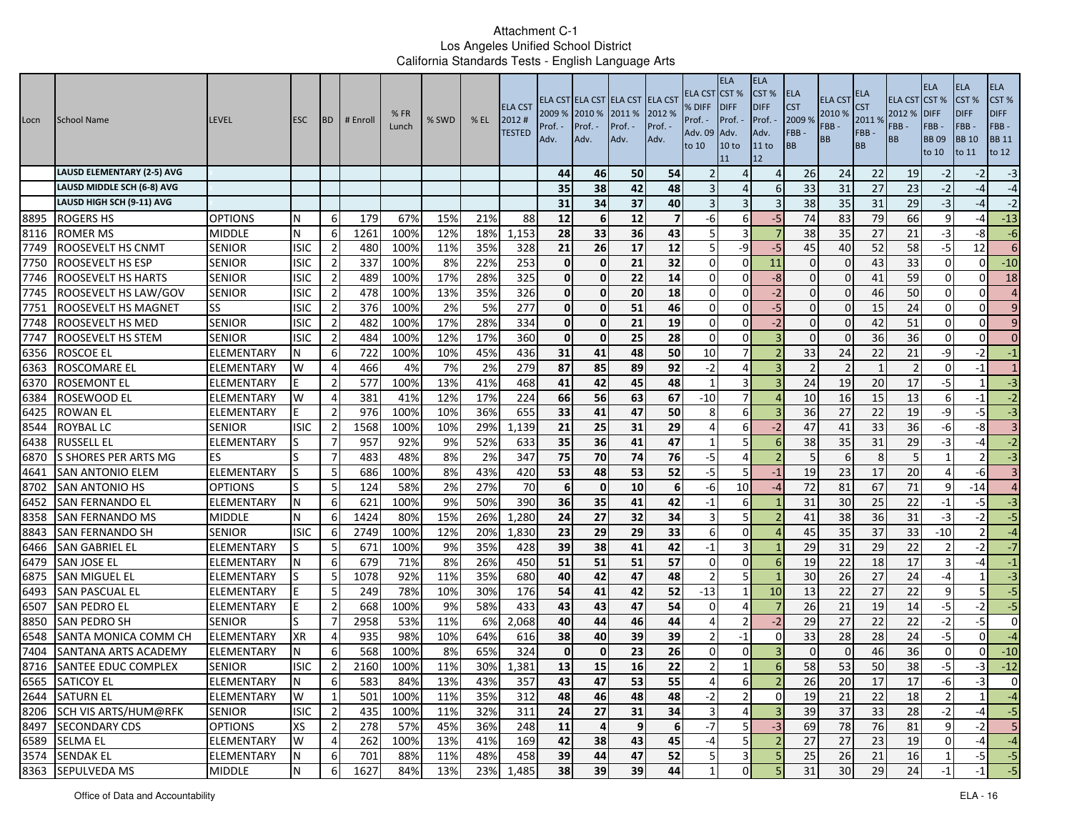| Locn         | <b>School Name</b>                            | <b>LEVEL</b>             | <b>ESC</b>  | <b>IBD</b>                       | # Enrol     | %FR<br>Lunch | % SWD      | $%$ EL     | <b>ELA CST</b><br>2012#<br><b>TESTED</b> | 2009 %<br>Prof.<br>Adv. | 2010 %<br>Prof. -<br>Adv. | ELA CST ELA CST ELA CST ELA CST<br>2011 %<br>Prof. -<br>Adv. | 2012 %<br>Prof. -<br>Adv. | ELA CST<br>% DIFF<br>Prof. -<br>Adv. 09<br>to 10 | <b>ELA</b><br>CST <sup>%</sup><br><b>DIFF</b><br>Prof. -<br>Adv.<br>10 <sub>to</sub><br>11 | <b>ELA</b><br>CST %<br><b>DIFF</b><br>Prof.<br>Adv.<br>11 to<br>12 | <b>ELA</b><br><b>CST</b><br>2009 %<br>FBB-<br>BB | <b>ELA CST</b><br>2010 %<br>FBB-<br>BB | ELA<br><b>CST</b><br>2011%<br>FBB-<br><b>BB</b> | <b>ELA CST</b><br>2012 %<br>FBB -<br><b>BB</b> | <b>ELA</b><br>CST%<br><b>DIFF</b><br>FBB-<br><b>BB09</b><br>to 10 | <b>ELA</b><br>CST %<br><b>DIFF</b><br>FBB-<br><b>BB</b> 10<br>to 11 | <b>ELA</b><br>CST%<br><b>DIFF</b><br>FBB-<br><b>BB 11</b><br>to 12 |
|--------------|-----------------------------------------------|--------------------------|-------------|----------------------------------|-------------|--------------|------------|------------|------------------------------------------|-------------------------|---------------------------|--------------------------------------------------------------|---------------------------|--------------------------------------------------|--------------------------------------------------------------------------------------------|--------------------------------------------------------------------|--------------------------------------------------|----------------------------------------|-------------------------------------------------|------------------------------------------------|-------------------------------------------------------------------|---------------------------------------------------------------------|--------------------------------------------------------------------|
|              | <b>LAUSD ELEMENTARY (2-5) AVG</b>             |                          |             |                                  |             |              |            |            |                                          | 44                      | 46                        | 50                                                           | 54                        |                                                  |                                                                                            | $\overline{4}$                                                     | 26                                               | 24                                     | 22                                              | 19                                             | $-2$                                                              | $-2$                                                                | $-3$                                                               |
|              | LAUSD MIDDLE SCH (6-8) AVG                    |                          |             |                                  |             |              |            |            |                                          | 35                      | 38                        | 42                                                           | 48                        |                                                  | $\Delta$                                                                                   | 6                                                                  | 33                                               | 31                                     | 27                                              | 23                                             | $-2$                                                              | -4                                                                  | $-4$                                                               |
|              | LAUSD HIGH SCH (9-11) AVG                     |                          |             |                                  |             |              |            |            |                                          | 31                      | 34                        | 37                                                           | 40                        |                                                  | 3                                                                                          |                                                                    | 38                                               | 35                                     | 31                                              | 29                                             | $-3$                                                              | $-4$                                                                | $-2$                                                               |
| 8895         | <b>ROGERS HS</b>                              | <b>OPTIONS</b>           | N           | 6                                | 179         | 67%          | 15%        | 21%        | 88                                       | 12                      | 6                         | 12                                                           | 7                         | -6                                               | 6                                                                                          | $-5$                                                               | 74                                               | 83                                     | 79                                              | 66                                             | q                                                                 | $-4$                                                                | $-13$                                                              |
| 8116         | <b>ROMER MS</b>                               | <b>MIDDLE</b>            | N           | 6                                | 1261        | 100%         | 12%        | 18%        | 1,153                                    | 28                      | 33                        | 36                                                           | 43                        |                                                  | 3                                                                                          |                                                                    | 38                                               | 35                                     | 27                                              | 21                                             | $-3$                                                              | -8                                                                  | $-6$                                                               |
| 7749         | <b>ROOSEVELT HS CNMT</b>                      | <b>SENIOR</b>            | <b>ISIC</b> | $\overline{2}$                   | 480         | 100%         | 11%        | 35%        | 328                                      | 21                      | 26                        | 17                                                           | 12                        | 5                                                | $-9$                                                                                       | $-5$                                                               | 45                                               | 40                                     | 52                                              | 58                                             | $-5$                                                              | 12                                                                  | 6                                                                  |
| 7750         | ROOSEVELT HS ESP                              | <b>SENIOR</b>            | <b>ISIC</b> | $\overline{2}$                   | 337         | 100%         | 8%         | 22%        | 253                                      | $\mathbf{0}$            | $\mathbf 0$               | 21                                                           | 32                        | $\Omega$                                         | 0                                                                                          | 11                                                                 | $\Omega$                                         |                                        | 43                                              | 33                                             | $\Omega$                                                          | $\Omega$                                                            | $-10$                                                              |
| 7746         | ROOSEVELT HS HARTS                            | <b>SENIOR</b>            | <b>ISIC</b> | $\overline{2}$                   | 489         | 100%         | 17%        | 28%        | 325                                      | $\mathbf{0}$            | $\mathbf 0$               | 22                                                           | 14                        | $\Omega$                                         | 0                                                                                          | $-8$                                                               | $\Omega$                                         |                                        | 41                                              | 59                                             | $\Omega$                                                          | $\Omega$                                                            | 18                                                                 |
| 7745         | ROOSEVELT HS LAW/GOV                          | <b>SENIOR</b>            | <b>ISIC</b> | $\overline{2}$                   | 478         | 100%         | 13%        | 35%        | $\overline{326}$                         | Οl                      | $\mathbf 0$               | 20                                                           | 18                        | $\Omega$                                         | $\overline{0}$                                                                             | $-2$                                                               | $\overline{0}$                                   |                                        | 46                                              | 50                                             | $\mathbf{0}$                                                      | $\overline{0}$                                                      | $\overline{4}$                                                     |
| 7751         | ROOSEVELT HS MAGNET                           | SS                       | <b>ISIC</b> | 2                                | 376         | 100%         | 2%         | 5%         | 277                                      | $\mathbf{0}$            | 0                         | 51                                                           | 46                        | $\Omega$                                         | 0                                                                                          | -5                                                                 | 0                                                |                                        | 15                                              | 24                                             | $\Omega$                                                          | $\Omega$                                                            | 9                                                                  |
| 7748         | <b>ROOSEVELT HS MED</b>                       | <b>SENIOR</b>            | isic        | $\overline{2}$                   | 482         | 100%         | 17%        | 28%        | 334                                      | $\mathbf{0}$            | $\mathbf 0$               | 21                                                           | 19                        | $\Omega$                                         | $\Omega$                                                                                   | $-2$                                                               | $\Omega$                                         |                                        | 42                                              | 51                                             | $\Omega$                                                          | $\Omega$                                                            | 9                                                                  |
| 7747         | <b>ROOSEVELT HS STEM</b>                      | <b>SENIOR</b>            | isic        | $\overline{2}$                   | 484         | 100%         | 12%        | 17%        | 360                                      | $\mathbf{0}$            | $\mathbf 0$               | 25                                                           | 28                        | $\Omega$                                         | $\Omega$                                                                                   | $\overline{\mathbf{3}}$                                            | $\Omega$                                         |                                        | 36                                              | 36                                             | $\Omega$                                                          | $\Omega$                                                            | $\overline{0}$                                                     |
| 6356         | <b>ROSCOE EL</b>                              | <b>ELEMENTARY</b>        |             | 6                                | 722         | 100%         | 10%        | 45%        | 436                                      | 31                      | 41                        | 48                                                           | 50                        | 10                                               |                                                                                            |                                                                    | 33                                               | 24                                     | 22                                              | 21                                             | -9                                                                | $-2$                                                                | $-1$                                                               |
| 6363         | ROSCOMARE EL                                  | ELEMENTARY               | W           | 4                                | 466         | 4%           | 7%         | 2%         | 279                                      | 87                      | 85                        | 89                                                           | 92                        | $-2$                                             | 4                                                                                          |                                                                    | $\overline{2}$                                   |                                        | $\mathbf{1}$                                    |                                                | $\Omega$                                                          | $-1$                                                                | $1\overline{ }$                                                    |
| 6370         | <b>ROSEMONT EL</b>                            | ELEMENTARY               |             | $\overline{2}$                   | 577         | 100%         | 13%        | 41%        | 468                                      | 41                      | 42                        | 45                                                           | 48                        |                                                  | 3                                                                                          | 3                                                                  | 24                                               | 19                                     | 20                                              | 17                                             | $-5$                                                              | $1\vert$                                                            | $-3$                                                               |
| 6384         | <b>ROSEWOOD EL</b>                            | ELEMENTARY               | W           | 4                                | 381         | 41%          | 12%        | 17%        | 224                                      | 66                      | 56                        | 63                                                           | 67                        | $-10$                                            | $\overline{7}$                                                                             |                                                                    | 10                                               | 16                                     | 15                                              | 13                                             | 6                                                                 | -1                                                                  | $-2$                                                               |
| 6425         | <b>ROWAN EL</b>                               | ELEMENTARY               | E           | $\overline{2}$                   | 976         | 100%         | 10%        | 36%        | 655                                      | 33                      | 41                        | 47                                                           | 50                        | 8                                                | 6                                                                                          |                                                                    | 36                                               | 27                                     | 22                                              | 19                                             | -9                                                                | $-5$                                                                | $\overline{a}$                                                     |
| 8544         | <b>ROYBAL LC</b>                              | <b>SENIOR</b>            | <b>ISIC</b> | $\overline{2}$                   | 1568        | 100%         | 10%        | 29%        | 1,139                                    | 21                      | 25                        | 31                                                           | 29                        |                                                  | 6                                                                                          | $-2$                                                               | 47                                               | 41                                     | 33                                              | 36                                             | $-6$                                                              | $-8$                                                                | 3 <sup>1</sup>                                                     |
| 6438         | <b>RUSSELL EL</b>                             | ELEMENTARY               |             | $\overline{7}$                   | 957         | 92%          | 9%         | 52%        | 633                                      | 35                      | 36                        | 41                                                           | 47                        |                                                  | 5                                                                                          | 6                                                                  | 38                                               | 35                                     | 31                                              | 29                                             | -3                                                                | $-4$                                                                | $-2$                                                               |
| 6870         | S SHORES PER ARTS MG                          | ES                       |             | $\overline{7}$                   | 483         | 48%          | 8%         | 2%         | 347                                      | 75                      | 70                        | 74                                                           | 76                        | $-5$                                             | $\overline{4}$                                                                             |                                                                    | 5                                                |                                        | 8                                               | 5 <sub>l</sub>                                 |                                                                   | $\overline{2}$                                                      | $-3$                                                               |
| 4641         | SAN ANTONIO ELEM                              | ELEMENTARY               |             | 5                                | 686         | 100%         | 8%         | 43%        | 420                                      | 53                      | 48                        | 53                                                           | 52                        | $-5$                                             | 5                                                                                          | $-1$                                                               | 19                                               | 23                                     | 17                                              | 20                                             |                                                                   | -61                                                                 | $\overline{\mathbf{3}}$                                            |
| 8702         | <b>SAN ANTONIO HS</b>                         | <b>OPTIONS</b>           |             | 5                                | 124         | 58%          | 2%         | 27%        | 70                                       | 6                       | $\mathbf 0$               | 10                                                           | 6                         | -6                                               | 10                                                                                         | -4                                                                 | 72                                               | 81                                     | 67                                              | 71                                             | 9                                                                 | $-14$                                                               | $\overline{a}$                                                     |
| 6452         | <b>SAN FERNANDO EL</b>                        | ELEMENTARY               | N           | 6                                | 621         | 100%         | 9%         | 50%        | 390                                      | 36                      | $\overline{35}$           | 41                                                           | 42                        | $-1$                                             | 6                                                                                          |                                                                    | 31                                               | 30                                     | $\overline{25}$                                 | $\overline{22}$                                | $-1$                                                              | $-5$                                                                | $\overline{a}$                                                     |
| 8358         | <b>SAN FERNANDO MS</b>                        | <b>MIDDLE</b>            | N           | 6                                | 1424        | 80%          | 15%        | 26%        | 1,280                                    | 24                      | 27                        | 32                                                           | 34                        | 3                                                | 5                                                                                          |                                                                    | 41                                               | 38                                     | 36                                              | 31                                             | $-3$                                                              | $-2$                                                                | $-5$                                                               |
| 8843         | <b>SAN FERNANDO SH</b>                        | <b>SENIOR</b>            | <b>ISIC</b> | 6                                | 2749        | 100%         | 12%        | 20%        | 1,830                                    | 23                      | 29                        | 29                                                           | 33                        | 6                                                | 0                                                                                          | $\Delta$                                                           | 45                                               | 35                                     | 37                                              | 33                                             | $-10$                                                             | $\overline{2}$                                                      | $-4$                                                               |
| 6466         | <b>SAN GABRIEL EL</b>                         | ELEMENTARY               |             | 5                                | 671         | 100%         | 9%         | 35%        | 428                                      | 39                      | 38                        | 41                                                           | 42                        | -1                                               | 3                                                                                          |                                                                    | 29                                               | 31                                     | 29                                              | 22                                             |                                                                   | $-2$                                                                | $-7$                                                               |
| 6479         | <b>SAN JOSE EL</b>                            | ELEMENTARY               |             | 6                                | 679         | 71%          | 8%         | 26%        | 450                                      | 51                      | 51                        | 51                                                           | 57                        | $\Omega$                                         | 0                                                                                          | -6                                                                 | 19                                               | 22                                     | 18                                              | 17                                             |                                                                   | -4                                                                  | $-1$                                                               |
| 6875         | SAN MIGUEL EL                                 | ELEMENTARY               |             | 5                                | 1078        | 92%          | 11%        | 35%        | 680                                      | 40                      | 42                        | 47                                                           | 48                        | -2                                               | 5                                                                                          |                                                                    | 30                                               | 26                                     | 27                                              | 24                                             | $-4$                                                              |                                                                     | $-3$                                                               |
| 6493         | <b>SAN PASCUAL EL</b>                         | ELEMENTARY               | E           | 5                                | 249         | 78%          | 10%        | 30%        | 176                                      | 54                      | 41                        | 42                                                           | 52                        | $-13$<br>$\sqrt{ }$                              |                                                                                            | 10                                                                 | 13                                               | 22                                     | 27                                              | 22                                             | q                                                                 | $\overline{5}$<br>$-2$                                              | $-5$                                                               |
| 6507         | <b>SAN PEDRO EL</b>                           | ELEMENTARY               | E<br>ls     | $\overline{2}$<br>$\overline{7}$ | 668         | 100%         | 9%         | 58%        | 433                                      | 43                      | 43<br>44                  | 47                                                           | 54                        |                                                  | 4<br>$\overline{2}$                                                                        | $-2$                                                               | 26<br>29                                         | 21<br>27                               | 19                                              | 14                                             | -5                                                                | $-5$                                                                | $-5$<br>$\overline{0}$                                             |
| 8850<br>6548 | <b>SAN PEDRO SH</b>                           | <b>SENIOR</b>            | <b>XR</b>   | $\overline{4}$                   | 2958        | 53%<br>98%   | 11%        | 6%<br>64%  | 2,068                                    | 40<br>38                |                           | 46                                                           | 44<br>39                  |                                                  | $-1$                                                                                       |                                                                    |                                                  |                                        | 22                                              | 22                                             | $-2$<br>$-5$                                                      | $\overline{0}$                                                      | $-4$                                                               |
| 7404         | SANTA MONICA COMM CH                          | <b>ELEMENTARY</b>        |             |                                  | 935         |              | 10%<br>8%  | 65%        | 616                                      | $\mathbf{0}$            | 40<br>$\mathbf 0$         | 39                                                           |                           |                                                  | $\Omega$                                                                                   | $\Omega$                                                           | 33<br>$\Omega$                                   | 28                                     | 28                                              | 24                                             | $\Omega$                                                          | $\Omega$                                                            | $-10$                                                              |
| 8716         | SANTANA ARTS ACADEMY                          | ELEMENTARY               | <b>ISIC</b> | 6<br>$\overline{2}$              | 568<br>2160 | 100%<br>100% | 11%        | 30%        | 324<br>1,381                             | 13                      | 15                        | 23<br>16                                                     | 26<br>22                  | $\overline{2}$                                   |                                                                                            | 6                                                                  | 58                                               | 53                                     | 46<br>50                                        | 36<br>38                                       | $-5$                                                              | $-3$                                                                | $-12$                                                              |
|              | <b>SANTEE EDUC COMPLEX</b><br>6565 SATICOY EL | <b>SENIOR</b>            |             |                                  |             |              |            |            |                                          |                         |                           |                                                              |                           |                                                  |                                                                                            |                                                                    |                                                  |                                        |                                                 |                                                |                                                                   |                                                                     |                                                                    |
|              | 2644 SATURN EL                                | ELEMENTARY<br>ELEMENTARY | N<br>W      | $\sigma$<br>1                    | 583<br>501  | 84%<br>100%  | 13%<br>11% | 43%<br>35% | 357<br>312                               | 43<br>48                | 47<br>46                  | 53<br>48                                                     | 55<br>48                  | $-2$                                             | $\sigma$<br>$\overline{2}$                                                                 | $\mathbf 0$                                                        | 26<br>19                                         | $20\,$<br>21                           | $17\,$<br>$\overline{22}$                       | $17\,$<br>18                                   | -61<br>$\overline{2}$                                             | -31<br>$\mathbf{1}$                                                 | $\overline{0}$<br>$-4$                                             |
|              | 8206 SCH VIS ARTS/HUM@RFK                     | <b>SENIOR</b>            | <b>ISIC</b> | $\overline{2}$                   | 435         | 100%         | 11%        | 32%        | 311                                      | 24                      | 27                        | 31                                                           | 34                        | $\overline{3}$                                   | $\overline{4}$                                                                             | $\overline{3}$                                                     | 39                                               | 37                                     | 33                                              | 28                                             | $-2$                                                              | $-4$                                                                | $-5$                                                               |
|              | 8497 SECONDARY CDS                            | <b>OPTIONS</b>           | XS          | $\overline{2}$                   | 278         | 57%          | 45%        | 36%        | 248                                      | 11                      | 4                         | 9                                                            | $6\phantom{1}$            | $-7$                                             | 5 <sub>l</sub>                                                                             | $-3$                                                               | 69                                               | 78                                     | 76                                              | 81                                             | 9                                                                 | $-2$                                                                | 5 <sub>5</sub>                                                     |
|              | 6589 SELMA EL                                 | ELEMENTARY               | W           | 4                                | 262         | 100%         | 13%        | 41%        | 169                                      | 42                      | 38                        | 43                                                           | 45                        | $-4$                                             | 5 <sub>l</sub>                                                                             | $\overline{2}$                                                     | 27                                               | 27                                     | 23                                              | 19                                             | $\overline{0}$                                                    | $-4$                                                                | $-4$                                                               |
|              | 3574 SENDAK EL                                | ELEMENTARY               | N           | 6                                | 701         | 88%          | 11%        | 48%        | 458                                      | 39                      | 44                        | 47                                                           | 52                        | 5                                                | $\overline{3}$                                                                             | 5                                                                  | 25                                               | 26                                     | 21                                              | 16                                             | $\mathbf{1}$                                                      | $-5$                                                                | $-5$                                                               |
|              | 8363 SEPULVEDA MS                             | <b>MIDDLE</b>            | N           | 6                                | 1627        | 84%          | 13%        | 23%        | 1,485                                    | 38                      | 39                        | 39                                                           | 44                        |                                                  | $\overline{0}$                                                                             |                                                                    | 31                                               | 30                                     | 29                                              | 24                                             | $-1$                                                              | $-1$                                                                | $\overline{5}$                                                     |
|              |                                               |                          |             |                                  |             |              |            |            |                                          |                         |                           |                                                              |                           |                                                  |                                                                                            |                                                                    |                                                  |                                        |                                                 |                                                |                                                                   |                                                                     |                                                                    |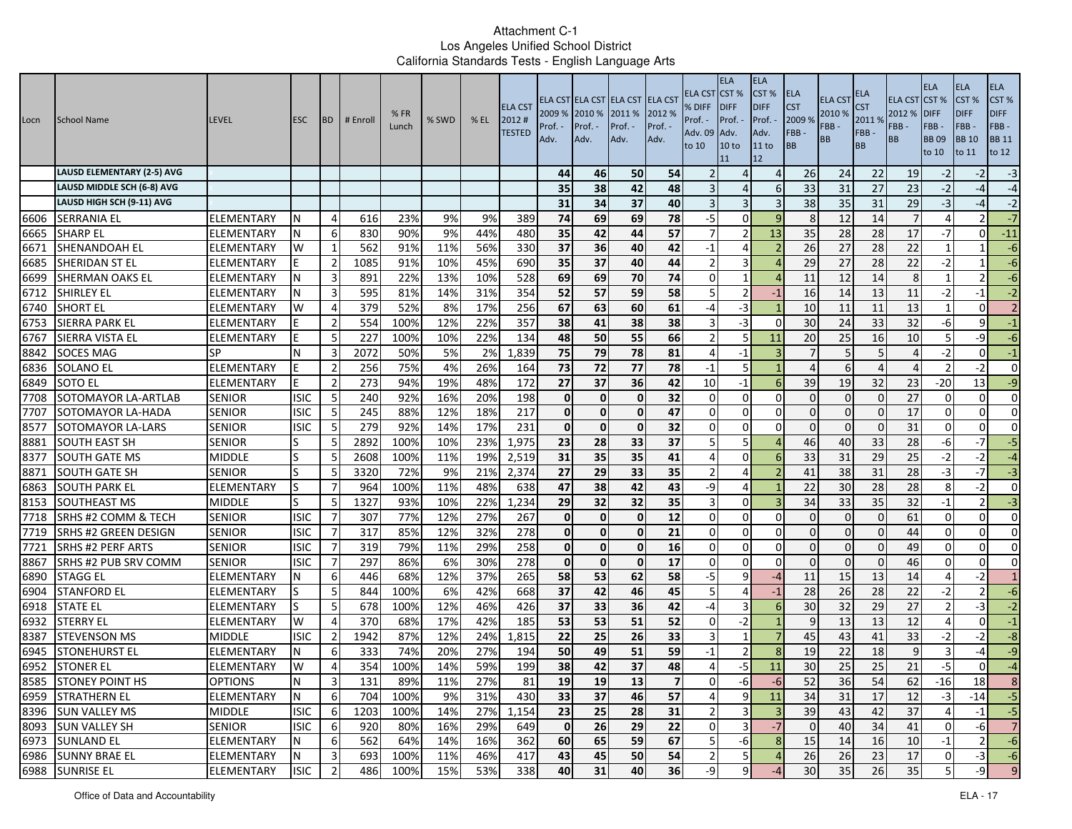| Locn | School Name                       | <b>LEVEL</b>      | <b>ESC</b>  | <b>BD</b>      | # Enrol | %FR<br>Lunch | % SWD | $%$ EL | <b>ELA CST</b><br>2012#<br><b>TESTED</b> | 2009 % 2010 %<br>Prof. $\cdot$<br>Adv. | Prof. -<br>Adv. | ELA CST ELA CST ELA CST ELA CST<br>2011 %<br>Prof. -<br>Adv. | 2012 %<br>Prof. -<br>Adv. | ELA CST<br>% DIFF<br>Prof. -<br>Adv. 09<br>to 10 | <b>ELA</b><br>CST <sup>%</sup><br><b>IDIFF</b><br>Prof. -<br>Adv.<br>10 <sub>to</sub><br>11 | <b>ELA</b><br>CST %<br><b>DIFF</b><br>Prof.<br>Adv.<br>11 to<br>12 | <b>ELA</b><br><b>CST</b><br>2009 %<br>FBB-<br>BB | <b>ELA CST</b><br>2010 %<br>FBB-<br>BB | ELA<br><b>CST</b><br>2011%<br>FBB-<br><b>BB</b> | <b>ELA CST</b><br>2012 %<br>FBB -<br><b>BB</b> | <b>ELA</b><br>CST%<br><b>DIFF</b><br>FBB-<br><b>BB09</b><br>to 10 | <b>ELA</b><br>CST %<br><b>DIFF</b><br>FBB-<br><b>BB</b> 10<br>to 11 | <b>ELA</b><br>CST%<br><b>DIFF</b><br>FBB-<br><b>BB 11</b><br>to 12 |
|------|-----------------------------------|-------------------|-------------|----------------|---------|--------------|-------|--------|------------------------------------------|----------------------------------------|-----------------|--------------------------------------------------------------|---------------------------|--------------------------------------------------|---------------------------------------------------------------------------------------------|--------------------------------------------------------------------|--------------------------------------------------|----------------------------------------|-------------------------------------------------|------------------------------------------------|-------------------------------------------------------------------|---------------------------------------------------------------------|--------------------------------------------------------------------|
|      | <b>LAUSD ELEMENTARY (2-5) AVG</b> |                   |             |                |         |              |       |        |                                          | 44                                     | 46              | 50                                                           | 54                        |                                                  | $\Delta$                                                                                    | $\overline{4}$                                                     | 26                                               | 24                                     | 22                                              | 19                                             | $-2$                                                              | $-2$                                                                | $-3$                                                               |
|      | LAUSD MIDDLE SCH (6-8) AVG        |                   |             |                |         |              |       |        |                                          | 35                                     | 38              | 42                                                           | 48                        |                                                  | $\Delta$                                                                                    | 6                                                                  | 33                                               | 31                                     | 27                                              | 23                                             | $-2$                                                              | $-4$                                                                | $-4$                                                               |
|      | LAUSD HIGH SCH (9-11) AVG         |                   |             |                |         |              |       |        |                                          | 31                                     | 34              | 37                                                           | 40                        |                                                  | 3                                                                                           | 3                                                                  | 38                                               | 35                                     | 31                                              | 29                                             | $-3$                                                              | $-4$                                                                | $-2$                                                               |
| 6606 | <b>SERRANIA EL</b>                | ELEMENTARY        | N           | 4              | 616     | 23%          | 9%    | 9%     | 389                                      | 74                                     | 69              | 69                                                           | 78                        | $-5$                                             | 0                                                                                           | q                                                                  | 8                                                | 12                                     | 14                                              |                                                |                                                                   |                                                                     | $-7$                                                               |
| 6665 | <b>SHARP EL</b>                   | ELEMENTARY        | N           | 6              | 830     | 90%          | 9%    | 44%    | 480                                      | 35                                     | 42              | 44                                                           | 57                        |                                                  | $\overline{2}$                                                                              | 13                                                                 | 35                                               | 28                                     | 28                                              | 17                                             | -7                                                                | $\Omega$                                                            | $-11$                                                              |
| 6671 | <b>SHENANDOAH EL</b>              | ELEMENTARY        | W           | 1              | 562     | 91%          | 11%   | 56%    | 330                                      | 37                                     | 36              | 40                                                           | 42                        | $-1$                                             | $\Delta$                                                                                    |                                                                    | 26                                               | 27                                     | 28                                              | 22                                             |                                                                   |                                                                     | $-6$                                                               |
| 6685 | SHERIDAN ST EL                    | ELEMENTARY        |             | $\overline{2}$ | 1085    | 91%          | 10%   | 45%    | 690                                      | 35                                     | 37              | 40                                                           | 44                        |                                                  | 3                                                                                           | $\Delta$                                                           | 29                                               | 27                                     | 28                                              | 22                                             | $-2$                                                              |                                                                     | $-6$                                                               |
| 6699 | SHERMAN OAKS EL                   | ELEMENTARY        |             | 3              | 891     | 22%          | 13%   | 10%    | 528                                      | 69                                     | 69              | 70                                                           | 74                        | $\Omega$                                         | 1                                                                                           |                                                                    | 11                                               | 12                                     | 14                                              | 8                                              |                                                                   | $\overline{2}$                                                      | $-6$                                                               |
| 6712 | SHIRLEY EL                        | ELEMENTARY        |             | 3              | 595     | 81%          | 14%   | 31%    | 354                                      | 52                                     | 57              | 59                                                           | 58                        | 5                                                | $\overline{2}$                                                                              | $-1$                                                               | 16                                               | 14                                     | 13                                              | 11                                             | $-2$                                                              | $-1$                                                                | $-2$                                                               |
| 6740 | <b>SHORT EL</b>                   | ELEMENTARY        | W           | 4              | 379     | 52%          | 8%    | 17%    | 256                                      | 67                                     | 63              | 60                                                           | 61                        | -4                                               | -3                                                                                          |                                                                    | 10                                               | 11                                     | 11                                              | 13                                             |                                                                   | $\Omega$                                                            | $\overline{2}$                                                     |
| 6753 | <b>SIERRA PARK EL</b>             | ELEMENTARY        |             | $\overline{2}$ | 554     | 100%         | 12%   | 22%    | 357                                      | 38                                     | 41              | 38                                                           | 38                        |                                                  | -3                                                                                          | $\Omega$                                                           | 30                                               | 24                                     | 33                                              | 32                                             | -6                                                                | 9                                                                   | $-1$                                                               |
| 6767 | SIERRA VISTA EL                   | ELEMENTARY        |             | 5              | 227     | 100%         | 10%   | 22%    | 134                                      | 48                                     | 50              | 55                                                           | 66                        | -2                                               | 5                                                                                           | 11                                                                 | 20                                               | 25                                     | 16                                              | 10                                             |                                                                   | $-9$                                                                | $-6$                                                               |
| 8842 | <b>SOCES MAG</b>                  | SP                | N           | 3              | 2072    | 50%          | 5%    | 2%     | 1,839                                    | 75                                     | 79              | 78                                                           | 81                        | $\Delta$                                         | $-1$                                                                                        |                                                                    |                                                  |                                        | 5                                               | 4                                              | $-2$                                                              | $\overline{0}$                                                      | $-1$                                                               |
| 6836 | <b>SOLANO EL</b>                  | ELEMENTARY        |             | $\overline{2}$ | 256     | 75%          | 4%    | 26%    | 164                                      | 73                                     | 72              | 77                                                           | 78                        | -1                                               | 5                                                                                           |                                                                    | $\Delta$                                         |                                        | 4                                               |                                                |                                                                   | $-2$                                                                | $\overline{0}$                                                     |
| 6849 | <b>SOTO EL</b>                    | ELEMENTARY        | F           | $\overline{2}$ | 273     | 94%          | 19%   | 48%    | 172                                      | 27                                     | 37              | 36                                                           | 42                        | 10                                               | -1                                                                                          | 6                                                                  | 39                                               | 19                                     | 32                                              | 23                                             | $-20$                                                             | 13 <sup>1</sup>                                                     | $-9$                                                               |
| 7708 | SOTOMAYOR LA-ARTLAB               | <b>SENIOR</b>     | <b>ISIC</b> | 5              | 240     | 92%          | 16%   | 20%    | 198                                      | $\mathbf{0}$                           | $\mathbf 0$     | $\mathbf{0}$                                                 | 32                        | $\Omega$                                         | $\mathbf 0$                                                                                 | $\Omega$                                                           | $\mathbf{0}$                                     | $\Omega$                               | $\overline{0}$                                  | 27                                             | $\Omega$                                                          | $\overline{0}$                                                      | $\overline{0}$                                                     |
| 7707 | SOTOMAYOR LA-HADA                 | <b>SENIOR</b>     | <b>ISIC</b> | 5              | 245     | 88%          | 12%   | 18%    | 217                                      | $\mathbf{0}$                           | $\mathbf{0}$    | $\mathbf{0}$                                                 | 47                        | $\Omega$                                         | $\Omega$                                                                                    | $\Omega$                                                           | $\Omega$                                         | $\Omega$                               | $\Omega$                                        | 17                                             | $\Omega$                                                          | $\Omega$                                                            | $\Omega$                                                           |
| 8577 | <b>SOTOMAYOR LA-LARS</b>          | <b>SENIOR</b>     | <b>ISIC</b> | 5              | 279     | 92%          | 14%   | 17%    | 231                                      | $\mathbf{0}$                           | $\mathbf 0$     | $\mathbf{0}$                                                 | 32                        | $\Omega$                                         | $\Omega$                                                                                    | $\Omega$                                                           | $\Omega$                                         | $\Omega$                               | $\Omega$                                        | 31                                             | $\Omega$                                                          | $\Omega$                                                            | $\overline{0}$                                                     |
| 8881 | <b>SOUTH EAST SH</b>              | <b>SENIOR</b>     |             | 5              | 2892    | 100%         | 10%   | 23%    | 1,975                                    | 23                                     | 28              | 33                                                           | 37                        | 5                                                | 5                                                                                           | $\Delta$                                                           | 46                                               | 40                                     | 33                                              | 28                                             | -6                                                                | $-7$                                                                | $-5$                                                               |
| 8377 | <b>SOUTH GATE MS</b>              | <b>MIDDLE</b>     |             | 5              | 2608    | 100%         | 11%   | 19%    | 2,519                                    | 31                                     | 35              | 35                                                           | 41                        |                                                  | $\mathbf 0$                                                                                 | 6                                                                  | 33                                               | 31                                     | 29                                              | 25                                             | $-2$                                                              | $-2$                                                                | $-4$                                                               |
| 8871 | <b>SOUTH GATE SH</b>              | <b>SENIOR</b>     | S           | 5              | 3320    | 72%          | 9%    | 21%    | 2,374                                    | 27                                     | 29              | 33                                                           | 35                        |                                                  | $\Delta$                                                                                    |                                                                    | 41                                               | 38                                     | 31                                              | 28                                             | $-3$                                                              | $-7$                                                                | $-3$                                                               |
| 6863 | <b>SOUTH PARK EL</b>              | ELEMENTARY        | lS          | 7              | 964     | 100%         | 11%   | 48%    | 638                                      | 47                                     | 38              | 42                                                           | 43                        | -9                                               | 4                                                                                           |                                                                    | 22                                               | 30                                     | 28                                              | 28                                             | 8                                                                 | $-2$                                                                | $\overline{0}$                                                     |
| 8153 | <b>SOUTHEAST MS</b>               | <b>MIDDLE</b>     | S           | 5              | 1327    | 93%          | 10%   | 22%    | 1,234                                    | 29                                     | 32              | $\overline{32}$                                              | $\overline{35}$           | 3                                                | $\Omega$                                                                                    |                                                                    | 34                                               | 33                                     | $\overline{35}$                                 | $\overline{32}$                                | $-1$                                                              | $\overline{2}$                                                      | $-3$                                                               |
| 7718 | <b>SRHS #2 COMM &amp; TECH</b>    | <b>SENIOR</b>     | <b>ISIC</b> | $\overline{7}$ | 307     | 77%          | 12%   | 27%    | 267                                      | $\mathbf{0}$                           | $\mathbf 0$     | $\mathbf{0}$                                                 | 12                        | $\Omega$                                         | $\Omega$                                                                                    | $\Omega$                                                           | $\Omega$                                         |                                        | $\Omega$                                        | 61                                             | $\Omega$                                                          | $\Omega$                                                            | $\overline{0}$                                                     |
| 7719 | <b>SRHS #2 GREEN DESIGN</b>       | <b>SENIOR</b>     | isic        | $\overline{7}$ | 317     | 85%          | 12%   | 32%    | 278                                      | Οl                                     | $\mathbf 0$     | $\mathbf{0}$                                                 | 21                        | $\Omega$                                         | 0                                                                                           | $\Omega$                                                           | $\Omega$                                         | $\Omega$                               | $\Omega$                                        | 44                                             | $\Omega$                                                          | $\overline{0}$                                                      | $\overline{0}$                                                     |
| 7721 | <b>SRHS #2 PERF ARTS</b>          | <b>SENIOR</b>     | <b>ISIC</b> | $\overline{7}$ | 319     | 79%          | 11%   | 29%    | 258                                      | $\mathbf{0}$                           | 0               | $\mathbf{0}$                                                 | 16                        | $\Omega$                                         | $\mathbf 0$                                                                                 | $\Omega$                                                           | $\Omega$                                         |                                        | $\mathbf{0}$                                    | 49                                             | $\Omega$                                                          | $\Omega$                                                            | $\overline{0}$                                                     |
| 8867 | SRHS #2 PUB SRV COMM              | <b>SENIOR</b>     | isic        | -7             | 297     | 86%          | 6%    | 30%    | 278                                      | $\mathbf{0}$                           | $\mathbf 0$     | $\mathbf{0}$                                                 | 17                        | $\Omega$                                         | 0                                                                                           | $\Omega$                                                           | $\Omega$                                         |                                        | $\Omega$                                        | 46                                             | $\Omega$                                                          | $\Omega$                                                            | $\overline{0}$                                                     |
| 6890 | <b>STAGG EL</b>                   | ELEMENTARY        | Ν           | 6              | 446     | 68%          | 12%   | 37%    | 265                                      | 58                                     | 53              | 62                                                           | 58                        | $-5$                                             | 9                                                                                           | $-4$                                                               | 11                                               | 15                                     | 13                                              | 14                                             |                                                                   | $-2$                                                                | $\mathbf{1}$                                                       |
| 6904 | <b>STANFORD EL</b>                | ELEMENTARY        | S           | 5              | 844     | 100%         | 6%    | 42%    | 668                                      | 37                                     | 42              | 46                                                           | 45                        | 5                                                | 4                                                                                           | $-1$                                                               | 28                                               | 26                                     | 28                                              | 22                                             | -2                                                                | $\overline{2}$                                                      | $-6$                                                               |
| 6918 | <b>STATE EL</b>                   | ELEMENTARY        | lS          | 5              | 678     | 100%         | 12%   | 46%    | 426                                      | 37                                     | 33              | 36                                                           | 42                        | -4                                               | 3                                                                                           |                                                                    | 30                                               | 32                                     | 29                                              | 27                                             |                                                                   | $-3$                                                                | $-2$                                                               |
| 6932 | <b>STERRY EL</b>                  | ELEMENTARY        | W           | $\overline{4}$ | 370     | 68%          | 17%   | 42%    | 185                                      | 53                                     | 53              | 51                                                           | 52                        | $\Omega$                                         | $-2$                                                                                        |                                                                    | $\mathsf{q}$                                     | 13                                     | 13                                              | 12                                             |                                                                   | $\Omega$                                                            | $-1$                                                               |
| 8387 | <b>STEVENSON MS</b>               | <b>MIDDLE</b>     | <b>ISIC</b> | $\overline{2}$ | 1942    | 87%          | 12%   | 24%    | 1,815                                    | 22                                     | 25              | 26                                                           | 33                        |                                                  | $\mathbf{1}$                                                                                |                                                                    | 45                                               | 43                                     | 41                                              | 33                                             | -2                                                                | $-2$                                                                | $-8$                                                               |
| 6945 | <b>STONEHURST EL</b>              | ELEMENTARY        |             | 6              | 333     | 74%          | 20%   | 27%    | 194                                      | 50                                     | 49              | 51                                                           | 59                        |                                                  | $\overline{2}$                                                                              |                                                                    | 19                                               | 22                                     | 18                                              | 9                                              |                                                                   | -4                                                                  | $-9$                                                               |
| 6952 | <b>STONER EL</b>                  | ELEMENTARY        | W           | 4              | 354     | 100%         | 14%   | 59%    | 199                                      | 38                                     | 42              | $\overline{37}$                                              | 48                        | $\overline{4}$                                   | $-5$                                                                                        | 11                                                                 | 30                                               | $\overline{25}$                        | 25                                              | 21                                             | $-5$                                                              | $\mathbf{0}$                                                        | $-4$                                                               |
|      | 8585 STONEY POINT HS              | <b>OPTIONS</b>    | ${\sf N}$   | 3              | 131     | 89%          | 11%   | 27%    | 81                                       | 19                                     | 19              | 13                                                           |                           |                                                  | -6                                                                                          | $-6$                                                               | 52                                               | 36                                     | 54                                              | 62                                             | $-16$                                                             | 18                                                                  | 8                                                                  |
|      | 6959 STRATHERN EL                 | <b>ELEMENTARY</b> | N           | 6              | 704     | 100%         | 9%    | 31%    | 430                                      | 33                                     | 37              | 46                                                           | 57                        |                                                  | 9                                                                                           | 11                                                                 | 34                                               | 31                                     | 17                                              | 12                                             | $-3$                                                              | $-14$                                                               | $-5$                                                               |
|      | 8396 SUN VALLEY MS                | <b>MIDDLE</b>     | <b>ISIC</b> | 6              | 1203    | 100%         | 14%   | 27%    | 1,154                                    | 23                                     | 25              | 28                                                           | 31                        | $\overline{2}$                                   | $\overline{\mathbf{3}}$                                                                     | $\overline{3}$                                                     | 39                                               | 43                                     | 42                                              | 37                                             |                                                                   | $-1$                                                                | $-5$                                                               |
|      | 8093 SUN VALLEY SH                | <b>SENIOR</b>     | <b>ISIC</b> | 6              | 920     | 80%          | 16%   | 29%    | 649                                      | $\mathbf{0}$                           | 26              | 29                                                           | 22                        | $\mathbf 0$                                      | $\overline{\mathbf{3}}$                                                                     | $-7$                                                               | $\overline{0}$                                   | 40                                     | 34                                              | 41                                             | $\overline{0}$                                                    | $-6$                                                                | $\overline{7}$                                                     |
|      | 6973 SUNLAND EL                   | ELEMENTARY        | N           | 6              | 562     | 64%          | 14%   | 16%    | 362                                      | 60                                     | 65              | 59                                                           | 67                        | 5                                                | $-6$                                                                                        | 8                                                                  | 15                                               | 14                                     | 16                                              | 10                                             | $-1$                                                              | 2 <sup>1</sup>                                                      | $-6$                                                               |
|      | 6986 SUNNY BRAE EL                | ELEMENTARY        | N           | $\overline{3}$ | 693     | 100%         | 11%   | 46%    | 417                                      | 43                                     | 45              | 50                                                           | 54                        | $\overline{2}$                                   | 5 <sub>l</sub>                                                                              | $\overline{4}$                                                     | 26                                               | 26                                     | 23                                              | 17                                             | $\overline{0}$                                                    | $-3$                                                                | $-6$                                                               |
|      | 6988 SUNRISE EL                   | <b>ELEMENTARY</b> | <b>ISIC</b> | $\overline{2}$ | 486     | 100%         | 15%   | 53%    | 338                                      | 40                                     | 31              | 40                                                           | 36                        | -9                                               | 9                                                                                           | -4                                                                 | 30                                               | 35                                     | 26                                              | 35                                             |                                                                   | $-9$                                                                | 9                                                                  |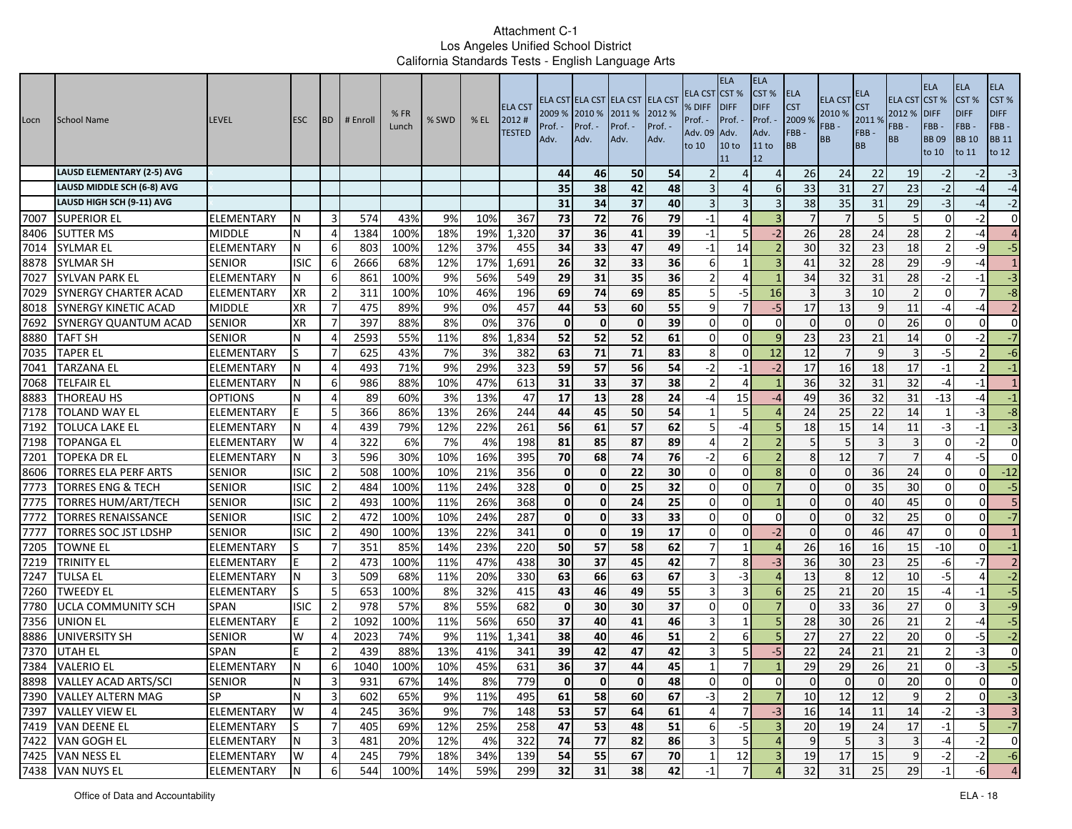| Locn | School Name                       | <b>LEVEL</b>      | <b>ESC</b>  | <b>IBD</b>     | # Enrol | %FR<br>Lunch | % SWD | $%$ EL | <b>ELA CST</b><br>2012#<br><b>TESTED</b> | 2009 % 2010 %<br>Prof.<br>Adv. | Prof. -<br>Adv. | ELA CST ELA CST ELA CST ELA CST<br>2011 %<br>Prof. -<br>Adv. | 2012 %<br>Prof. -<br>Adv. | ELA CST<br>% DIFF<br>Prof. -<br>Adv. 09<br>to 10 | <b>ELA</b><br>CST <sup>%</sup><br><b>IDIFF</b><br>Prof. -<br>Adv.<br>10 <sub>to</sub><br>11 | <b>ELA</b><br>CST %<br><b>DIFF</b><br>Prof.<br>Adv.<br>11 to<br>12 | <b>ELA</b><br><b>CST</b><br>2009 %<br>FBB-<br>BB | <b>ELA CST</b><br>2010 %<br>FBB-<br>BB | ELA<br><b>CST</b><br>2011%<br>FBB-<br><b>BB</b> | <b>ELA CST</b><br>2012 %<br>FBB -<br><b>BB</b> | <b>ELA</b><br>CST%<br><b>DIFF</b><br>FBB-<br><b>BB09</b><br>to 10 | <b>ELA</b><br>CST %<br><b>DIFF</b><br>FBB-<br><b>BB</b> 10<br>to 11 | <b>ELA</b><br>CST%<br><b>DIFF</b><br>FBB-<br><b>BB 11</b><br>to 12 |
|------|-----------------------------------|-------------------|-------------|----------------|---------|--------------|-------|--------|------------------------------------------|--------------------------------|-----------------|--------------------------------------------------------------|---------------------------|--------------------------------------------------|---------------------------------------------------------------------------------------------|--------------------------------------------------------------------|--------------------------------------------------|----------------------------------------|-------------------------------------------------|------------------------------------------------|-------------------------------------------------------------------|---------------------------------------------------------------------|--------------------------------------------------------------------|
|      | <b>LAUSD ELEMENTARY (2-5) AVG</b> |                   |             |                |         |              |       |        |                                          | 44                             | 46              | 50                                                           | 54                        |                                                  | $\Delta$                                                                                    | $\overline{4}$                                                     | 26                                               | 24                                     | 22                                              | 19                                             | $-2$                                                              | $-2$                                                                | $-3$                                                               |
|      | LAUSD MIDDLE SCH (6-8) AVG        |                   |             |                |         |              |       |        |                                          | 35                             | 38              | 42                                                           | 48                        |                                                  | $\Delta$                                                                                    | 6                                                                  | 33                                               | 31                                     | 27                                              | 23                                             | $-2$                                                              | $-4$                                                                | $-4$                                                               |
|      | LAUSD HIGH SCH (9-11) AVG         |                   |             |                |         |              |       |        |                                          | 31                             | 34              | 37                                                           | 40                        |                                                  | 3                                                                                           | 3                                                                  | 38                                               | 35                                     | 31                                              | 29                                             | $-3$                                                              | $-4$                                                                | $-2$                                                               |
| 7007 | <b>SUPERIOR EL</b>                | ELEMENTARY        | N           | 3              | 574     | 43%          | 9%    | 10%    | 367                                      | 73                             | 72              | 76                                                           | 79                        | $-1$                                             | 4                                                                                           |                                                                    | $\overline{7}$                                   |                                        | 5                                               | 5                                              | $\Omega$                                                          | $-2$                                                                | $\overline{0}$                                                     |
| 8406 | <b>SUTTER MS</b>                  | <b>MIDDLE</b>     | N           | 4              | 1384    | 100%         | 18%   | 19%    | 1,320                                    | 37                             | 36              | 41                                                           | 39                        | $-1$                                             | 5                                                                                           | $-2$                                                               | 26                                               | 28                                     | 24                                              | 28                                             |                                                                   | $-4$                                                                | $\overline{4}$                                                     |
| 7014 | <b>SYLMAR EL</b>                  | <b>ELEMENTARY</b> | N           | 6              | 803     | 100%         | 12%   | 37%    | 455                                      | 34                             | 33              | 47                                                           | 49                        | $-1$                                             | 14                                                                                          | $\overline{\phantom{a}}$                                           | 30                                               | 32                                     | 23                                              | 18                                             |                                                                   | $-9$                                                                | $-5$                                                               |
| 8878 | <b>SYLMAR SH</b>                  | <b>SENIOR</b>     | <b>ISIC</b> | 6              | 2666    | 68%          | 12%   | 17%    | 1,691                                    | 26                             | 32              | 33                                                           | 36                        | -6                                               |                                                                                             | 3                                                                  | 41                                               | 32                                     | 28                                              | 29                                             | -9                                                                | $-4$                                                                | $\mathbf{1}$                                                       |
| 7027 | SYLVAN PARK EL                    | ELEMENTARY        | N           | 6              | 861     | 100%         | 9%    | 56%    | 549                                      | 29                             | 31              | 35                                                           | 36                        |                                                  | 4                                                                                           |                                                                    | 34                                               | 32                                     | 31                                              | 28                                             | $-2$                                                              | $-1$                                                                | $-3$                                                               |
| 7029 | SYNERGY CHARTER ACAD              | ELEMENTARY        | <b>XR</b>   | $\overline{2}$ | 311     | 100%         | 10%   | 46%    | 196                                      | 69                             | 74              | 69                                                           | 85                        | 5                                                | -5                                                                                          | 16                                                                 | 3                                                |                                        | 10                                              | $\overline{2}$                                 | $\mathbf 0$                                                       | $\overline{7}$                                                      | $-\infty$                                                          |
| 8018 | <b>SYNERGY KINETIC ACAD</b>       | <b>MIDDLE</b>     | <b>XR</b>   | 7              | 475     | 89%          | 9%    | 0%     | 457                                      | 44                             | 53              | 60                                                           | 55                        | q                                                | $\overline{7}$                                                                              | $-5$                                                               | 17                                               | 13                                     | 9                                               | 11                                             | $-4$                                                              | $-4$                                                                | 2                                                                  |
| 7692 | SYNERGY QUANTUM ACAD              | <b>SENIOR</b>     | <b>XR</b>   | 7              | 397     | 88%          | 8%    | 0%     | 376                                      | $\mathbf{0}$                   | $\mathbf 0$     | $\mathbf{0}$                                                 | 39                        | $\Omega$                                         | $\Omega$                                                                                    | $\Omega$                                                           | $\Omega$                                         | $\Omega$                               | $\Omega$                                        | 26                                             | $\Omega$                                                          | $\Omega$                                                            | $\overline{0}$                                                     |
| 8880 | <b>TAFT SH</b>                    | <b>SENIOR</b>     | N           | $\overline{4}$ | 2593    | 55%          | 11%   | 8%     | 1,834                                    | 52                             | 52              | 52                                                           | 61                        | $\Omega$                                         | $\Omega$                                                                                    | $\mathbf{q}$                                                       | 23                                               | 23                                     | 21                                              | 14                                             | $\Omega$                                                          | $-2$                                                                | $-7$                                                               |
| 7035 | <b>TAPER EL</b>                   | ELEMENTARY        |             | $\overline{7}$ | 625     | 43%          | 7%    | 3%     | 382                                      | 63                             | 71              | 71                                                           | 83                        | 8                                                | $\Omega$                                                                                    | 12                                                                 | 12                                               |                                        | 9                                               |                                                | $-5$                                                              |                                                                     | $-6$                                                               |
| 7041 | <b>TARZANA EL</b>                 | ELEMENTARY        |             | 4              | 493     | 71%          | 9%    | 29%    | 323                                      | 59                             | 57              | 56                                                           | 54                        | $-2$                                             | $-1$                                                                                        | $-2$                                                               | 17                                               | 16                                     | 18                                              | 17                                             | $-1$                                                              | 2 <sup>1</sup>                                                      | $-1$                                                               |
| 7068 | TELFAIR EL                        | ELEMENTARY        | N           | 6              | 986     | 88%          | 10%   | 47%    | 613                                      | 31                             | 33              | 37                                                           | 38                        | -2                                               | 4                                                                                           |                                                                    | 36                                               | 32                                     | 31                                              | 32                                             | $-4$                                                              | $-1$                                                                | $\mathbf{1}$                                                       |
| 8883 | THOREAU HS                        | <b>OPTIONS</b>    | N           | 4              | 89      | 60%          | 3%    | 13%    | 47                                       | 17                             | 13              | 28                                                           | 24                        | -4                                               | 15                                                                                          | $-4$                                                               | 49                                               | 36                                     | 32                                              | 31                                             | $-13$                                                             | $-4$                                                                | $-1$                                                               |
| 7178 | <b>TOLAND WAY EL</b>              | ELEMENTARY        | E           | 5              | 366     | 86%          | 13%   | 26%    | 244                                      | 44                             | 45              | 50                                                           | 54                        |                                                  | 5                                                                                           |                                                                    | 24                                               | 25                                     | 22                                              | 14                                             |                                                                   | $-3$                                                                | $-8$                                                               |
| 7192 | TOLUCA LAKE EL                    | ELEMENTARY        | N           | $\overline{4}$ | 439     | 79%          | 12%   | 22%    | 261                                      | 56                             | 61              | 57                                                           | 62                        | 5                                                | $-4$                                                                                        | L,                                                                 | 18                                               | 15                                     | 14                                              | 11                                             | $-3$                                                              | $-1$                                                                | $-3$                                                               |
| 7198 | <b>TOPANGA EL</b>                 | ELEMENTARY        | W           | $\overline{4}$ | 322     | 6%           | 7%    | 4%     | 198                                      | 81                             | 85              | 87                                                           | 89                        | $\Delta$                                         | $\overline{2}$                                                                              |                                                                    | 5                                                |                                        |                                                 | 3                                              | $\Omega$                                                          | $-2$                                                                | $\overline{0}$                                                     |
| 7201 | TOPEKA DR EL                      | ELEMENTARY        | N           | 3              | 596     | 30%          | 10%   | 16%    | 395                                      | 70                             | 68              | 74                                                           | 76                        | $-2$                                             | 6                                                                                           |                                                                    | 8                                                | 12                                     | $\overline{7}$                                  | $\overline{7}$                                 |                                                                   | $-5$                                                                | $\overline{0}$                                                     |
| 8606 | <b>TORRES ELA PERF ARTS</b>       | <b>SENIOR</b>     | <b>ISIC</b> | $\overline{2}$ | 508     | 100%         | 10%   | 21%    | 356                                      | $\mathbf{0}$                   | $\mathbf 0$     | 22                                                           | 30                        | $\Omega$                                         | $\Omega$                                                                                    | R                                                                  | $\Omega$                                         |                                        | 36                                              | 24                                             | $\Omega$                                                          | $\mathbf{0}$                                                        | $-12$                                                              |
| 7773 | <b>TORRES ENG &amp; TECH</b>      | <b>SENIOR</b>     | ISIC        | 2              | 484     | 100%         | 11%   | 24%    | 328                                      | Οl                             | $\mathbf 0$     | 25                                                           | 32                        | $\Omega$                                         | 0                                                                                           |                                                                    | $\mathbf{0}$                                     | 0                                      | 35                                              | 30                                             | $\mathbf 0$                                                       | $\Omega$                                                            | $-5$                                                               |
| 7775 | <b>TORRES HUM/ART/TECH</b>        | <b>SENIOR</b>     | <b>ISIC</b> | $\overline{2}$ | 493     | 100%         | 11%   | 26%    | 368                                      | $\mathbf{0}$                   | $\mathbf 0$     | 24                                                           | $\overline{25}$           | $\Omega$                                         | $\Omega$                                                                                    |                                                                    | $\Omega$                                         |                                        | 40                                              | 45                                             | $\Omega$                                                          | $\Omega$                                                            | 5                                                                  |
| 7772 | <b>TORRES RENAISSANCE</b>         | <b>SENIOR</b>     | <b>ISIC</b> | $\overline{2}$ | 472     | 100%         | 10%   | 24%    | 287                                      | $\Omega$                       | $\mathbf 0$     | 33                                                           | 33                        | $\Omega$                                         | $\Omega$                                                                                    | $\Omega$                                                           | $\Omega$                                         |                                        | 32                                              | 25                                             | $\Omega$                                                          | $\mathbf{0}$                                                        | $-7$                                                               |
| 7777 | TORRES SOC JST LDSHP              | <b>SENIOR</b>     | <b>ISIC</b> | $\overline{2}$ | 490     | 100%         | 13%   | 22%    | 341                                      | Οl                             | $\mathbf 0$     | 19                                                           | 17                        | $\Omega$                                         | 0                                                                                           | $-2$                                                               | $\Omega$                                         | $\Omega$                               | 46                                              | 47                                             | $\Omega$                                                          | $\Omega$                                                            | $\mathbf{1}$                                                       |
| 7205 | <b>TOWNE EL</b>                   | ELEMENTARY        |             | $\overline{7}$ | 351     | 85%          | 14%   | 23%    | 220                                      | 50                             | 57              | 58                                                           | 62                        |                                                  |                                                                                             | $\Delta$                                                           | 26                                               | 16                                     | 16                                              | 15                                             | $-10$                                                             | $\overline{0}$                                                      | $-1$                                                               |
| 7219 | <b>TRINITY EL</b>                 | ELEMENTARY        |             | $\overline{2}$ | 473     | 100%         | 11%   | 47%    | 438                                      | 30 <sup>1</sup>                | 37              | 45                                                           | 42                        |                                                  | 8                                                                                           | -3                                                                 | 36                                               | 30                                     | 23                                              | 25                                             | -6                                                                | $-7$                                                                | 2                                                                  |
| 7247 | <b>TULSA EL</b>                   | ELEMENTARY        |             | 3              | 509     | 68%          | 11%   | 20%    | 330                                      | 63                             | 66              | 63                                                           | 67                        | 3                                                | -3                                                                                          |                                                                    | 13                                               | 8                                      | 12                                              | 10                                             | $-5$                                                              | $\overline{4}$                                                      | $-2$                                                               |
| 7260 | TWEEDY EL                         | ELEMENTARY        | S           | 5              | 653     | 100%         | 8%    | 32%    | 415                                      | 43                             | 46              | 49                                                           | 55                        | 3                                                | 3                                                                                           | -6                                                                 | 25                                               | 21                                     | 20                                              | 15                                             | $-4$                                                              | $-1$                                                                | $-5$                                                               |
| 7780 | <b>UCLA COMMUNITY SCH</b>         | <b>SPAN</b>       | <b>ISIC</b> | $\overline{2}$ | 978     | 57%          | 8%    | 55%    | 682                                      | $\mathbf{0}$                   | 30              | 30                                                           | 37                        | $\cup$                                           | $\Omega$                                                                                    |                                                                    | $\Omega$                                         | 33                                     | 36                                              | 27                                             | $\Omega$                                                          | $\overline{3}$                                                      | $-9$                                                               |
| 7356 | <b>UNION EL</b>                   | <b>ELEMENTARY</b> |             | $\overline{2}$ | 1092    | 100%         | 11%   | 56%    | 650                                      | 37                             | 40              | 41                                                           | 46                        | 3                                                | $\mathbf{1}$                                                                                | 5                                                                  | 28                                               | 30                                     | 26                                              | 21                                             | $\mathcal{P}$                                                     | $-4$                                                                | $-5$                                                               |
| 8886 | UNIVERSITY SH                     | <b>SENIOR</b>     | W           | 4              | 2023    | 74%          | 9%    | 11%    | 1,341                                    | 38                             | 40              | 46                                                           | 51                        |                                                  | 6                                                                                           |                                                                    | 27                                               | 27                                     | 22                                              | 20                                             | $\Omega$                                                          | $-5$                                                                | $-2$                                                               |
| 7370 | UTAH EL                           | <b>SPAN</b>       |             | $\overline{2}$ | 439     | 88%          | 13%   | 41%    | 341                                      | 39                             | 42              | 47                                                           | 42                        |                                                  | 5                                                                                           | -5                                                                 | 22                                               | 24                                     | 21                                              | 21                                             |                                                                   | $-3$                                                                | $\overline{0}$                                                     |
| 7384 | <b>VALERIO EL</b>                 | ELEMENTARY        | N           | 6              | 1040    | 100%         | 10%   | 45%    | 631                                      | 36                             | $\overline{37}$ | 44                                                           | 45                        |                                                  | $\overline{7}$                                                                              |                                                                    | $\overline{29}$                                  | 29                                     | 26                                              | 21                                             | $\mathbf{0}$                                                      | $-3$                                                                | $-5$                                                               |
|      | 8898 VALLEY ACAD ARTS/SCI         | <b>SENIOR</b>     | N           | 3              | 931     | 67%          | 14%   | 8%     | 779                                      | υı                             |                 | υı                                                           | 48                        |                                                  |                                                                                             | υ                                                                  |                                                  | υı                                     | υı                                              | $20\,$                                         |                                                                   | 0                                                                   |                                                                    |
|      | 7390 VALLEY ALTERN MAG            | SP                | N           | 3              | 602     | 65%          | 9%    | 11%    | 495                                      | 61                             | 58              | 60                                                           | 67                        | $-3$                                             | $\overline{2}$                                                                              | $\overline{7}$                                                     | 10                                               | 12                                     | 12                                              | 9                                              | $\overline{2}$                                                    | $\mathbf{0}$                                                        | $-3$                                                               |
|      | 7397 VALLEY VIEW EL               | <b>ELEMENTARY</b> | W           | $\overline{4}$ | 245     | 36%          | 9%    | 7%     | 148                                      | 53                             | 57              | 64                                                           | 61                        | $\overline{4}$                                   | 7                                                                                           | $-3$                                                               | 16                                               | 14                                     | 11                                              | 14                                             | $-2$                                                              | $-3$                                                                | $\overline{3}$                                                     |
|      | 7419 VAN DEENE EL                 | ELEMENTARY        | lS          | $\overline{7}$ | 405     | 69%          | 12%   | 25%    | 258                                      | 47                             | 53              | 48                                                           | 51                        | 6                                                | $-5$                                                                                        | $\overline{3}$                                                     | 20                                               | 19                                     | 24                                              | 17                                             | $-1$                                                              | 5                                                                   | $\mathbf{-7}$                                                      |
|      | 7422 VAN GOGH EL                  | ELEMENTARY        | N           | 3              | 481     | 20%          | 12%   | 4%     | 322                                      | 74                             | 77              | 82                                                           | 86                        | 3                                                | 5 <sub>l</sub>                                                                              | $\overline{4}$                                                     | 9                                                |                                        | $\overline{\mathbf{3}}$                         | $\overline{3}$                                 | $-4$                                                              | $-2$                                                                | $\overline{0}$                                                     |
|      | 7425 VAN NESS EL                  | ELEMENTARY        | W           | $\overline{4}$ | 245     | 79%          | 18%   | 34%    | 139                                      | 54                             | 55              | 67                                                           | 70                        |                                                  | 12                                                                                          | $\overline{3}$                                                     | 19                                               | 17                                     | 15                                              | 9                                              | $-2$                                                              | $-2$                                                                | $-6$                                                               |
|      | 7438 VAN NUYS EL                  | <b>ELEMENTARY</b> | N           | 6              | 544     | 100%         | 14%   | 59%    | 299                                      | 32                             | 31              | 38                                                           | 42                        | $-1$                                             |                                                                                             |                                                                    | 32                                               | 31                                     | 25                                              | 29                                             |                                                                   | $-6$                                                                | $\overline{4}$                                                     |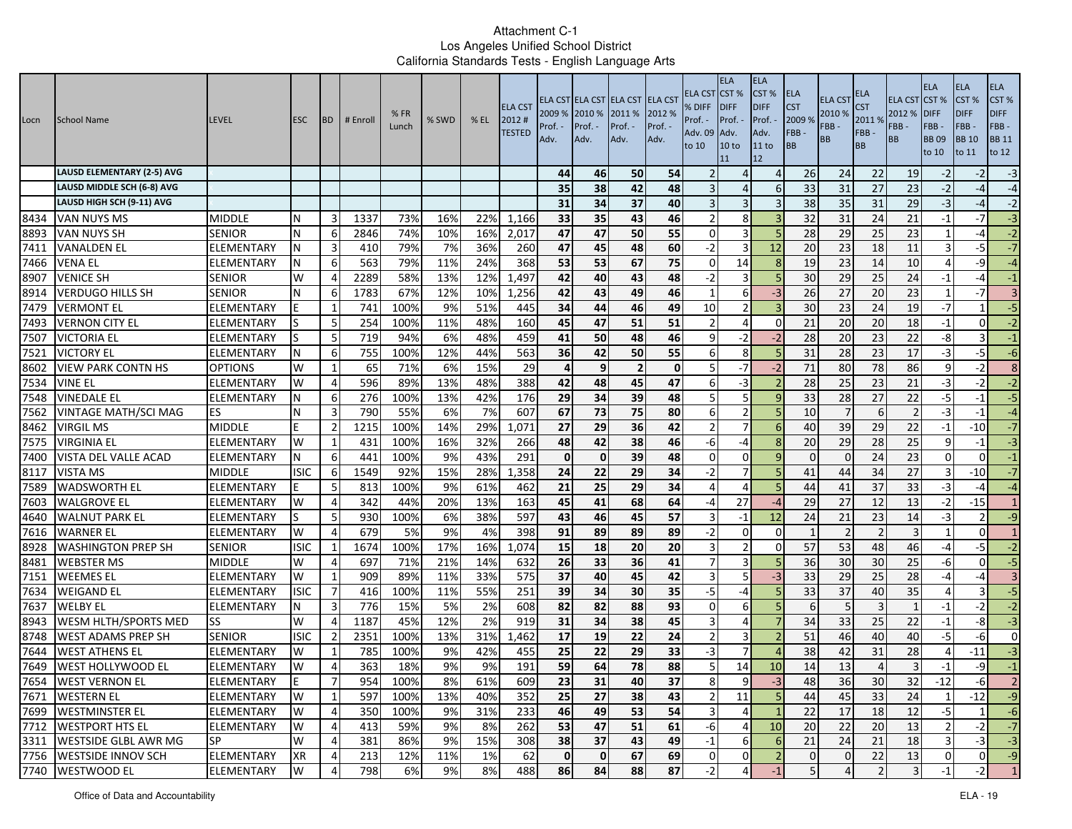| Locn | School Name                       | <b>LEVEL</b>      | <b>ESC</b>  | <b>BD</b>      | # Enroll | %FR<br>Lunch | % SWD | $%$ EL | <b>ELA CST</b><br>2012#<br><b>TESTED</b> | 2009 %<br>Prof.<br>Adv. | 2010 %<br>Prof. -<br>Adv. | ELA CST ELA CST ELA CST ELA CST<br>2011 %<br>Prof. -<br>Adv. | 2012 %<br>Prof. -<br>Adv. | ELA CST<br>% DIFF<br>Prof. -<br>Adv. 09<br>to 10 | <b>ELA</b><br>CST <sub>%</sub><br><b>DIFF</b><br>Prof. -<br>Adv.<br>10 to<br>11 | <b>ELA</b><br>CST%<br><b>DIFF</b><br>Prof. -<br>Adv.<br>11 to<br>12 | <b>ELA</b><br><b>CST</b><br>2009 %<br>FBB-<br><b>BB</b> | <b>ELA CST</b><br>2010 %<br>FBB -<br>BB | ELA<br>S <sub>T</sub><br>20119<br>FBB-<br><b>BB</b> | ELA CST CST %<br>2012 %<br>FBB -<br><b>BB</b> | <b>ELA</b><br><b>DIFF</b><br>FBB-<br><b>BB09</b><br>to 10 | <b>ELA</b><br>CST %<br><b>DIFF</b><br>FBB-<br><b>BB</b> 10<br>to 11 | <b>ELA</b><br>CST %<br><b>DIFF</b><br>FBB-<br><b>BB 11</b><br>to 12 |
|------|-----------------------------------|-------------------|-------------|----------------|----------|--------------|-------|--------|------------------------------------------|-------------------------|---------------------------|--------------------------------------------------------------|---------------------------|--------------------------------------------------|---------------------------------------------------------------------------------|---------------------------------------------------------------------|---------------------------------------------------------|-----------------------------------------|-----------------------------------------------------|-----------------------------------------------|-----------------------------------------------------------|---------------------------------------------------------------------|---------------------------------------------------------------------|
|      | <b>LAUSD ELEMENTARY (2-5) AVG</b> |                   |             |                |          |              |       |        |                                          | 44                      | 46                        | 50                                                           | 54                        |                                                  | 4                                                                               | $\overline{4}$                                                      | 26                                                      | 24                                      | 22                                                  | 19                                            | $-2$                                                      | $-2$                                                                | $-3$                                                                |
|      | LAUSD MIDDLE SCH (6-8) AVG        |                   |             |                |          |              |       |        |                                          | 35                      | 38                        | 42                                                           | 48                        |                                                  | $\overline{4}$                                                                  | 6                                                                   | 33                                                      | 31                                      | 27                                                  | 23                                            | $-2$                                                      | -4                                                                  | $-4$                                                                |
|      | LAUSD HIGH SCH (9-11) AVG         |                   |             |                |          |              |       |        |                                          | 31                      | 34                        | 37                                                           | 40                        |                                                  | 3                                                                               | 3                                                                   | 38                                                      | 35                                      | 31                                                  | 29                                            | $-3$                                                      | -4                                                                  | $-2$                                                                |
| 8434 | VAN NUYS MS                       | MIDDLE            | N           | 3              | 1337     | 73%          | 16%   | 22%    | 1,166                                    | 33                      | 35                        | 43                                                           | 46                        |                                                  | 8                                                                               |                                                                     | 32                                                      | 31                                      | 24                                                  | 21                                            | $-1$                                                      | -7                                                                  | $-3$                                                                |
| 8893 | <b>VAN NUYS SH</b>                | <b>SENIOR</b>     | N           | 6              | 2846     | 74%          | 10%   | 16%    | 2,017                                    | 47                      | 47                        | 50                                                           | 55                        | $\Omega$                                         | $\overline{\mathbf{a}}$                                                         |                                                                     | 28                                                      | 29                                      | 25                                                  | 23                                            |                                                           | -4                                                                  | $-2$                                                                |
| 7411 | <b>VANALDEN EL</b>                | ELEMENTARY        | N           | 3              | 410      | 79%          | 7%    | 36%    | 260                                      | 47                      | 45                        | 48                                                           | 60                        | $-2$                                             | $\overline{3}$                                                                  | 12                                                                  | 20                                                      | 23                                      | 18                                                  | 11                                            | 3                                                         | $-5$                                                                | $-7$                                                                |
| 7466 | <b>VENA EL</b>                    | ELEMENTARY        | N           | 6              | 563      | 79%          | 11%   | 24%    | 368                                      | 53                      | 53                        | 67                                                           | 75                        | $\Omega$                                         | 14                                                                              | 8                                                                   | 19                                                      | 23                                      | 14                                                  | 10                                            | 4                                                         | -9                                                                  | $-4$                                                                |
| 8907 | <b>VENICE SH</b>                  | <b>SENIOR</b>     | W           | 4              | 2289     | 58%          | 13%   | 12%    | 1,497                                    | 42                      | 40                        | 43                                                           | 48                        | $-2$                                             | $\overline{3}$                                                                  |                                                                     | 30                                                      | 29                                      | 25                                                  | 24                                            | $-1$                                                      | -4                                                                  | $-1$                                                                |
| 8914 | <b>VERDUGO HILLS SH</b>           | SENIOR            | N           | 6              | 1783     | 67%          | 12%   | 10%    | 1,256                                    | 42                      | 43                        | 49                                                           | 46                        |                                                  | 6                                                                               | $-3$                                                                | 26                                                      | 27                                      | 20                                                  | 23                                            | $\mathbf{1}$                                              | -7                                                                  | $\overline{3}$                                                      |
| 7479 | <b>VERMONT EL</b>                 | ELEMENTARY        |             | -1             | 741      | 100%         | 9%    | 51%    | 445                                      | 34                      | 44                        | 46                                                           | 49                        | 10                                               | $\overline{2}$                                                                  |                                                                     | 30                                                      | 23                                      | 24                                                  | 19                                            | $-7$                                                      |                                                                     | $-5$                                                                |
| 7493 | <b>VERNON CITY EL</b>             | ELEMENTARY        |             | -5             | 254      | 100%         | 11%   | 48%    | 160                                      | 45                      | 47                        | 51                                                           | 51                        |                                                  | $\overline{4}$                                                                  | $\Omega$                                                            | 21                                                      | 20                                      | 20                                                  | 18                                            | $-1$                                                      | ΩI                                                                  | $-2$                                                                |
| 7507 | <b>VICTORIA EL</b>                | ELEMENTARY        |             | 5              | 719      | 94%          | 6%    | 48%    | 459                                      | 41                      | 50                        | 48                                                           | 46                        | q                                                | $-2$                                                                            | $-2$                                                                | 28                                                      | 20                                      | 23                                                  | 22                                            | -8                                                        |                                                                     | $-1$                                                                |
| 7521 | <b>VICTORY EL</b>                 | ELEMENTARY        | N           | 6              | 755      | 100%         | 12%   | 44%    | 563                                      | 36                      | 42                        | 50                                                           | 55                        | 6                                                | 8                                                                               |                                                                     | 31                                                      | 28                                      | 23                                                  | 17                                            | $-3$                                                      | $-5$                                                                | $-6$                                                                |
| 8602 | <b>VIEW PARK CONTN HS</b>         | <b>OPTIONS</b>    | W           | 1              | 65       | 71%          | 6%    | 15%    | 29                                       |                         | 9                         | $\overline{2}$                                               | $\mathbf 0$               | 5                                                | -7                                                                              | $-2$                                                                | 71                                                      | 80                                      | 78                                                  | 86                                            | 9                                                         | $-2$                                                                | 8 <sup>1</sup>                                                      |
| 7534 | <b>VINE EL</b>                    | ELEMENTARY        | W           | $\overline{4}$ | 596      | 89%          | 13%   | 48%    | 388                                      | 42                      | 48                        | 45                                                           | 47                        | 6                                                | $-3$                                                                            |                                                                     | 28                                                      | 25                                      | 23                                                  | 21                                            | $-3$                                                      | -2                                                                  | $-2$                                                                |
| 7548 | <b>VINEDALE EL</b>                | ELEMENTARY        | N           | 6              | 276      | 100%         | 13%   | 42%    | 176                                      | 29                      | 34                        | 39                                                           | 48                        | 5                                                | 5                                                                               | <sub>q</sub>                                                        | 33                                                      | 28                                      | 27                                                  | 22                                            | $-5$                                                      | $-1$                                                                | $-5$                                                                |
| 7562 | <b>VINTAGE MATH/SCI MAG</b>       | ES                | N           | 3              | 790      | 55%          | 6%    | 7%     | 607                                      | 67                      | 73                        | 75                                                           | 80                        | 6                                                | $\overline{2}$                                                                  |                                                                     | 10                                                      |                                         | 6                                                   | $\overline{2}$                                | $-3$                                                      | -1                                                                  | $-4$                                                                |
| 8462 | <b>VIRGIL MS</b>                  | <b>MIDDLE</b>     | F           | $\overline{2}$ | 1215     | 100%         | 14%   | 29%    | 1,071                                    | 27                      | 29                        | 36                                                           | 42                        | $\mathcal{P}$                                    | $\overline{7}$                                                                  | 6                                                                   | 40                                                      | 39                                      | 29                                                  | 22                                            | $-1$                                                      | $-10$                                                               | $-7$                                                                |
| 7575 | <b>VIRGINIA EL</b>                | ELEMENTARY        | W           | 1              | 431      | 100%         | 16%   | 32%    | 266                                      | 48                      | 42                        | 38                                                           | 46                        | -6                                               | -4                                                                              | 8                                                                   | 20                                                      | 29                                      | 28                                                  | 25                                            | q                                                         | $-1$                                                                | $-3$                                                                |
| 7400 | VISTA DEL VALLE ACAD              | ELEMENTARY        |             | 6              | 441      | 100%         | 9%    | 43%    | 291                                      | $\mathbf 0$             | $\mathbf{0}$              | 39                                                           | 48                        | $\Omega$                                         | $\mathbf 0$                                                                     | 9                                                                   | $\Omega$                                                | $\Omega$                                | 24                                                  | 23                                            | $\mathbf 0$                                               | $\Omega$                                                            | $-1$                                                                |
| 8117 | VISTA MS                          | <b>MIDDLE</b>     | <b>ISIC</b> | 6              | 1549     | 92%          | 15%   | 28%    | 1,358                                    | 24                      | 22                        | 29                                                           | 34                        | $-2$                                             | $\overline{7}$                                                                  | 5                                                                   | 41                                                      | 44                                      | 34                                                  | 27                                            | 3                                                         | -10                                                                 | $-7$                                                                |
| 7589 | <b>WADSWORTH EL</b>               | ELEMENTARY        |             | 5              | 813      | 100%         | 9%    | 61%    | 462                                      | 21                      | 25                        | 29                                                           | 34                        | 4                                                | 4                                                                               |                                                                     | 44                                                      | 41                                      | 37                                                  | 33                                            | $-3$                                                      | -4                                                                  | $-4$                                                                |
| 7603 | <b>WALGROVE EL</b>                | ELEMENTARY        | W           | $\overline{4}$ | 342      | 44%          | 20%   | 13%    | 163                                      | 45                      | 41                        | 68                                                           | 64                        | -4                                               | 27                                                                              | $-4$                                                                | 29                                                      | 27                                      | $\overline{12}$                                     | 13                                            | $-2$                                                      | $-15$                                                               | $\overline{1}$                                                      |
| 4640 | <b>WALNUT PARK EL</b>             | ELEMENTARY        | lS.         | 5              | 930      | 100%         | 6%    | 38%    | 597                                      | 43                      | 46                        | 45                                                           | 57                        | 3                                                | $-1$                                                                            | 12                                                                  | 24                                                      | 21                                      | 23                                                  | 14                                            | $-3$                                                      |                                                                     | $-9$                                                                |
| 7616 | <b>WARNER EL</b>                  | ELEMENTARY        | W           | $\overline{4}$ | 679      | 5%           | 9%    | 4%     | 398                                      | 91                      | 89                        | 89                                                           | 89                        | $-2$                                             | $\mathbf 0$                                                                     | $\Omega$                                                            | $\mathbf{1}$                                            |                                         | 2                                                   | ς                                             | 1                                                         | $\Omega$                                                            | $\mathbf{1}$                                                        |
| 8928 | <b>WASHINGTON PREP SH</b>         | <b>SENIOR</b>     | <b>ISIC</b> | $\mathbf 1$    | 1674     | 100%         | 17%   | 16%    | 1,074                                    | 15                      | 18                        | 20                                                           | 20                        |                                                  | $\overline{2}$                                                                  | $\Omega$                                                            | 57                                                      | 53                                      | 48                                                  | 46                                            | -4                                                        | $-5$                                                                | $-2$                                                                |
| 8481 | <b>WEBSTER MS</b>                 | <b>MIDDLE</b>     | W           | 4              | 697      | 71%          | 21%   | 14%    | 632                                      | 26                      | 33                        | 36                                                           | 41                        |                                                  | $\overline{3}$                                                                  |                                                                     | 36                                                      | 30                                      | 30                                                  | 25                                            | -6                                                        | $\Omega$                                                            | $-5$                                                                |
| 7151 | <b>WEEMES EL</b>                  | ELEMENTARY        | W           | 1              | 909      | 89%          | 11%   | 33%    | 575                                      | 37                      | 40                        | 45                                                           | 42                        |                                                  | 5                                                                               | $-3$                                                                | 33                                                      | 29                                      | 25                                                  | 28                                            | -4                                                        | -4                                                                  | $\overline{3}$                                                      |
| 7634 | <b>WEIGAND EL</b>                 | ELEMENTARY        | <b>ISIC</b> | $\overline{7}$ | 416      | 100%         | 11%   | 55%    | 251                                      | 39                      | 34                        | 30                                                           | 35                        | $-5$                                             | -4                                                                              |                                                                     | 33                                                      | 37                                      | 40                                                  | 35                                            | 4                                                         |                                                                     | $-5$                                                                |
| 7637 | <b>WELBY EL</b>                   | ELEMENTARY        | N           | 3              | 776      | 15%          | 5%    | 2%     | 608                                      | 82                      | 82                        | 88                                                           | 93                        | $\Omega$                                         | 6                                                                               | $\overline{5}$                                                      | 6                                                       |                                         | 3                                                   |                                               | $-1$                                                      | $-2$                                                                | $-2$                                                                |
| 8943 | <b>WESM HLTH/SPORTS MED</b>       | SS                | W           | 4              | 1187     | 45%          | 12%   | 2%     | 919                                      | 31                      | 34                        | 38                                                           | 45                        | 3                                                | $\overline{4}$                                                                  | 7                                                                   | 34                                                      | 33                                      | 25                                                  | 22                                            | $-1$                                                      | -8                                                                  | $-3$                                                                |
| 8748 | <b>WEST ADAMS PREP SH</b>         | <b>SENIOR</b>     | <b>ISIC</b> | $\overline{2}$ | 2351     | 100%         | 13%   | 31%    | 1,462                                    | 17                      | 19                        | 22                                                           | 24                        |                                                  | $\overline{3}$                                                                  |                                                                     | 51                                                      | 46                                      | 40                                                  | 40                                            | -5                                                        | $-6$                                                                | $\overline{0}$                                                      |
| 7644 | <b>WEST ATHENS EL</b>             | ELEMENTARY        | W           |                | 785      | 100%         | 9%    | 42%    | 455                                      | 25                      | 22                        | 29                                                           | 33                        | -3                                               |                                                                                 |                                                                     | 38                                                      | 42                                      | 31                                                  | 28                                            | $\Delta$                                                  | -11                                                                 | $-3$                                                                |
| 7649 | WEST HOLLYWOOD EL                 | ELEMENTARY        | W           | 4              | 363      | 18%          | 9%    | 9%     | 191                                      | 59                      | 64                        | 78                                                           | 88                        | 5                                                | 14                                                                              | 10                                                                  | 14                                                      | 13                                      | $\overline{4}$                                      | 3                                             | $-1$                                                      | -9                                                                  | $-1$                                                                |
|      | 7654 WEST VERNON EL               | ELEMENTARY        | E           | $\prime$       | 954      | 100%         | 8%    | 61%    | 609                                      | 23                      | 31                        | 40                                                           | $37\,$                    | 8                                                | У                                                                               | -3                                                                  | 48                                                      | 36                                      | 30                                                  | 32                                            | -12                                                       | -61                                                                 |                                                                     |
|      | 7671 WESTERN EL                   | <b>ELEMENTARY</b> | W           | 1              | 597      | 100%         | 13%   | 40%    | 352                                      | 25                      | 27                        | 38                                                           | 43                        | $\overline{2}$                                   | 11                                                                              | 5                                                                   | 44                                                      | 45                                      | 33                                                  | 24                                            | $\mathbf{1}$                                              | $-12$                                                               | $-9$                                                                |
|      | 7699 WESTMINSTER EL               | ELEMENTARY        | W           | $\overline{4}$ | 350      | 100%         | 9%    | 31%    | 233                                      | 46                      | 49                        | 53                                                           | 54                        | $\overline{3}$                                   | $\overline{4}$                                                                  | $\mathbf{1}$                                                        | 22                                                      | 17                                      | 18                                                  | 12                                            | $-5$                                                      |                                                                     | $-6$                                                                |
|      | 7712 WESTPORT HTS EL              | ELEMENTARY        | W           | $\overline{4}$ | 413      | 59%          | 9%    | 8%     | 262                                      | 53                      | 47                        | 51                                                           | 61                        | -6                                               | 4                                                                               | 10                                                                  | 20                                                      | 22                                      | 20                                                  | 13                                            | $\overline{2}$                                            | $-2$                                                                | $-7$                                                                |
|      | 3311 WESTSIDE GLBL AWR MG         | SP                | W           | 4              | 381      | 86%          | 9%    | 15%    | 308                                      | 38                      | 37                        | 43                                                           | 49                        | $-1$                                             | 6                                                                               | 6                                                                   | 21                                                      | 24                                      | 21                                                  | 18                                            | $\overline{3}$                                            | $-3$                                                                | $\mathbf{J}$                                                        |
|      | 7756 WESTSIDE INNOV SCH           | <b>ELEMENTARY</b> | XR          | 4              | 213      | 12%          | 11%   | 1%     | 62                                       | $\overline{0}$          | $\mathbf 0$               | 67                                                           | 69                        | $\mathbf 0$                                      | 0                                                                               | $\overline{2}$                                                      | $\mathbf 0$                                             | $\overline{0}$                          | 22                                                  | 13                                            | $\overline{0}$                                            | $\overline{0}$                                                      | $-9$                                                                |
|      | 7740 WESTWOOD EL                  | <b>ELEMENTARY</b> | W           | 4              | 798      | 6%           | 9%    | 8%     | 488                                      | 86                      | 84                        | 88                                                           | 87                        | $-2$                                             | $\overline{4}$                                                                  | $-1$                                                                | 5 <sub>l</sub>                                          |                                         | 2 <sup>1</sup>                                      | 3 <sup>l</sup>                                | $-1$                                                      | $-2$                                                                | $\vert$ 1                                                           |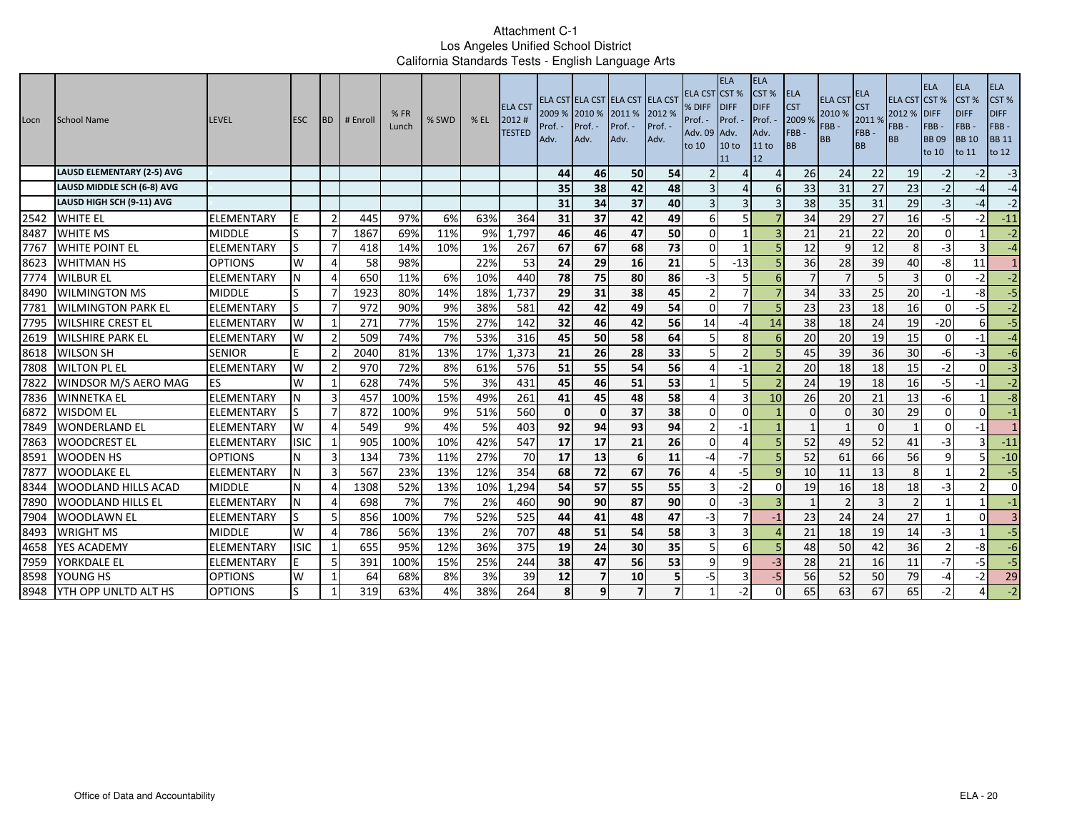| Locn | <b>School Name</b>                | <b>LEVEL</b>      | <b>ESC</b>  | <b>BD</b>      | # Enroll | %FR<br>Lunch | % SWD | % EL | <b>ELA CST</b><br>2012#<br><b>TESTED</b> | Prof. -<br>Adv. | 2009 % 2010 % 2011 %<br>Prof. -<br>Adv. | ELA CST ELA CST ELA CST ELA CST<br>Prof. -<br>Adv. | 2012 %<br>Prof. -<br>Adv. | <b>ELA CST CST %</b><br>% DIFF<br>Prof. -<br>Adv. 09 Adv.<br>to 10 | <b>ELA</b><br><b>IDIFF</b><br>Prof. -<br>10 <sub>to</sub><br>11 | <b>ELA</b><br>CST %<br><b>DIFF</b><br>Prof.<br>Adv.<br>11 to<br>12 | <b>ELA</b><br><b>CST</b><br>2009%<br>FBB-<br>BB | <b>ELA CST</b><br>2010 %<br>FBB-<br><b>BB</b> | <b>ELA</b><br><b>CST</b><br>2011 %<br>FBB-<br><b>BB</b> | <b>ELA CST CST %</b><br>2012 % DIFF<br>FBB-<br><b>BB</b> | <b>ELA</b><br>FBB-<br><b>BB09</b><br>to 10 | <b>ELA</b><br>CST %<br><b>DIFF</b><br>FBB-<br><b>BB</b> 10<br>to 11 | <b>ELA</b><br>CST %<br><b>DIFF</b><br>$FBB -$<br><b>BB</b> 11<br>to 12 |
|------|-----------------------------------|-------------------|-------------|----------------|----------|--------------|-------|------|------------------------------------------|-----------------|-----------------------------------------|----------------------------------------------------|---------------------------|--------------------------------------------------------------------|-----------------------------------------------------------------|--------------------------------------------------------------------|-------------------------------------------------|-----------------------------------------------|---------------------------------------------------------|----------------------------------------------------------|--------------------------------------------|---------------------------------------------------------------------|------------------------------------------------------------------------|
|      | <b>LAUSD ELEMENTARY (2-5) AVG</b> |                   |             |                |          |              |       |      |                                          | 44              | 46                                      | 50                                                 | 54                        |                                                                    | Δ                                                               | $\Lambda$                                                          | 26                                              | 24                                            | 22                                                      | 19                                                       | $-2$                                       | $-2$                                                                | $-3$                                                                   |
|      | LAUSD MIDDLE SCH (6-8) AVG        |                   |             |                |          |              |       |      |                                          | 35              | 38                                      | 42                                                 | 48                        |                                                                    |                                                                 | 6                                                                  | 33                                              | 31                                            | 27                                                      | 23                                                       | $-2$                                       | $-4$                                                                | $-4$                                                                   |
|      | LAUSD HIGH SCH (9-11) AVG         |                   |             |                |          |              |       |      |                                          | 31              | 34                                      | $\overline{37}$                                    | 40                        |                                                                    | 3                                                               |                                                                    | 38                                              | 35                                            | 31                                                      | 29                                                       | $-3$                                       | $-4$                                                                | $-2$                                                                   |
| 2542 | <b>WHITE EL</b>                   | <b>ELEMENTARY</b> |             | $\overline{2}$ | 445      | 97%          | 6%    | 63%  | 364                                      | 31              | 37                                      | 42                                                 | 49                        | 6                                                                  | 5                                                               |                                                                    | 34                                              | 29                                            | 27                                                      | 16                                                       | $-5$                                       | $-2$                                                                | $-11$                                                                  |
| 8487 | <b>WHITE MS</b>                   | <b>MIDDLE</b>     | ls          | $\overline{7}$ | 1867     | 69%          | 11%   | 9%   | 1,797                                    | 46              | 46                                      | 47                                                 | 50                        | $\Omega$                                                           |                                                                 | $\overline{a}$                                                     | 21                                              | 21                                            | 22                                                      | 20                                                       | $\Omega$                                   |                                                                     | $-2$                                                                   |
| 7767 | <b>WHITE POINT EL</b>             | <b>ELEMENTARY</b> | ls          | $\overline{7}$ | 418      | 14%          | 10%   | 1%   | 267                                      | 67              | 67                                      | 68                                                 | 73                        | $\Omega$                                                           |                                                                 |                                                                    | 12                                              | $\mathsf{q}$                                  | 12                                                      | 8                                                        | $-3$                                       | $\mathsf{R}$                                                        | $-4$                                                                   |
| 8623 | <b>WHITMAN HS</b>                 | <b>OPTIONS</b>    | W           | 4              | 58       | 98%          |       | 22%  | 53                                       | 24              | 29                                      | 16                                                 | 21                        | 5                                                                  | $-13$                                                           | 5                                                                  | 36                                              | 28                                            | 39                                                      | 40                                                       | -8                                         | 11                                                                  | 1                                                                      |
| 7774 | <b>WILBUR EL</b>                  | <b>ELEMENTARY</b> | N           | $\Delta$       | 650      | 11%          | 6%    | 10%  | 440                                      | 78              | 75                                      | 80                                                 | 86                        | -3                                                                 |                                                                 | 6                                                                  |                                                 |                                               |                                                         |                                                          | $\Omega$                                   | $-2$                                                                | $-2$                                                                   |
| 8490 | <b>WILMINGTON MS</b>              | <b>MIDDLE</b>     | lS          | -7             | 1923     | 80%          | 14%   | 18%  | 1,737                                    | 29              | 31                                      | 38                                                 | 45                        |                                                                    | $\overline{7}$                                                  |                                                                    | 34                                              | 33                                            | 25                                                      | 20                                                       | $-1$                                       | -8                                                                  | $-5$                                                                   |
| 7781 | <b>WILMINGTON PARK EL</b>         | <b>ELEMENTARY</b> | Is          | $\overline{7}$ | 972      | 90%          | 9%    | 38%  | 581                                      | 42              | 42                                      | 49                                                 | 54                        | $\Omega$                                                           | 7                                                               |                                                                    | 23                                              | 23                                            | 18                                                      | 16                                                       | $\Omega$                                   | -51                                                                 | $-2$                                                                   |
| 7795 | <b>WILSHIRE CREST EL</b>          | ELEMENTARY        | W           | 1              | 271      | 77%          | 15%   | 27%  | 142                                      | 32              | 46                                      | 42                                                 | 56                        | 14                                                                 | -4                                                              | 14                                                                 | 38                                              | 18                                            | 24                                                      | 19                                                       | $-20$                                      | $6 \mid$                                                            | $-5$                                                                   |
| 2619 | <b>WILSHIRE PARK EL</b>           | <b>ELEMENTARY</b> | W           | $\overline{2}$ | 509      | 74%          | 7%    | 53%  | 316                                      | 45              | 50                                      | 58                                                 | 64                        |                                                                    | 8                                                               | 6                                                                  | 20                                              | 20                                            | 19                                                      | 15                                                       | $\Omega$                                   | $-1$                                                                | $-4$                                                                   |
| 8618 | <b>WILSON SH</b>                  | <b>SENIOR</b>     | F           | $\overline{2}$ | 2040     | 81%          | 13%   | 17%  | 1,373                                    | 21              | 26                                      | 28                                                 | 33                        |                                                                    | $\mathcal{P}$                                                   |                                                                    | 45                                              | 39                                            | 36                                                      | 30                                                       | $-6$                                       | $-3$                                                                | $-6$                                                                   |
| 7808 | <b>WILTON PL EL</b>               | <b>ELEMENTARY</b> | W           | $\overline{2}$ | 970      | 72%          | 8%    | 61%  | 576                                      | 51              | 55                                      | 54                                                 | 56                        |                                                                    | $-1$                                                            |                                                                    | 20                                              | 18                                            | 18                                                      | 15                                                       | $-2$                                       | $\Omega$                                                            | $\overline{a}$                                                         |
| 7822 | WINDSOR M/S AERO MAG              | <b>IES</b>        | W           | 1              | 628      | 74%          | 5%    | 3%   | 431                                      | 45              | 46                                      | 51                                                 | 53                        | -1                                                                 | 5                                                               | $\overline{z}$                                                     | 24                                              | 19                                            | 18                                                      | 16                                                       | $-5$                                       | $-1$                                                                | $-2$                                                                   |
| 7836 | <b>WINNETKA EL</b>                | <b>ELEMENTARY</b> | IΝ          | 3              | 457      | 100%         | 15%   | 49%  | 261                                      | 41              | 45                                      | 48                                                 | 58                        |                                                                    | 3                                                               | 10                                                                 | 26                                              | 20                                            | 21                                                      | 13                                                       | -6                                         |                                                                     | $-8$                                                                   |
| 6872 | <b>WISDOM EL</b>                  | <b>ELEMENTARY</b> |             | 7              | 872      | 100%         | 9%    | 51%  | 560                                      | $\mathbf{0}$    | $\mathbf 0$                             | 37                                                 | 38                        | $\Omega$                                                           | $\Omega$                                                        |                                                                    | $\Omega$                                        | $\Omega$                                      | 30                                                      | 29                                                       | $\Omega$                                   | $\Omega$                                                            | $-1$                                                                   |
| 7849 | <b>WONDERLAND EL</b>              | <b>ELEMENTARY</b> | W           | 4              | 549      | 9%           | 4%    | 5%   | 403                                      | 92              | 94                                      | 93                                                 | 94                        |                                                                    | $-1$                                                            |                                                                    |                                                 |                                               | $\Omega$                                                |                                                          | $\Omega$                                   | -1                                                                  | $\mathbf{1}$                                                           |
| 7863 | <b>WOODCREST EL</b>               | <b>ELEMENTARY</b> | <b>ISIC</b> | $\mathbf 1$    | 905      | 100%         | 10%   | 42%  | 547                                      | 17              | 17                                      | 21                                                 | 26                        | $\Omega$                                                           | Δ                                                               |                                                                    | 52                                              | 49                                            | 52                                                      | 41                                                       | -3                                         | 3                                                                   | $-11$                                                                  |
| 8591 | <b>WOODEN HS</b>                  | <b>OPTIONS</b>    | N           | 3              | 134      | 73%          | 11%   | 27%  | 70                                       | 17              | 13                                      | 6                                                  | 11                        | -4                                                                 | $-7$                                                            |                                                                    | 52                                              | 61                                            | 66                                                      | 56                                                       | q                                          |                                                                     | $-10$                                                                  |
| 7877 | <b>WOODLAKE EL</b>                | <b>ELEMENTARY</b> | N           | 3              | 567      | 23%          | 13%   | 12%  | 354                                      | 68              | 72                                      | 67                                                 | 76                        |                                                                    | -5                                                              | q                                                                  | 10                                              | 11                                            | 13                                                      | 8                                                        |                                            | 21                                                                  | $-5$                                                                   |
| 8344 | WOODLAND HILLS ACAD               | <b>MIDDLE</b>     | N           | 4              | 1308     | 52%          | 13%   | 10%  | 1,294                                    | 54              | 57                                      | 55                                                 | 55                        |                                                                    | -2                                                              | $\Omega$                                                           | 19                                              | 16                                            | 18                                                      | 18                                                       |                                            | 21                                                                  | $\overline{0}$                                                         |
| 7890 | WOODLAND HILLS EL                 | <b>ELEMENTARY</b> | ΙN          | 4              | 698      | 7%           | 7%    | 2%   | 460                                      | 90              | 90                                      | 87                                                 | 90                        | $\Omega$                                                           | -3                                                              |                                                                    |                                                 |                                               | $\overline{3}$                                          | $\overline{2}$                                           |                                            |                                                                     | $^{\rm -1}$                                                            |
| 7904 | <b>WOODLAWN EL</b>                | <b>ELEMENTARY</b> | lS          | -5             | 856      | 100%         | 7%    | 52%  | 525                                      | 44              | 41                                      | 48                                                 | 47                        | $-3$                                                               | $\overline{7}$                                                  | $-1$                                                               | 23                                              | 24                                            | 24                                                      | 27                                                       |                                            | $\Omega$                                                            | $\overline{3}$                                                         |
| 8493 | <b>WRIGHT MS</b>                  | <b>MIDDLE</b>     | W           | 4              | 786      | 56%          | 13%   | 2%   | 707                                      | 48              | 51                                      | 54                                                 | 58                        | 3                                                                  | 3                                                               |                                                                    | 21                                              | 18                                            | 19                                                      | 14                                                       | -3                                         |                                                                     | $-5$                                                                   |
| 4658 | YES ACADEMY                       | <b>ELEMENTARY</b> | <b>ISIC</b> | $\overline{1}$ | 655      | 95%          | 12%   | 36%  | 375                                      | 19              | 24                                      | 30                                                 | 35                        |                                                                    | 6                                                               |                                                                    | 48                                              | 50                                            | 42                                                      | 36                                                       |                                            | $-8$                                                                | $-6$                                                                   |
| 7959 | YORKDALE EL                       | ELEMENTARY        |             | 5              | 391      | 100%         | 15%   | 25%  | 244                                      | 38              | 47                                      | 56                                                 | 53                        |                                                                    | q                                                               | $-3$                                                               | 28                                              | 21                                            | 16                                                      | 11                                                       | $-7$                                       | $-5$                                                                | $-5$                                                                   |
| 8598 | YOUNG HS                          | <b>OPTIONS</b>    | W           | 1              | 64       | 68%          | 8%    | 3%   | 39                                       | 12              | 7                                       | 10                                                 | 5                         | $-5$                                                               | 3                                                               | $-5$                                                               | 56                                              | 52                                            | 50                                                      | 79                                                       | $-4$                                       | $-2$                                                                | 29                                                                     |
| 8948 | <b>YTH OPP UNLTD ALT HS</b>       | <b>OPTIONS</b>    | lS          | -1             | 319      | 63%          | 4%    | 38%  | 264                                      | 8 <sup>1</sup>  | q                                       | $\overline{\phantom{a}}$                           | $\overline{\phantom{a}}$  |                                                                    | $-2$                                                            | $\Omega$                                                           | 65                                              | 63                                            | 67                                                      | 65                                                       |                                            | 41                                                                  | $-2$                                                                   |